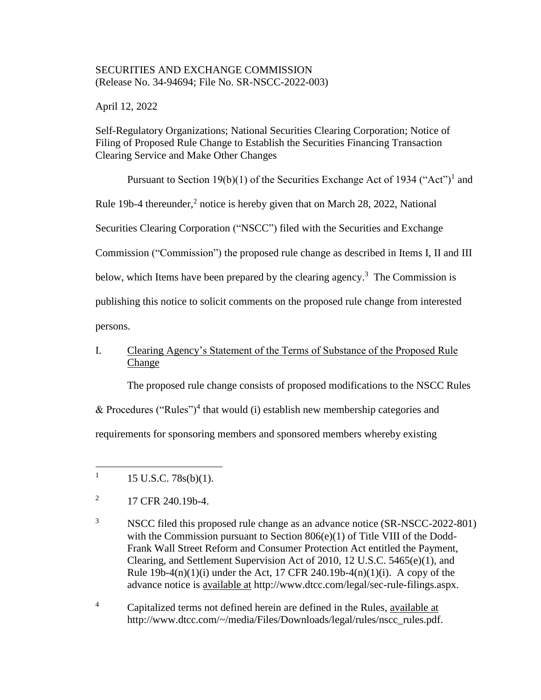## SECURITIES AND EXCHANGE COMMISSION (Release No. 34-94694; File No. SR-NSCC-2022-003)

April 12, 2022

Self-Regulatory Organizations; National Securities Clearing Corporation; Notice of Filing of Proposed Rule Change to Establish the Securities Financing Transaction Clearing Service and Make Other Changes

Pursuant to Section 19(b)(1) of the Securities Exchange Act of 1934 ("Act")<sup>1</sup> and

Rule 19b-4 thereunder, $<sup>2</sup>$  notice is hereby given that on March 28, 2022, National</sup>

Securities Clearing Corporation ("NSCC") filed with the Securities and Exchange

Commission ("Commission") the proposed rule change as described in Items I, II and III

below, which Items have been prepared by the clearing agency.<sup>3</sup> The Commission is

publishing this notice to solicit comments on the proposed rule change from interested

persons.

 $\overline{a}$ 

# I. Clearing Agency's Statement of the Terms of Substance of the Proposed Rule Change

The proposed rule change consists of proposed modifications to the NSCC Rules

& Procedures ("Rules")<sup>4</sup> that would (i) establish new membership categories and

requirements for sponsoring members and sponsored members whereby existing

<sup>4</sup> Capitalized terms not defined herein are defined in the Rules, available at http://www.dtcc.com/~/media/Files/Downloads/legal/rules/nscc\_rules.pdf.

<sup>1</sup> 15 U.S.C. 78s(b)(1).

<sup>2</sup> 17 CFR 240.19b-4.

<sup>&</sup>lt;sup>3</sup> NSCC filed this proposed rule change as an advance notice (SR-NSCC-2022-801) with the Commission pursuant to Section 806(e)(1) of Title VIII of the Dodd-Frank Wall Street Reform and Consumer Protection Act entitled the Payment, Clearing, and Settlement Supervision Act of 2010, 12 U.S.C. 5465(e)(1), and Rule 19b-4(n)(1)(i) under the Act, 17 CFR 240.19b-4(n)(1)(i). A copy of the advance notice is available at http://www.dtcc.com/legal/sec-rule-filings.aspx.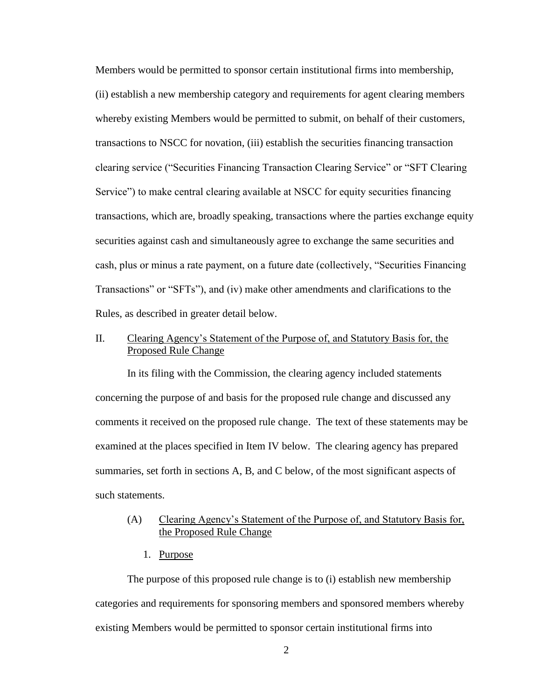Members would be permitted to sponsor certain institutional firms into membership, (ii) establish a new membership category and requirements for agent clearing members whereby existing Members would be permitted to submit, on behalf of their customers, transactions to NSCC for novation, (iii) establish the securities financing transaction clearing service ("Securities Financing Transaction Clearing Service" or "SFT Clearing Service") to make central clearing available at NSCC for equity securities financing transactions, which are, broadly speaking, transactions where the parties exchange equity securities against cash and simultaneously agree to exchange the same securities and cash, plus or minus a rate payment, on a future date (collectively, "Securities Financing Transactions" or "SFTs"), and (iv) make other amendments and clarifications to the Rules, as described in greater detail below.

# II. Clearing Agency's Statement of the Purpose of, and Statutory Basis for, the Proposed Rule Change

In its filing with the Commission, the clearing agency included statements concerning the purpose of and basis for the proposed rule change and discussed any comments it received on the proposed rule change. The text of these statements may be examined at the places specified in Item IV below. The clearing agency has prepared summaries, set forth in sections A, B, and C below, of the most significant aspects of such statements.

## (A) Clearing Agency's Statement of the Purpose of, and Statutory Basis for, the Proposed Rule Change

1. Purpose

The purpose of this proposed rule change is to (i) establish new membership categories and requirements for sponsoring members and sponsored members whereby existing Members would be permitted to sponsor certain institutional firms into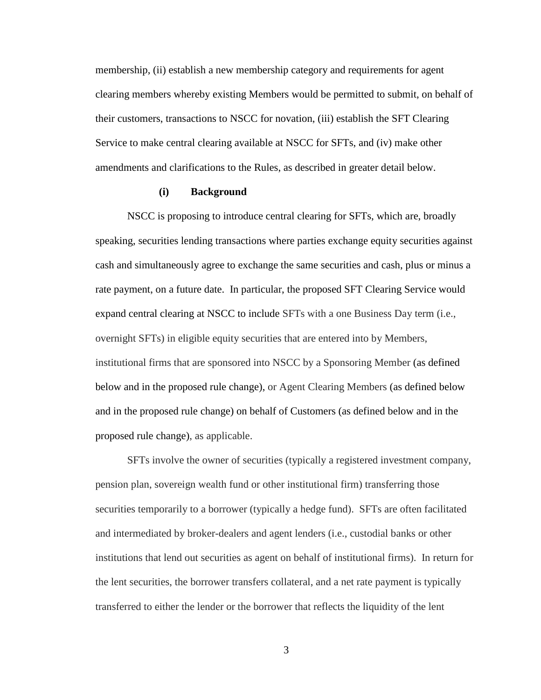membership, (ii) establish a new membership category and requirements for agent clearing members whereby existing Members would be permitted to submit, on behalf of their customers, transactions to NSCC for novation, (iii) establish the SFT Clearing Service to make central clearing available at NSCC for SFTs, and (iv) make other amendments and clarifications to the Rules, as described in greater detail below.

#### **(i) Background**

NSCC is proposing to introduce central clearing for SFTs, which are, broadly speaking, securities lending transactions where parties exchange equity securities against cash and simultaneously agree to exchange the same securities and cash, plus or minus a rate payment, on a future date. In particular, the proposed SFT Clearing Service would expand central clearing at NSCC to include SFTs with a one Business Day term (i.e., overnight SFTs) in eligible equity securities that are entered into by Members, institutional firms that are sponsored into NSCC by a Sponsoring Member (as defined below and in the proposed rule change), or Agent Clearing Members (as defined below and in the proposed rule change) on behalf of Customers (as defined below and in the proposed rule change), as applicable.

SFTs involve the owner of securities (typically a registered investment company, pension plan, sovereign wealth fund or other institutional firm) transferring those securities temporarily to a borrower (typically a hedge fund). SFTs are often facilitated and intermediated by broker-dealers and agent lenders (i.e., custodial banks or other institutions that lend out securities as agent on behalf of institutional firms). In return for the lent securities, the borrower transfers collateral, and a net rate payment is typically transferred to either the lender or the borrower that reflects the liquidity of the lent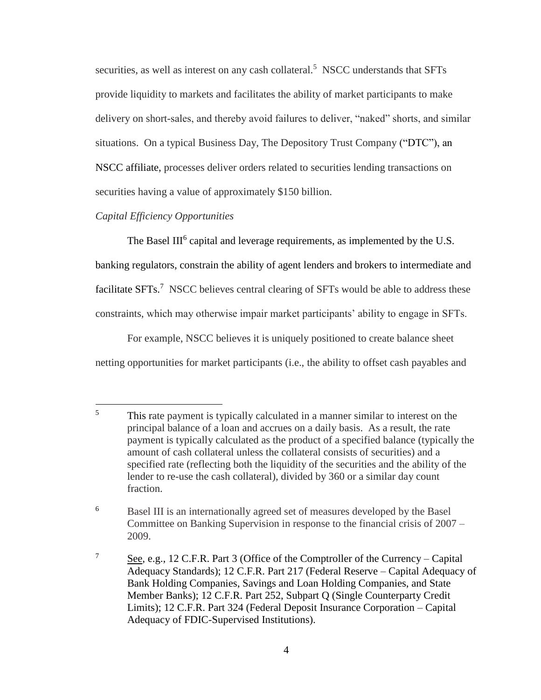securities, as well as interest on any cash collateral.<sup>5</sup> NSCC understands that SFTs provide liquidity to markets and facilitates the ability of market participants to make delivery on short-sales, and thereby avoid failures to deliver, "naked" shorts, and similar situations. On a typical Business Day, The Depository Trust Company ("DTC"), an NSCC affiliate, processes deliver orders related to securities lending transactions on securities having a value of approximately \$150 billion.

## *Capital Efficiency Opportunities*

The Basel III<sup>6</sup> capital and leverage requirements, as implemented by the U.S. banking regulators, constrain the ability of agent lenders and brokers to intermediate and facilitate  $SFTs$ .<sup>7</sup> NSCC believes central clearing of  $SFTs$  would be able to address these constraints, which may otherwise impair market participants' ability to engage in SFTs.

For example, NSCC believes it is uniquely positioned to create balance sheet netting opportunities for market participants (i.e., the ability to offset cash payables and

<sup>5</sup> This rate payment is typically calculated in a manner similar to interest on the principal balance of a loan and accrues on a daily basis. As a result, the rate payment is typically calculated as the product of a specified balance (typically the amount of cash collateral unless the collateral consists of securities) and a specified rate (reflecting both the liquidity of the securities and the ability of the lender to re-use the cash collateral), divided by 360 or a similar day count fraction.

<sup>6</sup> Basel III is an internationally agreed set of measures developed by the Basel Committee on Banking Supervision in response to the financial crisis of 2007 – 2009.

<sup>&</sup>lt;sup>7</sup> See, e.g., 12 C.F.R. Part 3 (Office of the Comptroller of the Currency – Capital Adequacy Standards); 12 C.F.R. Part 217 (Federal Reserve – Capital Adequacy of Bank Holding Companies, Savings and Loan Holding Companies, and State Member Banks); 12 C.F.R. Part 252, Subpart Q (Single Counterparty Credit Limits); 12 C.F.R. Part 324 (Federal Deposit Insurance Corporation – Capital Adequacy of FDIC-Supervised Institutions).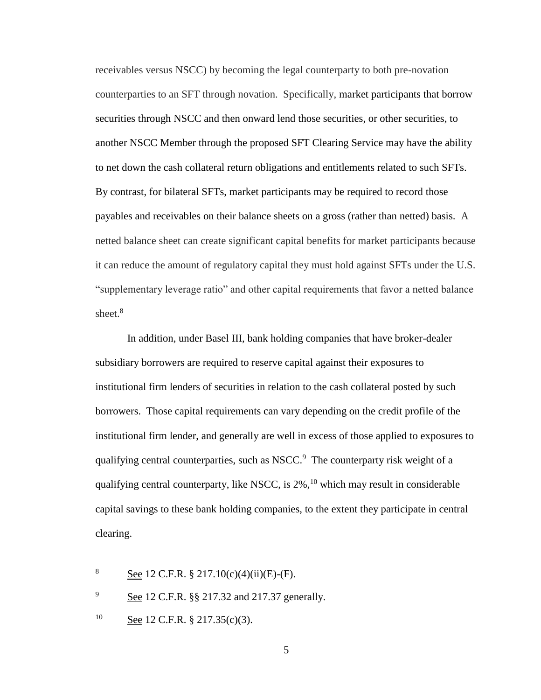receivables versus NSCC) by becoming the legal counterparty to both pre-novation counterparties to an SFT through novation. Specifically, market participants that borrow securities through NSCC and then onward lend those securities, or other securities, to another NSCC Member through the proposed SFT Clearing Service may have the ability to net down the cash collateral return obligations and entitlements related to such SFTs. By contrast, for bilateral SFTs, market participants may be required to record those payables and receivables on their balance sheets on a gross (rather than netted) basis. A netted balance sheet can create significant capital benefits for market participants because it can reduce the amount of regulatory capital they must hold against SFTs under the U.S. "supplementary leverage ratio" and other capital requirements that favor a netted balance sheet.<sup>8</sup>

In addition, under Basel III, bank holding companies that have broker-dealer subsidiary borrowers are required to reserve capital against their exposures to institutional firm lenders of securities in relation to the cash collateral posted by such borrowers. Those capital requirements can vary depending on the credit profile of the institutional firm lender, and generally are well in excess of those applied to exposures to qualifying central counterparties, such as NSCC.<sup>9</sup> The counterparty risk weight of a qualifying central counterparty, like NSCC, is  $2\%$ ,<sup>10</sup> which may result in considerable capital savings to these bank holding companies, to the extent they participate in central clearing.

<sup>9</sup> See 12 C.F.R. §§ 217.32 and 217.37 generally.

 $\overline{a}$ 

<sup>8</sup> See 12 C.F.R.  $\S 217.10(c)(4)(ii)(E)-(F)$ .

<sup>&</sup>lt;sup>10</sup> See 12 C.F.R. § 217.35(c)(3).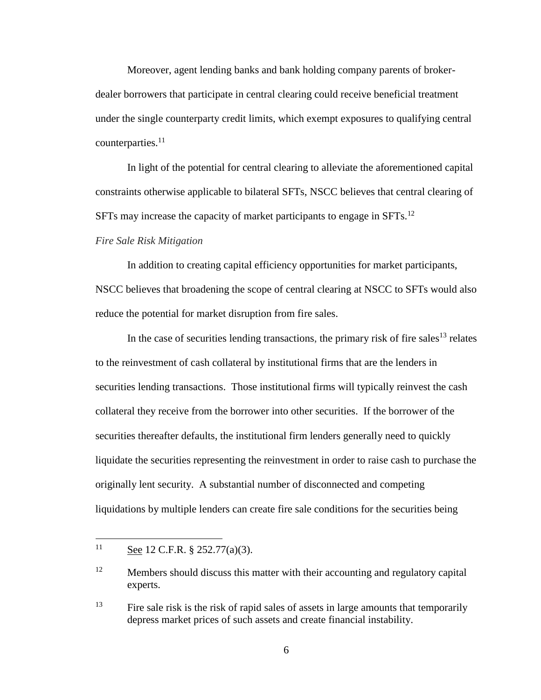Moreover, agent lending banks and bank holding company parents of brokerdealer borrowers that participate in central clearing could receive beneficial treatment under the single counterparty credit limits, which exempt exposures to qualifying central counterparties.<sup>11</sup>

In light of the potential for central clearing to alleviate the aforementioned capital constraints otherwise applicable to bilateral SFTs, NSCC believes that central clearing of SFTs may increase the capacity of market participants to engage in  $SFTs$ <sup>12</sup>

#### *Fire Sale Risk Mitigation*

In addition to creating capital efficiency opportunities for market participants, NSCC believes that broadening the scope of central clearing at NSCC to SFTs would also reduce the potential for market disruption from fire sales.

In the case of securities lending transactions, the primary risk of fire sales<sup>13</sup> relates to the reinvestment of cash collateral by institutional firms that are the lenders in securities lending transactions. Those institutional firms will typically reinvest the cash collateral they receive from the borrower into other securities. If the borrower of the securities thereafter defaults, the institutional firm lenders generally need to quickly liquidate the securities representing the reinvestment in order to raise cash to purchase the originally lent security. A substantial number of disconnected and competing liquidations by multiple lenders can create fire sale conditions for the securities being

 $\overline{a}$ 

<sup>11</sup> See 12 C.F.R.  $\S$  252.77(a)(3).

<sup>&</sup>lt;sup>12</sup> Members should discuss this matter with their accounting and regulatory capital experts.

<sup>&</sup>lt;sup>13</sup> Fire sale risk is the risk of rapid sales of assets in large amounts that temporarily depress market prices of such assets and create financial instability.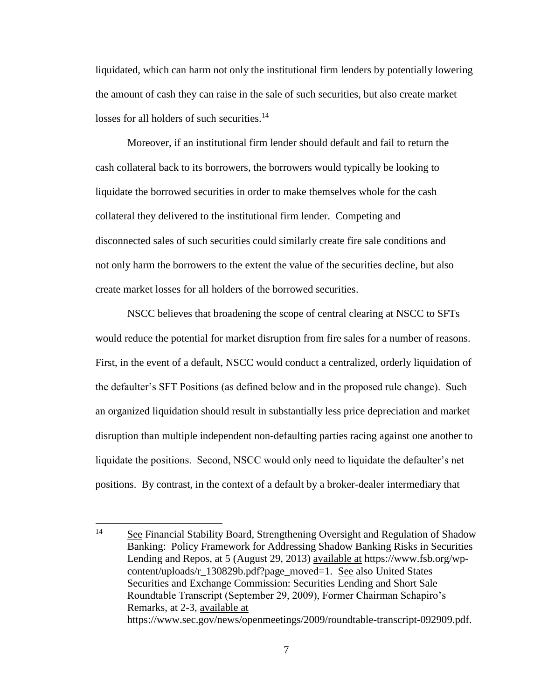liquidated, which can harm not only the institutional firm lenders by potentially lowering the amount of cash they can raise in the sale of such securities, but also create market losses for all holders of such securities.<sup>14</sup>

Moreover, if an institutional firm lender should default and fail to return the cash collateral back to its borrowers, the borrowers would typically be looking to liquidate the borrowed securities in order to make themselves whole for the cash collateral they delivered to the institutional firm lender. Competing and disconnected sales of such securities could similarly create fire sale conditions and not only harm the borrowers to the extent the value of the securities decline, but also create market losses for all holders of the borrowed securities.

NSCC believes that broadening the scope of central clearing at NSCC to SFTs would reduce the potential for market disruption from fire sales for a number of reasons. First, in the event of a default, NSCC would conduct a centralized, orderly liquidation of the defaulter's SFT Positions (as defined below and in the proposed rule change). Such an organized liquidation should result in substantially less price depreciation and market disruption than multiple independent non-defaulting parties racing against one another to liquidate the positions. Second, NSCC would only need to liquidate the defaulter's net positions. By contrast, in the context of a default by a broker-dealer intermediary that

 $14$ <sup>14</sup> See Financial Stability Board, Strengthening Oversight and Regulation of Shadow Banking: Policy Framework for Addressing Shadow Banking Risks in Securities Lending and Repos, at 5 (August 29, 2013) available at https://www.fsb.org/wpcontent/uploads/r\_130829b.pdf?page\_moved=1. See also United States Securities and Exchange Commission: Securities Lending and Short Sale Roundtable Transcript (September 29, 2009), Former Chairman Schapiro's Remarks, at 2-3, available at https://www.sec.gov/news/openmeetings/2009/roundtable-transcript-092909.pdf.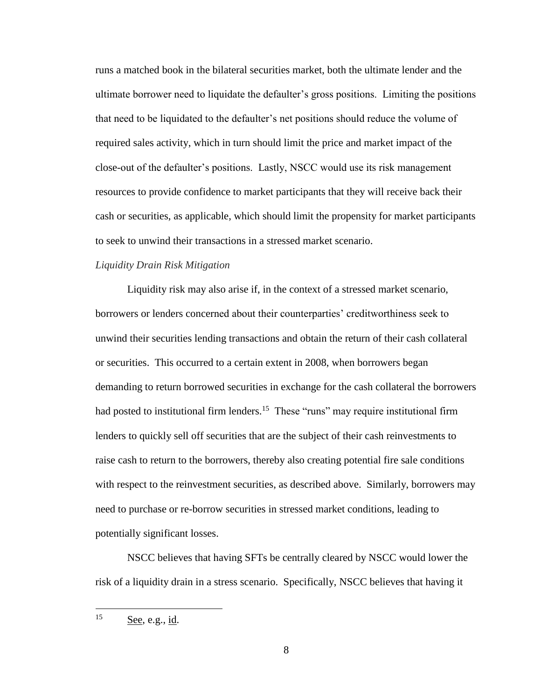runs a matched book in the bilateral securities market, both the ultimate lender and the ultimate borrower need to liquidate the defaulter's gross positions. Limiting the positions that need to be liquidated to the defaulter's net positions should reduce the volume of required sales activity, which in turn should limit the price and market impact of the close-out of the defaulter's positions. Lastly, NSCC would use its risk management resources to provide confidence to market participants that they will receive back their cash or securities, as applicable, which should limit the propensity for market participants to seek to unwind their transactions in a stressed market scenario.

#### *Liquidity Drain Risk Mitigation*

Liquidity risk may also arise if, in the context of a stressed market scenario, borrowers or lenders concerned about their counterparties' creditworthiness seek to unwind their securities lending transactions and obtain the return of their cash collateral or securities. This occurred to a certain extent in 2008, when borrowers began demanding to return borrowed securities in exchange for the cash collateral the borrowers had posted to institutional firm lenders.<sup>15</sup> These "runs" may require institutional firm lenders to quickly sell off securities that are the subject of their cash reinvestments to raise cash to return to the borrowers, thereby also creating potential fire sale conditions with respect to the reinvestment securities, as described above. Similarly, borrowers may need to purchase or re-borrow securities in stressed market conditions, leading to potentially significant losses.

NSCC believes that having SFTs be centrally cleared by NSCC would lower the risk of a liquidity drain in a stress scenario. Specifically, NSCC believes that having it

<sup>15</sup> See, e.g., id.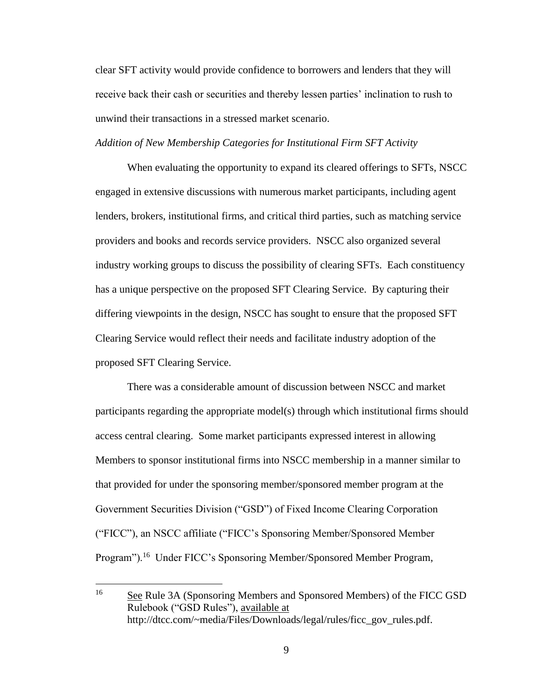clear SFT activity would provide confidence to borrowers and lenders that they will receive back their cash or securities and thereby lessen parties' inclination to rush to unwind their transactions in a stressed market scenario.

## *Addition of New Membership Categories for Institutional Firm SFT Activity*

When evaluating the opportunity to expand its cleared offerings to SFTs, NSCC engaged in extensive discussions with numerous market participants, including agent lenders, brokers, institutional firms, and critical third parties, such as matching service providers and books and records service providers. NSCC also organized several industry working groups to discuss the possibility of clearing SFTs. Each constituency has a unique perspective on the proposed SFT Clearing Service. By capturing their differing viewpoints in the design, NSCC has sought to ensure that the proposed SFT Clearing Service would reflect their needs and facilitate industry adoption of the proposed SFT Clearing Service.

There was a considerable amount of discussion between NSCC and market participants regarding the appropriate model(s) through which institutional firms should access central clearing. Some market participants expressed interest in allowing Members to sponsor institutional firms into NSCC membership in a manner similar to that provided for under the sponsoring member/sponsored member program at the Government Securities Division ("GSD") of Fixed Income Clearing Corporation ("FICC"), an NSCC affiliate ("FICC's Sponsoring Member/Sponsored Member Program").<sup>16</sup> Under FICC's Sponsoring Member/Sponsored Member Program,

 $16<sup>16</sup>$ <sup>16</sup> See Rule 3A (Sponsoring Members and Sponsored Members) of the FICC GSD Rulebook ("GSD Rules"), available at http://dtcc.com/~media/Files/Downloads/legal/rules/ficc\_gov\_rules.pdf.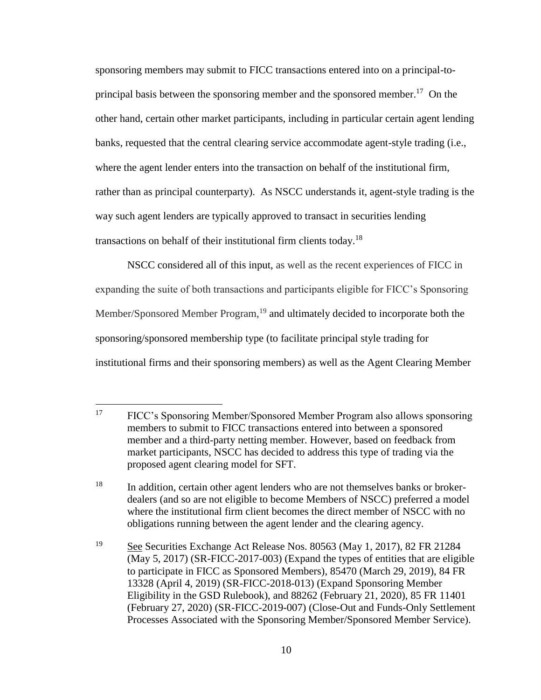sponsoring members may submit to FICC transactions entered into on a principal-toprincipal basis between the sponsoring member and the sponsored member.<sup>17</sup> On the other hand, certain other market participants, including in particular certain agent lending banks, requested that the central clearing service accommodate agent-style trading (i.e., where the agent lender enters into the transaction on behalf of the institutional firm, rather than as principal counterparty). As NSCC understands it, agent-style trading is the way such agent lenders are typically approved to transact in securities lending transactions on behalf of their institutional firm clients today.<sup>18</sup>

NSCC considered all of this input, as well as the recent experiences of FICC in expanding the suite of both transactions and participants eligible for FICC's Sponsoring Member/Sponsored Member Program,  $19$  and ultimately decided to incorporate both the sponsoring/sponsored membership type (to facilitate principal style trading for institutional firms and their sponsoring members) as well as the Agent Clearing Member

<sup>17</sup> <sup>17</sup> FICC's Sponsoring Member/Sponsored Member Program also allows sponsoring members to submit to FICC transactions entered into between a sponsored member and a third-party netting member. However, based on feedback from market participants, NSCC has decided to address this type of trading via the proposed agent clearing model for SFT.

<sup>&</sup>lt;sup>18</sup> In addition, certain other agent lenders who are not themselves banks or brokerdealers (and so are not eligible to become Members of NSCC) preferred a model where the institutional firm client becomes the direct member of NSCC with no obligations running between the agent lender and the clearing agency.

<sup>19</sup> See Securities Exchange Act Release Nos. 80563 (May 1, 2017), 82 FR 21284 (May 5, 2017) (SR-FICC-2017-003) (Expand the types of entities that are eligible to participate in FICC as Sponsored Members), 85470 (March 29, 2019), 84 FR 13328 (April 4, 2019) (SR-FICC-2018-013) (Expand Sponsoring Member Eligibility in the GSD Rulebook), and 88262 (February 21, 2020), 85 FR 11401 (February 27, 2020) (SR-FICC-2019-007) (Close-Out and Funds-Only Settlement Processes Associated with the Sponsoring Member/Sponsored Member Service).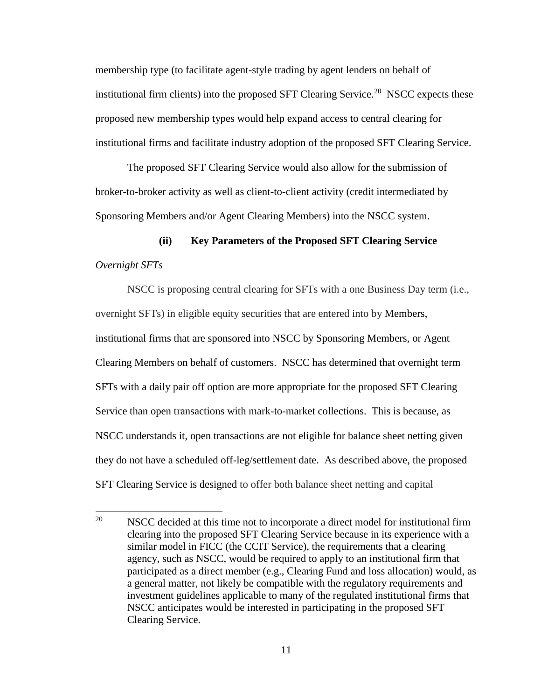membership type (to facilitate agent-style trading by agent lenders on behalf of institutional firm clients) into the proposed SFT Clearing Service.<sup>20</sup> NSCC expects these proposed new membership types would help expand access to central clearing for institutional firms and facilitate industry adoption of the proposed SFT Clearing Service.

The proposed SFT Clearing Service would also allow for the submission of broker-to-broker activity as well as client-to-client activity (credit intermediated by Sponsoring Members and/or Agent Clearing Members) into the NSCC system.

# **(ii) Key Parameters of the Proposed SFT Clearing Service** *Overnight SFTs*

NSCC is proposing central clearing for SFTs with a one Business Day term (i.e., overnight SFTs) in eligible equity securities that are entered into by Members, institutional firms that are sponsored into NSCC by Sponsoring Members, or Agent Clearing Members on behalf of customers. NSCC has determined that overnight term SFTs with a daily pair off option are more appropriate for the proposed SFT Clearing Service than open transactions with mark-to-market collections. This is because, as NSCC understands it, open transactions are not eligible for balance sheet netting given they do not have a scheduled off-leg/settlement date. As described above, the proposed SFT Clearing Service is designed to offer both balance sheet netting and capital

<sup>20</sup> <sup>20</sup> NSCC decided at this time not to incorporate a direct model for institutional firm clearing into the proposed SFT Clearing Service because in its experience with a similar model in FICC (the CCIT Service), the requirements that a clearing agency, such as NSCC, would be required to apply to an institutional firm that participated as a direct member (e.g., Clearing Fund and loss allocation) would, as a general matter, not likely be compatible with the regulatory requirements and investment guidelines applicable to many of the regulated institutional firms that NSCC anticipates would be interested in participating in the proposed SFT Clearing Service.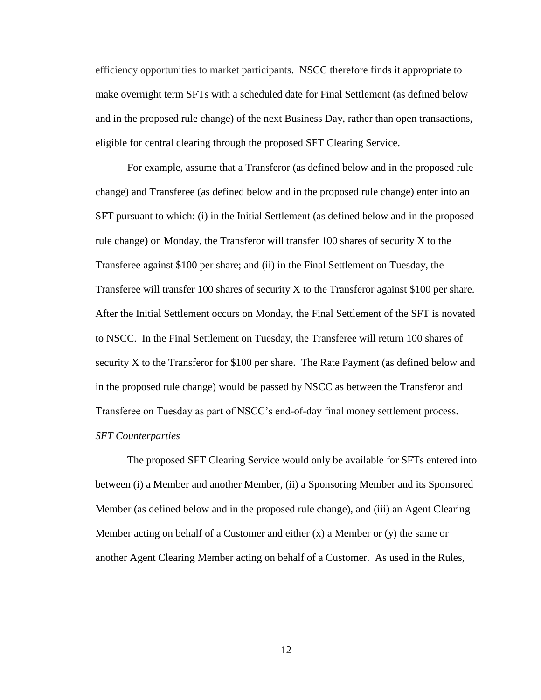efficiency opportunities to market participants. NSCC therefore finds it appropriate to make overnight term SFTs with a scheduled date for Final Settlement (as defined below and in the proposed rule change) of the next Business Day, rather than open transactions, eligible for central clearing through the proposed SFT Clearing Service.

For example, assume that a Transferor (as defined below and in the proposed rule change) and Transferee (as defined below and in the proposed rule change) enter into an SFT pursuant to which: (i) in the Initial Settlement (as defined below and in the proposed rule change) on Monday, the Transferor will transfer 100 shares of security X to the Transferee against \$100 per share; and (ii) in the Final Settlement on Tuesday, the Transferee will transfer 100 shares of security X to the Transferor against \$100 per share. After the Initial Settlement occurs on Monday, the Final Settlement of the SFT is novated to NSCC. In the Final Settlement on Tuesday, the Transferee will return 100 shares of security X to the Transferor for \$100 per share. The Rate Payment (as defined below and in the proposed rule change) would be passed by NSCC as between the Transferor and Transferee on Tuesday as part of NSCC's end-of-day final money settlement process. *SFT Counterparties*

The proposed SFT Clearing Service would only be available for SFTs entered into between (i) a Member and another Member, (ii) a Sponsoring Member and its Sponsored Member (as defined below and in the proposed rule change), and (iii) an Agent Clearing Member acting on behalf of a Customer and either  $(x)$  a Member or  $(y)$  the same or another Agent Clearing Member acting on behalf of a Customer. As used in the Rules,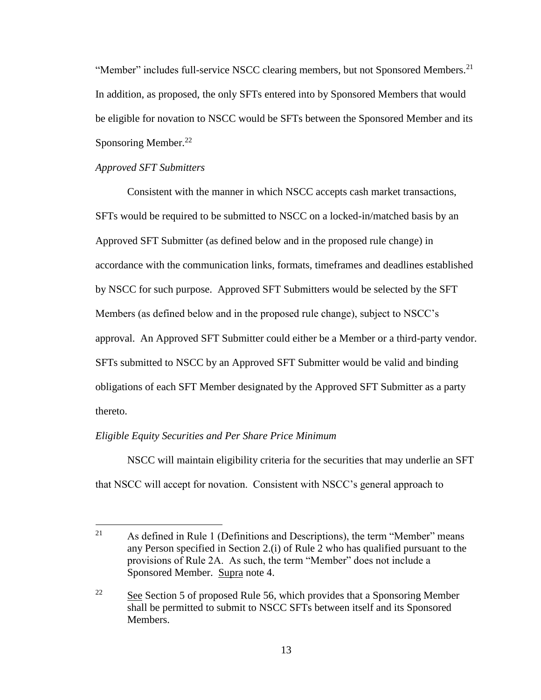"Member" includes full-service NSCC clearing members, but not Sponsored Members.<sup>21</sup> In addition, as proposed, the only SFTs entered into by Sponsored Members that would be eligible for novation to NSCC would be SFTs between the Sponsored Member and its Sponsoring Member.<sup>22</sup>

## *Approved SFT Submitters*

 $\overline{a}$ 

Consistent with the manner in which NSCC accepts cash market transactions, SFTs would be required to be submitted to NSCC on a locked-in/matched basis by an Approved SFT Submitter (as defined below and in the proposed rule change) in accordance with the communication links, formats, timeframes and deadlines established by NSCC for such purpose. Approved SFT Submitters would be selected by the SFT Members (as defined below and in the proposed rule change), subject to NSCC's approval. An Approved SFT Submitter could either be a Member or a third-party vendor. SFTs submitted to NSCC by an Approved SFT Submitter would be valid and binding obligations of each SFT Member designated by the Approved SFT Submitter as a party thereto.

### *Eligible Equity Securities and Per Share Price Minimum*

NSCC will maintain eligibility criteria for the securities that may underlie an SFT that NSCC will accept for novation. Consistent with NSCC's general approach to

<sup>&</sup>lt;sup>21</sup> As defined in Rule 1 (Definitions and Descriptions), the term "Member" means any Person specified in Section 2.(i) of Rule 2 who has qualified pursuant to the provisions of Rule 2A. As such, the term "Member" does not include a Sponsored Member. Supra note 4.

<sup>&</sup>lt;sup>22</sup> See Section 5 of proposed Rule 56, which provides that a Sponsoring Member shall be permitted to submit to NSCC SFTs between itself and its Sponsored Members.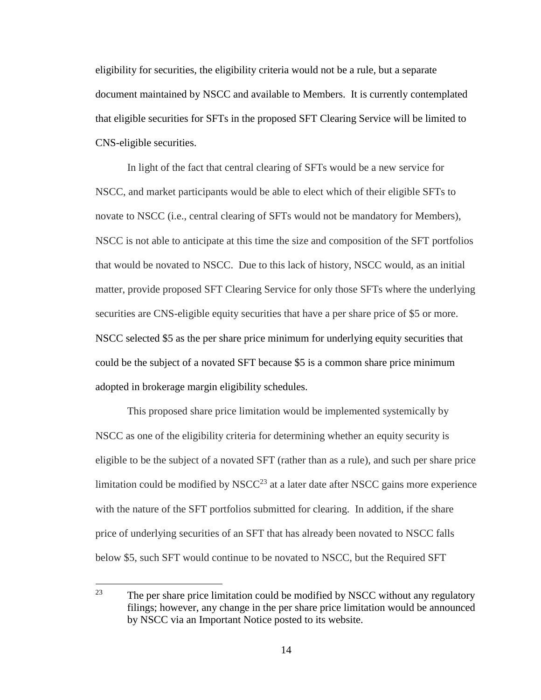eligibility for securities, the eligibility criteria would not be a rule, but a separate document maintained by NSCC and available to Members. It is currently contemplated that eligible securities for SFTs in the proposed SFT Clearing Service will be limited to CNS-eligible securities.

In light of the fact that central clearing of SFTs would be a new service for NSCC, and market participants would be able to elect which of their eligible SFTs to novate to NSCC (i.e., central clearing of SFTs would not be mandatory for Members), NSCC is not able to anticipate at this time the size and composition of the SFT portfolios that would be novated to NSCC. Due to this lack of history, NSCC would, as an initial matter, provide proposed SFT Clearing Service for only those SFTs where the underlying securities are CNS-eligible equity securities that have a per share price of \$5 or more. NSCC selected \$5 as the per share price minimum for underlying equity securities that could be the subject of a novated SFT because \$5 is a common share price minimum adopted in brokerage margin eligibility schedules.

This proposed share price limitation would be implemented systemically by NSCC as one of the eligibility criteria for determining whether an equity security is eligible to be the subject of a novated SFT (rather than as a rule), and such per share price limitation could be modified by NSC $C^{23}$  at a later date after NSCC gains more experience with the nature of the SFT portfolios submitted for clearing. In addition, if the share price of underlying securities of an SFT that has already been novated to NSCC falls below \$5, such SFT would continue to be novated to NSCC, but the Required SFT

<sup>23</sup> The per share price limitation could be modified by NSCC without any regulatory filings; however, any change in the per share price limitation would be announced by NSCC via an Important Notice posted to its website.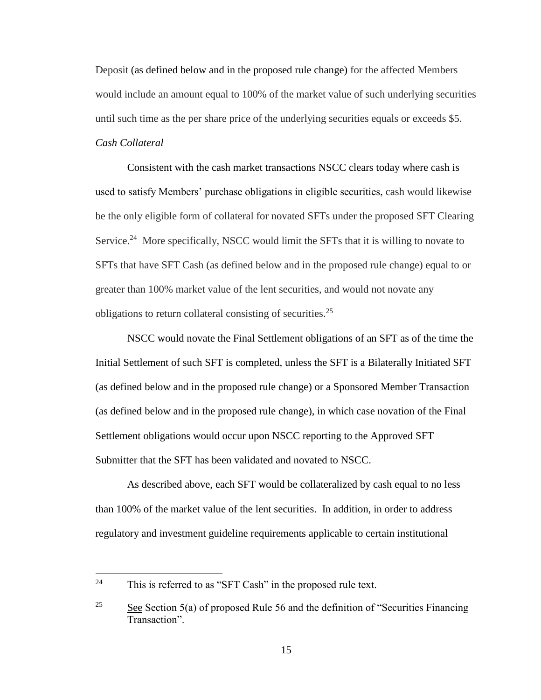Deposit (as defined below and in the proposed rule change) for the affected Members would include an amount equal to 100% of the market value of such underlying securities until such time as the per share price of the underlying securities equals or exceeds \$5. *Cash Collateral*

Consistent with the cash market transactions NSCC clears today where cash is used to satisfy Members' purchase obligations in eligible securities, cash would likewise be the only eligible form of collateral for novated SFTs under the proposed SFT Clearing Service.<sup>24</sup> More specifically, NSCC would limit the SFTs that it is willing to novate to SFTs that have SFT Cash (as defined below and in the proposed rule change) equal to or greater than 100% market value of the lent securities, and would not novate any obligations to return collateral consisting of securities.<sup>25</sup>

NSCC would novate the Final Settlement obligations of an SFT as of the time the Initial Settlement of such SFT is completed, unless the SFT is a Bilaterally Initiated SFT (as defined below and in the proposed rule change) or a Sponsored Member Transaction (as defined below and in the proposed rule change), in which case novation of the Final Settlement obligations would occur upon NSCC reporting to the Approved SFT Submitter that the SFT has been validated and novated to NSCC.

As described above, each SFT would be collateralized by cash equal to no less than 100% of the market value of the lent securities. In addition, in order to address regulatory and investment guideline requirements applicable to certain institutional

 $\overline{a}$ 

<sup>&</sup>lt;sup>24</sup> This is referred to as "SFT Cash" in the proposed rule text.

<sup>&</sup>lt;sup>25</sup> See Section 5(a) of proposed Rule 56 and the definition of "Securities Financing" Transaction".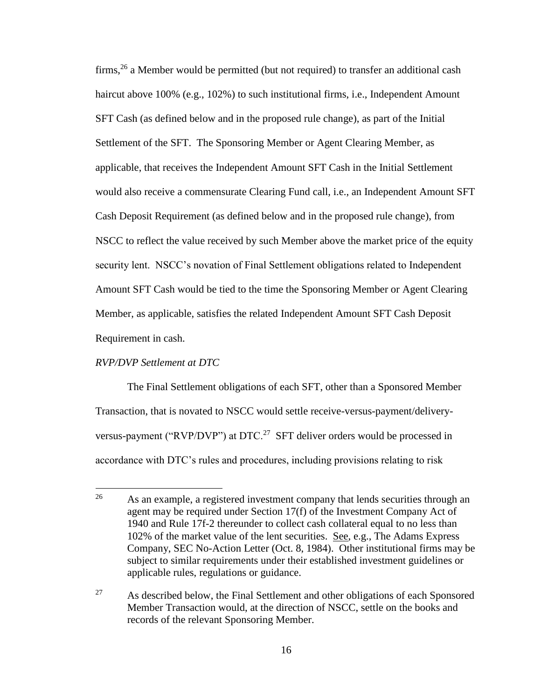firms,<sup>26</sup> a Member would be permitted (but not required) to transfer an additional cash haircut above 100% (e.g., 102%) to such institutional firms, i.e., Independent Amount SFT Cash (as defined below and in the proposed rule change), as part of the Initial Settlement of the SFT. The Sponsoring Member or Agent Clearing Member, as applicable, that receives the Independent Amount SFT Cash in the Initial Settlement would also receive a commensurate Clearing Fund call, i.e., an Independent Amount SFT Cash Deposit Requirement (as defined below and in the proposed rule change), from NSCC to reflect the value received by such Member above the market price of the equity security lent. NSCC's novation of Final Settlement obligations related to Independent Amount SFT Cash would be tied to the time the Sponsoring Member or Agent Clearing Member, as applicable, satisfies the related Independent Amount SFT Cash Deposit Requirement in cash.

#### *RVP/DVP Settlement at DTC*

 $\overline{a}$ 

The Final Settlement obligations of each SFT, other than a Sponsored Member Transaction, that is novated to NSCC would settle receive-versus-payment/deliveryversus-payment ("RVP/DVP") at DTC.<sup>27</sup> SFT deliver orders would be processed in accordance with DTC's rules and procedures, including provisions relating to risk

<sup>&</sup>lt;sup>26</sup> As an example, a registered investment company that lends securities through an agent may be required under Section 17(f) of the Investment Company Act of 1940 and Rule 17f-2 thereunder to collect cash collateral equal to no less than 102% of the market value of the lent securities. See, e.g., The Adams Express Company, SEC No-Action Letter (Oct. 8, 1984). Other institutional firms may be subject to similar requirements under their established investment guidelines or applicable rules, regulations or guidance.

<sup>&</sup>lt;sup>27</sup> As described below, the Final Settlement and other obligations of each Sponsored Member Transaction would, at the direction of NSCC, settle on the books and records of the relevant Sponsoring Member.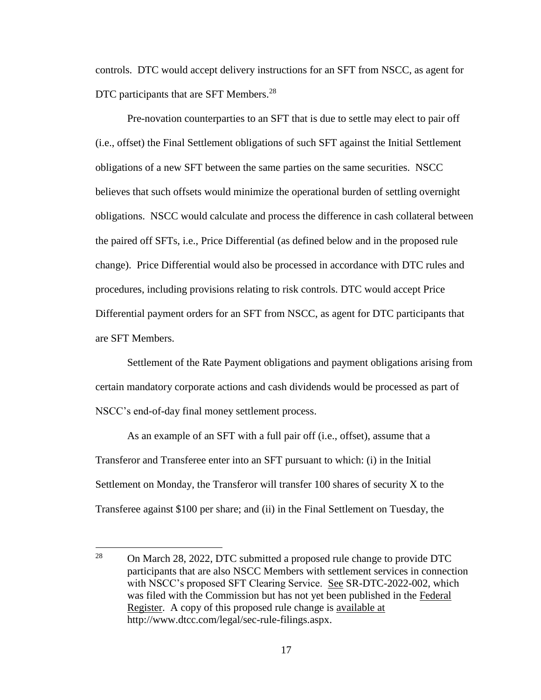controls. DTC would accept delivery instructions for an SFT from NSCC, as agent for DTC participants that are SFT Members.<sup>28</sup>

Pre-novation counterparties to an SFT that is due to settle may elect to pair off (i.e., offset) the Final Settlement obligations of such SFT against the Initial Settlement obligations of a new SFT between the same parties on the same securities. NSCC believes that such offsets would minimize the operational burden of settling overnight obligations. NSCC would calculate and process the difference in cash collateral between the paired off SFTs, i.e., Price Differential (as defined below and in the proposed rule change). Price Differential would also be processed in accordance with DTC rules and procedures, including provisions relating to risk controls. DTC would accept Price Differential payment orders for an SFT from NSCC, as agent for DTC participants that are SFT Members.

Settlement of the Rate Payment obligations and payment obligations arising from certain mandatory corporate actions and cash dividends would be processed as part of NSCC's end-of-day final money settlement process.

As an example of an SFT with a full pair off (i.e., offset), assume that a Transferor and Transferee enter into an SFT pursuant to which: (i) in the Initial Settlement on Monday, the Transferor will transfer 100 shares of security X to the Transferee against \$100 per share; and (ii) in the Final Settlement on Tuesday, the

<sup>28</sup> <sup>28</sup> On March 28, 2022, DTC submitted a proposed rule change to provide DTC participants that are also NSCC Members with settlement services in connection with NSCC's proposed SFT Clearing Service. See SR-DTC-2022-002, which was filed with the Commission but has not yet been published in the Federal Register. A copy of this proposed rule change is available at http://www.dtcc.com/legal/sec-rule-filings.aspx.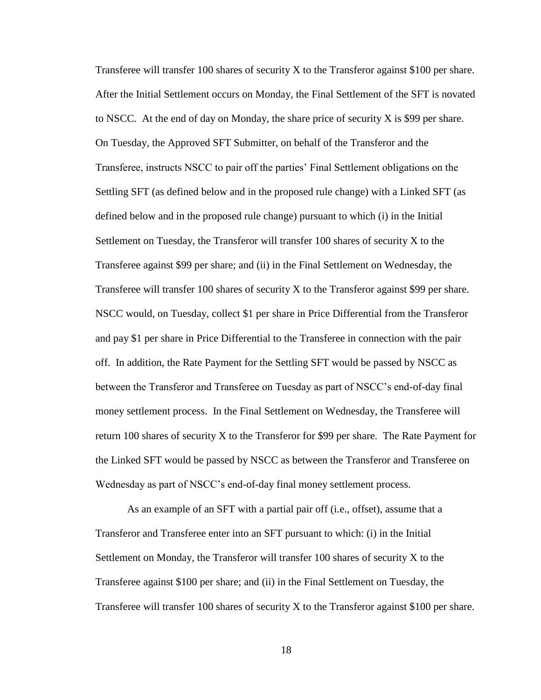Transferee will transfer 100 shares of security X to the Transferor against \$100 per share. After the Initial Settlement occurs on Monday, the Final Settlement of the SFT is novated to NSCC. At the end of day on Monday, the share price of security X is \$99 per share. On Tuesday, the Approved SFT Submitter, on behalf of the Transferor and the Transferee, instructs NSCC to pair off the parties' Final Settlement obligations on the Settling SFT (as defined below and in the proposed rule change) with a Linked SFT (as defined below and in the proposed rule change) pursuant to which (i) in the Initial Settlement on Tuesday, the Transferor will transfer 100 shares of security X to the Transferee against \$99 per share; and (ii) in the Final Settlement on Wednesday, the Transferee will transfer 100 shares of security X to the Transferor against \$99 per share. NSCC would, on Tuesday, collect \$1 per share in Price Differential from the Transferor and pay \$1 per share in Price Differential to the Transferee in connection with the pair off. In addition, the Rate Payment for the Settling SFT would be passed by NSCC as between the Transferor and Transferee on Tuesday as part of NSCC's end-of-day final money settlement process. In the Final Settlement on Wednesday, the Transferee will return 100 shares of security X to the Transferor for \$99 per share. The Rate Payment for the Linked SFT would be passed by NSCC as between the Transferor and Transferee on Wednesday as part of NSCC's end-of-day final money settlement process.

As an example of an SFT with a partial pair off (i.e., offset), assume that a Transferor and Transferee enter into an SFT pursuant to which: (i) in the Initial Settlement on Monday, the Transferor will transfer 100 shares of security X to the Transferee against \$100 per share; and (ii) in the Final Settlement on Tuesday, the Transferee will transfer 100 shares of security X to the Transferor against \$100 per share.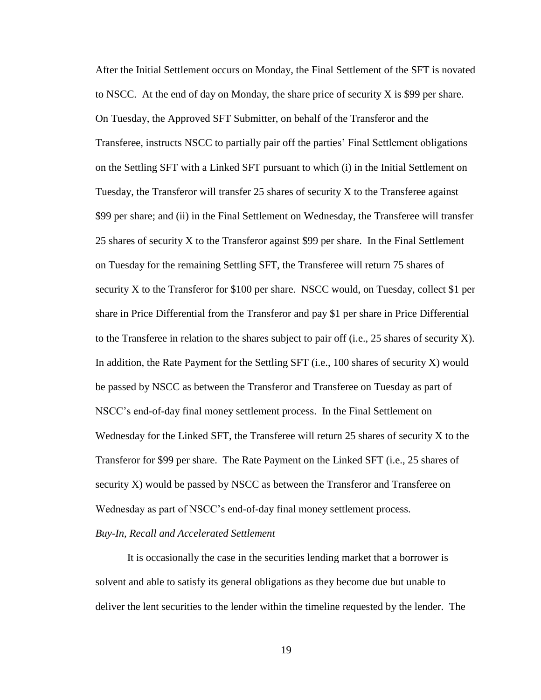After the Initial Settlement occurs on Monday, the Final Settlement of the SFT is novated to NSCC. At the end of day on Monday, the share price of security X is \$99 per share. On Tuesday, the Approved SFT Submitter, on behalf of the Transferor and the Transferee, instructs NSCC to partially pair off the parties' Final Settlement obligations on the Settling SFT with a Linked SFT pursuant to which (i) in the Initial Settlement on Tuesday, the Transferor will transfer  $25$  shares of security X to the Transferee against \$99 per share; and (ii) in the Final Settlement on Wednesday, the Transferee will transfer 25 shares of security X to the Transferor against \$99 per share. In the Final Settlement on Tuesday for the remaining Settling SFT, the Transferee will return 75 shares of security X to the Transferor for \$100 per share. NSCC would, on Tuesday, collect \$1 per share in Price Differential from the Transferor and pay \$1 per share in Price Differential to the Transferee in relation to the shares subject to pair off (i.e., 25 shares of security X). In addition, the Rate Payment for the Settling SFT (i.e., 100 shares of security X) would be passed by NSCC as between the Transferor and Transferee on Tuesday as part of NSCC's end-of-day final money settlement process. In the Final Settlement on Wednesday for the Linked SFT, the Transferee will return  $25$  shares of security X to the Transferor for \$99 per share. The Rate Payment on the Linked SFT (i.e., 25 shares of security X) would be passed by NSCC as between the Transferor and Transferee on Wednesday as part of NSCC's end-of-day final money settlement process.

#### *Buy-In, Recall and Accelerated Settlement*

It is occasionally the case in the securities lending market that a borrower is solvent and able to satisfy its general obligations as they become due but unable to deliver the lent securities to the lender within the timeline requested by the lender. The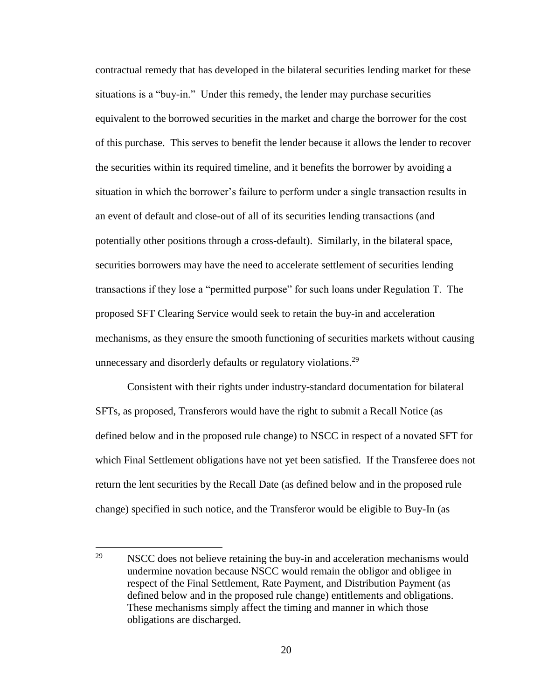contractual remedy that has developed in the bilateral securities lending market for these situations is a "buy-in." Under this remedy, the lender may purchase securities equivalent to the borrowed securities in the market and charge the borrower for the cost of this purchase. This serves to benefit the lender because it allows the lender to recover the securities within its required timeline, and it benefits the borrower by avoiding a situation in which the borrower's failure to perform under a single transaction results in an event of default and close-out of all of its securities lending transactions (and potentially other positions through a cross-default). Similarly, in the bilateral space, securities borrowers may have the need to accelerate settlement of securities lending transactions if they lose a "permitted purpose" for such loans under Regulation T. The proposed SFT Clearing Service would seek to retain the buy-in and acceleration mechanisms, as they ensure the smooth functioning of securities markets without causing unnecessary and disorderly defaults or regulatory violations.<sup>29</sup>

Consistent with their rights under industry-standard documentation for bilateral SFTs, as proposed, Transferors would have the right to submit a Recall Notice (as defined below and in the proposed rule change) to NSCC in respect of a novated SFT for which Final Settlement obligations have not yet been satisfied. If the Transferee does not return the lent securities by the Recall Date (as defined below and in the proposed rule change) specified in such notice, and the Transferor would be eligible to Buy-In (as

<sup>29</sup> NSCC does not believe retaining the buy-in and acceleration mechanisms would undermine novation because NSCC would remain the obligor and obligee in respect of the Final Settlement, Rate Payment, and Distribution Payment (as defined below and in the proposed rule change) entitlements and obligations. These mechanisms simply affect the timing and manner in which those obligations are discharged.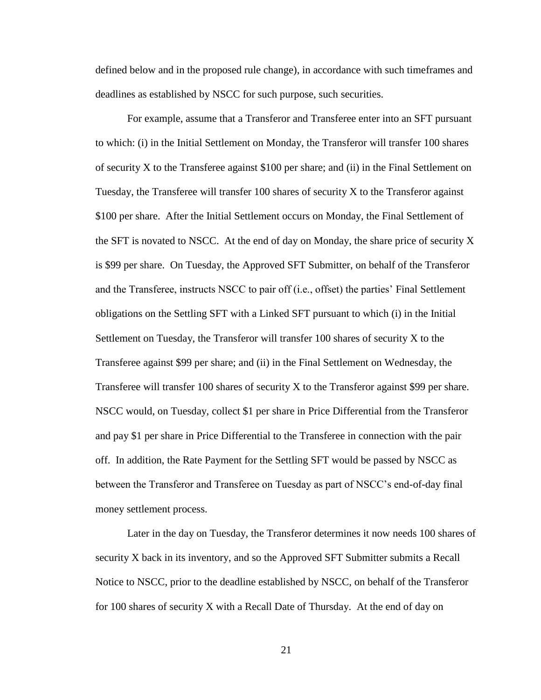defined below and in the proposed rule change), in accordance with such timeframes and deadlines as established by NSCC for such purpose, such securities.

For example, assume that a Transferor and Transferee enter into an SFT pursuant to which: (i) in the Initial Settlement on Monday, the Transferor will transfer 100 shares of security X to the Transferee against \$100 per share; and (ii) in the Final Settlement on Tuesday, the Transferee will transfer 100 shares of security  $X$  to the Transferor against \$100 per share. After the Initial Settlement occurs on Monday, the Final Settlement of the SFT is novated to NSCC. At the end of day on Monday, the share price of security  $X$ is \$99 per share. On Tuesday, the Approved SFT Submitter, on behalf of the Transferor and the Transferee, instructs NSCC to pair off (i.e., offset) the parties' Final Settlement obligations on the Settling SFT with a Linked SFT pursuant to which (i) in the Initial Settlement on Tuesday, the Transferor will transfer 100 shares of security X to the Transferee against \$99 per share; and (ii) in the Final Settlement on Wednesday, the Transferee will transfer 100 shares of security X to the Transferor against \$99 per share. NSCC would, on Tuesday, collect \$1 per share in Price Differential from the Transferor and pay \$1 per share in Price Differential to the Transferee in connection with the pair off. In addition, the Rate Payment for the Settling SFT would be passed by NSCC as between the Transferor and Transferee on Tuesday as part of NSCC's end-of-day final money settlement process.

Later in the day on Tuesday, the Transferor determines it now needs 100 shares of security X back in its inventory, and so the Approved SFT Submitter submits a Recall Notice to NSCC, prior to the deadline established by NSCC, on behalf of the Transferor for 100 shares of security X with a Recall Date of Thursday. At the end of day on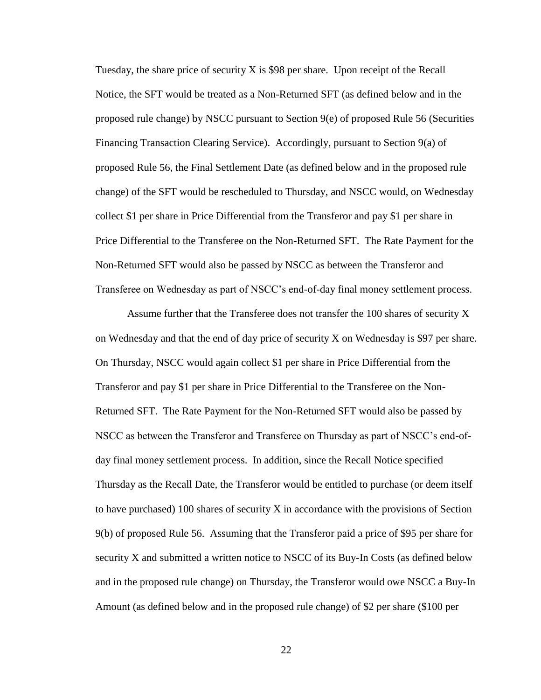Tuesday, the share price of security  $X$  is \$98 per share. Upon receipt of the Recall Notice, the SFT would be treated as a Non-Returned SFT (as defined below and in the proposed rule change) by NSCC pursuant to Section 9(e) of proposed Rule 56 (Securities Financing Transaction Clearing Service). Accordingly, pursuant to Section 9(a) of proposed Rule 56, the Final Settlement Date (as defined below and in the proposed rule change) of the SFT would be rescheduled to Thursday, and NSCC would, on Wednesday collect \$1 per share in Price Differential from the Transferor and pay \$1 per share in Price Differential to the Transferee on the Non-Returned SFT. The Rate Payment for the Non-Returned SFT would also be passed by NSCC as between the Transferor and Transferee on Wednesday as part of NSCC's end-of-day final money settlement process.

Assume further that the Transferee does not transfer the 100 shares of security X on Wednesday and that the end of day price of security X on Wednesday is \$97 per share. On Thursday, NSCC would again collect \$1 per share in Price Differential from the Transferor and pay \$1 per share in Price Differential to the Transferee on the Non-Returned SFT. The Rate Payment for the Non-Returned SFT would also be passed by NSCC as between the Transferor and Transferee on Thursday as part of NSCC's end-ofday final money settlement process. In addition, since the Recall Notice specified Thursday as the Recall Date, the Transferor would be entitled to purchase (or deem itself to have purchased) 100 shares of security X in accordance with the provisions of Section 9(b) of proposed Rule 56. Assuming that the Transferor paid a price of \$95 per share for security X and submitted a written notice to NSCC of its Buy-In Costs (as defined below and in the proposed rule change) on Thursday, the Transferor would owe NSCC a Buy-In Amount (as defined below and in the proposed rule change) of \$2 per share (\$100 per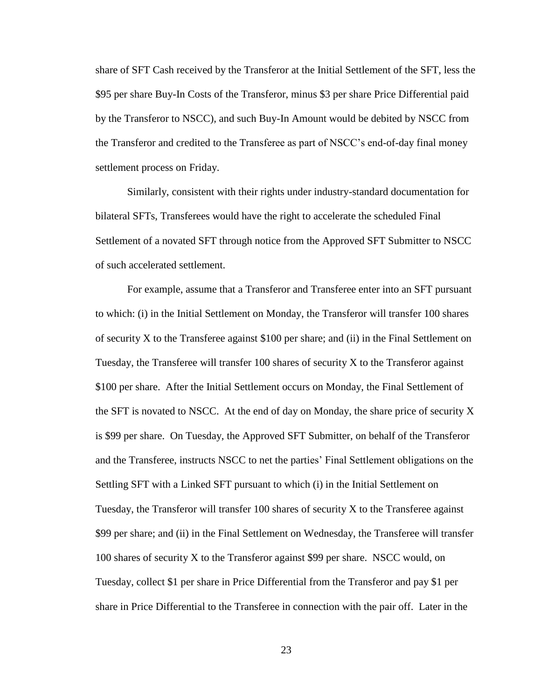share of SFT Cash received by the Transferor at the Initial Settlement of the SFT, less the \$95 per share Buy-In Costs of the Transferor, minus \$3 per share Price Differential paid by the Transferor to NSCC), and such Buy-In Amount would be debited by NSCC from the Transferor and credited to the Transferee as part of NSCC's end-of-day final money settlement process on Friday.

Similarly, consistent with their rights under industry-standard documentation for bilateral SFTs, Transferees would have the right to accelerate the scheduled Final Settlement of a novated SFT through notice from the Approved SFT Submitter to NSCC of such accelerated settlement.

For example, assume that a Transferor and Transferee enter into an SFT pursuant to which: (i) in the Initial Settlement on Monday, the Transferor will transfer 100 shares of security X to the Transferee against \$100 per share; and (ii) in the Final Settlement on Tuesday, the Transferee will transfer 100 shares of security  $X$  to the Transferor against \$100 per share. After the Initial Settlement occurs on Monday, the Final Settlement of the SFT is novated to NSCC. At the end of day on Monday, the share price of security X is \$99 per share. On Tuesday, the Approved SFT Submitter, on behalf of the Transferor and the Transferee, instructs NSCC to net the parties' Final Settlement obligations on the Settling SFT with a Linked SFT pursuant to which (i) in the Initial Settlement on Tuesday, the Transferor will transfer 100 shares of security  $X$  to the Transferee against \$99 per share; and (ii) in the Final Settlement on Wednesday, the Transferee will transfer 100 shares of security X to the Transferor against \$99 per share. NSCC would, on Tuesday, collect \$1 per share in Price Differential from the Transferor and pay \$1 per share in Price Differential to the Transferee in connection with the pair off. Later in the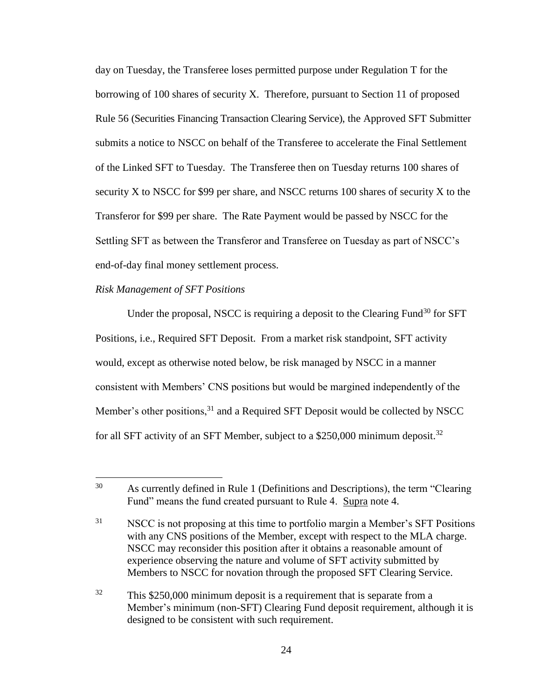day on Tuesday, the Transferee loses permitted purpose under Regulation T for the borrowing of 100 shares of security X. Therefore, pursuant to Section 11 of proposed Rule 56 (Securities Financing Transaction Clearing Service), the Approved SFT Submitter submits a notice to NSCC on behalf of the Transferee to accelerate the Final Settlement of the Linked SFT to Tuesday. The Transferee then on Tuesday returns 100 shares of security X to NSCC for \$99 per share, and NSCC returns 100 shares of security X to the Transferor for \$99 per share. The Rate Payment would be passed by NSCC for the Settling SFT as between the Transferor and Transferee on Tuesday as part of NSCC's end-of-day final money settlement process.

#### *Risk Management of SFT Positions*

 $\overline{a}$ 

Under the proposal, NSCC is requiring a deposit to the Clearing Fund<sup>30</sup> for SFT Positions, i.e., Required SFT Deposit. From a market risk standpoint, SFT activity would, except as otherwise noted below, be risk managed by NSCC in a manner consistent with Members' CNS positions but would be margined independently of the Member's other positions,  $31$  and a Required SFT Deposit would be collected by NSCC for all SFT activity of an SFT Member, subject to a \$250,000 minimum deposit.<sup>32</sup>

<sup>30</sup> As currently defined in Rule 1 (Definitions and Descriptions), the term "Clearing Fund" means the fund created pursuant to Rule 4. Supra note 4.

<sup>&</sup>lt;sup>31</sup> NSCC is not proposing at this time to portfolio margin a Member's SFT Positions with any CNS positions of the Member, except with respect to the MLA charge. NSCC may reconsider this position after it obtains a reasonable amount of experience observing the nature and volume of SFT activity submitted by Members to NSCC for novation through the proposed SFT Clearing Service.

<sup>&</sup>lt;sup>32</sup> This \$250,000 minimum deposit is a requirement that is separate from a Member's minimum (non-SFT) Clearing Fund deposit requirement, although it is designed to be consistent with such requirement.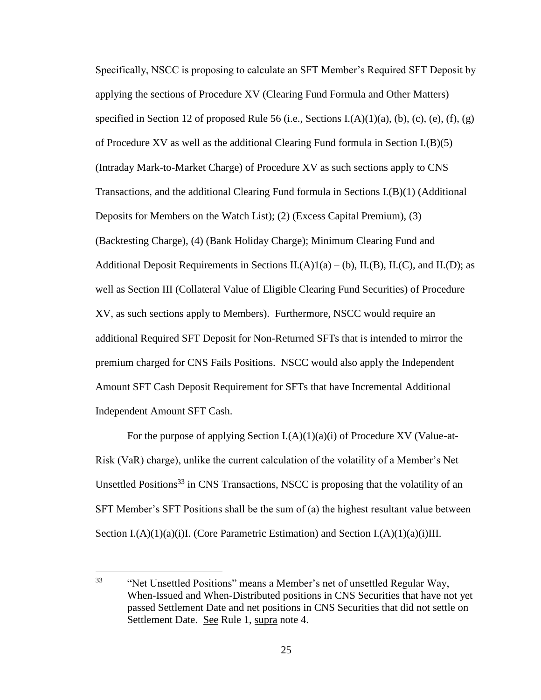Specifically, NSCC is proposing to calculate an SFT Member's Required SFT Deposit by applying the sections of Procedure XV (Clearing Fund Formula and Other Matters) specified in Section 12 of proposed Rule 56 (i.e., Sections I.(A)(1)(a), (b), (c), (e), (f), (g) of Procedure XV as well as the additional Clearing Fund formula in Section I.(B)(5) (Intraday Mark-to-Market Charge) of Procedure XV as such sections apply to CNS Transactions, and the additional Clearing Fund formula in Sections I.(B)(1) (Additional Deposits for Members on the Watch List); (2) (Excess Capital Premium), (3) (Backtesting Charge), (4) (Bank Holiday Charge); Minimum Clearing Fund and Additional Deposit Requirements in Sections II.(A)1(a) – (b), II.(B), II.(C), and II.(D); as well as Section III (Collateral Value of Eligible Clearing Fund Securities) of Procedure XV, as such sections apply to Members). Furthermore, NSCC would require an additional Required SFT Deposit for Non-Returned SFTs that is intended to mirror the premium charged for CNS Fails Positions. NSCC would also apply the Independent Amount SFT Cash Deposit Requirement for SFTs that have Incremental Additional Independent Amount SFT Cash.

For the purpose of applying Section  $I(A)(1)(a)(i)$  of Procedure XV (Value-at-Risk (VaR) charge), unlike the current calculation of the volatility of a Member's Net Unsettled Positions<sup>33</sup> in CNS Transactions, NSCC is proposing that the volatility of an SFT Member's SFT Positions shall be the sum of (a) the highest resultant value between Section I. $(A)(1)(a)(i)$ I. (Core Parametric Estimation) and Section I. $(A)(1)(a)(i)$ III.

 $\overline{a}$ 

<sup>&</sup>lt;sup>33</sup> "Net Unsettled Positions" means a Member's net of unsettled Regular Way, When-Issued and When-Distributed positions in CNS Securities that have not yet passed Settlement Date and net positions in CNS Securities that did not settle on Settlement Date. See Rule 1, supra note 4.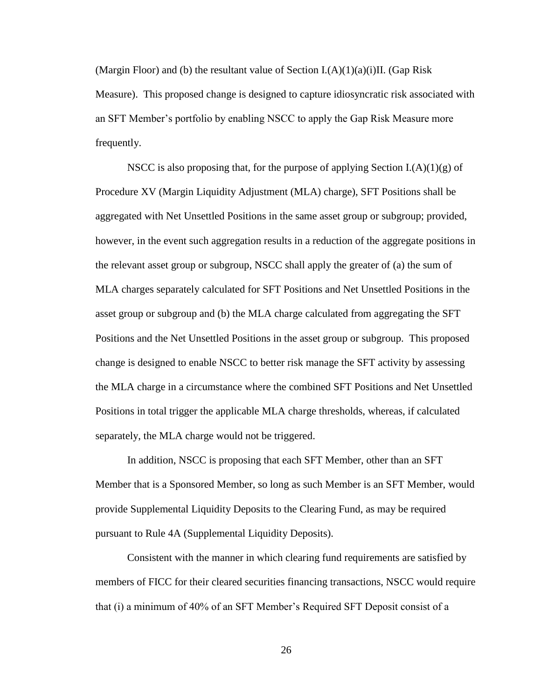(Margin Floor) and (b) the resultant value of Section  $L(A)(1)(a)(i)$ II. (Gap Risk Measure). This proposed change is designed to capture idiosyncratic risk associated with an SFT Member's portfolio by enabling NSCC to apply the Gap Risk Measure more frequently.

NSCC is also proposing that, for the purpose of applying Section  $I(A)(1)(g)$  of Procedure XV (Margin Liquidity Adjustment (MLA) charge), SFT Positions shall be aggregated with Net Unsettled Positions in the same asset group or subgroup; provided, however, in the event such aggregation results in a reduction of the aggregate positions in the relevant asset group or subgroup, NSCC shall apply the greater of (a) the sum of MLA charges separately calculated for SFT Positions and Net Unsettled Positions in the asset group or subgroup and (b) the MLA charge calculated from aggregating the SFT Positions and the Net Unsettled Positions in the asset group or subgroup. This proposed change is designed to enable NSCC to better risk manage the SFT activity by assessing the MLA charge in a circumstance where the combined SFT Positions and Net Unsettled Positions in total trigger the applicable MLA charge thresholds, whereas, if calculated separately, the MLA charge would not be triggered.

In addition, NSCC is proposing that each SFT Member, other than an SFT Member that is a Sponsored Member, so long as such Member is an SFT Member, would provide Supplemental Liquidity Deposits to the Clearing Fund, as may be required pursuant to Rule 4A (Supplemental Liquidity Deposits).

Consistent with the manner in which clearing fund requirements are satisfied by members of FICC for their cleared securities financing transactions, NSCC would require that (i) a minimum of 40% of an SFT Member's Required SFT Deposit consist of a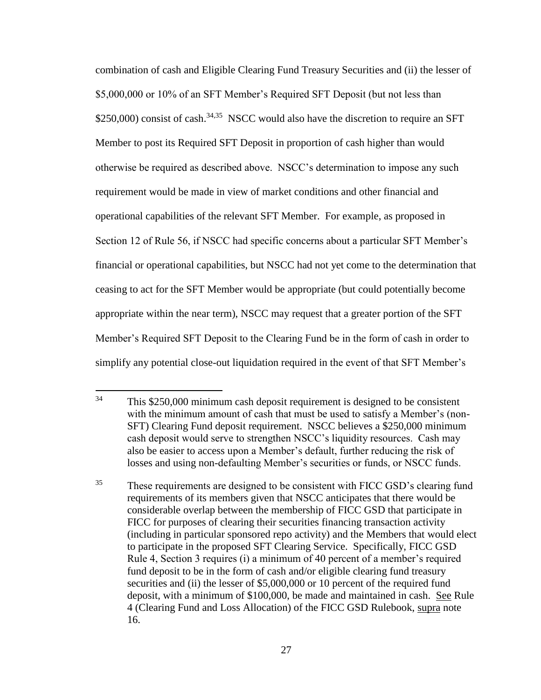combination of cash and Eligible Clearing Fund Treasury Securities and (ii) the lesser of \$5,000,000 or 10% of an SFT Member's Required SFT Deposit (but not less than  $$250,000$  consist of cash.<sup>34,35</sup> NSCC would also have the discretion to require an SFT Member to post its Required SFT Deposit in proportion of cash higher than would otherwise be required as described above. NSCC's determination to impose any such requirement would be made in view of market conditions and other financial and operational capabilities of the relevant SFT Member. For example, as proposed in Section 12 of Rule 56, if NSCC had specific concerns about a particular SFT Member's financial or operational capabilities, but NSCC had not yet come to the determination that ceasing to act for the SFT Member would be appropriate (but could potentially become appropriate within the near term), NSCC may request that a greater portion of the SFT Member's Required SFT Deposit to the Clearing Fund be in the form of cash in order to simplify any potential close-out liquidation required in the event of that SFT Member's

 $34$ This \$250,000 minimum cash deposit requirement is designed to be consistent with the minimum amount of cash that must be used to satisfy a Member's (non-SFT) Clearing Fund deposit requirement. NSCC believes a \$250,000 minimum cash deposit would serve to strengthen NSCC's liquidity resources. Cash may also be easier to access upon a Member's default, further reducing the risk of losses and using non-defaulting Member's securities or funds, or NSCC funds.

<sup>&</sup>lt;sup>35</sup> These requirements are designed to be consistent with FICC GSD's clearing fund requirements of its members given that NSCC anticipates that there would be considerable overlap between the membership of FICC GSD that participate in FICC for purposes of clearing their securities financing transaction activity (including in particular sponsored repo activity) and the Members that would elect to participate in the proposed SFT Clearing Service. Specifically, FICC GSD Rule 4, Section 3 requires (i) a minimum of 40 percent of a member's required fund deposit to be in the form of cash and/or eligible clearing fund treasury securities and (ii) the lesser of \$5,000,000 or 10 percent of the required fund deposit, with a minimum of \$100,000, be made and maintained in cash. See Rule 4 (Clearing Fund and Loss Allocation) of the FICC GSD Rulebook, supra note 16.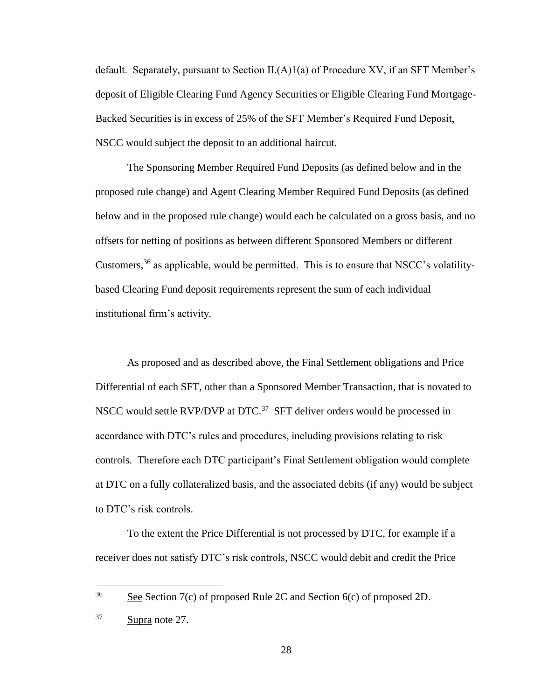default. Separately, pursuant to Section  $II(A)1(a)$  of Procedure XV, if an SFT Member's deposit of Eligible Clearing Fund Agency Securities or Eligible Clearing Fund Mortgage-Backed Securities is in excess of 25% of the SFT Member's Required Fund Deposit, NSCC would subject the deposit to an additional haircut.

The Sponsoring Member Required Fund Deposits (as defined below and in the proposed rule change) and Agent Clearing Member Required Fund Deposits (as defined below and in the proposed rule change) would each be calculated on a gross basis, and no offsets for netting of positions as between different Sponsored Members or different Customers,  $36$  as applicable, would be permitted. This is to ensure that NSCC's volatilitybased Clearing Fund deposit requirements represent the sum of each individual institutional firm's activity.

As proposed and as described above, the Final Settlement obligations and Price Differential of each SFT, other than a Sponsored Member Transaction, that is novated to NSCC would settle RVP/DVP at DTC.<sup>37</sup> SFT deliver orders would be processed in accordance with DTC's rules and procedures, including provisions relating to risk controls. Therefore each DTC participant's Final Settlement obligation would complete at DTC on a fully collateralized basis, and the associated debits (if any) would be subject to DTC's risk controls.

To the extent the Price Differential is not processed by DTC, for example if a receiver does not satisfy DTC's risk controls, NSCC would debit and credit the Price

 $\overline{a}$ 

 $\frac{36}{20}$  See Section 7(c) of proposed Rule 2C and Section 6(c) of proposed 2D.

<sup>37</sup> Supra note 27.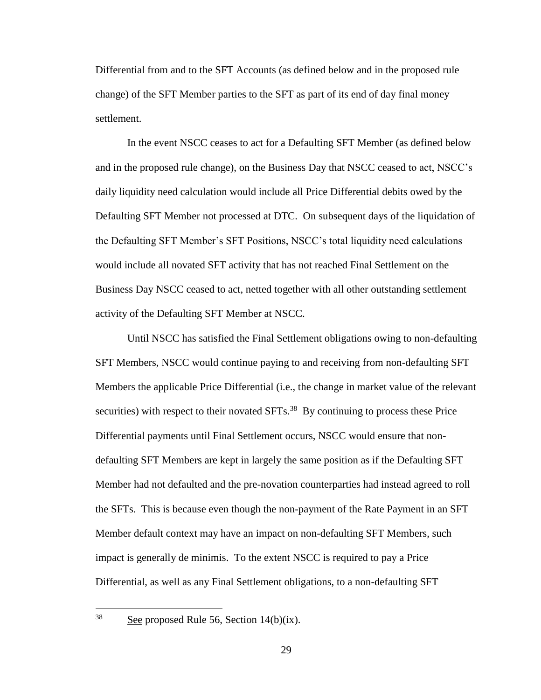Differential from and to the SFT Accounts (as defined below and in the proposed rule change) of the SFT Member parties to the SFT as part of its end of day final money settlement.

In the event NSCC ceases to act for a Defaulting SFT Member (as defined below and in the proposed rule change), on the Business Day that NSCC ceased to act, NSCC's daily liquidity need calculation would include all Price Differential debits owed by the Defaulting SFT Member not processed at DTC. On subsequent days of the liquidation of the Defaulting SFT Member's SFT Positions, NSCC's total liquidity need calculations would include all novated SFT activity that has not reached Final Settlement on the Business Day NSCC ceased to act, netted together with all other outstanding settlement activity of the Defaulting SFT Member at NSCC.

Until NSCC has satisfied the Final Settlement obligations owing to non-defaulting SFT Members, NSCC would continue paying to and receiving from non-defaulting SFT Members the applicable Price Differential (i.e., the change in market value of the relevant securities) with respect to their novated  $SFTs<sup>38</sup>$  By continuing to process these Price Differential payments until Final Settlement occurs, NSCC would ensure that nondefaulting SFT Members are kept in largely the same position as if the Defaulting SFT Member had not defaulted and the pre-novation counterparties had instead agreed to roll the SFTs. This is because even though the non-payment of the Rate Payment in an SFT Member default context may have an impact on non-defaulting SFT Members, such impact is generally de minimis. To the extent NSCC is required to pay a Price Differential, as well as any Final Settlement obligations, to a non-defaulting SFT

See proposed Rule 56, Section  $14(b)(ix)$ .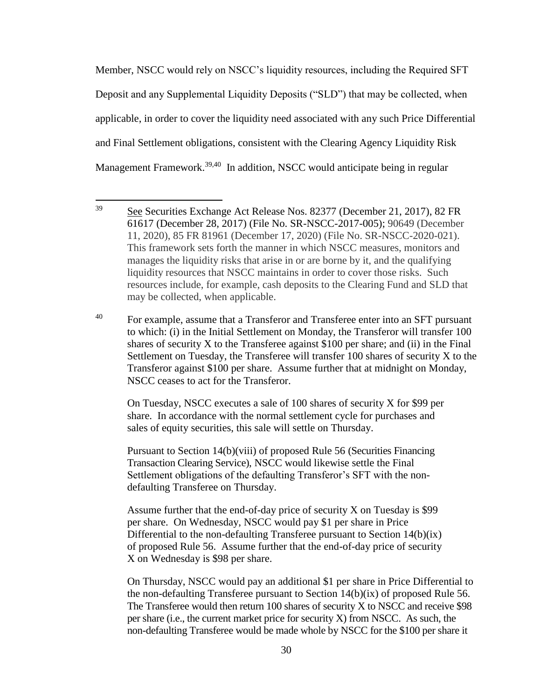Member, NSCC would rely on NSCC's liquidity resources, including the Required SFT Deposit and any Supplemental Liquidity Deposits ("SLD") that may be collected, when applicable, in order to cover the liquidity need associated with any such Price Differential and Final Settlement obligations, consistent with the Clearing Agency Liquidity Risk Management Framework.<sup>39,40</sup> In addition, NSCC would anticipate being in regular

<sup>40</sup> For example, assume that a Transferor and Transferee enter into an SFT pursuant to which: (i) in the Initial Settlement on Monday, the Transferor will transfer 100 shares of security  $X$  to the Transferee against \$100 per share; and (ii) in the Final Settlement on Tuesday, the Transferee will transfer 100 shares of security X to the Transferor against \$100 per share. Assume further that at midnight on Monday, NSCC ceases to act for the Transferor.

On Tuesday, NSCC executes a sale of 100 shares of security X for \$99 per share. In accordance with the normal settlement cycle for purchases and sales of equity securities, this sale will settle on Thursday.

Pursuant to Section 14(b)(viii) of proposed Rule 56 (Securities Financing Transaction Clearing Service), NSCC would likewise settle the Final Settlement obligations of the defaulting Transferor's SFT with the nondefaulting Transferee on Thursday.

Assume further that the end-of-day price of security X on Tuesday is \$99 per share. On Wednesday, NSCC would pay \$1 per share in Price Differential to the non-defaulting Transferee pursuant to Section 14(b)(ix) of proposed Rule 56. Assume further that the end-of-day price of security X on Wednesday is \$98 per share.

On Thursday, NSCC would pay an additional \$1 per share in Price Differential to the non-defaulting Transferee pursuant to Section  $14(b)(ix)$  of proposed Rule 56. The Transferee would then return 100 shares of security X to NSCC and receive \$98 per share (i.e., the current market price for security X) from NSCC. As such, the non-defaulting Transferee would be made whole by NSCC for the \$100 per share it

<sup>39</sup> <sup>39</sup> See Securities Exchange Act Release Nos. 82377 (December 21, 2017), 82 FR 61617 (December 28, 2017) (File No. SR-NSCC-2017-005); 90649 (December 11, 2020), 85 FR 81961 (December 17, 2020) (File No. SR-NSCC-2020-021). This framework sets forth the manner in which NSCC measures, monitors and manages the liquidity risks that arise in or are borne by it, and the qualifying liquidity resources that NSCC maintains in order to cover those risks. Such resources include, for example, cash deposits to the Clearing Fund and SLD that may be collected, when applicable.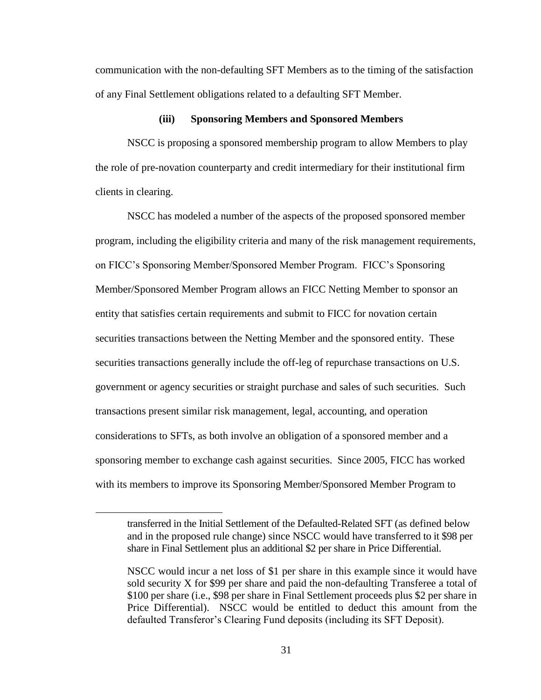communication with the non-defaulting SFT Members as to the timing of the satisfaction of any Final Settlement obligations related to a defaulting SFT Member.

#### **(iii) Sponsoring Members and Sponsored Members**

NSCC is proposing a sponsored membership program to allow Members to play the role of pre-novation counterparty and credit intermediary for their institutional firm clients in clearing.

NSCC has modeled a number of the aspects of the proposed sponsored member program, including the eligibility criteria and many of the risk management requirements, on FICC's Sponsoring Member/Sponsored Member Program. FICC's Sponsoring Member/Sponsored Member Program allows an FICC Netting Member to sponsor an entity that satisfies certain requirements and submit to FICC for novation certain securities transactions between the Netting Member and the sponsored entity. These securities transactions generally include the off-leg of repurchase transactions on U.S. government or agency securities or straight purchase and sales of such securities. Such transactions present similar risk management, legal, accounting, and operation considerations to SFTs, as both involve an obligation of a sponsored member and a sponsoring member to exchange cash against securities. Since 2005, FICC has worked with its members to improve its Sponsoring Member/Sponsored Member Program to

 $\overline{a}$ 

transferred in the Initial Settlement of the Defaulted-Related SFT (as defined below and in the proposed rule change) since NSCC would have transferred to it \$98 per share in Final Settlement plus an additional \$2 per share in Price Differential.

NSCC would incur a net loss of \$1 per share in this example since it would have sold security X for \$99 per share and paid the non-defaulting Transferee a total of \$100 per share (i.e., \$98 per share in Final Settlement proceeds plus \$2 per share in Price Differential). NSCC would be entitled to deduct this amount from the defaulted Transferor's Clearing Fund deposits (including its SFT Deposit).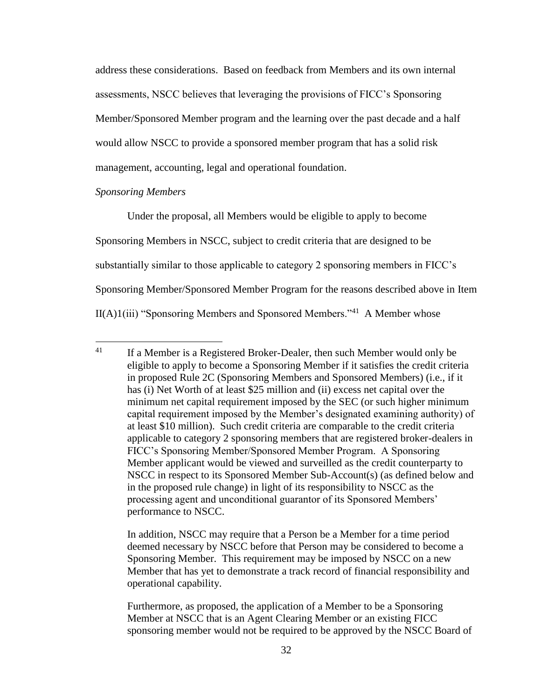address these considerations. Based on feedback from Members and its own internal assessments, NSCC believes that leveraging the provisions of FICC's Sponsoring Member/Sponsored Member program and the learning over the past decade and a half would allow NSCC to provide a sponsored member program that has a solid risk management, accounting, legal and operational foundation.

#### *Sponsoring Members*

 $\overline{a}$ 

Under the proposal, all Members would be eligible to apply to become Sponsoring Members in NSCC, subject to credit criteria that are designed to be substantially similar to those applicable to category 2 sponsoring members in FICC's Sponsoring Member/Sponsored Member Program for the reasons described above in Item  $II(A)1(iii)$  "Sponsoring Members and Sponsored Members."<sup>41</sup> A Member whose

 $41$  If a Member is a Registered Broker-Dealer, then such Member would only be eligible to apply to become a Sponsoring Member if it satisfies the credit criteria in proposed Rule 2C (Sponsoring Members and Sponsored Members) (i.e., if it has (i) Net Worth of at least \$25 million and (ii) excess net capital over the minimum net capital requirement imposed by the SEC (or such higher minimum capital requirement imposed by the Member's designated examining authority) of at least \$10 million). Such credit criteria are comparable to the credit criteria applicable to category 2 sponsoring members that are registered broker-dealers in FICC's Sponsoring Member/Sponsored Member Program. A Sponsoring Member applicant would be viewed and surveilled as the credit counterparty to NSCC in respect to its Sponsored Member Sub-Account(s) (as defined below and in the proposed rule change) in light of its responsibility to NSCC as the processing agent and unconditional guarantor of its Sponsored Members' performance to NSCC.

In addition, NSCC may require that a Person be a Member for a time period deemed necessary by NSCC before that Person may be considered to become a Sponsoring Member. This requirement may be imposed by NSCC on a new Member that has yet to demonstrate a track record of financial responsibility and operational capability.

Furthermore, as proposed, the application of a Member to be a Sponsoring Member at NSCC that is an Agent Clearing Member or an existing FICC sponsoring member would not be required to be approved by the NSCC Board of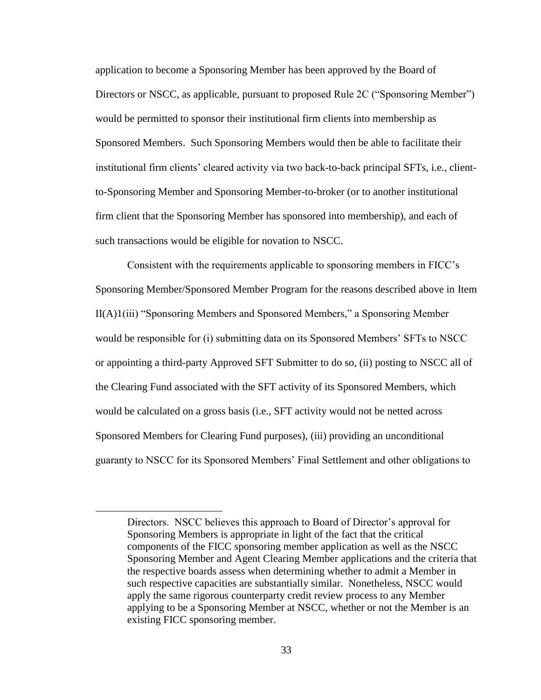application to become a Sponsoring Member has been approved by the Board of Directors or NSCC, as applicable, pursuant to proposed Rule 2C ("Sponsoring Member") would be permitted to sponsor their institutional firm clients into membership as Sponsored Members. Such Sponsoring Members would then be able to facilitate their institutional firm clients' cleared activity via two back-to-back principal SFTs, i.e., clientto-Sponsoring Member and Sponsoring Member-to-broker (or to another institutional firm client that the Sponsoring Member has sponsored into membership), and each of such transactions would be eligible for novation to NSCC.

Consistent with the requirements applicable to sponsoring members in FICC's Sponsoring Member/Sponsored Member Program for the reasons described above in Item II(A)1(iii) "Sponsoring Members and Sponsored Members," a Sponsoring Member would be responsible for (i) submitting data on its Sponsored Members' SFTs to NSCC or appointing a third-party Approved SFT Submitter to do so, (ii) posting to NSCC all of the Clearing Fund associated with the SFT activity of its Sponsored Members, which would be calculated on a gross basis (i.e., SFT activity would not be netted across Sponsored Members for Clearing Fund purposes), (iii) providing an unconditional guaranty to NSCC for its Sponsored Members' Final Settlement and other obligations to

 $\overline{a}$ 

Directors. NSCC believes this approach to Board of Director's approval for Sponsoring Members is appropriate in light of the fact that the critical components of the FICC sponsoring member application as well as the NSCC Sponsoring Member and Agent Clearing Member applications and the criteria that the respective boards assess when determining whether to admit a Member in such respective capacities are substantially similar. Nonetheless, NSCC would apply the same rigorous counterparty credit review process to any Member applying to be a Sponsoring Member at NSCC, whether or not the Member is an existing FICC sponsoring member.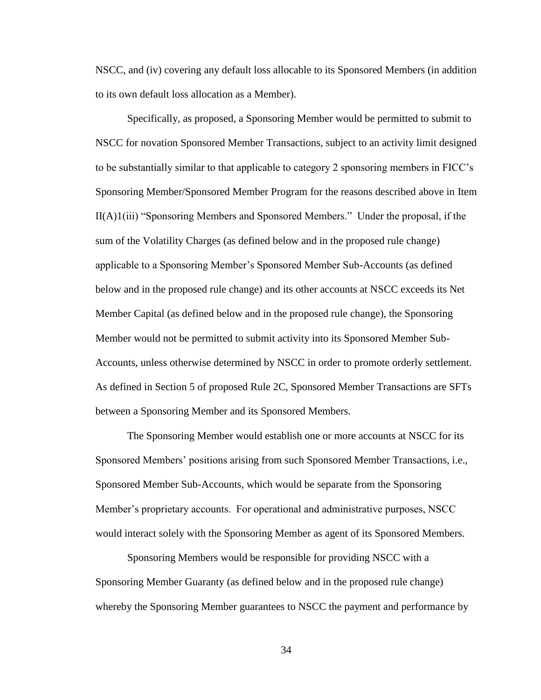NSCC, and (iv) covering any default loss allocable to its Sponsored Members (in addition to its own default loss allocation as a Member).

Specifically, as proposed, a Sponsoring Member would be permitted to submit to NSCC for novation Sponsored Member Transactions, subject to an activity limit designed to be substantially similar to that applicable to category 2 sponsoring members in FICC's Sponsoring Member/Sponsored Member Program for the reasons described above in Item II(A)1(iii) "Sponsoring Members and Sponsored Members." Under the proposal, if the sum of the Volatility Charges (as defined below and in the proposed rule change) applicable to a Sponsoring Member's Sponsored Member Sub-Accounts (as defined below and in the proposed rule change) and its other accounts at NSCC exceeds its Net Member Capital (as defined below and in the proposed rule change), the Sponsoring Member would not be permitted to submit activity into its Sponsored Member Sub-Accounts, unless otherwise determined by NSCC in order to promote orderly settlement. As defined in Section 5 of proposed Rule 2C, Sponsored Member Transactions are SFTs between a Sponsoring Member and its Sponsored Members.

The Sponsoring Member would establish one or more accounts at NSCC for its Sponsored Members' positions arising from such Sponsored Member Transactions, i.e., Sponsored Member Sub-Accounts, which would be separate from the Sponsoring Member's proprietary accounts. For operational and administrative purposes, NSCC would interact solely with the Sponsoring Member as agent of its Sponsored Members.

Sponsoring Members would be responsible for providing NSCC with a Sponsoring Member Guaranty (as defined below and in the proposed rule change) whereby the Sponsoring Member guarantees to NSCC the payment and performance by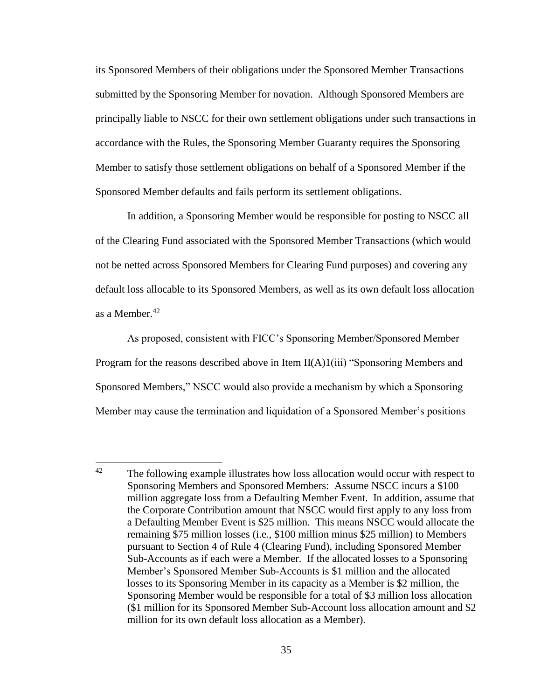its Sponsored Members of their obligations under the Sponsored Member Transactions submitted by the Sponsoring Member for novation. Although Sponsored Members are principally liable to NSCC for their own settlement obligations under such transactions in accordance with the Rules, the Sponsoring Member Guaranty requires the Sponsoring Member to satisfy those settlement obligations on behalf of a Sponsored Member if the Sponsored Member defaults and fails perform its settlement obligations.

In addition, a Sponsoring Member would be responsible for posting to NSCC all of the Clearing Fund associated with the Sponsored Member Transactions (which would not be netted across Sponsored Members for Clearing Fund purposes) and covering any default loss allocable to its Sponsored Members, as well as its own default loss allocation as a Member.<sup>42</sup>

As proposed, consistent with FICC's Sponsoring Member/Sponsored Member Program for the reasons described above in Item  $II(A)1(iii)$  "Sponsoring Members and Sponsored Members," NSCC would also provide a mechanism by which a Sponsoring Member may cause the termination and liquidation of a Sponsored Member's positions

 $42$ The following example illustrates how loss allocation would occur with respect to Sponsoring Members and Sponsored Members: Assume NSCC incurs a \$100 million aggregate loss from a Defaulting Member Event. In addition, assume that the Corporate Contribution amount that NSCC would first apply to any loss from a Defaulting Member Event is \$25 million. This means NSCC would allocate the remaining \$75 million losses (i.e., \$100 million minus \$25 million) to Members pursuant to Section 4 of Rule 4 (Clearing Fund), including Sponsored Member Sub-Accounts as if each were a Member. If the allocated losses to a Sponsoring Member's Sponsored Member Sub-Accounts is \$1 million and the allocated losses to its Sponsoring Member in its capacity as a Member is \$2 million, the Sponsoring Member would be responsible for a total of \$3 million loss allocation (\$1 million for its Sponsored Member Sub-Account loss allocation amount and \$2 million for its own default loss allocation as a Member).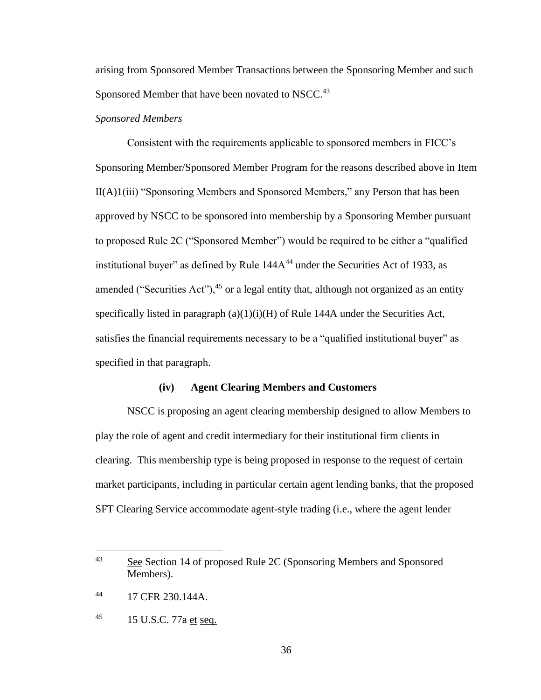arising from Sponsored Member Transactions between the Sponsoring Member and such Sponsored Member that have been novated to NSCC.<sup>43</sup>

#### *Sponsored Members*

Consistent with the requirements applicable to sponsored members in FICC's Sponsoring Member/Sponsored Member Program for the reasons described above in Item II(A)1(iii) "Sponsoring Members and Sponsored Members," any Person that has been approved by NSCC to be sponsored into membership by a Sponsoring Member pursuant to proposed Rule 2C ("Sponsored Member") would be required to be either a "qualified institutional buyer" as defined by Rule  $144A^{44}$  under the Securities Act of 1933, as amended ("Securities Act"),  $45$  or a legal entity that, although not organized as an entity specifically listed in paragraph  $(a)(1)(i)(H)$  of Rule 144A under the Securities Act, satisfies the financial requirements necessary to be a "qualified institutional buyer" as specified in that paragraph.

#### **(iv) Agent Clearing Members and Customers**

NSCC is proposing an agent clearing membership designed to allow Members to play the role of agent and credit intermediary for their institutional firm clients in clearing. This membership type is being proposed in response to the request of certain market participants, including in particular certain agent lending banks, that the proposed SFT Clearing Service accommodate agent-style trading (i.e., where the agent lender

<sup>43</sup> See Section 14 of proposed Rule 2C (Sponsoring Members and Sponsored Members).

<sup>44</sup> 17 CFR 230.144A.

<sup>45 15</sup> U.S.C. 77a et seq.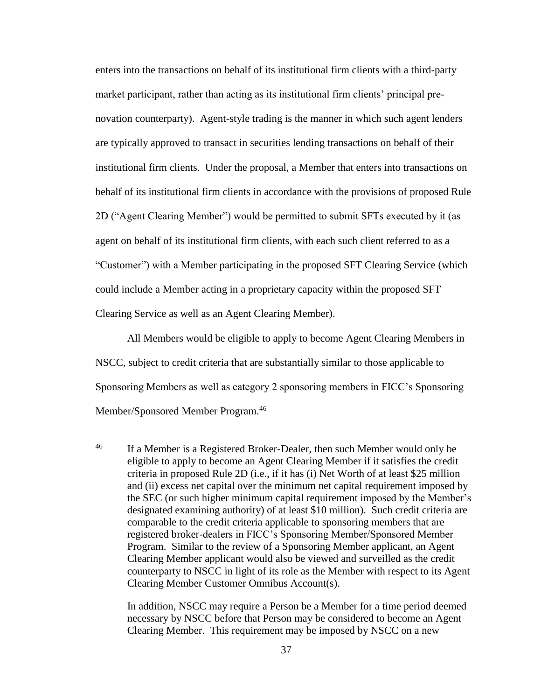enters into the transactions on behalf of its institutional firm clients with a third-party market participant, rather than acting as its institutional firm clients' principal prenovation counterparty). Agent-style trading is the manner in which such agent lenders are typically approved to transact in securities lending transactions on behalf of their institutional firm clients. Under the proposal, a Member that enters into transactions on behalf of its institutional firm clients in accordance with the provisions of proposed Rule 2D ("Agent Clearing Member") would be permitted to submit SFTs executed by it (as agent on behalf of its institutional firm clients, with each such client referred to as a "Customer") with a Member participating in the proposed SFT Clearing Service (which could include a Member acting in a proprietary capacity within the proposed SFT Clearing Service as well as an Agent Clearing Member).

All Members would be eligible to apply to become Agent Clearing Members in NSCC, subject to credit criteria that are substantially similar to those applicable to Sponsoring Members as well as category 2 sponsoring members in FICC's Sponsoring Member/Sponsored Member Program.<sup>46</sup>

 $\overline{a}$ 

In addition, NSCC may require a Person be a Member for a time period deemed necessary by NSCC before that Person may be considered to become an Agent Clearing Member. This requirement may be imposed by NSCC on a new

<sup>&</sup>lt;sup>46</sup> If a Member is a Registered Broker-Dealer, then such Member would only be eligible to apply to become an Agent Clearing Member if it satisfies the credit criteria in proposed Rule 2D (i.e., if it has (i) Net Worth of at least \$25 million and (ii) excess net capital over the minimum net capital requirement imposed by the SEC (or such higher minimum capital requirement imposed by the Member's designated examining authority) of at least \$10 million). Such credit criteria are comparable to the credit criteria applicable to sponsoring members that are registered broker-dealers in FICC's Sponsoring Member/Sponsored Member Program. Similar to the review of a Sponsoring Member applicant, an Agent Clearing Member applicant would also be viewed and surveilled as the credit counterparty to NSCC in light of its role as the Member with respect to its Agent Clearing Member Customer Omnibus Account(s).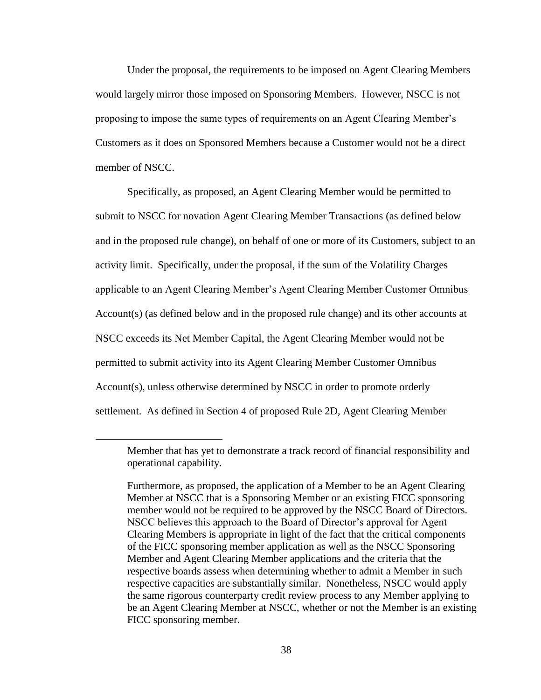Under the proposal, the requirements to be imposed on Agent Clearing Members would largely mirror those imposed on Sponsoring Members. However, NSCC is not proposing to impose the same types of requirements on an Agent Clearing Member's Customers as it does on Sponsored Members because a Customer would not be a direct member of NSCC.

Specifically, as proposed, an Agent Clearing Member would be permitted to submit to NSCC for novation Agent Clearing Member Transactions (as defined below and in the proposed rule change), on behalf of one or more of its Customers, subject to an activity limit. Specifically, under the proposal, if the sum of the Volatility Charges applicable to an Agent Clearing Member's Agent Clearing Member Customer Omnibus Account(s) (as defined below and in the proposed rule change) and its other accounts at NSCC exceeds its Net Member Capital, the Agent Clearing Member would not be permitted to submit activity into its Agent Clearing Member Customer Omnibus Account(s), unless otherwise determined by NSCC in order to promote orderly settlement. As defined in Section 4 of proposed Rule 2D, Agent Clearing Member

 $\overline{a}$ 

Member that has yet to demonstrate a track record of financial responsibility and operational capability.

Furthermore, as proposed, the application of a Member to be an Agent Clearing Member at NSCC that is a Sponsoring Member or an existing FICC sponsoring member would not be required to be approved by the NSCC Board of Directors. NSCC believes this approach to the Board of Director's approval for Agent Clearing Members is appropriate in light of the fact that the critical components of the FICC sponsoring member application as well as the NSCC Sponsoring Member and Agent Clearing Member applications and the criteria that the respective boards assess when determining whether to admit a Member in such respective capacities are substantially similar. Nonetheless, NSCC would apply the same rigorous counterparty credit review process to any Member applying to be an Agent Clearing Member at NSCC, whether or not the Member is an existing FICC sponsoring member.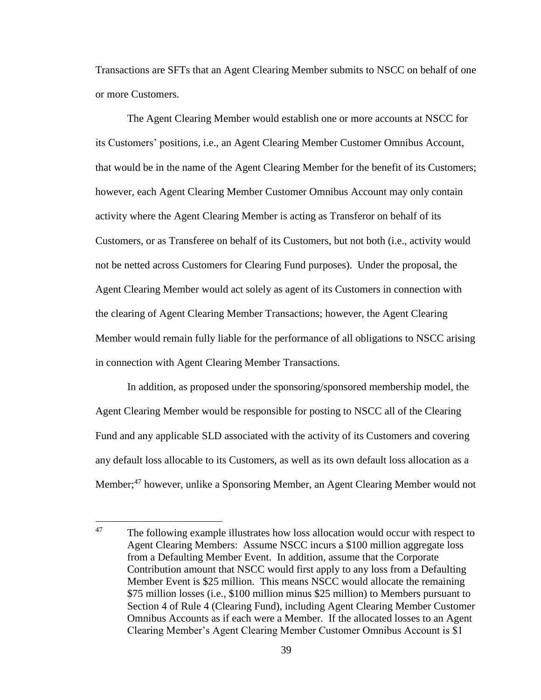Transactions are SFTs that an Agent Clearing Member submits to NSCC on behalf of one or more Customers.

The Agent Clearing Member would establish one or more accounts at NSCC for its Customers' positions, i.e., an Agent Clearing Member Customer Omnibus Account, that would be in the name of the Agent Clearing Member for the benefit of its Customers; however, each Agent Clearing Member Customer Omnibus Account may only contain activity where the Agent Clearing Member is acting as Transferor on behalf of its Customers, or as Transferee on behalf of its Customers, but not both (i.e., activity would not be netted across Customers for Clearing Fund purposes). Under the proposal, the Agent Clearing Member would act solely as agent of its Customers in connection with the clearing of Agent Clearing Member Transactions; however, the Agent Clearing Member would remain fully liable for the performance of all obligations to NSCC arising in connection with Agent Clearing Member Transactions.

In addition, as proposed under the sponsoring/sponsored membership model, the Agent Clearing Member would be responsible for posting to NSCC all of the Clearing Fund and any applicable SLD associated with the activity of its Customers and covering any default loss allocable to its Customers, as well as its own default loss allocation as a Member;<sup>47</sup> however, unlike a Sponsoring Member, an Agent Clearing Member would not

<sup>47</sup> The following example illustrates how loss allocation would occur with respect to Agent Clearing Members: Assume NSCC incurs a \$100 million aggregate loss from a Defaulting Member Event. In addition, assume that the Corporate Contribution amount that NSCC would first apply to any loss from a Defaulting Member Event is \$25 million. This means NSCC would allocate the remaining \$75 million losses (i.e., \$100 million minus \$25 million) to Members pursuant to Section 4 of Rule 4 (Clearing Fund), including Agent Clearing Member Customer Omnibus Accounts as if each were a Member. If the allocated losses to an Agent Clearing Member's Agent Clearing Member Customer Omnibus Account is \$1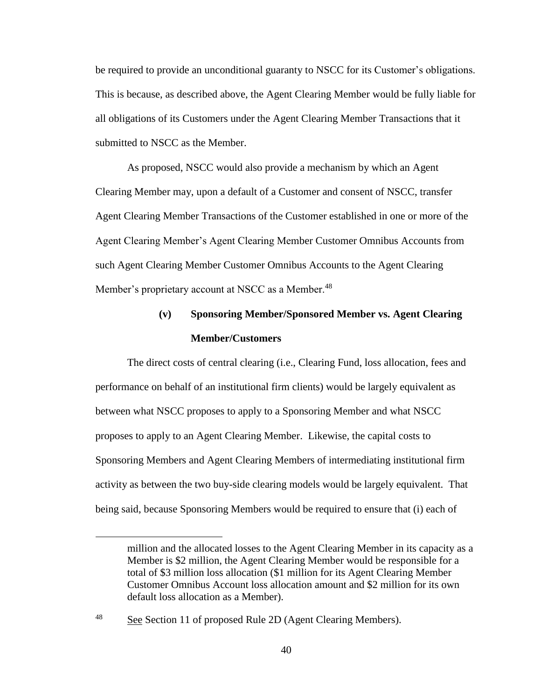be required to provide an unconditional guaranty to NSCC for its Customer's obligations. This is because, as described above, the Agent Clearing Member would be fully liable for all obligations of its Customers under the Agent Clearing Member Transactions that it submitted to NSCC as the Member.

As proposed, NSCC would also provide a mechanism by which an Agent Clearing Member may, upon a default of a Customer and consent of NSCC, transfer Agent Clearing Member Transactions of the Customer established in one or more of the Agent Clearing Member's Agent Clearing Member Customer Omnibus Accounts from such Agent Clearing Member Customer Omnibus Accounts to the Agent Clearing Member's proprietary account at NSCC as a Member.<sup>48</sup>

# **(v) Sponsoring Member/Sponsored Member vs. Agent Clearing Member/Customers**

The direct costs of central clearing (i.e., Clearing Fund, loss allocation, fees and performance on behalf of an institutional firm clients) would be largely equivalent as between what NSCC proposes to apply to a Sponsoring Member and what NSCC proposes to apply to an Agent Clearing Member. Likewise, the capital costs to Sponsoring Members and Agent Clearing Members of intermediating institutional firm activity as between the two buy-side clearing models would be largely equivalent. That being said, because Sponsoring Members would be required to ensure that (i) each of

<sup>48</sup> See Section 11 of proposed Rule 2D (Agent Clearing Members).

 $\overline{a}$ 

million and the allocated losses to the Agent Clearing Member in its capacity as a Member is \$2 million, the Agent Clearing Member would be responsible for a total of \$3 million loss allocation (\$1 million for its Agent Clearing Member Customer Omnibus Account loss allocation amount and \$2 million for its own default loss allocation as a Member).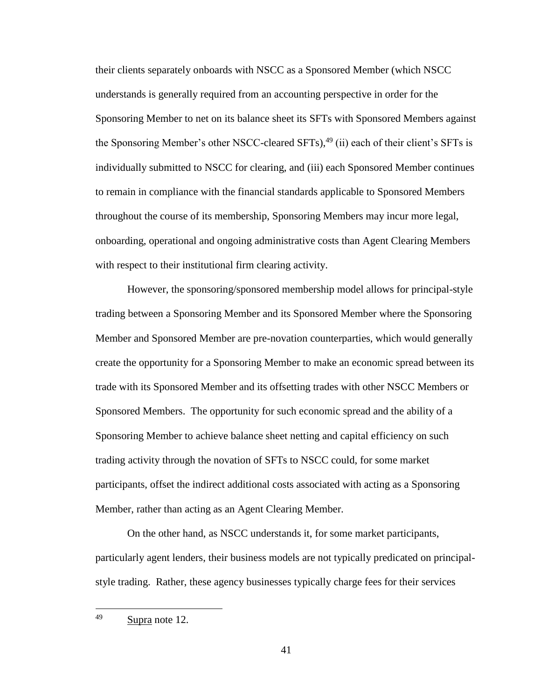their clients separately onboards with NSCC as a Sponsored Member (which NSCC understands is generally required from an accounting perspective in order for the Sponsoring Member to net on its balance sheet its SFTs with Sponsored Members against the Sponsoring Member's other NSCC-cleared SFTs), $49$  (ii) each of their client's SFTs is individually submitted to NSCC for clearing, and (iii) each Sponsored Member continues to remain in compliance with the financial standards applicable to Sponsored Members throughout the course of its membership, Sponsoring Members may incur more legal, onboarding, operational and ongoing administrative costs than Agent Clearing Members with respect to their institutional firm clearing activity.

However, the sponsoring/sponsored membership model allows for principal-style trading between a Sponsoring Member and its Sponsored Member where the Sponsoring Member and Sponsored Member are pre-novation counterparties, which would generally create the opportunity for a Sponsoring Member to make an economic spread between its trade with its Sponsored Member and its offsetting trades with other NSCC Members or Sponsored Members. The opportunity for such economic spread and the ability of a Sponsoring Member to achieve balance sheet netting and capital efficiency on such trading activity through the novation of SFTs to NSCC could, for some market participants, offset the indirect additional costs associated with acting as a Sponsoring Member, rather than acting as an Agent Clearing Member.

On the other hand, as NSCC understands it, for some market participants, particularly agent lenders, their business models are not typically predicated on principalstyle trading. Rather, these agency businesses typically charge fees for their services

<sup>49</sup> Supra note 12.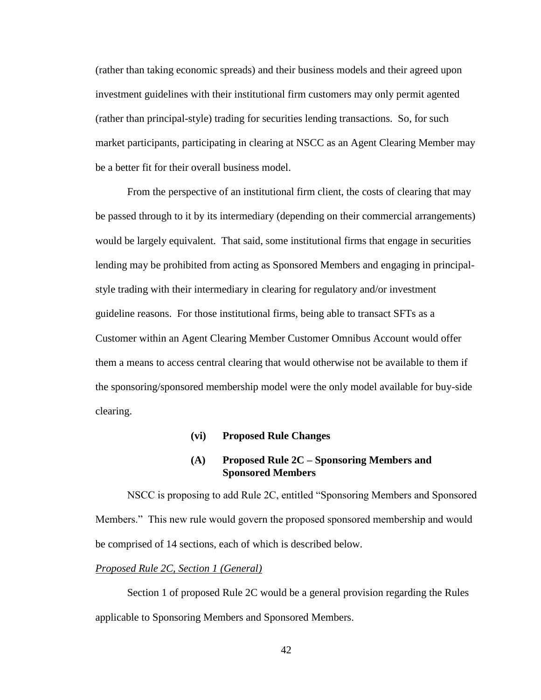(rather than taking economic spreads) and their business models and their agreed upon investment guidelines with their institutional firm customers may only permit agented (rather than principal-style) trading for securities lending transactions. So, for such market participants, participating in clearing at NSCC as an Agent Clearing Member may be a better fit for their overall business model.

From the perspective of an institutional firm client, the costs of clearing that may be passed through to it by its intermediary (depending on their commercial arrangements) would be largely equivalent. That said, some institutional firms that engage in securities lending may be prohibited from acting as Sponsored Members and engaging in principalstyle trading with their intermediary in clearing for regulatory and/or investment guideline reasons. For those institutional firms, being able to transact SFTs as a Customer within an Agent Clearing Member Customer Omnibus Account would offer them a means to access central clearing that would otherwise not be available to them if the sponsoring/sponsored membership model were the only model available for buy-side clearing.

#### **(vi) Proposed Rule Changes**

#### **(A) Proposed Rule 2C – Sponsoring Members and Sponsored Members**

NSCC is proposing to add Rule 2C, entitled "Sponsoring Members and Sponsored Members." This new rule would govern the proposed sponsored membership and would be comprised of 14 sections, each of which is described below.

### *Proposed Rule 2C, Section 1 (General)*

Section 1 of proposed Rule 2C would be a general provision regarding the Rules applicable to Sponsoring Members and Sponsored Members.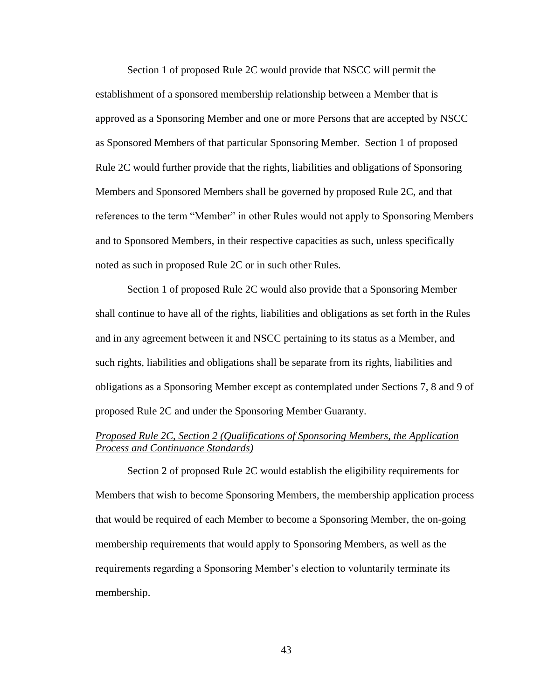Section 1 of proposed Rule 2C would provide that NSCC will permit the establishment of a sponsored membership relationship between a Member that is approved as a Sponsoring Member and one or more Persons that are accepted by NSCC as Sponsored Members of that particular Sponsoring Member. Section 1 of proposed Rule 2C would further provide that the rights, liabilities and obligations of Sponsoring Members and Sponsored Members shall be governed by proposed Rule 2C, and that references to the term "Member" in other Rules would not apply to Sponsoring Members and to Sponsored Members, in their respective capacities as such, unless specifically noted as such in proposed Rule 2C or in such other Rules.

Section 1 of proposed Rule 2C would also provide that a Sponsoring Member shall continue to have all of the rights, liabilities and obligations as set forth in the Rules and in any agreement between it and NSCC pertaining to its status as a Member, and such rights, liabilities and obligations shall be separate from its rights, liabilities and obligations as a Sponsoring Member except as contemplated under Sections 7, 8 and 9 of proposed Rule 2C and under the Sponsoring Member Guaranty.

## *Proposed Rule 2C, Section 2 (Qualifications of Sponsoring Members, the Application Process and Continuance Standards)*

Section 2 of proposed Rule 2C would establish the eligibility requirements for Members that wish to become Sponsoring Members, the membership application process that would be required of each Member to become a Sponsoring Member, the on-going membership requirements that would apply to Sponsoring Members, as well as the requirements regarding a Sponsoring Member's election to voluntarily terminate its membership.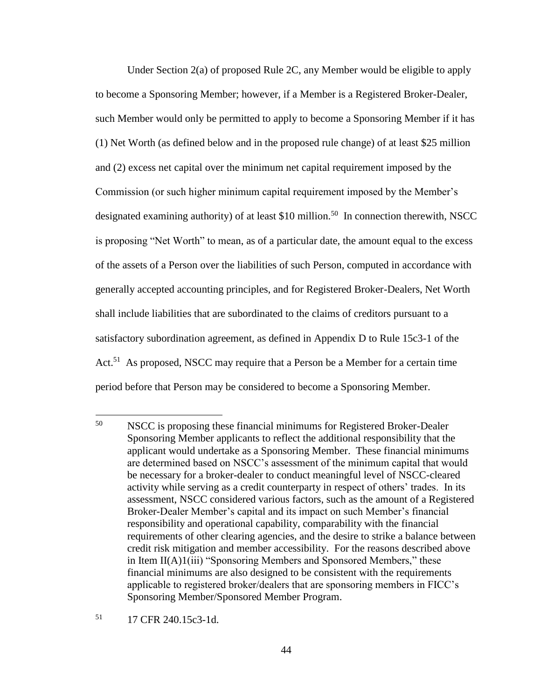Under Section 2(a) of proposed Rule 2C, any Member would be eligible to apply to become a Sponsoring Member; however, if a Member is a Registered Broker-Dealer, such Member would only be permitted to apply to become a Sponsoring Member if it has (1) Net Worth (as defined below and in the proposed rule change) of at least \$25 million and (2) excess net capital over the minimum net capital requirement imposed by the Commission (or such higher minimum capital requirement imposed by the Member's designated examining authority) of at least \$10 million.<sup>50</sup> In connection therewith, NSCC is proposing "Net Worth" to mean, as of a particular date, the amount equal to the excess of the assets of a Person over the liabilities of such Person, computed in accordance with generally accepted accounting principles, and for Registered Broker-Dealers, Net Worth shall include liabilities that are subordinated to the claims of creditors pursuant to a satisfactory subordination agreement, as defined in Appendix D to Rule 15c3-1 of the Act.<sup>51</sup> As proposed, NSCC may require that a Person be a Member for a certain time period before that Person may be considered to become a Sponsoring Member.

<sup>51</sup> 17 CFR 240.15c3-1d.

<sup>50</sup> <sup>50</sup> NSCC is proposing these financial minimums for Registered Broker-Dealer Sponsoring Member applicants to reflect the additional responsibility that the applicant would undertake as a Sponsoring Member. These financial minimums are determined based on NSCC's assessment of the minimum capital that would be necessary for a broker-dealer to conduct meaningful level of NSCC-cleared activity while serving as a credit counterparty in respect of others' trades. In its assessment, NSCC considered various factors, such as the amount of a Registered Broker-Dealer Member's capital and its impact on such Member's financial responsibility and operational capability, comparability with the financial requirements of other clearing agencies, and the desire to strike a balance between credit risk mitigation and member accessibility. For the reasons described above in Item II(A)1(iii) "Sponsoring Members and Sponsored Members," these financial minimums are also designed to be consistent with the requirements applicable to registered broker/dealers that are sponsoring members in FICC's Sponsoring Member/Sponsored Member Program.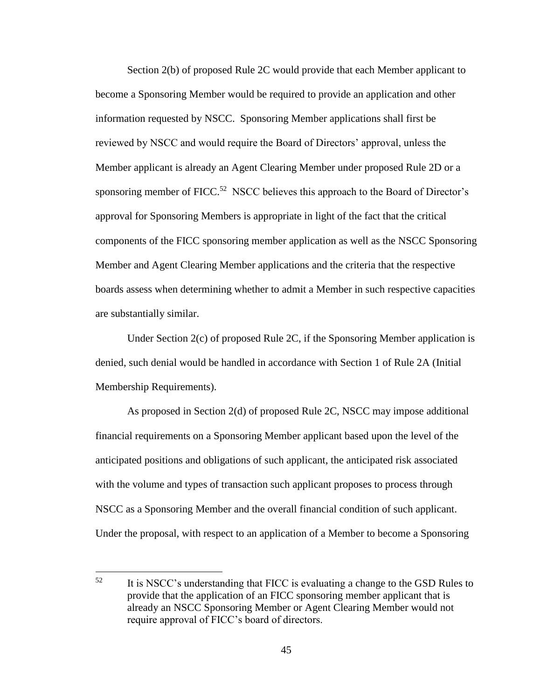Section 2(b) of proposed Rule 2C would provide that each Member applicant to become a Sponsoring Member would be required to provide an application and other information requested by NSCC. Sponsoring Member applications shall first be reviewed by NSCC and would require the Board of Directors' approval, unless the Member applicant is already an Agent Clearing Member under proposed Rule 2D or a sponsoring member of  $FICC<sup>.52</sup> NSCC$  believes this approach to the Board of Director's approval for Sponsoring Members is appropriate in light of the fact that the critical components of the FICC sponsoring member application as well as the NSCC Sponsoring Member and Agent Clearing Member applications and the criteria that the respective boards assess when determining whether to admit a Member in such respective capacities are substantially similar.

Under Section 2(c) of proposed Rule 2C, if the Sponsoring Member application is denied, such denial would be handled in accordance with Section 1 of Rule 2A (Initial Membership Requirements).

As proposed in Section 2(d) of proposed Rule 2C, NSCC may impose additional financial requirements on a Sponsoring Member applicant based upon the level of the anticipated positions and obligations of such applicant, the anticipated risk associated with the volume and types of transaction such applicant proposes to process through NSCC as a Sponsoring Member and the overall financial condition of such applicant. Under the proposal, with respect to an application of a Member to become a Sponsoring

 $\overline{a}$ 

<sup>&</sup>lt;sup>52</sup> It is NSCC's understanding that FICC is evaluating a change to the GSD Rules to provide that the application of an FICC sponsoring member applicant that is already an NSCC Sponsoring Member or Agent Clearing Member would not require approval of FICC's board of directors.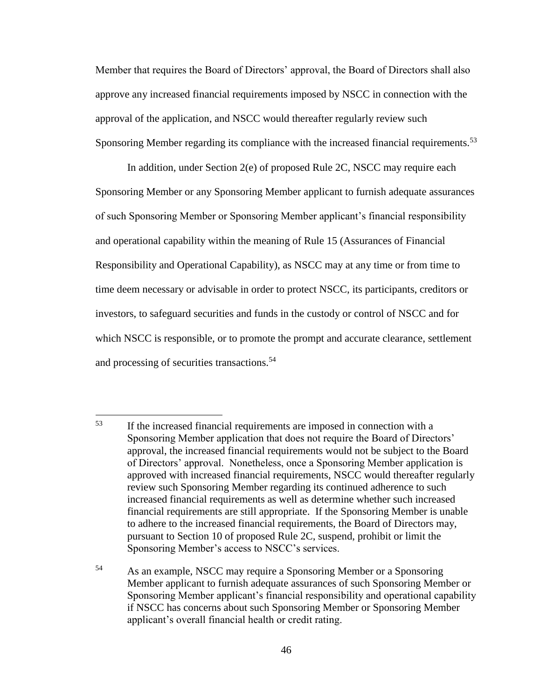Member that requires the Board of Directors' approval, the Board of Directors shall also approve any increased financial requirements imposed by NSCC in connection with the approval of the application, and NSCC would thereafter regularly review such Sponsoring Member regarding its compliance with the increased financial requirements.<sup>53</sup>

In addition, under Section 2(e) of proposed Rule 2C, NSCC may require each Sponsoring Member or any Sponsoring Member applicant to furnish adequate assurances of such Sponsoring Member or Sponsoring Member applicant's financial responsibility and operational capability within the meaning of Rule 15 (Assurances of Financial Responsibility and Operational Capability), as NSCC may at any time or from time to time deem necessary or advisable in order to protect NSCC, its participants, creditors or investors, to safeguard securities and funds in the custody or control of NSCC and for which NSCC is responsible, or to promote the prompt and accurate clearance, settlement and processing of securities transactions.<sup>54</sup>

<sup>53</sup> If the increased financial requirements are imposed in connection with a Sponsoring Member application that does not require the Board of Directors' approval, the increased financial requirements would not be subject to the Board of Directors' approval. Nonetheless, once a Sponsoring Member application is approved with increased financial requirements, NSCC would thereafter regularly review such Sponsoring Member regarding its continued adherence to such increased financial requirements as well as determine whether such increased financial requirements are still appropriate. If the Sponsoring Member is unable to adhere to the increased financial requirements, the Board of Directors may, pursuant to Section 10 of proposed Rule 2C, suspend, prohibit or limit the Sponsoring Member's access to NSCC's services.

<sup>54</sup> As an example, NSCC may require a Sponsoring Member or a Sponsoring Member applicant to furnish adequate assurances of such Sponsoring Member or Sponsoring Member applicant's financial responsibility and operational capability if NSCC has concerns about such Sponsoring Member or Sponsoring Member applicant's overall financial health or credit rating.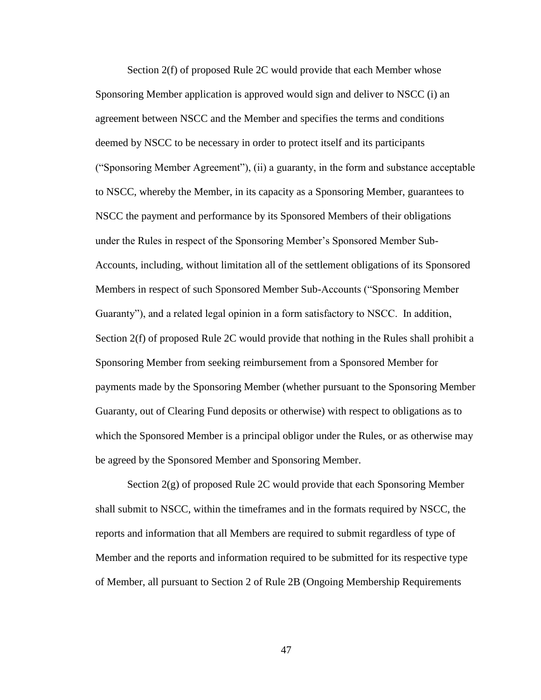Section 2(f) of proposed Rule 2C would provide that each Member whose Sponsoring Member application is approved would sign and deliver to NSCC (i) an agreement between NSCC and the Member and specifies the terms and conditions deemed by NSCC to be necessary in order to protect itself and its participants ("Sponsoring Member Agreement"), (ii) a guaranty, in the form and substance acceptable to NSCC, whereby the Member, in its capacity as a Sponsoring Member, guarantees to NSCC the payment and performance by its Sponsored Members of their obligations under the Rules in respect of the Sponsoring Member's Sponsored Member Sub-Accounts, including, without limitation all of the settlement obligations of its Sponsored Members in respect of such Sponsored Member Sub-Accounts ("Sponsoring Member Guaranty"), and a related legal opinion in a form satisfactory to NSCC. In addition, Section 2(f) of proposed Rule 2C would provide that nothing in the Rules shall prohibit a Sponsoring Member from seeking reimbursement from a Sponsored Member for payments made by the Sponsoring Member (whether pursuant to the Sponsoring Member Guaranty, out of Clearing Fund deposits or otherwise) with respect to obligations as to which the Sponsored Member is a principal obligor under the Rules, or as otherwise may be agreed by the Sponsored Member and Sponsoring Member.

Section 2(g) of proposed Rule 2C would provide that each Sponsoring Member shall submit to NSCC, within the timeframes and in the formats required by NSCC, the reports and information that all Members are required to submit regardless of type of Member and the reports and information required to be submitted for its respective type of Member, all pursuant to Section 2 of Rule 2B (Ongoing Membership Requirements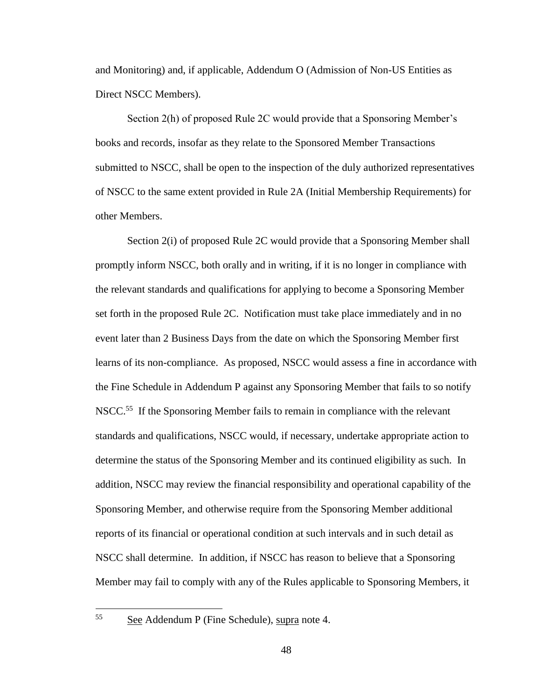and Monitoring) and, if applicable, Addendum O (Admission of Non-US Entities as Direct NSCC Members).

Section 2(h) of proposed Rule 2C would provide that a Sponsoring Member's books and records, insofar as they relate to the Sponsored Member Transactions submitted to NSCC, shall be open to the inspection of the duly authorized representatives of NSCC to the same extent provided in Rule 2A (Initial Membership Requirements) for other Members.

Section 2(i) of proposed Rule 2C would provide that a Sponsoring Member shall promptly inform NSCC, both orally and in writing, if it is no longer in compliance with the relevant standards and qualifications for applying to become a Sponsoring Member set forth in the proposed Rule 2C. Notification must take place immediately and in no event later than 2 Business Days from the date on which the Sponsoring Member first learns of its non-compliance. As proposed, NSCC would assess a fine in accordance with the Fine Schedule in Addendum P against any Sponsoring Member that fails to so notify NSCC.<sup>55</sup> If the Sponsoring Member fails to remain in compliance with the relevant standards and qualifications, NSCC would, if necessary, undertake appropriate action to determine the status of the Sponsoring Member and its continued eligibility as such. In addition, NSCC may review the financial responsibility and operational capability of the Sponsoring Member, and otherwise require from the Sponsoring Member additional reports of its financial or operational condition at such intervals and in such detail as NSCC shall determine. In addition, if NSCC has reason to believe that a Sponsoring Member may fail to comply with any of the Rules applicable to Sponsoring Members, it

See Addendum P (Fine Schedule), supra note 4.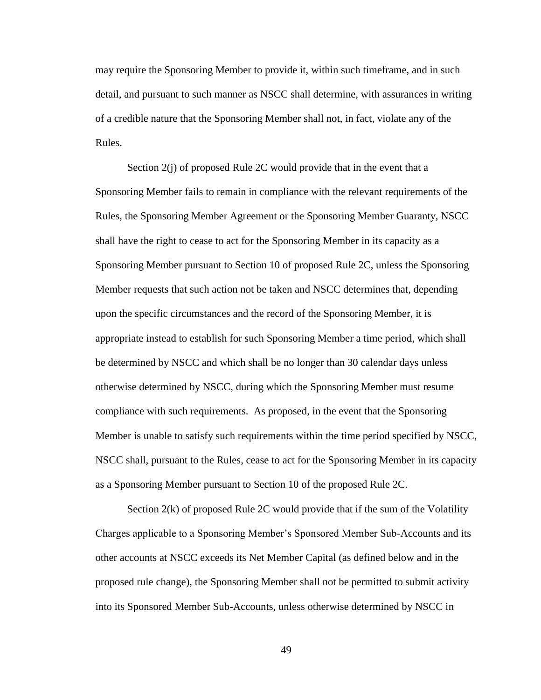may require the Sponsoring Member to provide it, within such timeframe, and in such detail, and pursuant to such manner as NSCC shall determine, with assurances in writing of a credible nature that the Sponsoring Member shall not, in fact, violate any of the Rules.

Section 2(j) of proposed Rule 2C would provide that in the event that a Sponsoring Member fails to remain in compliance with the relevant requirements of the Rules, the Sponsoring Member Agreement or the Sponsoring Member Guaranty, NSCC shall have the right to cease to act for the Sponsoring Member in its capacity as a Sponsoring Member pursuant to Section 10 of proposed Rule 2C, unless the Sponsoring Member requests that such action not be taken and NSCC determines that, depending upon the specific circumstances and the record of the Sponsoring Member, it is appropriate instead to establish for such Sponsoring Member a time period, which shall be determined by NSCC and which shall be no longer than 30 calendar days unless otherwise determined by NSCC, during which the Sponsoring Member must resume compliance with such requirements. As proposed, in the event that the Sponsoring Member is unable to satisfy such requirements within the time period specified by NSCC, NSCC shall, pursuant to the Rules, cease to act for the Sponsoring Member in its capacity as a Sponsoring Member pursuant to Section 10 of the proposed Rule 2C.

Section 2(k) of proposed Rule 2C would provide that if the sum of the Volatility Charges applicable to a Sponsoring Member's Sponsored Member Sub-Accounts and its other accounts at NSCC exceeds its Net Member Capital (as defined below and in the proposed rule change), the Sponsoring Member shall not be permitted to submit activity into its Sponsored Member Sub-Accounts, unless otherwise determined by NSCC in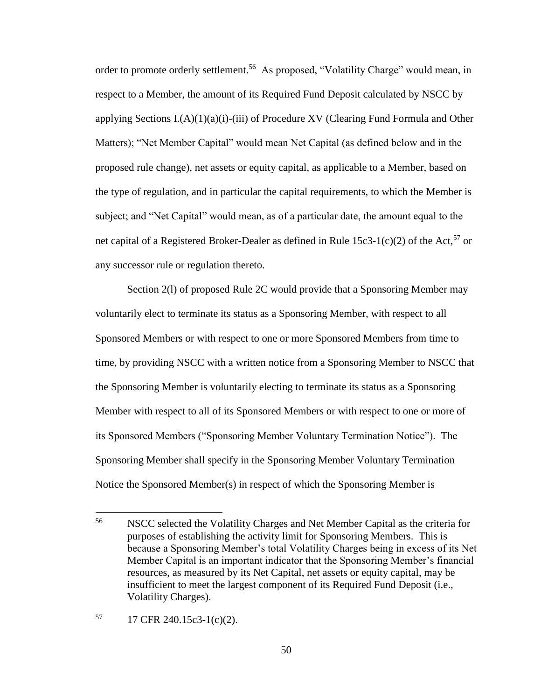order to promote orderly settlement.<sup>56</sup> As proposed, "Volatility Charge" would mean, in respect to a Member, the amount of its Required Fund Deposit calculated by NSCC by applying Sections I.(A)(1)(a)(i)-(iii) of Procedure XV (Clearing Fund Formula and Other Matters); "Net Member Capital" would mean Net Capital (as defined below and in the proposed rule change), net assets or equity capital, as applicable to a Member, based on the type of regulation, and in particular the capital requirements, to which the Member is subject; and "Net Capital" would mean, as of a particular date, the amount equal to the net capital of a Registered Broker-Dealer as defined in Rule  $15c3-1(c)(2)$  of the Act,<sup>57</sup> or any successor rule or regulation thereto.

Section 2(l) of proposed Rule 2C would provide that a Sponsoring Member may voluntarily elect to terminate its status as a Sponsoring Member, with respect to all Sponsored Members or with respect to one or more Sponsored Members from time to time, by providing NSCC with a written notice from a Sponsoring Member to NSCC that the Sponsoring Member is voluntarily electing to terminate its status as a Sponsoring Member with respect to all of its Sponsored Members or with respect to one or more of its Sponsored Members ("Sponsoring Member Voluntary Termination Notice"). The Sponsoring Member shall specify in the Sponsoring Member Voluntary Termination Notice the Sponsored Member(s) in respect of which the Sponsoring Member is

 $17$  CFR 240.15c3-1(c)(2).

<sup>56</sup> <sup>56</sup> NSCC selected the Volatility Charges and Net Member Capital as the criteria for purposes of establishing the activity limit for Sponsoring Members. This is because a Sponsoring Member's total Volatility Charges being in excess of its Net Member Capital is an important indicator that the Sponsoring Member's financial resources, as measured by its Net Capital, net assets or equity capital, may be insufficient to meet the largest component of its Required Fund Deposit (i.e., Volatility Charges).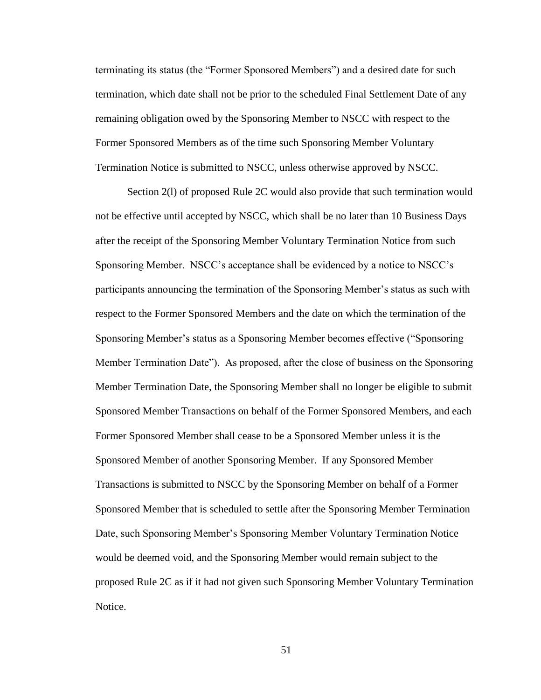terminating its status (the "Former Sponsored Members") and a desired date for such termination, which date shall not be prior to the scheduled Final Settlement Date of any remaining obligation owed by the Sponsoring Member to NSCC with respect to the Former Sponsored Members as of the time such Sponsoring Member Voluntary Termination Notice is submitted to NSCC, unless otherwise approved by NSCC.

Section 2(l) of proposed Rule 2C would also provide that such termination would not be effective until accepted by NSCC, which shall be no later than 10 Business Days after the receipt of the Sponsoring Member Voluntary Termination Notice from such Sponsoring Member. NSCC's acceptance shall be evidenced by a notice to NSCC's participants announcing the termination of the Sponsoring Member's status as such with respect to the Former Sponsored Members and the date on which the termination of the Sponsoring Member's status as a Sponsoring Member becomes effective ("Sponsoring Member Termination Date"). As proposed, after the close of business on the Sponsoring Member Termination Date, the Sponsoring Member shall no longer be eligible to submit Sponsored Member Transactions on behalf of the Former Sponsored Members, and each Former Sponsored Member shall cease to be a Sponsored Member unless it is the Sponsored Member of another Sponsoring Member. If any Sponsored Member Transactions is submitted to NSCC by the Sponsoring Member on behalf of a Former Sponsored Member that is scheduled to settle after the Sponsoring Member Termination Date, such Sponsoring Member's Sponsoring Member Voluntary Termination Notice would be deemed void, and the Sponsoring Member would remain subject to the proposed Rule 2C as if it had not given such Sponsoring Member Voluntary Termination Notice.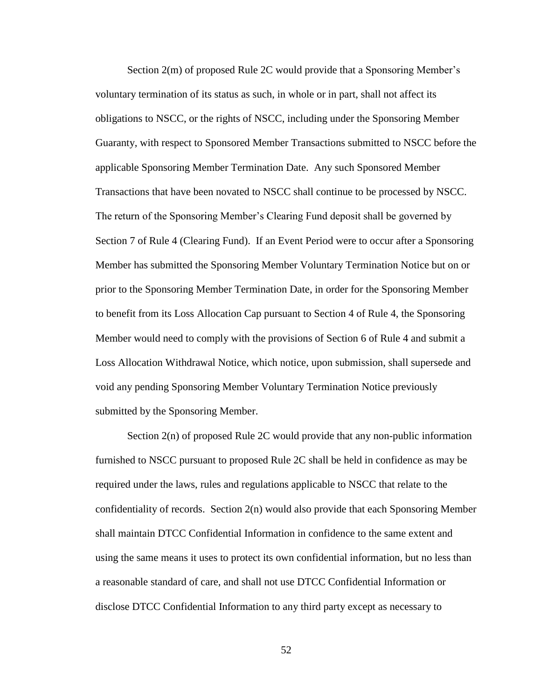Section 2(m) of proposed Rule 2C would provide that a Sponsoring Member's voluntary termination of its status as such, in whole or in part, shall not affect its obligations to NSCC, or the rights of NSCC, including under the Sponsoring Member Guaranty, with respect to Sponsored Member Transactions submitted to NSCC before the applicable Sponsoring Member Termination Date. Any such Sponsored Member Transactions that have been novated to NSCC shall continue to be processed by NSCC. The return of the Sponsoring Member's Clearing Fund deposit shall be governed by Section 7 of Rule 4 (Clearing Fund). If an Event Period were to occur after a Sponsoring Member has submitted the Sponsoring Member Voluntary Termination Notice but on or prior to the Sponsoring Member Termination Date, in order for the Sponsoring Member to benefit from its Loss Allocation Cap pursuant to Section 4 of Rule 4, the Sponsoring Member would need to comply with the provisions of Section 6 of Rule 4 and submit a Loss Allocation Withdrawal Notice, which notice, upon submission, shall supersede and void any pending Sponsoring Member Voluntary Termination Notice previously submitted by the Sponsoring Member.

Section 2(n) of proposed Rule 2C would provide that any non-public information furnished to NSCC pursuant to proposed Rule 2C shall be held in confidence as may be required under the laws, rules and regulations applicable to NSCC that relate to the confidentiality of records. Section 2(n) would also provide that each Sponsoring Member shall maintain DTCC Confidential Information in confidence to the same extent and using the same means it uses to protect its own confidential information, but no less than a reasonable standard of care, and shall not use DTCC Confidential Information or disclose DTCC Confidential Information to any third party except as necessary to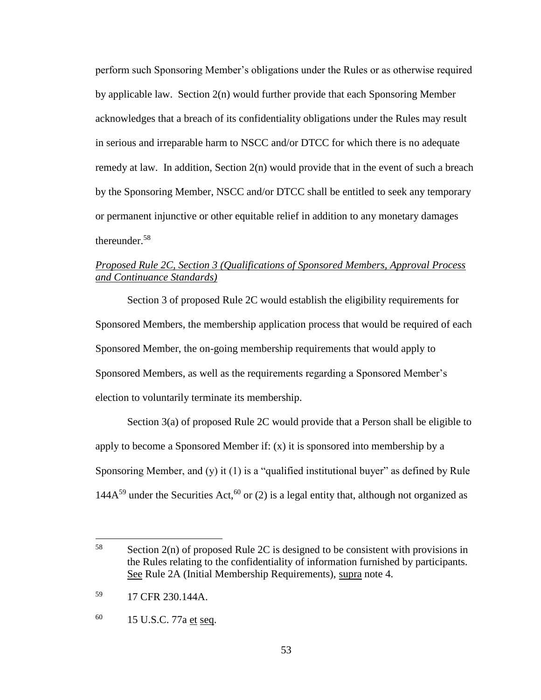perform such Sponsoring Member's obligations under the Rules or as otherwise required by applicable law. Section 2(n) would further provide that each Sponsoring Member acknowledges that a breach of its confidentiality obligations under the Rules may result in serious and irreparable harm to NSCC and/or DTCC for which there is no adequate remedy at law. In addition, Section 2(n) would provide that in the event of such a breach by the Sponsoring Member, NSCC and/or DTCC shall be entitled to seek any temporary or permanent injunctive or other equitable relief in addition to any monetary damages thereunder.<sup>58</sup>

## *Proposed Rule 2C, Section 3 (Qualifications of Sponsored Members, Approval Process and Continuance Standards)*

Section 3 of proposed Rule 2C would establish the eligibility requirements for Sponsored Members, the membership application process that would be required of each Sponsored Member, the on-going membership requirements that would apply to Sponsored Members, as well as the requirements regarding a Sponsored Member's election to voluntarily terminate its membership.

Section 3(a) of proposed Rule 2C would provide that a Person shall be eligible to apply to become a Sponsored Member if: (x) it is sponsored into membership by a Sponsoring Member, and (y) it (1) is a "qualified institutional buyer" as defined by Rule 144A<sup>59</sup> under the Securities Act,<sup>60</sup> or (2) is a legal entity that, although not organized as

 $\overline{a}$ 

 $58$  Section 2(n) of proposed Rule 2C is designed to be consistent with provisions in the Rules relating to the confidentiality of information furnished by participants. See Rule 2A (Initial Membership Requirements), supra note 4.

<sup>59</sup> 17 CFR 230.144A.

 $^{60}$  15 U.S.C. 77a et seq.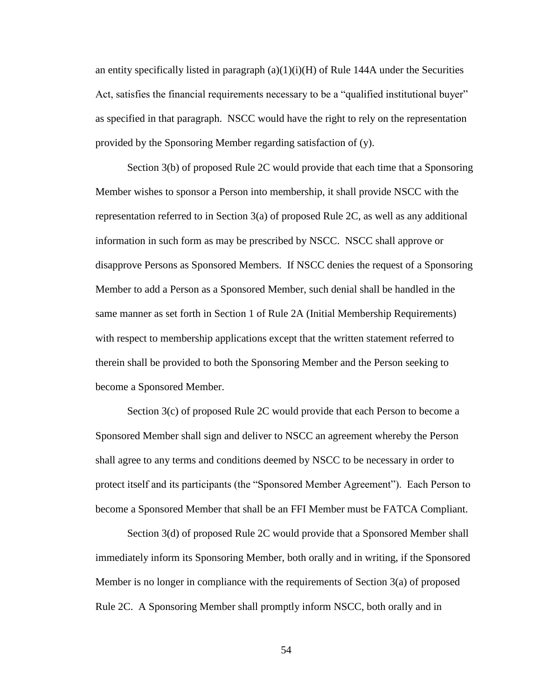an entity specifically listed in paragraph  $(a)(1)(i)(H)$  of Rule 144A under the Securities Act, satisfies the financial requirements necessary to be a "qualified institutional buyer" as specified in that paragraph. NSCC would have the right to rely on the representation provided by the Sponsoring Member regarding satisfaction of (y).

Section 3(b) of proposed Rule 2C would provide that each time that a Sponsoring Member wishes to sponsor a Person into membership, it shall provide NSCC with the representation referred to in Section 3(a) of proposed Rule 2C, as well as any additional information in such form as may be prescribed by NSCC. NSCC shall approve or disapprove Persons as Sponsored Members. If NSCC denies the request of a Sponsoring Member to add a Person as a Sponsored Member, such denial shall be handled in the same manner as set forth in Section 1 of Rule 2A (Initial Membership Requirements) with respect to membership applications except that the written statement referred to therein shall be provided to both the Sponsoring Member and the Person seeking to become a Sponsored Member.

Section 3(c) of proposed Rule 2C would provide that each Person to become a Sponsored Member shall sign and deliver to NSCC an agreement whereby the Person shall agree to any terms and conditions deemed by NSCC to be necessary in order to protect itself and its participants (the "Sponsored Member Agreement"). Each Person to become a Sponsored Member that shall be an FFI Member must be FATCA Compliant.

Section 3(d) of proposed Rule 2C would provide that a Sponsored Member shall immediately inform its Sponsoring Member, both orally and in writing, if the Sponsored Member is no longer in compliance with the requirements of Section 3(a) of proposed Rule 2C. A Sponsoring Member shall promptly inform NSCC, both orally and in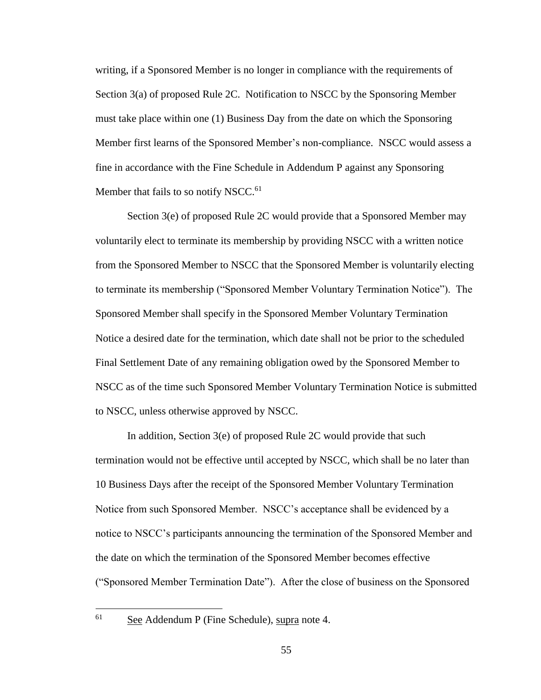writing, if a Sponsored Member is no longer in compliance with the requirements of Section 3(a) of proposed Rule 2C. Notification to NSCC by the Sponsoring Member must take place within one (1) Business Day from the date on which the Sponsoring Member first learns of the Sponsored Member's non-compliance. NSCC would assess a fine in accordance with the Fine Schedule in Addendum P against any Sponsoring Member that fails to so notify NSCC.<sup>61</sup>

Section 3(e) of proposed Rule 2C would provide that a Sponsored Member may voluntarily elect to terminate its membership by providing NSCC with a written notice from the Sponsored Member to NSCC that the Sponsored Member is voluntarily electing to terminate its membership ("Sponsored Member Voluntary Termination Notice"). The Sponsored Member shall specify in the Sponsored Member Voluntary Termination Notice a desired date for the termination, which date shall not be prior to the scheduled Final Settlement Date of any remaining obligation owed by the Sponsored Member to NSCC as of the time such Sponsored Member Voluntary Termination Notice is submitted to NSCC, unless otherwise approved by NSCC.

In addition, Section 3(e) of proposed Rule 2C would provide that such termination would not be effective until accepted by NSCC, which shall be no later than 10 Business Days after the receipt of the Sponsored Member Voluntary Termination Notice from such Sponsored Member. NSCC's acceptance shall be evidenced by a notice to NSCC's participants announcing the termination of the Sponsored Member and the date on which the termination of the Sponsored Member becomes effective ("Sponsored Member Termination Date"). After the close of business on the Sponsored

See Addendum P (Fine Schedule), supra note 4.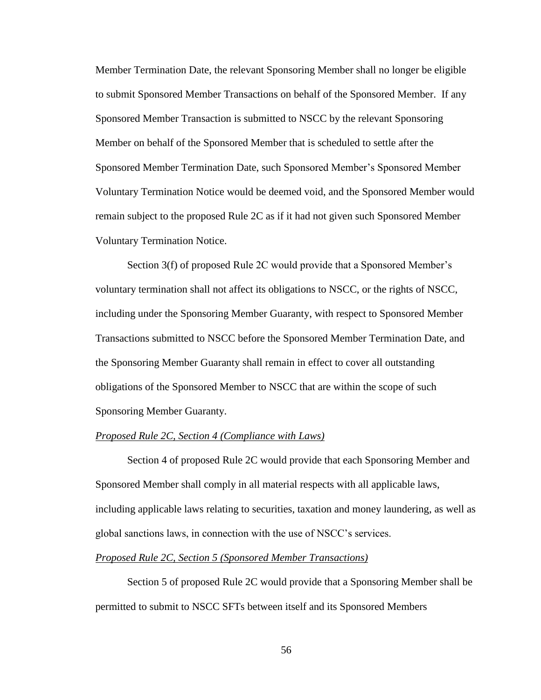Member Termination Date, the relevant Sponsoring Member shall no longer be eligible to submit Sponsored Member Transactions on behalf of the Sponsored Member. If any Sponsored Member Transaction is submitted to NSCC by the relevant Sponsoring Member on behalf of the Sponsored Member that is scheduled to settle after the Sponsored Member Termination Date, such Sponsored Member's Sponsored Member Voluntary Termination Notice would be deemed void, and the Sponsored Member would remain subject to the proposed Rule 2C as if it had not given such Sponsored Member Voluntary Termination Notice.

Section 3(f) of proposed Rule 2C would provide that a Sponsored Member's voluntary termination shall not affect its obligations to NSCC, or the rights of NSCC, including under the Sponsoring Member Guaranty, with respect to Sponsored Member Transactions submitted to NSCC before the Sponsored Member Termination Date, and the Sponsoring Member Guaranty shall remain in effect to cover all outstanding obligations of the Sponsored Member to NSCC that are within the scope of such Sponsoring Member Guaranty.

#### *Proposed Rule 2C, Section 4 (Compliance with Laws)*

Section 4 of proposed Rule 2C would provide that each Sponsoring Member and Sponsored Member shall comply in all material respects with all applicable laws, including applicable laws relating to securities, taxation and money laundering, as well as global sanctions laws, in connection with the use of NSCC's services.

#### *Proposed Rule 2C, Section 5 (Sponsored Member Transactions)*

Section 5 of proposed Rule 2C would provide that a Sponsoring Member shall be permitted to submit to NSCC SFTs between itself and its Sponsored Members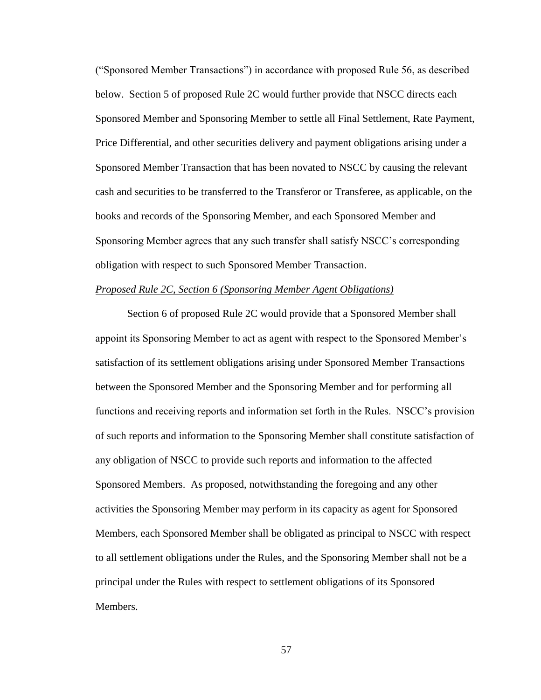("Sponsored Member Transactions") in accordance with proposed Rule 56, as described below. Section 5 of proposed Rule 2C would further provide that NSCC directs each Sponsored Member and Sponsoring Member to settle all Final Settlement, Rate Payment, Price Differential, and other securities delivery and payment obligations arising under a Sponsored Member Transaction that has been novated to NSCC by causing the relevant cash and securities to be transferred to the Transferor or Transferee, as applicable, on the books and records of the Sponsoring Member, and each Sponsored Member and Sponsoring Member agrees that any such transfer shall satisfy NSCC's corresponding obligation with respect to such Sponsored Member Transaction.

#### *Proposed Rule 2C, Section 6 (Sponsoring Member Agent Obligations)*

Section 6 of proposed Rule 2C would provide that a Sponsored Member shall appoint its Sponsoring Member to act as agent with respect to the Sponsored Member's satisfaction of its settlement obligations arising under Sponsored Member Transactions between the Sponsored Member and the Sponsoring Member and for performing all functions and receiving reports and information set forth in the Rules. NSCC's provision of such reports and information to the Sponsoring Member shall constitute satisfaction of any obligation of NSCC to provide such reports and information to the affected Sponsored Members. As proposed, notwithstanding the foregoing and any other activities the Sponsoring Member may perform in its capacity as agent for Sponsored Members, each Sponsored Member shall be obligated as principal to NSCC with respect to all settlement obligations under the Rules, and the Sponsoring Member shall not be a principal under the Rules with respect to settlement obligations of its Sponsored Members.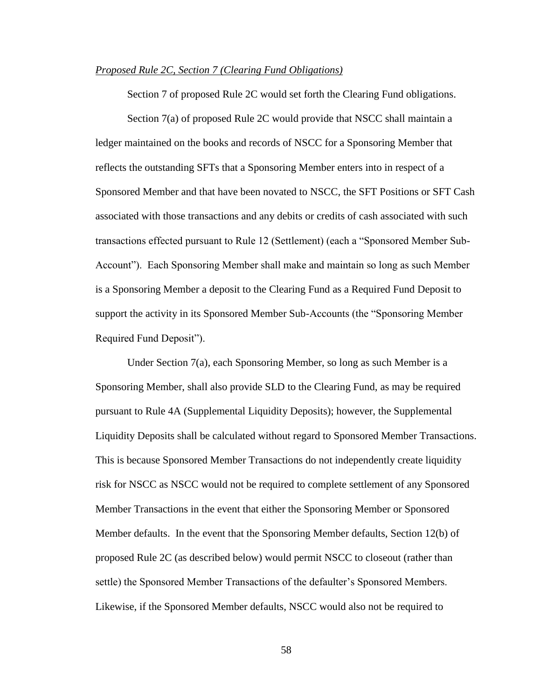#### *Proposed Rule 2C, Section 7 (Clearing Fund Obligations)*

Section 7 of proposed Rule 2C would set forth the Clearing Fund obligations.

Section 7(a) of proposed Rule 2C would provide that NSCC shall maintain a ledger maintained on the books and records of NSCC for a Sponsoring Member that reflects the outstanding SFTs that a Sponsoring Member enters into in respect of a Sponsored Member and that have been novated to NSCC, the SFT Positions or SFT Cash associated with those transactions and any debits or credits of cash associated with such transactions effected pursuant to Rule 12 (Settlement) (each a "Sponsored Member Sub-Account"). Each Sponsoring Member shall make and maintain so long as such Member is a Sponsoring Member a deposit to the Clearing Fund as a Required Fund Deposit to support the activity in its Sponsored Member Sub-Accounts (the "Sponsoring Member Required Fund Deposit").

Under Section 7(a), each Sponsoring Member, so long as such Member is a Sponsoring Member, shall also provide SLD to the Clearing Fund, as may be required pursuant to Rule 4A (Supplemental Liquidity Deposits); however, the Supplemental Liquidity Deposits shall be calculated without regard to Sponsored Member Transactions. This is because Sponsored Member Transactions do not independently create liquidity risk for NSCC as NSCC would not be required to complete settlement of any Sponsored Member Transactions in the event that either the Sponsoring Member or Sponsored Member defaults. In the event that the Sponsoring Member defaults, Section 12(b) of proposed Rule 2C (as described below) would permit NSCC to closeout (rather than settle) the Sponsored Member Transactions of the defaulter's Sponsored Members. Likewise, if the Sponsored Member defaults, NSCC would also not be required to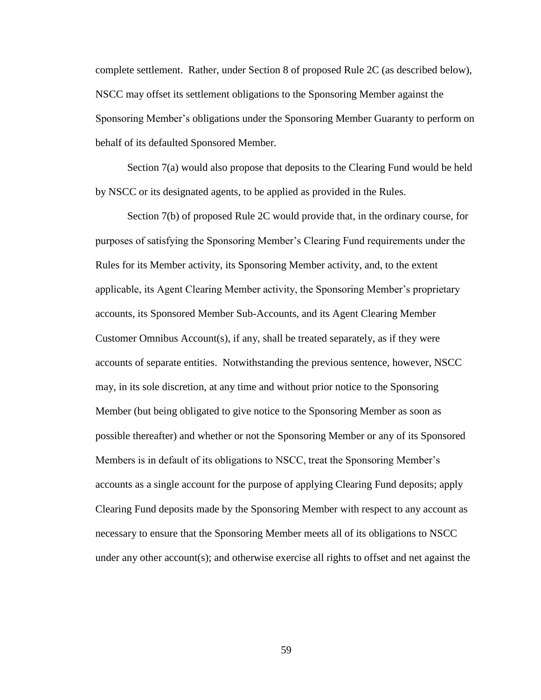complete settlement. Rather, under Section 8 of proposed Rule 2C (as described below), NSCC may offset its settlement obligations to the Sponsoring Member against the Sponsoring Member's obligations under the Sponsoring Member Guaranty to perform on behalf of its defaulted Sponsored Member.

Section 7(a) would also propose that deposits to the Clearing Fund would be held by NSCC or its designated agents, to be applied as provided in the Rules.

Section 7(b) of proposed Rule 2C would provide that, in the ordinary course, for purposes of satisfying the Sponsoring Member's Clearing Fund requirements under the Rules for its Member activity, its Sponsoring Member activity, and, to the extent applicable, its Agent Clearing Member activity, the Sponsoring Member's proprietary accounts, its Sponsored Member Sub-Accounts, and its Agent Clearing Member Customer Omnibus Account(s), if any, shall be treated separately, as if they were accounts of separate entities. Notwithstanding the previous sentence, however, NSCC may, in its sole discretion, at any time and without prior notice to the Sponsoring Member (but being obligated to give notice to the Sponsoring Member as soon as possible thereafter) and whether or not the Sponsoring Member or any of its Sponsored Members is in default of its obligations to NSCC, treat the Sponsoring Member's accounts as a single account for the purpose of applying Clearing Fund deposits; apply Clearing Fund deposits made by the Sponsoring Member with respect to any account as necessary to ensure that the Sponsoring Member meets all of its obligations to NSCC under any other account(s); and otherwise exercise all rights to offset and net against the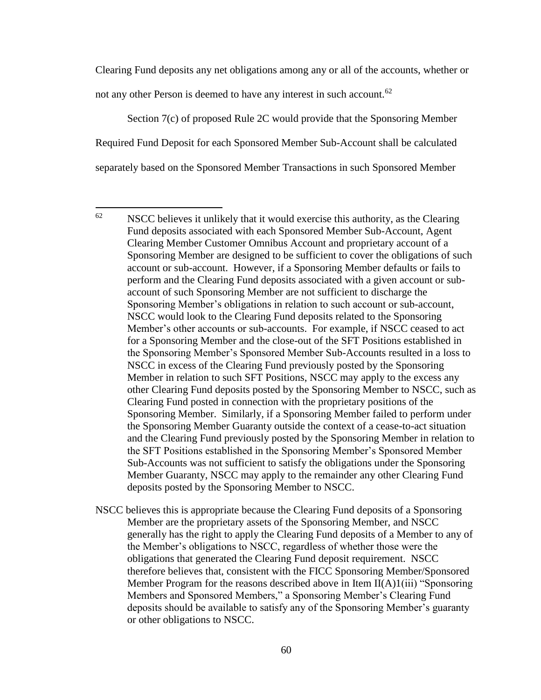Clearing Fund deposits any net obligations among any or all of the accounts, whether or not any other Person is deemed to have any interest in such account.<sup>62</sup>

Section 7(c) of proposed Rule 2C would provide that the Sponsoring Member Required Fund Deposit for each Sponsored Member Sub-Account shall be calculated separately based on the Sponsored Member Transactions in such Sponsored Member

 $\overline{a}$ 

 $62$  NSCC believes it unlikely that it would exercise this authority, as the Clearing Fund deposits associated with each Sponsored Member Sub-Account, Agent Clearing Member Customer Omnibus Account and proprietary account of a Sponsoring Member are designed to be sufficient to cover the obligations of such account or sub-account. However, if a Sponsoring Member defaults or fails to perform and the Clearing Fund deposits associated with a given account or subaccount of such Sponsoring Member are not sufficient to discharge the Sponsoring Member's obligations in relation to such account or sub-account, NSCC would look to the Clearing Fund deposits related to the Sponsoring Member's other accounts or sub-accounts. For example, if NSCC ceased to act for a Sponsoring Member and the close-out of the SFT Positions established in the Sponsoring Member's Sponsored Member Sub-Accounts resulted in a loss to NSCC in excess of the Clearing Fund previously posted by the Sponsoring Member in relation to such SFT Positions, NSCC may apply to the excess any other Clearing Fund deposits posted by the Sponsoring Member to NSCC, such as Clearing Fund posted in connection with the proprietary positions of the Sponsoring Member. Similarly, if a Sponsoring Member failed to perform under the Sponsoring Member Guaranty outside the context of a cease-to-act situation and the Clearing Fund previously posted by the Sponsoring Member in relation to the SFT Positions established in the Sponsoring Member's Sponsored Member Sub-Accounts was not sufficient to satisfy the obligations under the Sponsoring Member Guaranty, NSCC may apply to the remainder any other Clearing Fund deposits posted by the Sponsoring Member to NSCC.

NSCC believes this is appropriate because the Clearing Fund deposits of a Sponsoring Member are the proprietary assets of the Sponsoring Member, and NSCC generally has the right to apply the Clearing Fund deposits of a Member to any of the Member's obligations to NSCC, regardless of whether those were the obligations that generated the Clearing Fund deposit requirement. NSCC therefore believes that, consistent with the FICC Sponsoring Member/Sponsored Member Program for the reasons described above in Item  $II(A)1(iii)$  "Sponsoring Members and Sponsored Members," a Sponsoring Member's Clearing Fund deposits should be available to satisfy any of the Sponsoring Member's guaranty or other obligations to NSCC.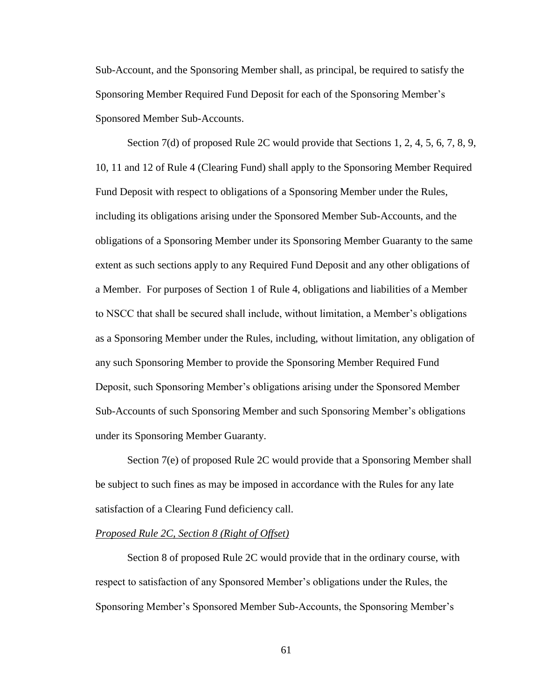Sub-Account, and the Sponsoring Member shall, as principal, be required to satisfy the Sponsoring Member Required Fund Deposit for each of the Sponsoring Member's Sponsored Member Sub-Accounts.

Section 7(d) of proposed Rule 2C would provide that Sections 1, 2, 4, 5, 6, 7, 8, 9, 10, 11 and 12 of Rule 4 (Clearing Fund) shall apply to the Sponsoring Member Required Fund Deposit with respect to obligations of a Sponsoring Member under the Rules, including its obligations arising under the Sponsored Member Sub-Accounts, and the obligations of a Sponsoring Member under its Sponsoring Member Guaranty to the same extent as such sections apply to any Required Fund Deposit and any other obligations of a Member. For purposes of Section 1 of Rule 4, obligations and liabilities of a Member to NSCC that shall be secured shall include, without limitation, a Member's obligations as a Sponsoring Member under the Rules, including, without limitation, any obligation of any such Sponsoring Member to provide the Sponsoring Member Required Fund Deposit, such Sponsoring Member's obligations arising under the Sponsored Member Sub-Accounts of such Sponsoring Member and such Sponsoring Member's obligations under its Sponsoring Member Guaranty.

Section 7(e) of proposed Rule 2C would provide that a Sponsoring Member shall be subject to such fines as may be imposed in accordance with the Rules for any late satisfaction of a Clearing Fund deficiency call.

#### *Proposed Rule 2C, Section 8 (Right of Offset)*

Section 8 of proposed Rule 2C would provide that in the ordinary course, with respect to satisfaction of any Sponsored Member's obligations under the Rules, the Sponsoring Member's Sponsored Member Sub-Accounts, the Sponsoring Member's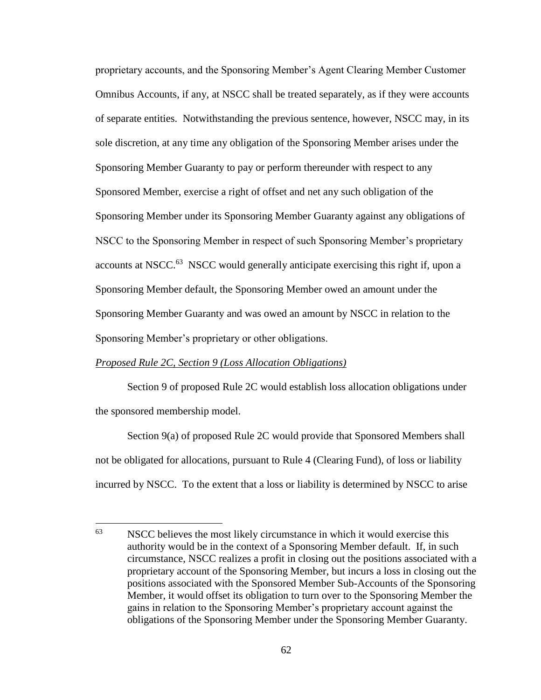proprietary accounts, and the Sponsoring Member's Agent Clearing Member Customer Omnibus Accounts, if any, at NSCC shall be treated separately, as if they were accounts of separate entities. Notwithstanding the previous sentence, however, NSCC may, in its sole discretion, at any time any obligation of the Sponsoring Member arises under the Sponsoring Member Guaranty to pay or perform thereunder with respect to any Sponsored Member, exercise a right of offset and net any such obligation of the Sponsoring Member under its Sponsoring Member Guaranty against any obligations of NSCC to the Sponsoring Member in respect of such Sponsoring Member's proprietary accounts at NSCC.<sup>63</sup> NSCC would generally anticipate exercising this right if, upon a Sponsoring Member default, the Sponsoring Member owed an amount under the Sponsoring Member Guaranty and was owed an amount by NSCC in relation to the Sponsoring Member's proprietary or other obligations.

#### *Proposed Rule 2C, Section 9 (Loss Allocation Obligations)*

Section 9 of proposed Rule 2C would establish loss allocation obligations under the sponsored membership model.

Section 9(a) of proposed Rule 2C would provide that Sponsored Members shall not be obligated for allocations, pursuant to Rule 4 (Clearing Fund), of loss or liability incurred by NSCC. To the extent that a loss or liability is determined by NSCC to arise

<sup>63</sup> NSCC believes the most likely circumstance in which it would exercise this authority would be in the context of a Sponsoring Member default. If, in such circumstance, NSCC realizes a profit in closing out the positions associated with a proprietary account of the Sponsoring Member, but incurs a loss in closing out the positions associated with the Sponsored Member Sub-Accounts of the Sponsoring Member, it would offset its obligation to turn over to the Sponsoring Member the gains in relation to the Sponsoring Member's proprietary account against the obligations of the Sponsoring Member under the Sponsoring Member Guaranty.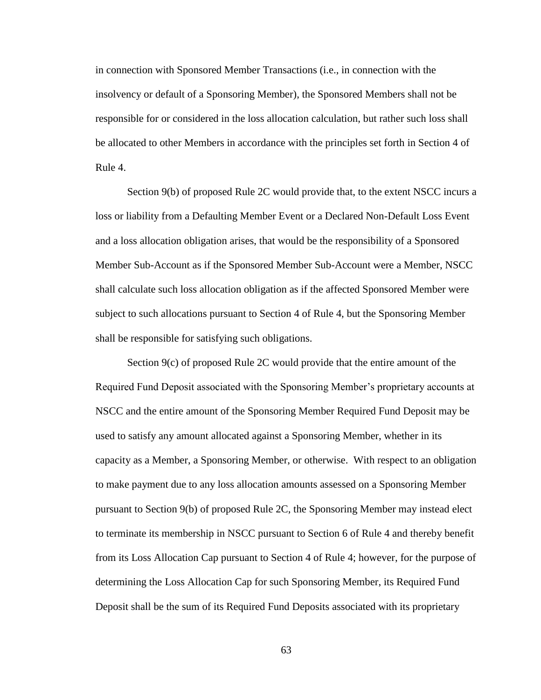in connection with Sponsored Member Transactions (i.e., in connection with the insolvency or default of a Sponsoring Member), the Sponsored Members shall not be responsible for or considered in the loss allocation calculation, but rather such loss shall be allocated to other Members in accordance with the principles set forth in Section 4 of Rule 4.

Section 9(b) of proposed Rule 2C would provide that, to the extent NSCC incurs a loss or liability from a Defaulting Member Event or a Declared Non-Default Loss Event and a loss allocation obligation arises, that would be the responsibility of a Sponsored Member Sub-Account as if the Sponsored Member Sub-Account were a Member, NSCC shall calculate such loss allocation obligation as if the affected Sponsored Member were subject to such allocations pursuant to Section 4 of Rule 4, but the Sponsoring Member shall be responsible for satisfying such obligations.

Section 9(c) of proposed Rule 2C would provide that the entire amount of the Required Fund Deposit associated with the Sponsoring Member's proprietary accounts at NSCC and the entire amount of the Sponsoring Member Required Fund Deposit may be used to satisfy any amount allocated against a Sponsoring Member, whether in its capacity as a Member, a Sponsoring Member, or otherwise. With respect to an obligation to make payment due to any loss allocation amounts assessed on a Sponsoring Member pursuant to Section 9(b) of proposed Rule 2C, the Sponsoring Member may instead elect to terminate its membership in NSCC pursuant to Section 6 of Rule 4 and thereby benefit from its Loss Allocation Cap pursuant to Section 4 of Rule 4; however, for the purpose of determining the Loss Allocation Cap for such Sponsoring Member, its Required Fund Deposit shall be the sum of its Required Fund Deposits associated with its proprietary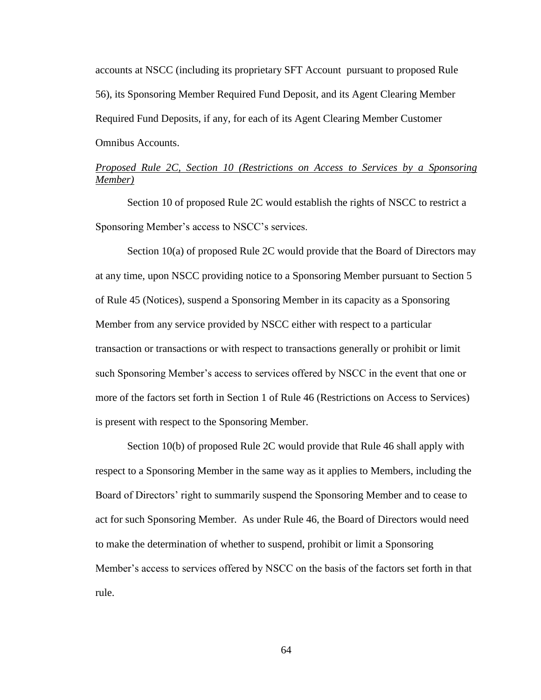accounts at NSCC (including its proprietary SFT Account pursuant to proposed Rule 56), its Sponsoring Member Required Fund Deposit, and its Agent Clearing Member Required Fund Deposits, if any, for each of its Agent Clearing Member Customer Omnibus Accounts.

## *Proposed Rule 2C, Section 10 (Restrictions on Access to Services by a Sponsoring Member)*

Section 10 of proposed Rule 2C would establish the rights of NSCC to restrict a Sponsoring Member's access to NSCC's services.

Section 10(a) of proposed Rule 2C would provide that the Board of Directors may at any time, upon NSCC providing notice to a Sponsoring Member pursuant to Section 5 of Rule 45 (Notices), suspend a Sponsoring Member in its capacity as a Sponsoring Member from any service provided by NSCC either with respect to a particular transaction or transactions or with respect to transactions generally or prohibit or limit such Sponsoring Member's access to services offered by NSCC in the event that one or more of the factors set forth in Section 1 of Rule 46 (Restrictions on Access to Services) is present with respect to the Sponsoring Member.

Section 10(b) of proposed Rule 2C would provide that Rule 46 shall apply with respect to a Sponsoring Member in the same way as it applies to Members, including the Board of Directors' right to summarily suspend the Sponsoring Member and to cease to act for such Sponsoring Member. As under Rule 46, the Board of Directors would need to make the determination of whether to suspend, prohibit or limit a Sponsoring Member's access to services offered by NSCC on the basis of the factors set forth in that rule.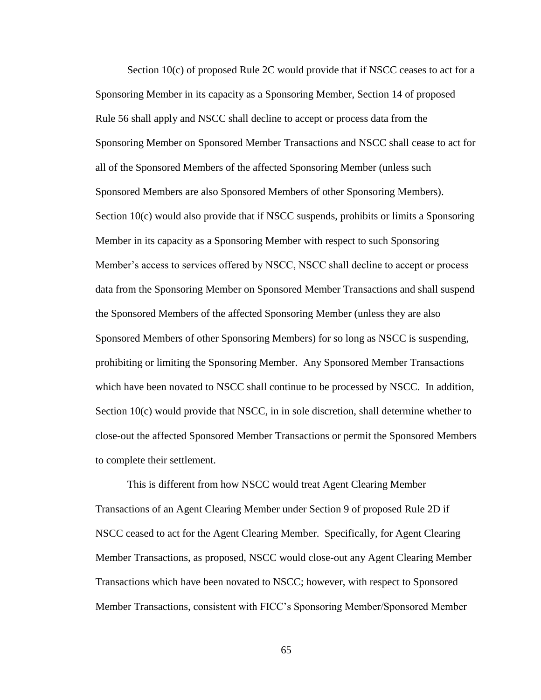Section 10(c) of proposed Rule 2C would provide that if NSCC ceases to act for a Sponsoring Member in its capacity as a Sponsoring Member, Section 14 of proposed Rule 56 shall apply and NSCC shall decline to accept or process data from the Sponsoring Member on Sponsored Member Transactions and NSCC shall cease to act for all of the Sponsored Members of the affected Sponsoring Member (unless such Sponsored Members are also Sponsored Members of other Sponsoring Members). Section 10(c) would also provide that if NSCC suspends, prohibits or limits a Sponsoring Member in its capacity as a Sponsoring Member with respect to such Sponsoring Member's access to services offered by NSCC, NSCC shall decline to accept or process data from the Sponsoring Member on Sponsored Member Transactions and shall suspend the Sponsored Members of the affected Sponsoring Member (unless they are also Sponsored Members of other Sponsoring Members) for so long as NSCC is suspending, prohibiting or limiting the Sponsoring Member. Any Sponsored Member Transactions which have been novated to NSCC shall continue to be processed by NSCC. In addition, Section 10(c) would provide that NSCC, in in sole discretion, shall determine whether to close-out the affected Sponsored Member Transactions or permit the Sponsored Members to complete their settlement.

This is different from how NSCC would treat Agent Clearing Member Transactions of an Agent Clearing Member under Section 9 of proposed Rule 2D if NSCC ceased to act for the Agent Clearing Member. Specifically, for Agent Clearing Member Transactions, as proposed, NSCC would close-out any Agent Clearing Member Transactions which have been novated to NSCC; however, with respect to Sponsored Member Transactions, consistent with FICC's Sponsoring Member/Sponsored Member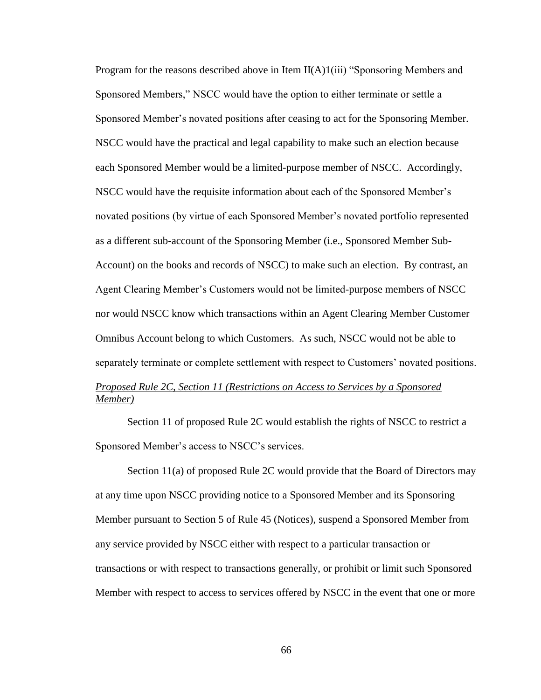Program for the reasons described above in Item  $II(A)1(iii)$  "Sponsoring Members and Sponsored Members," NSCC would have the option to either terminate or settle a Sponsored Member's novated positions after ceasing to act for the Sponsoring Member. NSCC would have the practical and legal capability to make such an election because each Sponsored Member would be a limited-purpose member of NSCC. Accordingly, NSCC would have the requisite information about each of the Sponsored Member's novated positions (by virtue of each Sponsored Member's novated portfolio represented as a different sub-account of the Sponsoring Member (i.e., Sponsored Member Sub-Account) on the books and records of NSCC) to make such an election. By contrast, an Agent Clearing Member's Customers would not be limited-purpose members of NSCC nor would NSCC know which transactions within an Agent Clearing Member Customer Omnibus Account belong to which Customers. As such, NSCC would not be able to separately terminate or complete settlement with respect to Customers' novated positions.

## *Proposed Rule 2C, Section 11 (Restrictions on Access to Services by a Sponsored Member)*

Section 11 of proposed Rule 2C would establish the rights of NSCC to restrict a Sponsored Member's access to NSCC's services.

Section 11(a) of proposed Rule 2C would provide that the Board of Directors may at any time upon NSCC providing notice to a Sponsored Member and its Sponsoring Member pursuant to Section 5 of Rule 45 (Notices), suspend a Sponsored Member from any service provided by NSCC either with respect to a particular transaction or transactions or with respect to transactions generally, or prohibit or limit such Sponsored Member with respect to access to services offered by NSCC in the event that one or more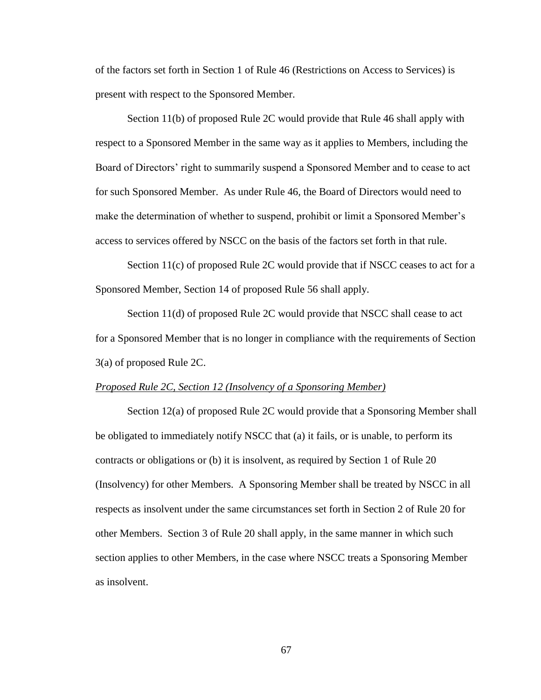of the factors set forth in Section 1 of Rule 46 (Restrictions on Access to Services) is present with respect to the Sponsored Member.

Section 11(b) of proposed Rule 2C would provide that Rule 46 shall apply with respect to a Sponsored Member in the same way as it applies to Members, including the Board of Directors' right to summarily suspend a Sponsored Member and to cease to act for such Sponsored Member. As under Rule 46, the Board of Directors would need to make the determination of whether to suspend, prohibit or limit a Sponsored Member's access to services offered by NSCC on the basis of the factors set forth in that rule.

Section 11(c) of proposed Rule 2C would provide that if NSCC ceases to act for a Sponsored Member, Section 14 of proposed Rule 56 shall apply.

Section 11(d) of proposed Rule 2C would provide that NSCC shall cease to act for a Sponsored Member that is no longer in compliance with the requirements of Section 3(a) of proposed Rule 2C.

#### *Proposed Rule 2C, Section 12 (Insolvency of a Sponsoring Member)*

Section 12(a) of proposed Rule 2C would provide that a Sponsoring Member shall be obligated to immediately notify NSCC that (a) it fails, or is unable, to perform its contracts or obligations or (b) it is insolvent, as required by Section 1 of Rule 20 (Insolvency) for other Members. A Sponsoring Member shall be treated by NSCC in all respects as insolvent under the same circumstances set forth in Section 2 of Rule 20 for other Members. Section 3 of Rule 20 shall apply, in the same manner in which such section applies to other Members, in the case where NSCC treats a Sponsoring Member as insolvent.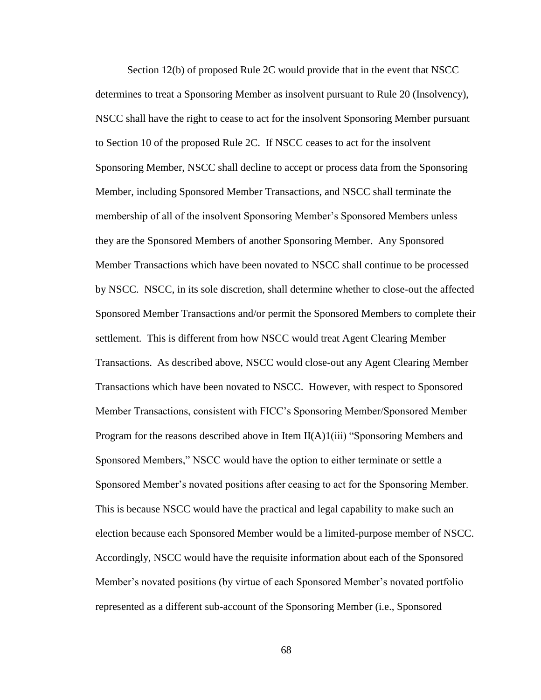Section 12(b) of proposed Rule 2C would provide that in the event that NSCC determines to treat a Sponsoring Member as insolvent pursuant to Rule 20 (Insolvency), NSCC shall have the right to cease to act for the insolvent Sponsoring Member pursuant to Section 10 of the proposed Rule 2C. If NSCC ceases to act for the insolvent Sponsoring Member, NSCC shall decline to accept or process data from the Sponsoring Member, including Sponsored Member Transactions, and NSCC shall terminate the membership of all of the insolvent Sponsoring Member's Sponsored Members unless they are the Sponsored Members of another Sponsoring Member. Any Sponsored Member Transactions which have been novated to NSCC shall continue to be processed by NSCC. NSCC, in its sole discretion, shall determine whether to close-out the affected Sponsored Member Transactions and/or permit the Sponsored Members to complete their settlement. This is different from how NSCC would treat Agent Clearing Member Transactions. As described above, NSCC would close-out any Agent Clearing Member Transactions which have been novated to NSCC. However, with respect to Sponsored Member Transactions, consistent with FICC's Sponsoring Member/Sponsored Member Program for the reasons described above in Item  $II(A)1(iii)$  "Sponsoring Members and Sponsored Members," NSCC would have the option to either terminate or settle a Sponsored Member's novated positions after ceasing to act for the Sponsoring Member. This is because NSCC would have the practical and legal capability to make such an election because each Sponsored Member would be a limited-purpose member of NSCC. Accordingly, NSCC would have the requisite information about each of the Sponsored Member's novated positions (by virtue of each Sponsored Member's novated portfolio represented as a different sub-account of the Sponsoring Member (i.e., Sponsored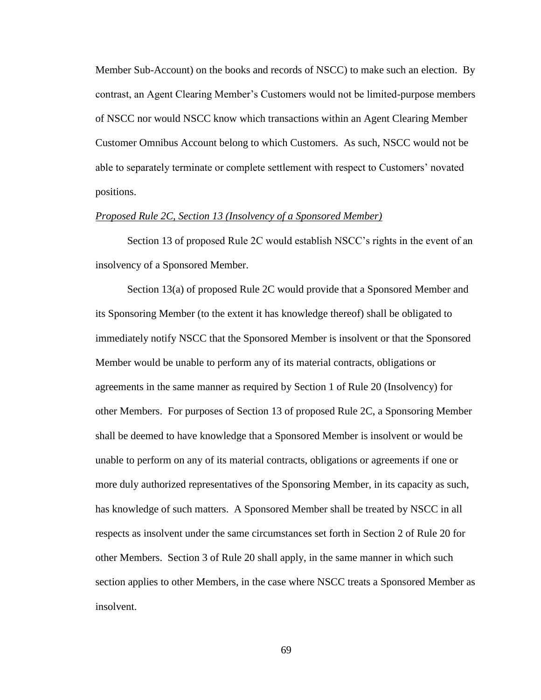Member Sub-Account) on the books and records of NSCC) to make such an election. By contrast, an Agent Clearing Member's Customers would not be limited-purpose members of NSCC nor would NSCC know which transactions within an Agent Clearing Member Customer Omnibus Account belong to which Customers. As such, NSCC would not be able to separately terminate or complete settlement with respect to Customers' novated positions.

#### *Proposed Rule 2C, Section 13 (Insolvency of a Sponsored Member)*

Section 13 of proposed Rule 2C would establish NSCC's rights in the event of an insolvency of a Sponsored Member.

Section 13(a) of proposed Rule 2C would provide that a Sponsored Member and its Sponsoring Member (to the extent it has knowledge thereof) shall be obligated to immediately notify NSCC that the Sponsored Member is insolvent or that the Sponsored Member would be unable to perform any of its material contracts, obligations or agreements in the same manner as required by Section 1 of Rule 20 (Insolvency) for other Members. For purposes of Section 13 of proposed Rule 2C, a Sponsoring Member shall be deemed to have knowledge that a Sponsored Member is insolvent or would be unable to perform on any of its material contracts, obligations or agreements if one or more duly authorized representatives of the Sponsoring Member, in its capacity as such, has knowledge of such matters. A Sponsored Member shall be treated by NSCC in all respects as insolvent under the same circumstances set forth in Section 2 of Rule 20 for other Members. Section 3 of Rule 20 shall apply, in the same manner in which such section applies to other Members, in the case where NSCC treats a Sponsored Member as insolvent.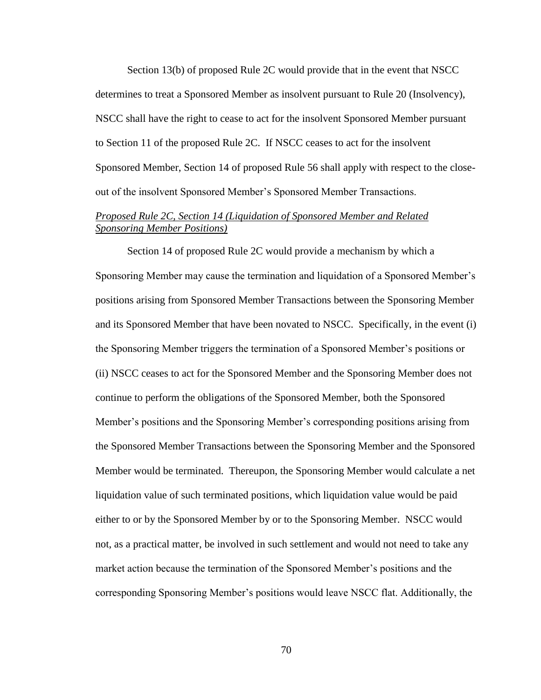Section 13(b) of proposed Rule 2C would provide that in the event that NSCC determines to treat a Sponsored Member as insolvent pursuant to Rule 20 (Insolvency), NSCC shall have the right to cease to act for the insolvent Sponsored Member pursuant to Section 11 of the proposed Rule 2C. If NSCC ceases to act for the insolvent Sponsored Member, Section 14 of proposed Rule 56 shall apply with respect to the closeout of the insolvent Sponsored Member's Sponsored Member Transactions.

## *Proposed Rule 2C, Section 14 (Liquidation of Sponsored Member and Related Sponsoring Member Positions)*

Section 14 of proposed Rule 2C would provide a mechanism by which a Sponsoring Member may cause the termination and liquidation of a Sponsored Member's positions arising from Sponsored Member Transactions between the Sponsoring Member and its Sponsored Member that have been novated to NSCC. Specifically, in the event (i) the Sponsoring Member triggers the termination of a Sponsored Member's positions or (ii) NSCC ceases to act for the Sponsored Member and the Sponsoring Member does not continue to perform the obligations of the Sponsored Member, both the Sponsored Member's positions and the Sponsoring Member's corresponding positions arising from the Sponsored Member Transactions between the Sponsoring Member and the Sponsored Member would be terminated. Thereupon, the Sponsoring Member would calculate a net liquidation value of such terminated positions, which liquidation value would be paid either to or by the Sponsored Member by or to the Sponsoring Member. NSCC would not, as a practical matter, be involved in such settlement and would not need to take any market action because the termination of the Sponsored Member's positions and the corresponding Sponsoring Member's positions would leave NSCC flat. Additionally, the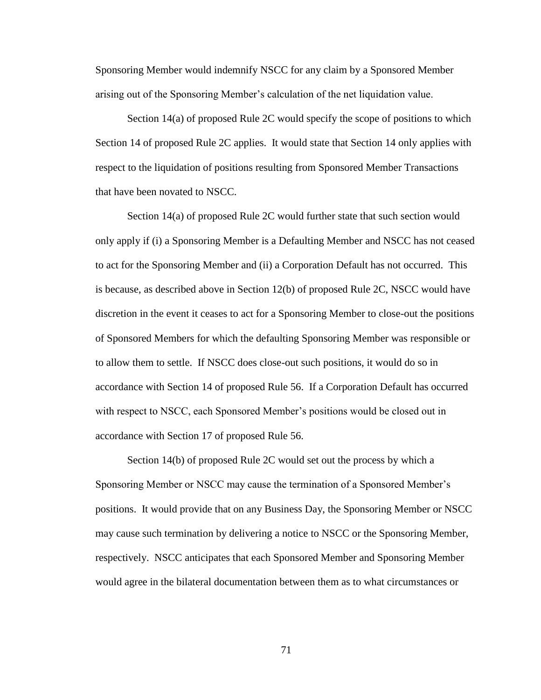Sponsoring Member would indemnify NSCC for any claim by a Sponsored Member arising out of the Sponsoring Member's calculation of the net liquidation value.

Section 14(a) of proposed Rule 2C would specify the scope of positions to which Section 14 of proposed Rule 2C applies. It would state that Section 14 only applies with respect to the liquidation of positions resulting from Sponsored Member Transactions that have been novated to NSCC.

Section 14(a) of proposed Rule 2C would further state that such section would only apply if (i) a Sponsoring Member is a Defaulting Member and NSCC has not ceased to act for the Sponsoring Member and (ii) a Corporation Default has not occurred. This is because, as described above in Section 12(b) of proposed Rule 2C, NSCC would have discretion in the event it ceases to act for a Sponsoring Member to close-out the positions of Sponsored Members for which the defaulting Sponsoring Member was responsible or to allow them to settle. If NSCC does close-out such positions, it would do so in accordance with Section 14 of proposed Rule 56. If a Corporation Default has occurred with respect to NSCC, each Sponsored Member's positions would be closed out in accordance with Section 17 of proposed Rule 56.

Section 14(b) of proposed Rule 2C would set out the process by which a Sponsoring Member or NSCC may cause the termination of a Sponsored Member's positions. It would provide that on any Business Day, the Sponsoring Member or NSCC may cause such termination by delivering a notice to NSCC or the Sponsoring Member, respectively. NSCC anticipates that each Sponsored Member and Sponsoring Member would agree in the bilateral documentation between them as to what circumstances or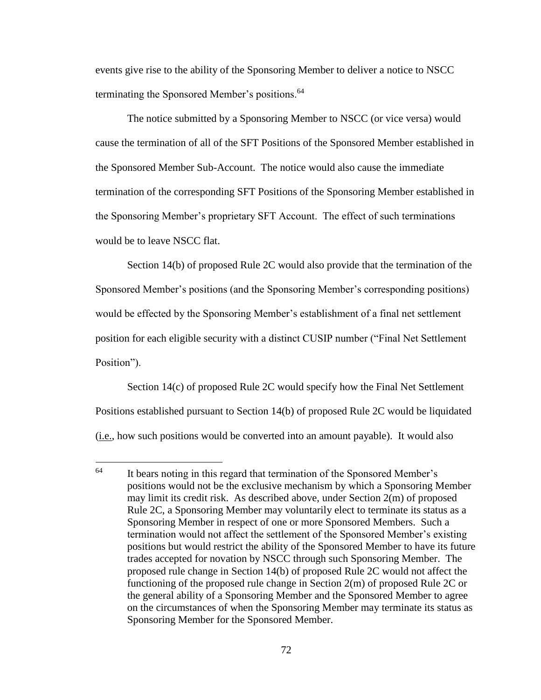events give rise to the ability of the Sponsoring Member to deliver a notice to NSCC terminating the Sponsored Member's positions.<sup>64</sup>

The notice submitted by a Sponsoring Member to NSCC (or vice versa) would cause the termination of all of the SFT Positions of the Sponsored Member established in the Sponsored Member Sub-Account. The notice would also cause the immediate termination of the corresponding SFT Positions of the Sponsoring Member established in the Sponsoring Member's proprietary SFT Account. The effect of such terminations would be to leave NSCC flat.

Section 14(b) of proposed Rule 2C would also provide that the termination of the Sponsored Member's positions (and the Sponsoring Member's corresponding positions) would be effected by the Sponsoring Member's establishment of a final net settlement position for each eligible security with a distinct CUSIP number ("Final Net Settlement Position").

Section 14(c) of proposed Rule 2C would specify how the Final Net Settlement Positions established pursuant to Section 14(b) of proposed Rule 2C would be liquidated (i.e., how such positions would be converted into an amount payable). It would also

 $64$ It bears noting in this regard that termination of the Sponsored Member's positions would not be the exclusive mechanism by which a Sponsoring Member may limit its credit risk. As described above, under Section 2(m) of proposed Rule 2C, a Sponsoring Member may voluntarily elect to terminate its status as a Sponsoring Member in respect of one or more Sponsored Members. Such a termination would not affect the settlement of the Sponsored Member's existing positions but would restrict the ability of the Sponsored Member to have its future trades accepted for novation by NSCC through such Sponsoring Member. The proposed rule change in Section 14(b) of proposed Rule 2C would not affect the functioning of the proposed rule change in Section 2(m) of proposed Rule 2C or the general ability of a Sponsoring Member and the Sponsored Member to agree on the circumstances of when the Sponsoring Member may terminate its status as Sponsoring Member for the Sponsored Member.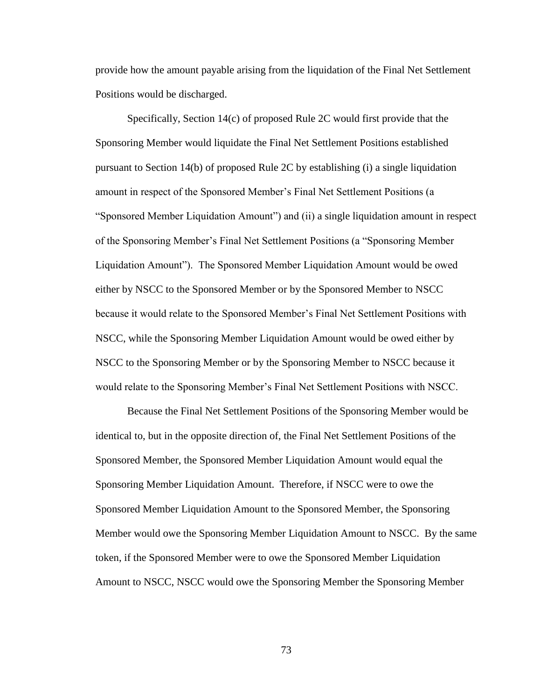provide how the amount payable arising from the liquidation of the Final Net Settlement Positions would be discharged.

Specifically, Section 14(c) of proposed Rule 2C would first provide that the Sponsoring Member would liquidate the Final Net Settlement Positions established pursuant to Section 14(b) of proposed Rule 2C by establishing (i) a single liquidation amount in respect of the Sponsored Member's Final Net Settlement Positions (a "Sponsored Member Liquidation Amount") and (ii) a single liquidation amount in respect of the Sponsoring Member's Final Net Settlement Positions (a "Sponsoring Member Liquidation Amount"). The Sponsored Member Liquidation Amount would be owed either by NSCC to the Sponsored Member or by the Sponsored Member to NSCC because it would relate to the Sponsored Member's Final Net Settlement Positions with NSCC, while the Sponsoring Member Liquidation Amount would be owed either by NSCC to the Sponsoring Member or by the Sponsoring Member to NSCC because it would relate to the Sponsoring Member's Final Net Settlement Positions with NSCC.

Because the Final Net Settlement Positions of the Sponsoring Member would be identical to, but in the opposite direction of, the Final Net Settlement Positions of the Sponsored Member, the Sponsored Member Liquidation Amount would equal the Sponsoring Member Liquidation Amount. Therefore, if NSCC were to owe the Sponsored Member Liquidation Amount to the Sponsored Member, the Sponsoring Member would owe the Sponsoring Member Liquidation Amount to NSCC. By the same token, if the Sponsored Member were to owe the Sponsored Member Liquidation Amount to NSCC, NSCC would owe the Sponsoring Member the Sponsoring Member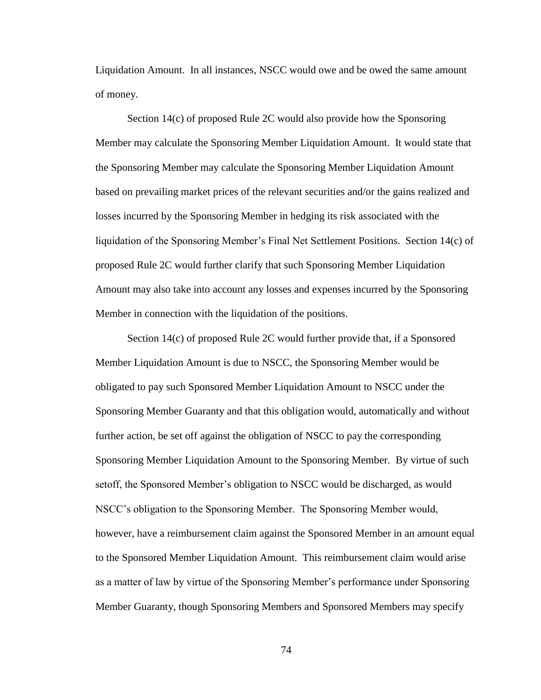Liquidation Amount. In all instances, NSCC would owe and be owed the same amount of money.

Section 14(c) of proposed Rule 2C would also provide how the Sponsoring Member may calculate the Sponsoring Member Liquidation Amount. It would state that the Sponsoring Member may calculate the Sponsoring Member Liquidation Amount based on prevailing market prices of the relevant securities and/or the gains realized and losses incurred by the Sponsoring Member in hedging its risk associated with the liquidation of the Sponsoring Member's Final Net Settlement Positions. Section 14(c) of proposed Rule 2C would further clarify that such Sponsoring Member Liquidation Amount may also take into account any losses and expenses incurred by the Sponsoring Member in connection with the liquidation of the positions.

Section 14(c) of proposed Rule 2C would further provide that, if a Sponsored Member Liquidation Amount is due to NSCC, the Sponsoring Member would be obligated to pay such Sponsored Member Liquidation Amount to NSCC under the Sponsoring Member Guaranty and that this obligation would, automatically and without further action, be set off against the obligation of NSCC to pay the corresponding Sponsoring Member Liquidation Amount to the Sponsoring Member. By virtue of such setoff, the Sponsored Member's obligation to NSCC would be discharged, as would NSCC's obligation to the Sponsoring Member. The Sponsoring Member would, however, have a reimbursement claim against the Sponsored Member in an amount equal to the Sponsored Member Liquidation Amount. This reimbursement claim would arise as a matter of law by virtue of the Sponsoring Member's performance under Sponsoring Member Guaranty, though Sponsoring Members and Sponsored Members may specify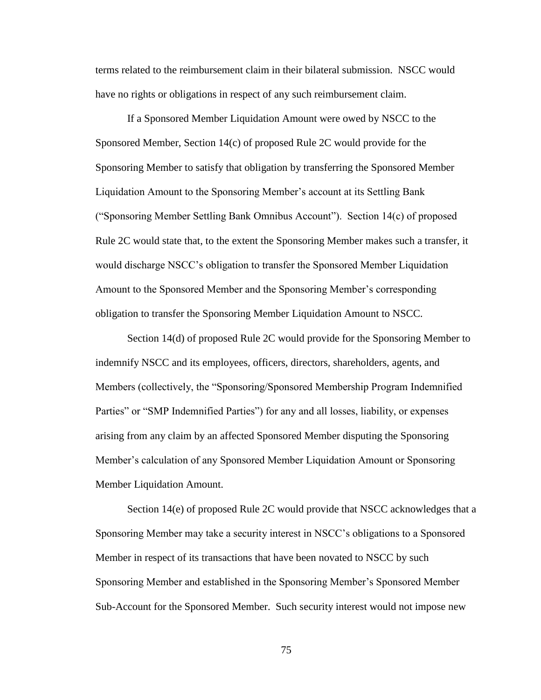terms related to the reimbursement claim in their bilateral submission. NSCC would have no rights or obligations in respect of any such reimbursement claim.

If a Sponsored Member Liquidation Amount were owed by NSCC to the Sponsored Member, Section 14(c) of proposed Rule 2C would provide for the Sponsoring Member to satisfy that obligation by transferring the Sponsored Member Liquidation Amount to the Sponsoring Member's account at its Settling Bank ("Sponsoring Member Settling Bank Omnibus Account"). Section 14(c) of proposed Rule 2C would state that, to the extent the Sponsoring Member makes such a transfer, it would discharge NSCC's obligation to transfer the Sponsored Member Liquidation Amount to the Sponsored Member and the Sponsoring Member's corresponding obligation to transfer the Sponsoring Member Liquidation Amount to NSCC.

Section 14(d) of proposed Rule 2C would provide for the Sponsoring Member to indemnify NSCC and its employees, officers, directors, shareholders, agents, and Members (collectively, the "Sponsoring/Sponsored Membership Program Indemnified Parties" or "SMP Indemnified Parties") for any and all losses, liability, or expenses arising from any claim by an affected Sponsored Member disputing the Sponsoring Member's calculation of any Sponsored Member Liquidation Amount or Sponsoring Member Liquidation Amount.

Section 14(e) of proposed Rule 2C would provide that NSCC acknowledges that a Sponsoring Member may take a security interest in NSCC's obligations to a Sponsored Member in respect of its transactions that have been novated to NSCC by such Sponsoring Member and established in the Sponsoring Member's Sponsored Member Sub-Account for the Sponsored Member. Such security interest would not impose new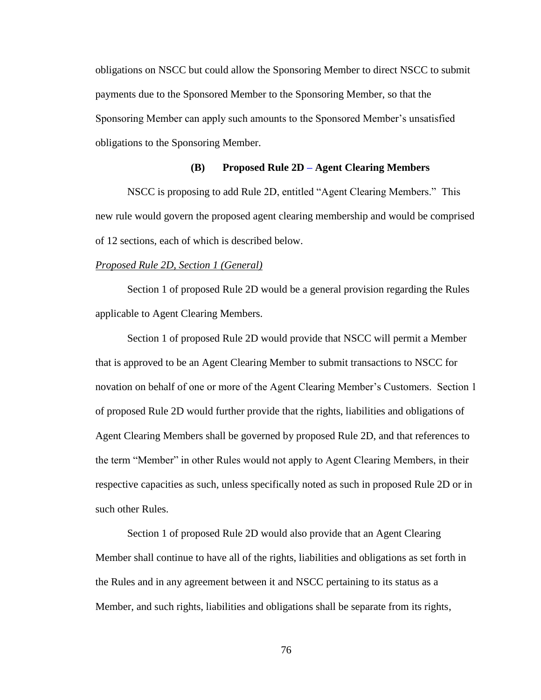obligations on NSCC but could allow the Sponsoring Member to direct NSCC to submit payments due to the Sponsored Member to the Sponsoring Member, so that the Sponsoring Member can apply such amounts to the Sponsored Member's unsatisfied obligations to the Sponsoring Member.

## **(B) Proposed Rule 2D – Agent Clearing Members**

NSCC is proposing to add Rule 2D, entitled "Agent Clearing Members." This new rule would govern the proposed agent clearing membership and would be comprised of 12 sections, each of which is described below.

### *Proposed Rule 2D, Section 1 (General)*

Section 1 of proposed Rule 2D would be a general provision regarding the Rules applicable to Agent Clearing Members.

Section 1 of proposed Rule 2D would provide that NSCC will permit a Member that is approved to be an Agent Clearing Member to submit transactions to NSCC for novation on behalf of one or more of the Agent Clearing Member's Customers. Section 1 of proposed Rule 2D would further provide that the rights, liabilities and obligations of Agent Clearing Members shall be governed by proposed Rule 2D, and that references to the term "Member" in other Rules would not apply to Agent Clearing Members, in their respective capacities as such, unless specifically noted as such in proposed Rule 2D or in such other Rules.

Section 1 of proposed Rule 2D would also provide that an Agent Clearing Member shall continue to have all of the rights, liabilities and obligations as set forth in the Rules and in any agreement between it and NSCC pertaining to its status as a Member, and such rights, liabilities and obligations shall be separate from its rights,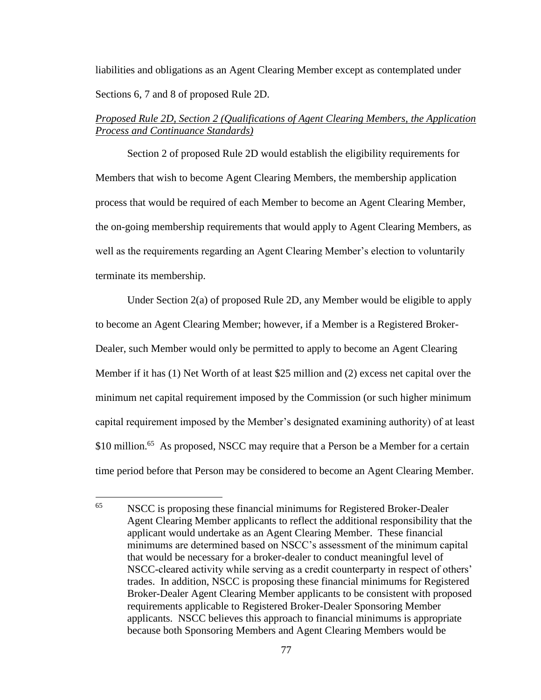liabilities and obligations as an Agent Clearing Member except as contemplated under Sections 6, 7 and 8 of proposed Rule 2D.

# *Proposed Rule 2D, Section 2 (Qualifications of Agent Clearing Members, the Application Process and Continuance Standards)*

Section 2 of proposed Rule 2D would establish the eligibility requirements for Members that wish to become Agent Clearing Members, the membership application process that would be required of each Member to become an Agent Clearing Member, the on-going membership requirements that would apply to Agent Clearing Members, as well as the requirements regarding an Agent Clearing Member's election to voluntarily terminate its membership.

Under Section 2(a) of proposed Rule 2D, any Member would be eligible to apply to become an Agent Clearing Member; however, if a Member is a Registered Broker-Dealer, such Member would only be permitted to apply to become an Agent Clearing Member if it has (1) Net Worth of at least \$25 million and (2) excess net capital over the minimum net capital requirement imposed by the Commission (or such higher minimum capital requirement imposed by the Member's designated examining authority) of at least \$10 million.<sup>65</sup> As proposed, NSCC may require that a Person be a Member for a certain time period before that Person may be considered to become an Agent Clearing Member.

<sup>65</sup> NSCC is proposing these financial minimums for Registered Broker-Dealer Agent Clearing Member applicants to reflect the additional responsibility that the applicant would undertake as an Agent Clearing Member. These financial minimums are determined based on NSCC's assessment of the minimum capital that would be necessary for a broker-dealer to conduct meaningful level of NSCC-cleared activity while serving as a credit counterparty in respect of others' trades. In addition, NSCC is proposing these financial minimums for Registered Broker-Dealer Agent Clearing Member applicants to be consistent with proposed requirements applicable to Registered Broker-Dealer Sponsoring Member applicants. NSCC believes this approach to financial minimums is appropriate because both Sponsoring Members and Agent Clearing Members would be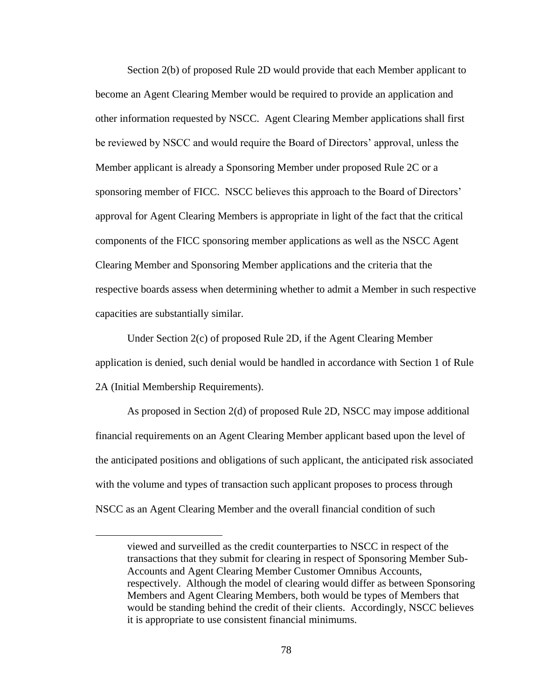Section 2(b) of proposed Rule 2D would provide that each Member applicant to become an Agent Clearing Member would be required to provide an application and other information requested by NSCC. Agent Clearing Member applications shall first be reviewed by NSCC and would require the Board of Directors' approval, unless the Member applicant is already a Sponsoring Member under proposed Rule 2C or a sponsoring member of FICC. NSCC believes this approach to the Board of Directors' approval for Agent Clearing Members is appropriate in light of the fact that the critical components of the FICC sponsoring member applications as well as the NSCC Agent Clearing Member and Sponsoring Member applications and the criteria that the respective boards assess when determining whether to admit a Member in such respective capacities are substantially similar.

Under Section 2(c) of proposed Rule 2D, if the Agent Clearing Member application is denied, such denial would be handled in accordance with Section 1 of Rule 2A (Initial Membership Requirements).

As proposed in Section 2(d) of proposed Rule 2D, NSCC may impose additional financial requirements on an Agent Clearing Member applicant based upon the level of the anticipated positions and obligations of such applicant, the anticipated risk associated with the volume and types of transaction such applicant proposes to process through NSCC as an Agent Clearing Member and the overall financial condition of such

 $\overline{a}$ 

viewed and surveilled as the credit counterparties to NSCC in respect of the transactions that they submit for clearing in respect of Sponsoring Member Sub-Accounts and Agent Clearing Member Customer Omnibus Accounts, respectively. Although the model of clearing would differ as between Sponsoring Members and Agent Clearing Members, both would be types of Members that would be standing behind the credit of their clients. Accordingly, NSCC believes it is appropriate to use consistent financial minimums.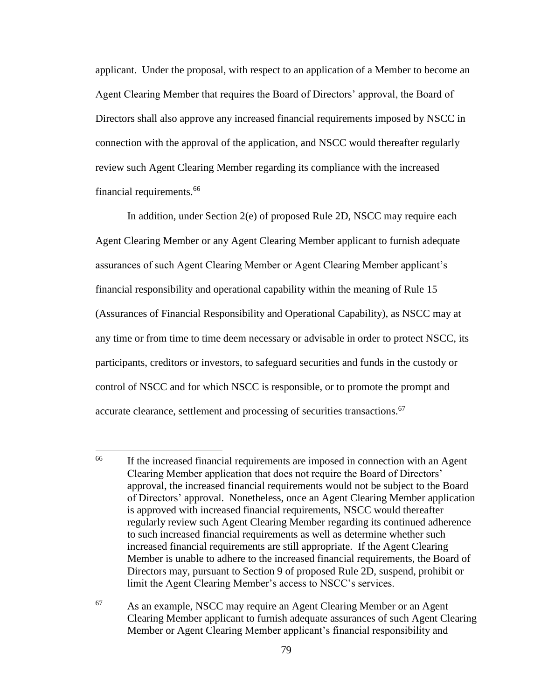applicant. Under the proposal, with respect to an application of a Member to become an Agent Clearing Member that requires the Board of Directors' approval, the Board of Directors shall also approve any increased financial requirements imposed by NSCC in connection with the approval of the application, and NSCC would thereafter regularly review such Agent Clearing Member regarding its compliance with the increased financial requirements.<sup>66</sup>

In addition, under Section 2(e) of proposed Rule 2D, NSCC may require each Agent Clearing Member or any Agent Clearing Member applicant to furnish adequate assurances of such Agent Clearing Member or Agent Clearing Member applicant's financial responsibility and operational capability within the meaning of Rule 15 (Assurances of Financial Responsibility and Operational Capability), as NSCC may at any time or from time to time deem necessary or advisable in order to protect NSCC, its participants, creditors or investors, to safeguard securities and funds in the custody or control of NSCC and for which NSCC is responsible, or to promote the prompt and accurate clearance, settlement and processing of securities transactions.<sup>67</sup>

<sup>66</sup> If the increased financial requirements are imposed in connection with an Agent Clearing Member application that does not require the Board of Directors' approval, the increased financial requirements would not be subject to the Board of Directors' approval. Nonetheless, once an Agent Clearing Member application is approved with increased financial requirements, NSCC would thereafter regularly review such Agent Clearing Member regarding its continued adherence to such increased financial requirements as well as determine whether such increased financial requirements are still appropriate. If the Agent Clearing Member is unable to adhere to the increased financial requirements, the Board of Directors may, pursuant to Section 9 of proposed Rule 2D, suspend, prohibit or limit the Agent Clearing Member's access to NSCC's services.

<sup>67</sup> As an example, NSCC may require an Agent Clearing Member or an Agent Clearing Member applicant to furnish adequate assurances of such Agent Clearing Member or Agent Clearing Member applicant's financial responsibility and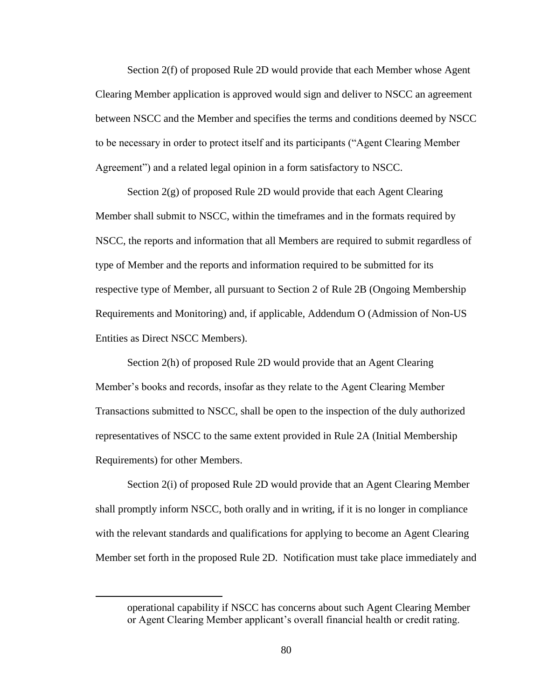Section 2(f) of proposed Rule 2D would provide that each Member whose Agent Clearing Member application is approved would sign and deliver to NSCC an agreement between NSCC and the Member and specifies the terms and conditions deemed by NSCC to be necessary in order to protect itself and its participants ("Agent Clearing Member Agreement") and a related legal opinion in a form satisfactory to NSCC.

Section 2(g) of proposed Rule 2D would provide that each Agent Clearing Member shall submit to NSCC, within the timeframes and in the formats required by NSCC, the reports and information that all Members are required to submit regardless of type of Member and the reports and information required to be submitted for its respective type of Member, all pursuant to Section 2 of Rule 2B (Ongoing Membership Requirements and Monitoring) and, if applicable, Addendum O (Admission of Non-US Entities as Direct NSCC Members).

Section 2(h) of proposed Rule 2D would provide that an Agent Clearing Member's books and records, insofar as they relate to the Agent Clearing Member Transactions submitted to NSCC, shall be open to the inspection of the duly authorized representatives of NSCC to the same extent provided in Rule 2A (Initial Membership Requirements) for other Members.

Section 2(i) of proposed Rule 2D would provide that an Agent Clearing Member shall promptly inform NSCC, both orally and in writing, if it is no longer in compliance with the relevant standards and qualifications for applying to become an Agent Clearing Member set forth in the proposed Rule 2D. Notification must take place immediately and

 $\overline{a}$ 

operational capability if NSCC has concerns about such Agent Clearing Member or Agent Clearing Member applicant's overall financial health or credit rating.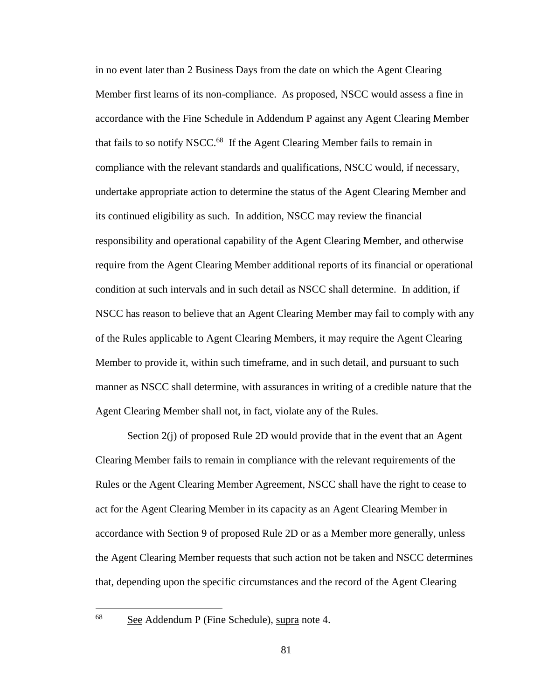in no event later than 2 Business Days from the date on which the Agent Clearing Member first learns of its non-compliance. As proposed, NSCC would assess a fine in accordance with the Fine Schedule in Addendum P against any Agent Clearing Member that fails to so notify NSCC.<sup>68</sup> If the Agent Clearing Member fails to remain in compliance with the relevant standards and qualifications, NSCC would, if necessary, undertake appropriate action to determine the status of the Agent Clearing Member and its continued eligibility as such. In addition, NSCC may review the financial responsibility and operational capability of the Agent Clearing Member, and otherwise require from the Agent Clearing Member additional reports of its financial or operational condition at such intervals and in such detail as NSCC shall determine. In addition, if NSCC has reason to believe that an Agent Clearing Member may fail to comply with any of the Rules applicable to Agent Clearing Members, it may require the Agent Clearing Member to provide it, within such timeframe, and in such detail, and pursuant to such manner as NSCC shall determine, with assurances in writing of a credible nature that the Agent Clearing Member shall not, in fact, violate any of the Rules.

Section 2(j) of proposed Rule 2D would provide that in the event that an Agent Clearing Member fails to remain in compliance with the relevant requirements of the Rules or the Agent Clearing Member Agreement, NSCC shall have the right to cease to act for the Agent Clearing Member in its capacity as an Agent Clearing Member in accordance with Section 9 of proposed Rule 2D or as a Member more generally, unless the Agent Clearing Member requests that such action not be taken and NSCC determines that, depending upon the specific circumstances and the record of the Agent Clearing

See Addendum P (Fine Schedule), supra note 4.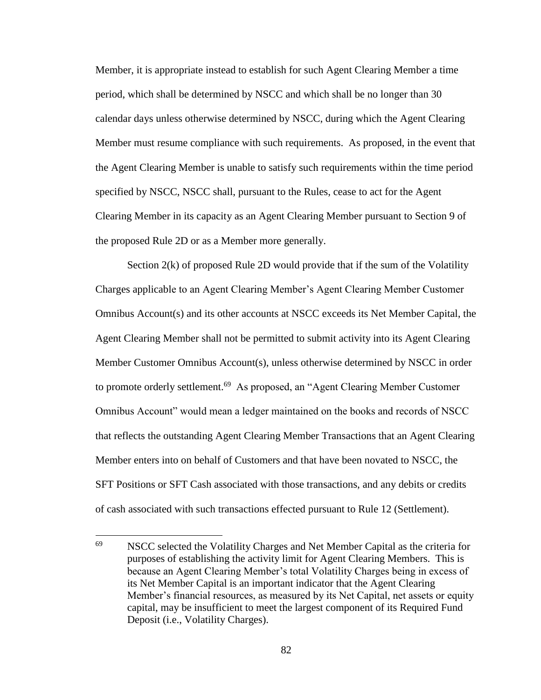Member, it is appropriate instead to establish for such Agent Clearing Member a time period, which shall be determined by NSCC and which shall be no longer than 30 calendar days unless otherwise determined by NSCC, during which the Agent Clearing Member must resume compliance with such requirements. As proposed, in the event that the Agent Clearing Member is unable to satisfy such requirements within the time period specified by NSCC, NSCC shall, pursuant to the Rules, cease to act for the Agent Clearing Member in its capacity as an Agent Clearing Member pursuant to Section 9 of the proposed Rule 2D or as a Member more generally.

Section 2(k) of proposed Rule 2D would provide that if the sum of the Volatility Charges applicable to an Agent Clearing Member's Agent Clearing Member Customer Omnibus Account(s) and its other accounts at NSCC exceeds its Net Member Capital, the Agent Clearing Member shall not be permitted to submit activity into its Agent Clearing Member Customer Omnibus Account(s), unless otherwise determined by NSCC in order to promote orderly settlement.<sup>69</sup> As proposed, an "Agent Clearing Member Customer Omnibus Account" would mean a ledger maintained on the books and records of NSCC that reflects the outstanding Agent Clearing Member Transactions that an Agent Clearing Member enters into on behalf of Customers and that have been novated to NSCC, the SFT Positions or SFT Cash associated with those transactions, and any debits or credits of cash associated with such transactions effected pursuant to Rule 12 (Settlement).

<sup>69</sup> NSCC selected the Volatility Charges and Net Member Capital as the criteria for purposes of establishing the activity limit for Agent Clearing Members. This is because an Agent Clearing Member's total Volatility Charges being in excess of its Net Member Capital is an important indicator that the Agent Clearing Member's financial resources, as measured by its Net Capital, net assets or equity capital, may be insufficient to meet the largest component of its Required Fund Deposit (i.e., Volatility Charges).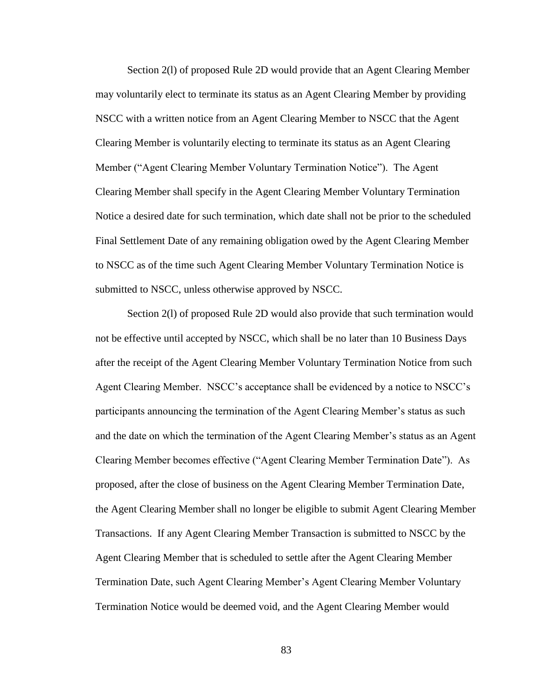Section 2(l) of proposed Rule 2D would provide that an Agent Clearing Member may voluntarily elect to terminate its status as an Agent Clearing Member by providing NSCC with a written notice from an Agent Clearing Member to NSCC that the Agent Clearing Member is voluntarily electing to terminate its status as an Agent Clearing Member ("Agent Clearing Member Voluntary Termination Notice"). The Agent Clearing Member shall specify in the Agent Clearing Member Voluntary Termination Notice a desired date for such termination, which date shall not be prior to the scheduled Final Settlement Date of any remaining obligation owed by the Agent Clearing Member to NSCC as of the time such Agent Clearing Member Voluntary Termination Notice is submitted to NSCC, unless otherwise approved by NSCC.

Section 2(l) of proposed Rule 2D would also provide that such termination would not be effective until accepted by NSCC, which shall be no later than 10 Business Days after the receipt of the Agent Clearing Member Voluntary Termination Notice from such Agent Clearing Member. NSCC's acceptance shall be evidenced by a notice to NSCC's participants announcing the termination of the Agent Clearing Member's status as such and the date on which the termination of the Agent Clearing Member's status as an Agent Clearing Member becomes effective ("Agent Clearing Member Termination Date"). As proposed, after the close of business on the Agent Clearing Member Termination Date, the Agent Clearing Member shall no longer be eligible to submit Agent Clearing Member Transactions. If any Agent Clearing Member Transaction is submitted to NSCC by the Agent Clearing Member that is scheduled to settle after the Agent Clearing Member Termination Date, such Agent Clearing Member's Agent Clearing Member Voluntary Termination Notice would be deemed void, and the Agent Clearing Member would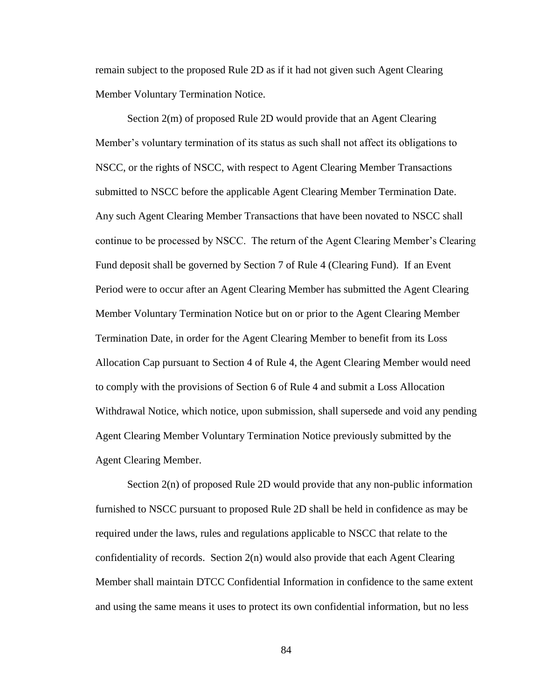remain subject to the proposed Rule 2D as if it had not given such Agent Clearing Member Voluntary Termination Notice.

Section 2(m) of proposed Rule 2D would provide that an Agent Clearing Member's voluntary termination of its status as such shall not affect its obligations to NSCC, or the rights of NSCC, with respect to Agent Clearing Member Transactions submitted to NSCC before the applicable Agent Clearing Member Termination Date. Any such Agent Clearing Member Transactions that have been novated to NSCC shall continue to be processed by NSCC. The return of the Agent Clearing Member's Clearing Fund deposit shall be governed by Section 7 of Rule 4 (Clearing Fund). If an Event Period were to occur after an Agent Clearing Member has submitted the Agent Clearing Member Voluntary Termination Notice but on or prior to the Agent Clearing Member Termination Date, in order for the Agent Clearing Member to benefit from its Loss Allocation Cap pursuant to Section 4 of Rule 4, the Agent Clearing Member would need to comply with the provisions of Section 6 of Rule 4 and submit a Loss Allocation Withdrawal Notice, which notice, upon submission, shall supersede and void any pending Agent Clearing Member Voluntary Termination Notice previously submitted by the Agent Clearing Member.

Section 2(n) of proposed Rule 2D would provide that any non-public information furnished to NSCC pursuant to proposed Rule 2D shall be held in confidence as may be required under the laws, rules and regulations applicable to NSCC that relate to the confidentiality of records. Section 2(n) would also provide that each Agent Clearing Member shall maintain DTCC Confidential Information in confidence to the same extent and using the same means it uses to protect its own confidential information, but no less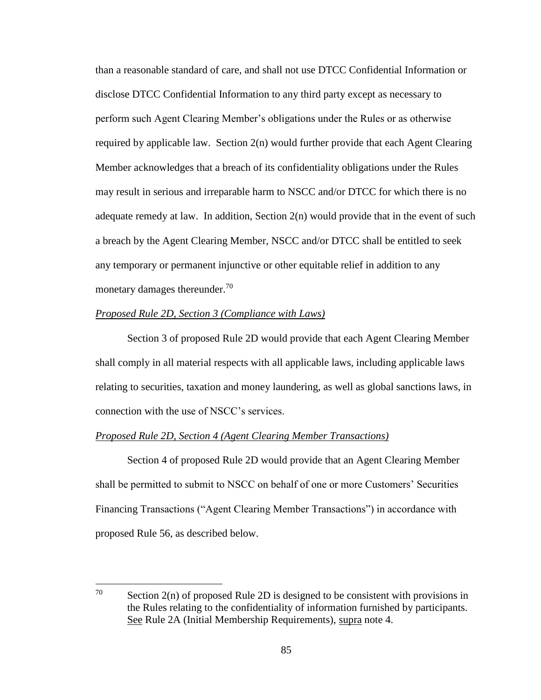than a reasonable standard of care, and shall not use DTCC Confidential Information or disclose DTCC Confidential Information to any third party except as necessary to perform such Agent Clearing Member's obligations under the Rules or as otherwise required by applicable law. Section 2(n) would further provide that each Agent Clearing Member acknowledges that a breach of its confidentiality obligations under the Rules may result in serious and irreparable harm to NSCC and/or DTCC for which there is no adequate remedy at law. In addition, Section 2(n) would provide that in the event of such a breach by the Agent Clearing Member, NSCC and/or DTCC shall be entitled to seek any temporary or permanent injunctive or other equitable relief in addition to any monetary damages thereunder.<sup>70</sup>

# *Proposed Rule 2D, Section 3 (Compliance with Laws)*

Section 3 of proposed Rule 2D would provide that each Agent Clearing Member shall comply in all material respects with all applicable laws, including applicable laws relating to securities, taxation and money laundering, as well as global sanctions laws, in connection with the use of NSCC's services.

# *Proposed Rule 2D, Section 4 (Agent Clearing Member Transactions)*

Section 4 of proposed Rule 2D would provide that an Agent Clearing Member shall be permitted to submit to NSCC on behalf of one or more Customers' Securities Financing Transactions ("Agent Clearing Member Transactions") in accordance with proposed Rule 56, as described below.

<sup>70</sup> Section  $2(n)$  of proposed Rule 2D is designed to be consistent with provisions in the Rules relating to the confidentiality of information furnished by participants. See Rule 2A (Initial Membership Requirements), supra note 4.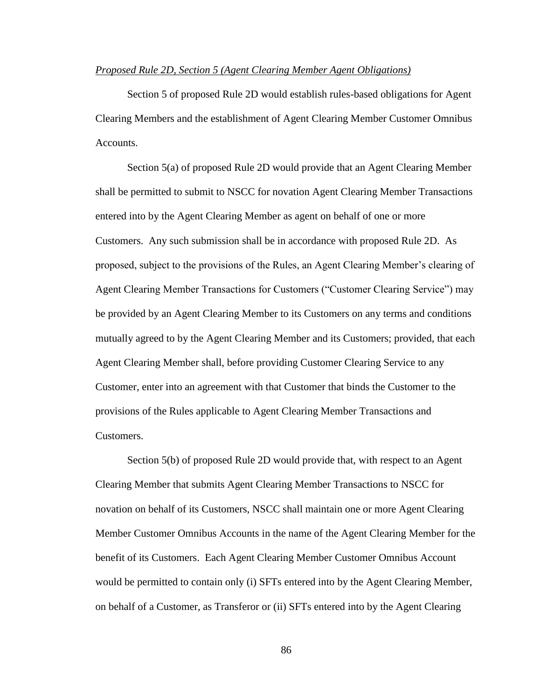## *Proposed Rule 2D, Section 5 (Agent Clearing Member Agent Obligations)*

Section 5 of proposed Rule 2D would establish rules-based obligations for Agent Clearing Members and the establishment of Agent Clearing Member Customer Omnibus Accounts.

Section 5(a) of proposed Rule 2D would provide that an Agent Clearing Member shall be permitted to submit to NSCC for novation Agent Clearing Member Transactions entered into by the Agent Clearing Member as agent on behalf of one or more Customers. Any such submission shall be in accordance with proposed Rule 2D. As proposed, subject to the provisions of the Rules, an Agent Clearing Member's clearing of Agent Clearing Member Transactions for Customers ("Customer Clearing Service") may be provided by an Agent Clearing Member to its Customers on any terms and conditions mutually agreed to by the Agent Clearing Member and its Customers; provided, that each Agent Clearing Member shall, before providing Customer Clearing Service to any Customer, enter into an agreement with that Customer that binds the Customer to the provisions of the Rules applicable to Agent Clearing Member Transactions and Customers.

Section 5(b) of proposed Rule 2D would provide that, with respect to an Agent Clearing Member that submits Agent Clearing Member Transactions to NSCC for novation on behalf of its Customers, NSCC shall maintain one or more Agent Clearing Member Customer Omnibus Accounts in the name of the Agent Clearing Member for the benefit of its Customers. Each Agent Clearing Member Customer Omnibus Account would be permitted to contain only (i) SFTs entered into by the Agent Clearing Member, on behalf of a Customer, as Transferor or (ii) SFTs entered into by the Agent Clearing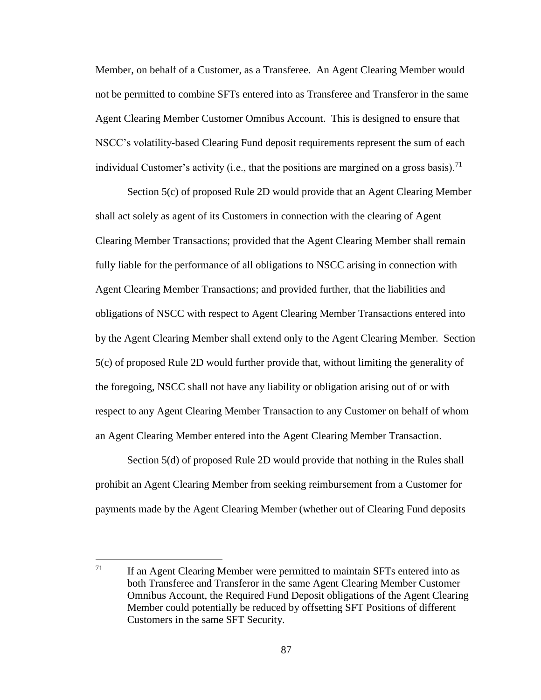Member, on behalf of a Customer, as a Transferee. An Agent Clearing Member would not be permitted to combine SFTs entered into as Transferee and Transferor in the same Agent Clearing Member Customer Omnibus Account. This is designed to ensure that NSCC's volatility-based Clearing Fund deposit requirements represent the sum of each individual Customer's activity (i.e., that the positions are margined on a gross basis).<sup>71</sup>

Section 5(c) of proposed Rule 2D would provide that an Agent Clearing Member shall act solely as agent of its Customers in connection with the clearing of Agent Clearing Member Transactions; provided that the Agent Clearing Member shall remain fully liable for the performance of all obligations to NSCC arising in connection with Agent Clearing Member Transactions; and provided further, that the liabilities and obligations of NSCC with respect to Agent Clearing Member Transactions entered into by the Agent Clearing Member shall extend only to the Agent Clearing Member. Section 5(c) of proposed Rule 2D would further provide that, without limiting the generality of the foregoing, NSCC shall not have any liability or obligation arising out of or with respect to any Agent Clearing Member Transaction to any Customer on behalf of whom an Agent Clearing Member entered into the Agent Clearing Member Transaction.

Section 5(d) of proposed Rule 2D would provide that nothing in the Rules shall prohibit an Agent Clearing Member from seeking reimbursement from a Customer for payments made by the Agent Clearing Member (whether out of Clearing Fund deposits

 $\overline{a}$ 

 $71$  If an Agent Clearing Member were permitted to maintain SFTs entered into as both Transferee and Transferor in the same Agent Clearing Member Customer Omnibus Account, the Required Fund Deposit obligations of the Agent Clearing Member could potentially be reduced by offsetting SFT Positions of different Customers in the same SFT Security.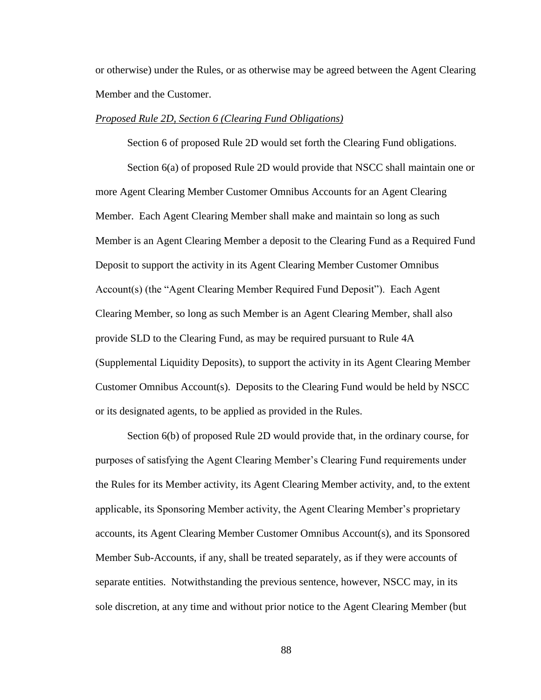or otherwise) under the Rules, or as otherwise may be agreed between the Agent Clearing Member and the Customer.

#### *Proposed Rule 2D, Section 6 (Clearing Fund Obligations)*

Section 6 of proposed Rule 2D would set forth the Clearing Fund obligations.

Section 6(a) of proposed Rule 2D would provide that NSCC shall maintain one or more Agent Clearing Member Customer Omnibus Accounts for an Agent Clearing Member. Each Agent Clearing Member shall make and maintain so long as such Member is an Agent Clearing Member a deposit to the Clearing Fund as a Required Fund Deposit to support the activity in its Agent Clearing Member Customer Omnibus Account(s) (the "Agent Clearing Member Required Fund Deposit"). Each Agent Clearing Member, so long as such Member is an Agent Clearing Member, shall also provide SLD to the Clearing Fund, as may be required pursuant to Rule 4A (Supplemental Liquidity Deposits), to support the activity in its Agent Clearing Member Customer Omnibus Account(s). Deposits to the Clearing Fund would be held by NSCC or its designated agents, to be applied as provided in the Rules.

Section 6(b) of proposed Rule 2D would provide that, in the ordinary course, for purposes of satisfying the Agent Clearing Member's Clearing Fund requirements under the Rules for its Member activity, its Agent Clearing Member activity, and, to the extent applicable, its Sponsoring Member activity, the Agent Clearing Member's proprietary accounts, its Agent Clearing Member Customer Omnibus Account(s), and its Sponsored Member Sub-Accounts, if any, shall be treated separately, as if they were accounts of separate entities. Notwithstanding the previous sentence, however, NSCC may, in its sole discretion, at any time and without prior notice to the Agent Clearing Member (but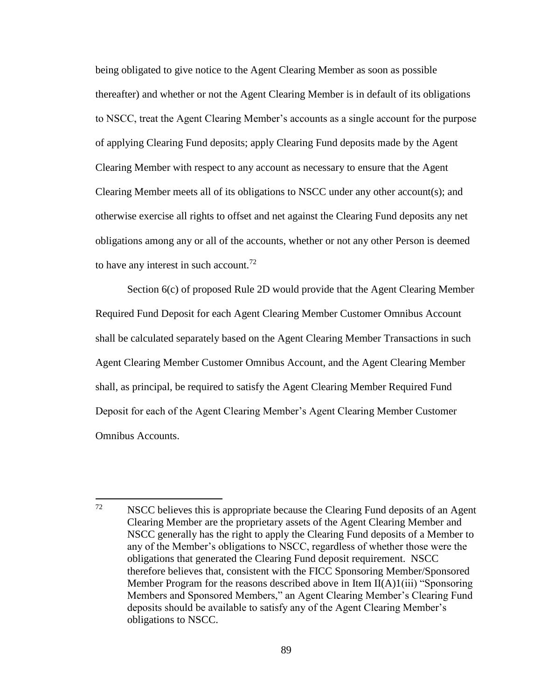being obligated to give notice to the Agent Clearing Member as soon as possible thereafter) and whether or not the Agent Clearing Member is in default of its obligations to NSCC, treat the Agent Clearing Member's accounts as a single account for the purpose of applying Clearing Fund deposits; apply Clearing Fund deposits made by the Agent Clearing Member with respect to any account as necessary to ensure that the Agent Clearing Member meets all of its obligations to NSCC under any other account(s); and otherwise exercise all rights to offset and net against the Clearing Fund deposits any net obligations among any or all of the accounts, whether or not any other Person is deemed to have any interest in such account.<sup>72</sup>

Section 6(c) of proposed Rule 2D would provide that the Agent Clearing Member Required Fund Deposit for each Agent Clearing Member Customer Omnibus Account shall be calculated separately based on the Agent Clearing Member Transactions in such Agent Clearing Member Customer Omnibus Account, and the Agent Clearing Member shall, as principal, be required to satisfy the Agent Clearing Member Required Fund Deposit for each of the Agent Clearing Member's Agent Clearing Member Customer Omnibus Accounts.

 $\overline{a}$  $72$  NSCC believes this is appropriate because the Clearing Fund deposits of an Agent Clearing Member are the proprietary assets of the Agent Clearing Member and NSCC generally has the right to apply the Clearing Fund deposits of a Member to any of the Member's obligations to NSCC, regardless of whether those were the obligations that generated the Clearing Fund deposit requirement. NSCC therefore believes that, consistent with the FICC Sponsoring Member/Sponsored Member Program for the reasons described above in Item II(A)1(iii) "Sponsoring Members and Sponsored Members," an Agent Clearing Member's Clearing Fund deposits should be available to satisfy any of the Agent Clearing Member's obligations to NSCC.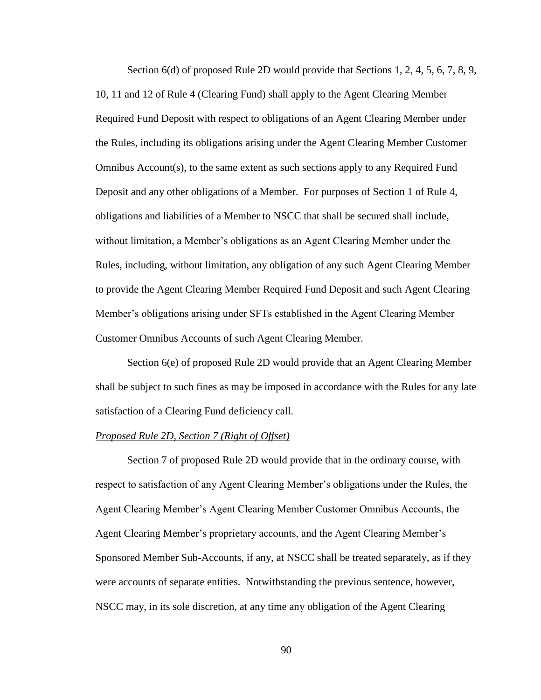Section 6(d) of proposed Rule 2D would provide that Sections 1, 2, 4, 5, 6, 7, 8, 9, 10, 11 and 12 of Rule 4 (Clearing Fund) shall apply to the Agent Clearing Member Required Fund Deposit with respect to obligations of an Agent Clearing Member under the Rules, including its obligations arising under the Agent Clearing Member Customer Omnibus Account(s), to the same extent as such sections apply to any Required Fund Deposit and any other obligations of a Member. For purposes of Section 1 of Rule 4, obligations and liabilities of a Member to NSCC that shall be secured shall include, without limitation, a Member's obligations as an Agent Clearing Member under the Rules, including, without limitation, any obligation of any such Agent Clearing Member to provide the Agent Clearing Member Required Fund Deposit and such Agent Clearing Member's obligations arising under SFTs established in the Agent Clearing Member Customer Omnibus Accounts of such Agent Clearing Member.

Section 6(e) of proposed Rule 2D would provide that an Agent Clearing Member shall be subject to such fines as may be imposed in accordance with the Rules for any late satisfaction of a Clearing Fund deficiency call.

## *Proposed Rule 2D, Section 7 (Right of Offset)*

Section 7 of proposed Rule 2D would provide that in the ordinary course, with respect to satisfaction of any Agent Clearing Member's obligations under the Rules, the Agent Clearing Member's Agent Clearing Member Customer Omnibus Accounts, the Agent Clearing Member's proprietary accounts, and the Agent Clearing Member's Sponsored Member Sub-Accounts, if any, at NSCC shall be treated separately, as if they were accounts of separate entities. Notwithstanding the previous sentence, however, NSCC may, in its sole discretion, at any time any obligation of the Agent Clearing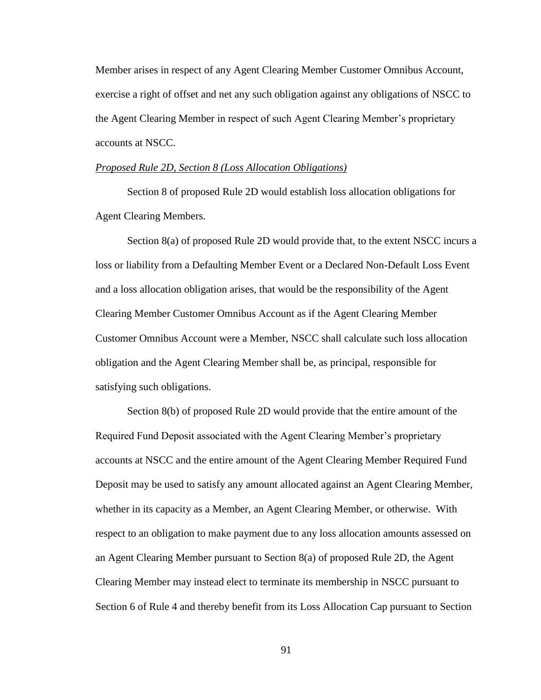Member arises in respect of any Agent Clearing Member Customer Omnibus Account, exercise a right of offset and net any such obligation against any obligations of NSCC to the Agent Clearing Member in respect of such Agent Clearing Member's proprietary accounts at NSCC.

#### *Proposed Rule 2D, Section 8 (Loss Allocation Obligations)*

Section 8 of proposed Rule 2D would establish loss allocation obligations for Agent Clearing Members.

Section 8(a) of proposed Rule 2D would provide that, to the extent NSCC incurs a loss or liability from a Defaulting Member Event or a Declared Non-Default Loss Event and a loss allocation obligation arises, that would be the responsibility of the Agent Clearing Member Customer Omnibus Account as if the Agent Clearing Member Customer Omnibus Account were a Member, NSCC shall calculate such loss allocation obligation and the Agent Clearing Member shall be, as principal, responsible for satisfying such obligations.

Section 8(b) of proposed Rule 2D would provide that the entire amount of the Required Fund Deposit associated with the Agent Clearing Member's proprietary accounts at NSCC and the entire amount of the Agent Clearing Member Required Fund Deposit may be used to satisfy any amount allocated against an Agent Clearing Member, whether in its capacity as a Member, an Agent Clearing Member, or otherwise. With respect to an obligation to make payment due to any loss allocation amounts assessed on an Agent Clearing Member pursuant to Section 8(a) of proposed Rule 2D, the Agent Clearing Member may instead elect to terminate its membership in NSCC pursuant to Section 6 of Rule 4 and thereby benefit from its Loss Allocation Cap pursuant to Section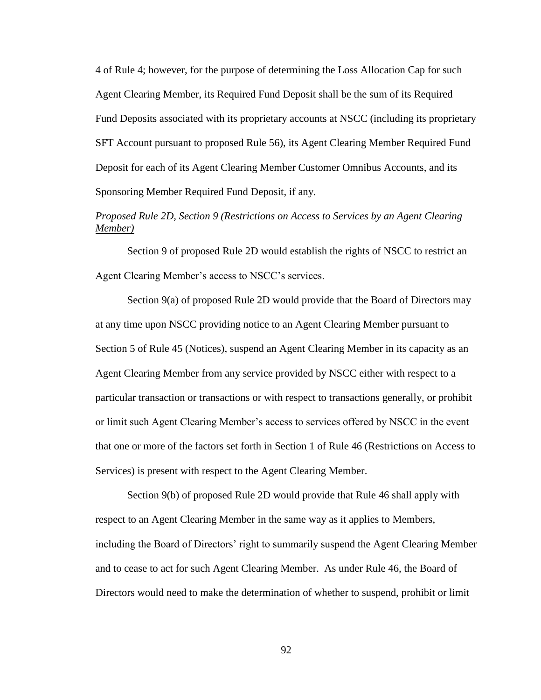4 of Rule 4; however, for the purpose of determining the Loss Allocation Cap for such Agent Clearing Member, its Required Fund Deposit shall be the sum of its Required Fund Deposits associated with its proprietary accounts at NSCC (including its proprietary SFT Account pursuant to proposed Rule 56), its Agent Clearing Member Required Fund Deposit for each of its Agent Clearing Member Customer Omnibus Accounts, and its Sponsoring Member Required Fund Deposit, if any.

# *Proposed Rule 2D, Section 9 (Restrictions on Access to Services by an Agent Clearing Member)*

Section 9 of proposed Rule 2D would establish the rights of NSCC to restrict an Agent Clearing Member's access to NSCC's services.

Section 9(a) of proposed Rule 2D would provide that the Board of Directors may at any time upon NSCC providing notice to an Agent Clearing Member pursuant to Section 5 of Rule 45 (Notices), suspend an Agent Clearing Member in its capacity as an Agent Clearing Member from any service provided by NSCC either with respect to a particular transaction or transactions or with respect to transactions generally, or prohibit or limit such Agent Clearing Member's access to services offered by NSCC in the event that one or more of the factors set forth in Section 1 of Rule 46 (Restrictions on Access to Services) is present with respect to the Agent Clearing Member.

Section 9(b) of proposed Rule 2D would provide that Rule 46 shall apply with respect to an Agent Clearing Member in the same way as it applies to Members, including the Board of Directors' right to summarily suspend the Agent Clearing Member and to cease to act for such Agent Clearing Member. As under Rule 46, the Board of Directors would need to make the determination of whether to suspend, prohibit or limit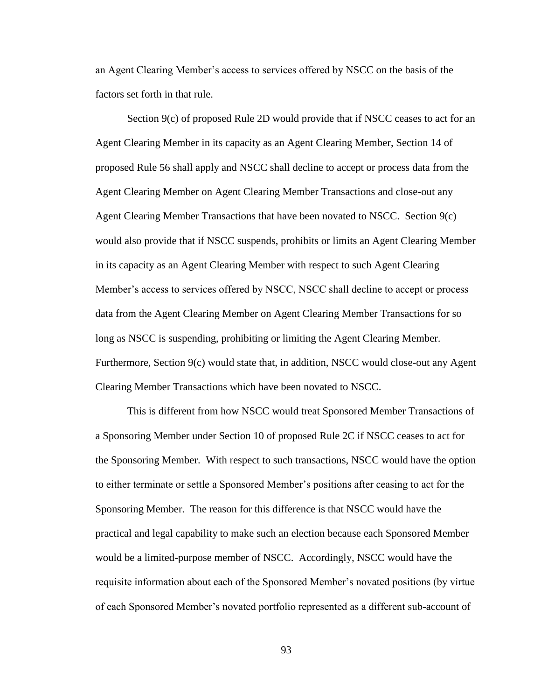an Agent Clearing Member's access to services offered by NSCC on the basis of the factors set forth in that rule.

Section 9(c) of proposed Rule 2D would provide that if NSCC ceases to act for an Agent Clearing Member in its capacity as an Agent Clearing Member, Section 14 of proposed Rule 56 shall apply and NSCC shall decline to accept or process data from the Agent Clearing Member on Agent Clearing Member Transactions and close-out any Agent Clearing Member Transactions that have been novated to NSCC. Section 9(c) would also provide that if NSCC suspends, prohibits or limits an Agent Clearing Member in its capacity as an Agent Clearing Member with respect to such Agent Clearing Member's access to services offered by NSCC, NSCC shall decline to accept or process data from the Agent Clearing Member on Agent Clearing Member Transactions for so long as NSCC is suspending, prohibiting or limiting the Agent Clearing Member. Furthermore, Section 9(c) would state that, in addition, NSCC would close-out any Agent Clearing Member Transactions which have been novated to NSCC.

This is different from how NSCC would treat Sponsored Member Transactions of a Sponsoring Member under Section 10 of proposed Rule 2C if NSCC ceases to act for the Sponsoring Member. With respect to such transactions, NSCC would have the option to either terminate or settle a Sponsored Member's positions after ceasing to act for the Sponsoring Member. The reason for this difference is that NSCC would have the practical and legal capability to make such an election because each Sponsored Member would be a limited-purpose member of NSCC. Accordingly, NSCC would have the requisite information about each of the Sponsored Member's novated positions (by virtue of each Sponsored Member's novated portfolio represented as a different sub-account of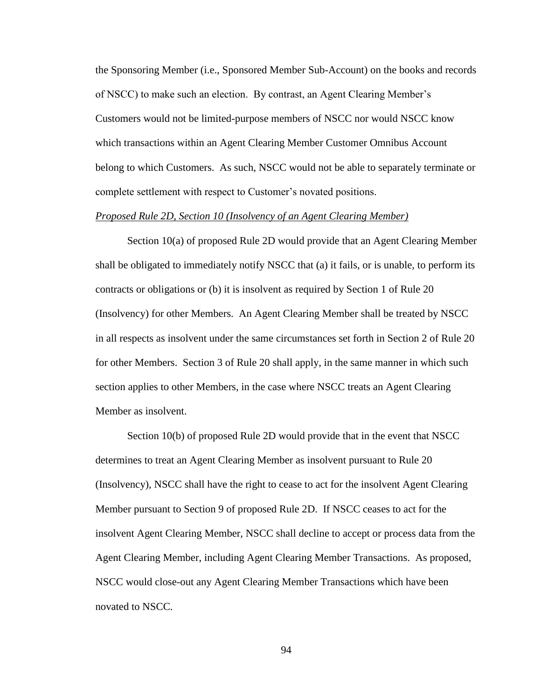the Sponsoring Member (i.e., Sponsored Member Sub-Account) on the books and records of NSCC) to make such an election. By contrast, an Agent Clearing Member's Customers would not be limited-purpose members of NSCC nor would NSCC know which transactions within an Agent Clearing Member Customer Omnibus Account belong to which Customers. As such, NSCC would not be able to separately terminate or complete settlement with respect to Customer's novated positions.

### *Proposed Rule 2D, Section 10 (Insolvency of an Agent Clearing Member)*

Section 10(a) of proposed Rule 2D would provide that an Agent Clearing Member shall be obligated to immediately notify NSCC that (a) it fails, or is unable, to perform its contracts or obligations or (b) it is insolvent as required by Section 1 of Rule 20 (Insolvency) for other Members. An Agent Clearing Member shall be treated by NSCC in all respects as insolvent under the same circumstances set forth in Section 2 of Rule 20 for other Members. Section 3 of Rule 20 shall apply, in the same manner in which such section applies to other Members, in the case where NSCC treats an Agent Clearing Member as insolvent.

Section 10(b) of proposed Rule 2D would provide that in the event that NSCC determines to treat an Agent Clearing Member as insolvent pursuant to Rule 20 (Insolvency), NSCC shall have the right to cease to act for the insolvent Agent Clearing Member pursuant to Section 9 of proposed Rule 2D. If NSCC ceases to act for the insolvent Agent Clearing Member, NSCC shall decline to accept or process data from the Agent Clearing Member, including Agent Clearing Member Transactions. As proposed, NSCC would close-out any Agent Clearing Member Transactions which have been novated to NSCC.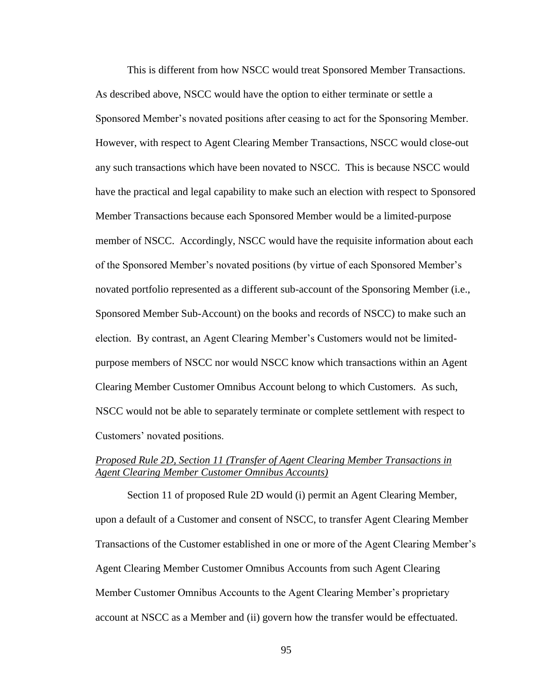This is different from how NSCC would treat Sponsored Member Transactions. As described above, NSCC would have the option to either terminate or settle a Sponsored Member's novated positions after ceasing to act for the Sponsoring Member. However, with respect to Agent Clearing Member Transactions, NSCC would close-out any such transactions which have been novated to NSCC. This is because NSCC would have the practical and legal capability to make such an election with respect to Sponsored Member Transactions because each Sponsored Member would be a limited-purpose member of NSCC. Accordingly, NSCC would have the requisite information about each of the Sponsored Member's novated positions (by virtue of each Sponsored Member's novated portfolio represented as a different sub-account of the Sponsoring Member (i.e., Sponsored Member Sub-Account) on the books and records of NSCC) to make such an election. By contrast, an Agent Clearing Member's Customers would not be limitedpurpose members of NSCC nor would NSCC know which transactions within an Agent Clearing Member Customer Omnibus Account belong to which Customers. As such, NSCC would not be able to separately terminate or complete settlement with respect to Customers' novated positions.

# *Proposed Rule 2D, Section 11 (Transfer of Agent Clearing Member Transactions in Agent Clearing Member Customer Omnibus Accounts)*

Section 11 of proposed Rule 2D would (i) permit an Agent Clearing Member, upon a default of a Customer and consent of NSCC, to transfer Agent Clearing Member Transactions of the Customer established in one or more of the Agent Clearing Member's Agent Clearing Member Customer Omnibus Accounts from such Agent Clearing Member Customer Omnibus Accounts to the Agent Clearing Member's proprietary account at NSCC as a Member and (ii) govern how the transfer would be effectuated.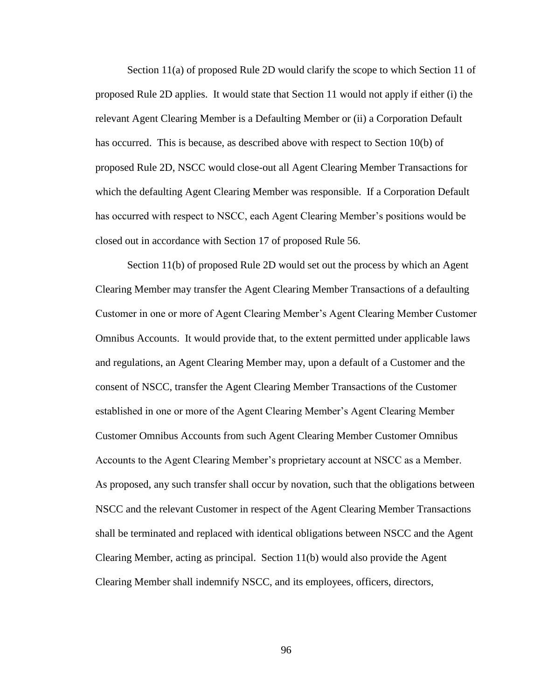Section 11(a) of proposed Rule 2D would clarify the scope to which Section 11 of proposed Rule 2D applies. It would state that Section 11 would not apply if either (i) the relevant Agent Clearing Member is a Defaulting Member or (ii) a Corporation Default has occurred. This is because, as described above with respect to Section 10(b) of proposed Rule 2D, NSCC would close-out all Agent Clearing Member Transactions for which the defaulting Agent Clearing Member was responsible. If a Corporation Default has occurred with respect to NSCC, each Agent Clearing Member's positions would be closed out in accordance with Section 17 of proposed Rule 56.

Section 11(b) of proposed Rule 2D would set out the process by which an Agent Clearing Member may transfer the Agent Clearing Member Transactions of a defaulting Customer in one or more of Agent Clearing Member's Agent Clearing Member Customer Omnibus Accounts. It would provide that, to the extent permitted under applicable laws and regulations, an Agent Clearing Member may, upon a default of a Customer and the consent of NSCC, transfer the Agent Clearing Member Transactions of the Customer established in one or more of the Agent Clearing Member's Agent Clearing Member Customer Omnibus Accounts from such Agent Clearing Member Customer Omnibus Accounts to the Agent Clearing Member's proprietary account at NSCC as a Member. As proposed, any such transfer shall occur by novation, such that the obligations between NSCC and the relevant Customer in respect of the Agent Clearing Member Transactions shall be terminated and replaced with identical obligations between NSCC and the Agent Clearing Member, acting as principal. Section 11(b) would also provide the Agent Clearing Member shall indemnify NSCC, and its employees, officers, directors,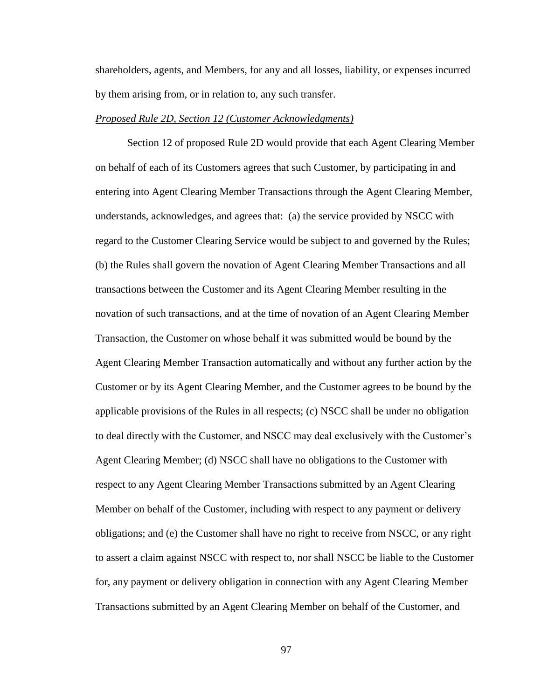shareholders, agents, and Members, for any and all losses, liability, or expenses incurred by them arising from, or in relation to, any such transfer.

## *Proposed Rule 2D, Section 12 (Customer Acknowledgments)*

Section 12 of proposed Rule 2D would provide that each Agent Clearing Member on behalf of each of its Customers agrees that such Customer, by participating in and entering into Agent Clearing Member Transactions through the Agent Clearing Member, understands, acknowledges, and agrees that: (a) the service provided by NSCC with regard to the Customer Clearing Service would be subject to and governed by the Rules; (b) the Rules shall govern the novation of Agent Clearing Member Transactions and all transactions between the Customer and its Agent Clearing Member resulting in the novation of such transactions, and at the time of novation of an Agent Clearing Member Transaction, the Customer on whose behalf it was submitted would be bound by the Agent Clearing Member Transaction automatically and without any further action by the Customer or by its Agent Clearing Member, and the Customer agrees to be bound by the applicable provisions of the Rules in all respects; (c) NSCC shall be under no obligation to deal directly with the Customer, and NSCC may deal exclusively with the Customer's Agent Clearing Member; (d) NSCC shall have no obligations to the Customer with respect to any Agent Clearing Member Transactions submitted by an Agent Clearing Member on behalf of the Customer, including with respect to any payment or delivery obligations; and (e) the Customer shall have no right to receive from NSCC, or any right to assert a claim against NSCC with respect to, nor shall NSCC be liable to the Customer for, any payment or delivery obligation in connection with any Agent Clearing Member Transactions submitted by an Agent Clearing Member on behalf of the Customer, and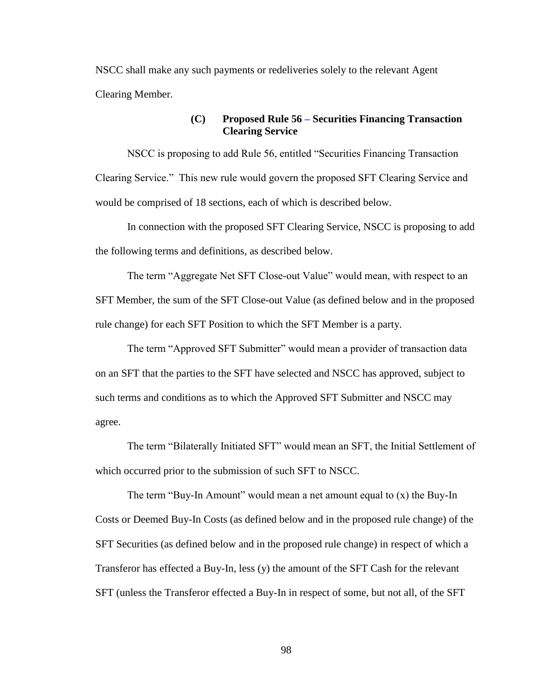NSCC shall make any such payments or redeliveries solely to the relevant Agent Clearing Member.

# **(C) Proposed Rule 56 – Securities Financing Transaction Clearing Service**

NSCC is proposing to add Rule 56, entitled "Securities Financing Transaction Clearing Service." This new rule would govern the proposed SFT Clearing Service and would be comprised of 18 sections, each of which is described below.

In connection with the proposed SFT Clearing Service, NSCC is proposing to add the following terms and definitions, as described below.

The term "Aggregate Net SFT Close-out Value" would mean, with respect to an SFT Member, the sum of the SFT Close-out Value (as defined below and in the proposed rule change) for each SFT Position to which the SFT Member is a party.

The term "Approved SFT Submitter" would mean a provider of transaction data on an SFT that the parties to the SFT have selected and NSCC has approved, subject to such terms and conditions as to which the Approved SFT Submitter and NSCC may agree.

The term "Bilaterally Initiated SFT" would mean an SFT, the Initial Settlement of which occurred prior to the submission of such SFT to NSCC.

The term "Buy-In Amount" would mean a net amount equal to (x) the Buy-In Costs or Deemed Buy-In Costs (as defined below and in the proposed rule change) of the SFT Securities (as defined below and in the proposed rule change) in respect of which a Transferor has effected a Buy-In, less (y) the amount of the SFT Cash for the relevant SFT (unless the Transferor effected a Buy-In in respect of some, but not all, of the SFT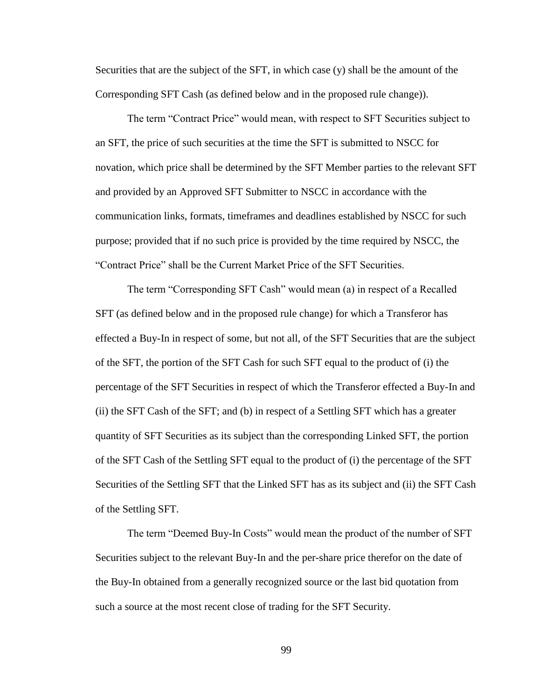Securities that are the subject of the SFT, in which case (y) shall be the amount of the Corresponding SFT Cash (as defined below and in the proposed rule change)).

The term "Contract Price" would mean, with respect to SFT Securities subject to an SFT, the price of such securities at the time the SFT is submitted to NSCC for novation, which price shall be determined by the SFT Member parties to the relevant SFT and provided by an Approved SFT Submitter to NSCC in accordance with the communication links, formats, timeframes and deadlines established by NSCC for such purpose; provided that if no such price is provided by the time required by NSCC, the "Contract Price" shall be the Current Market Price of the SFT Securities.

The term "Corresponding SFT Cash" would mean (a) in respect of a Recalled SFT (as defined below and in the proposed rule change) for which a Transferor has effected a Buy-In in respect of some, but not all, of the SFT Securities that are the subject of the SFT, the portion of the SFT Cash for such SFT equal to the product of (i) the percentage of the SFT Securities in respect of which the Transferor effected a Buy-In and (ii) the SFT Cash of the SFT; and (b) in respect of a Settling SFT which has a greater quantity of SFT Securities as its subject than the corresponding Linked SFT, the portion of the SFT Cash of the Settling SFT equal to the product of (i) the percentage of the SFT Securities of the Settling SFT that the Linked SFT has as its subject and (ii) the SFT Cash of the Settling SFT.

The term "Deemed Buy-In Costs" would mean the product of the number of SFT Securities subject to the relevant Buy-In and the per-share price therefor on the date of the Buy-In obtained from a generally recognized source or the last bid quotation from such a source at the most recent close of trading for the SFT Security.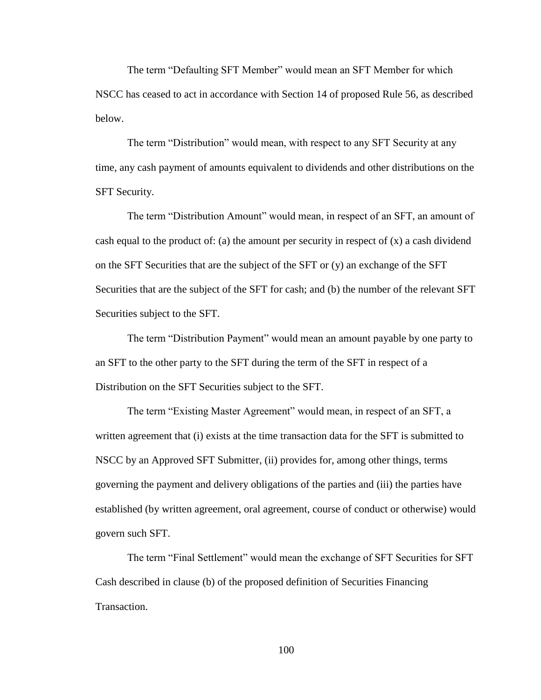The term "Defaulting SFT Member" would mean an SFT Member for which NSCC has ceased to act in accordance with Section 14 of proposed Rule 56, as described below.

The term "Distribution" would mean, with respect to any SFT Security at any time, any cash payment of amounts equivalent to dividends and other distributions on the SFT Security.

The term "Distribution Amount" would mean, in respect of an SFT, an amount of cash equal to the product of: (a) the amount per security in respect of  $(x)$  a cash dividend on the SFT Securities that are the subject of the SFT or (y) an exchange of the SFT Securities that are the subject of the SFT for cash; and (b) the number of the relevant SFT Securities subject to the SFT.

The term "Distribution Payment" would mean an amount payable by one party to an SFT to the other party to the SFT during the term of the SFT in respect of a Distribution on the SFT Securities subject to the SFT.

The term "Existing Master Agreement" would mean, in respect of an SFT, a written agreement that (i) exists at the time transaction data for the SFT is submitted to NSCC by an Approved SFT Submitter, (ii) provides for, among other things, terms governing the payment and delivery obligations of the parties and (iii) the parties have established (by written agreement, oral agreement, course of conduct or otherwise) would govern such SFT.

The term "Final Settlement" would mean the exchange of SFT Securities for SFT Cash described in clause (b) of the proposed definition of Securities Financing Transaction.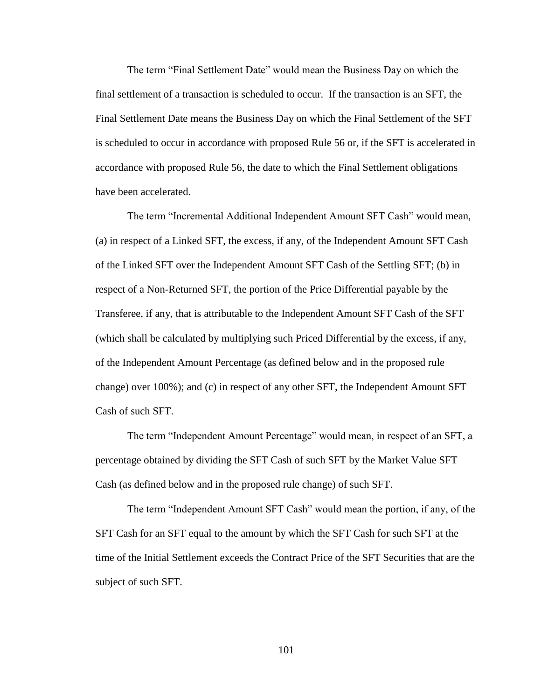The term "Final Settlement Date" would mean the Business Day on which the final settlement of a transaction is scheduled to occur. If the transaction is an SFT, the Final Settlement Date means the Business Day on which the Final Settlement of the SFT is scheduled to occur in accordance with proposed Rule 56 or, if the SFT is accelerated in accordance with proposed Rule 56, the date to which the Final Settlement obligations have been accelerated.

The term "Incremental Additional Independent Amount SFT Cash" would mean, (a) in respect of a Linked SFT, the excess, if any, of the Independent Amount SFT Cash of the Linked SFT over the Independent Amount SFT Cash of the Settling SFT; (b) in respect of a Non-Returned SFT, the portion of the Price Differential payable by the Transferee, if any, that is attributable to the Independent Amount SFT Cash of the SFT (which shall be calculated by multiplying such Priced Differential by the excess, if any, of the Independent Amount Percentage (as defined below and in the proposed rule change) over 100%); and (c) in respect of any other SFT, the Independent Amount SFT Cash of such SFT.

The term "Independent Amount Percentage" would mean, in respect of an SFT, a percentage obtained by dividing the SFT Cash of such SFT by the Market Value SFT Cash (as defined below and in the proposed rule change) of such SFT.

The term "Independent Amount SFT Cash" would mean the portion, if any, of the SFT Cash for an SFT equal to the amount by which the SFT Cash for such SFT at the time of the Initial Settlement exceeds the Contract Price of the SFT Securities that are the subject of such SFT.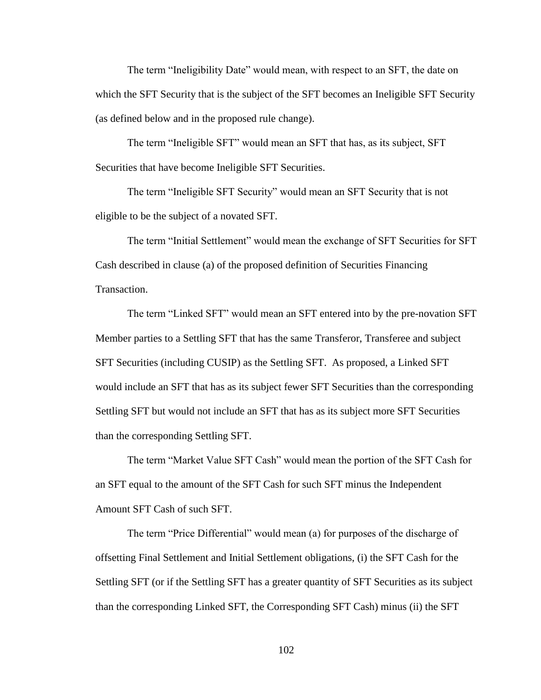The term "Ineligibility Date" would mean, with respect to an SFT, the date on which the SFT Security that is the subject of the SFT becomes an Ineligible SFT Security (as defined below and in the proposed rule change).

The term "Ineligible SFT" would mean an SFT that has, as its subject, SFT Securities that have become Ineligible SFT Securities.

The term "Ineligible SFT Security" would mean an SFT Security that is not eligible to be the subject of a novated SFT.

The term "Initial Settlement" would mean the exchange of SFT Securities for SFT Cash described in clause (a) of the proposed definition of Securities Financing Transaction.

The term "Linked SFT" would mean an SFT entered into by the pre-novation SFT Member parties to a Settling SFT that has the same Transferor, Transferee and subject SFT Securities (including CUSIP) as the Settling SFT. As proposed, a Linked SFT would include an SFT that has as its subject fewer SFT Securities than the corresponding Settling SFT but would not include an SFT that has as its subject more SFT Securities than the corresponding Settling SFT.

The term "Market Value SFT Cash" would mean the portion of the SFT Cash for an SFT equal to the amount of the SFT Cash for such SFT minus the Independent Amount SFT Cash of such SFT.

The term "Price Differential" would mean (a) for purposes of the discharge of offsetting Final Settlement and Initial Settlement obligations, (i) the SFT Cash for the Settling SFT (or if the Settling SFT has a greater quantity of SFT Securities as its subject than the corresponding Linked SFT, the Corresponding SFT Cash) minus (ii) the SFT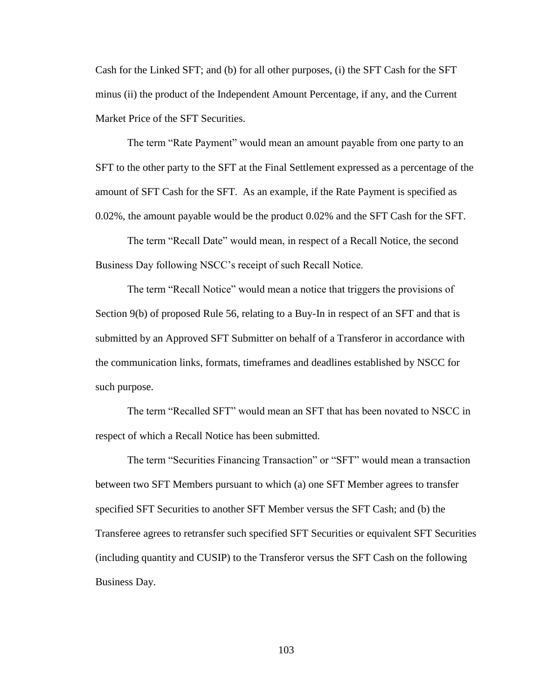Cash for the Linked SFT; and (b) for all other purposes, (i) the SFT Cash for the SFT minus (ii) the product of the Independent Amount Percentage, if any, and the Current Market Price of the SFT Securities.

The term "Rate Payment" would mean an amount payable from one party to an SFT to the other party to the SFT at the Final Settlement expressed as a percentage of the amount of SFT Cash for the SFT. As an example, if the Rate Payment is specified as 0.02%, the amount payable would be the product 0.02% and the SFT Cash for the SFT.

The term "Recall Date" would mean, in respect of a Recall Notice, the second Business Day following NSCC's receipt of such Recall Notice.

The term "Recall Notice" would mean a notice that triggers the provisions of Section 9(b) of proposed Rule 56, relating to a Buy-In in respect of an SFT and that is submitted by an Approved SFT Submitter on behalf of a Transferor in accordance with the communication links, formats, timeframes and deadlines established by NSCC for such purpose.

The term "Recalled SFT" would mean an SFT that has been novated to NSCC in respect of which a Recall Notice has been submitted.

The term "Securities Financing Transaction" or "SFT" would mean a transaction between two SFT Members pursuant to which (a) one SFT Member agrees to transfer specified SFT Securities to another SFT Member versus the SFT Cash; and (b) the Transferee agrees to retransfer such specified SFT Securities or equivalent SFT Securities (including quantity and CUSIP) to the Transferor versus the SFT Cash on the following Business Day.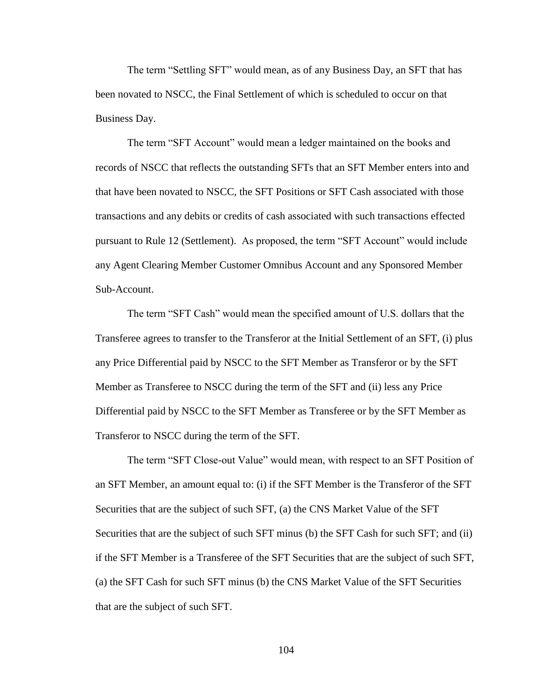The term "Settling SFT" would mean, as of any Business Day, an SFT that has been novated to NSCC, the Final Settlement of which is scheduled to occur on that Business Day.

The term "SFT Account" would mean a ledger maintained on the books and records of NSCC that reflects the outstanding SFTs that an SFT Member enters into and that have been novated to NSCC, the SFT Positions or SFT Cash associated with those transactions and any debits or credits of cash associated with such transactions effected pursuant to Rule 12 (Settlement). As proposed, the term "SFT Account" would include any Agent Clearing Member Customer Omnibus Account and any Sponsored Member Sub-Account.

The term "SFT Cash" would mean the specified amount of U.S. dollars that the Transferee agrees to transfer to the Transferor at the Initial Settlement of an SFT, (i) plus any Price Differential paid by NSCC to the SFT Member as Transferor or by the SFT Member as Transferee to NSCC during the term of the SFT and (ii) less any Price Differential paid by NSCC to the SFT Member as Transferee or by the SFT Member as Transferor to NSCC during the term of the SFT.

The term "SFT Close-out Value" would mean, with respect to an SFT Position of an SFT Member, an amount equal to: (i) if the SFT Member is the Transferor of the SFT Securities that are the subject of such SFT, (a) the CNS Market Value of the SFT Securities that are the subject of such SFT minus (b) the SFT Cash for such SFT; and (ii) if the SFT Member is a Transferee of the SFT Securities that are the subject of such SFT, (a) the SFT Cash for such SFT minus (b) the CNS Market Value of the SFT Securities that are the subject of such SFT.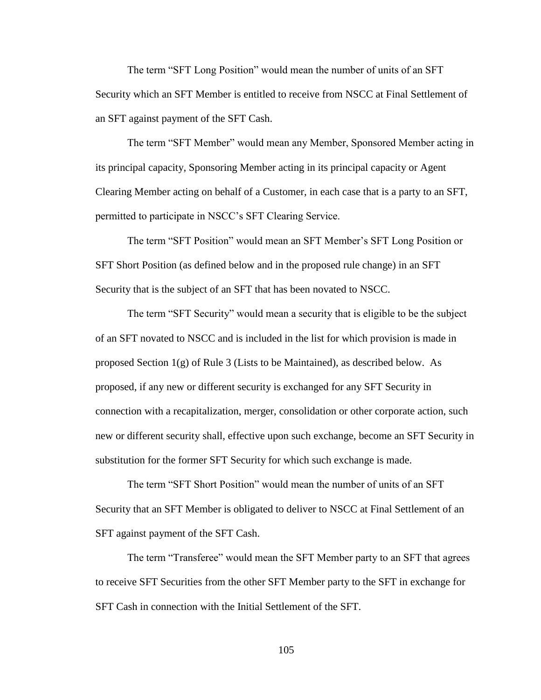The term "SFT Long Position" would mean the number of units of an SFT Security which an SFT Member is entitled to receive from NSCC at Final Settlement of an SFT against payment of the SFT Cash.

The term "SFT Member" would mean any Member, Sponsored Member acting in its principal capacity, Sponsoring Member acting in its principal capacity or Agent Clearing Member acting on behalf of a Customer, in each case that is a party to an SFT, permitted to participate in NSCC's SFT Clearing Service.

The term "SFT Position" would mean an SFT Member's SFT Long Position or SFT Short Position (as defined below and in the proposed rule change) in an SFT Security that is the subject of an SFT that has been novated to NSCC.

The term "SFT Security" would mean a security that is eligible to be the subject of an SFT novated to NSCC and is included in the list for which provision is made in proposed Section  $1(g)$  of Rule 3 (Lists to be Maintained), as described below. As proposed, if any new or different security is exchanged for any SFT Security in connection with a recapitalization, merger, consolidation or other corporate action, such new or different security shall, effective upon such exchange, become an SFT Security in substitution for the former SFT Security for which such exchange is made.

The term "SFT Short Position" would mean the number of units of an SFT Security that an SFT Member is obligated to deliver to NSCC at Final Settlement of an SFT against payment of the SFT Cash.

The term "Transferee" would mean the SFT Member party to an SFT that agrees to receive SFT Securities from the other SFT Member party to the SFT in exchange for SFT Cash in connection with the Initial Settlement of the SFT.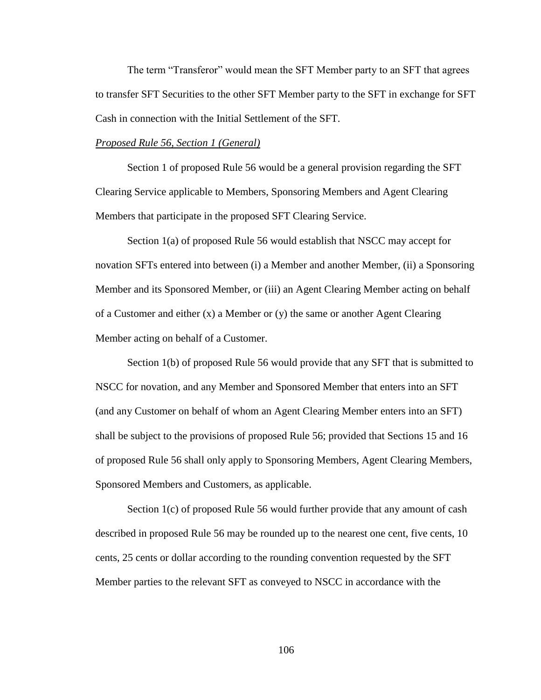The term "Transferor" would mean the SFT Member party to an SFT that agrees to transfer SFT Securities to the other SFT Member party to the SFT in exchange for SFT Cash in connection with the Initial Settlement of the SFT.

### *Proposed Rule 56, Section 1 (General)*

Section 1 of proposed Rule 56 would be a general provision regarding the SFT Clearing Service applicable to Members, Sponsoring Members and Agent Clearing Members that participate in the proposed SFT Clearing Service.

Section 1(a) of proposed Rule 56 would establish that NSCC may accept for novation SFTs entered into between (i) a Member and another Member, (ii) a Sponsoring Member and its Sponsored Member, or (iii) an Agent Clearing Member acting on behalf of a Customer and either  $(x)$  a Member or  $(y)$  the same or another Agent Clearing Member acting on behalf of a Customer.

Section 1(b) of proposed Rule 56 would provide that any SFT that is submitted to NSCC for novation, and any Member and Sponsored Member that enters into an SFT (and any Customer on behalf of whom an Agent Clearing Member enters into an SFT) shall be subject to the provisions of proposed Rule 56; provided that Sections 15 and 16 of proposed Rule 56 shall only apply to Sponsoring Members, Agent Clearing Members, Sponsored Members and Customers, as applicable.

Section 1(c) of proposed Rule 56 would further provide that any amount of cash described in proposed Rule 56 may be rounded up to the nearest one cent, five cents, 10 cents, 25 cents or dollar according to the rounding convention requested by the SFT Member parties to the relevant SFT as conveyed to NSCC in accordance with the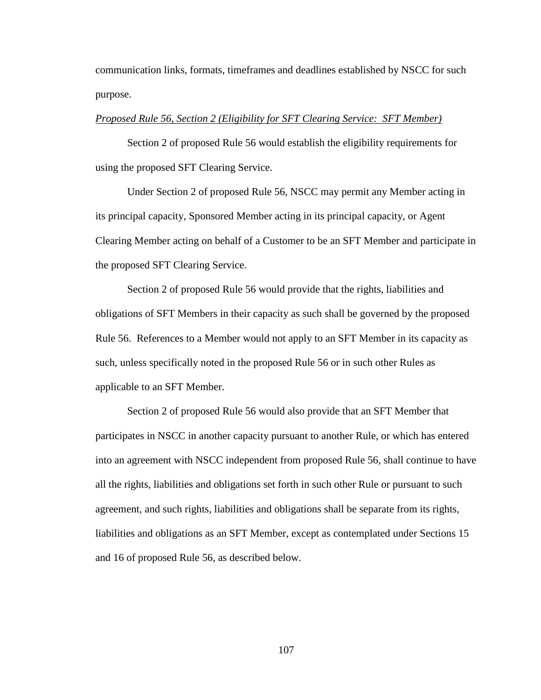communication links, formats, timeframes and deadlines established by NSCC for such purpose.

#### *Proposed Rule 56, Section 2 (Eligibility for SFT Clearing Service: SFT Member)*

Section 2 of proposed Rule 56 would establish the eligibility requirements for using the proposed SFT Clearing Service.

Under Section 2 of proposed Rule 56, NSCC may permit any Member acting in its principal capacity, Sponsored Member acting in its principal capacity, or Agent Clearing Member acting on behalf of a Customer to be an SFT Member and participate in the proposed SFT Clearing Service.

Section 2 of proposed Rule 56 would provide that the rights, liabilities and obligations of SFT Members in their capacity as such shall be governed by the proposed Rule 56. References to a Member would not apply to an SFT Member in its capacity as such, unless specifically noted in the proposed Rule 56 or in such other Rules as applicable to an SFT Member.

Section 2 of proposed Rule 56 would also provide that an SFT Member that participates in NSCC in another capacity pursuant to another Rule, or which has entered into an agreement with NSCC independent from proposed Rule 56, shall continue to have all the rights, liabilities and obligations set forth in such other Rule or pursuant to such agreement, and such rights, liabilities and obligations shall be separate from its rights, liabilities and obligations as an SFT Member, except as contemplated under Sections 15 and 16 of proposed Rule 56, as described below.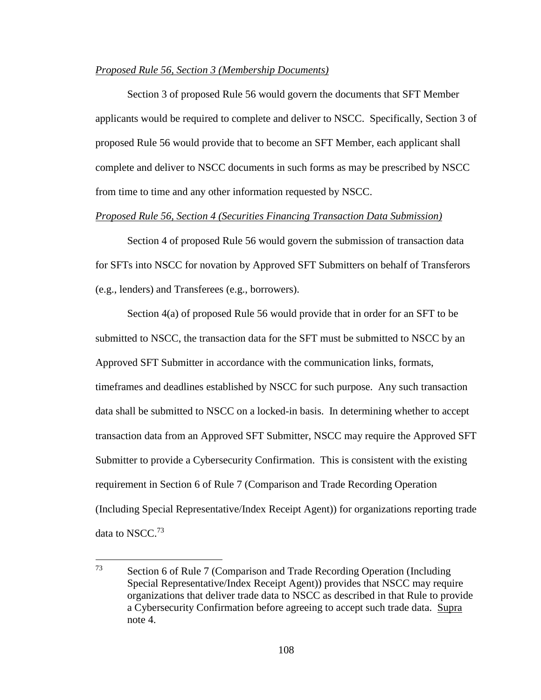## *Proposed Rule 56, Section 3 (Membership Documents)*

Section 3 of proposed Rule 56 would govern the documents that SFT Member applicants would be required to complete and deliver to NSCC. Specifically, Section 3 of proposed Rule 56 would provide that to become an SFT Member, each applicant shall complete and deliver to NSCC documents in such forms as may be prescribed by NSCC from time to time and any other information requested by NSCC.

## *Proposed Rule 56, Section 4 (Securities Financing Transaction Data Submission)*

Section 4 of proposed Rule 56 would govern the submission of transaction data for SFTs into NSCC for novation by Approved SFT Submitters on behalf of Transferors (e.g., lenders) and Transferees (e.g., borrowers).

Section 4(a) of proposed Rule 56 would provide that in order for an SFT to be submitted to NSCC, the transaction data for the SFT must be submitted to NSCC by an Approved SFT Submitter in accordance with the communication links, formats, timeframes and deadlines established by NSCC for such purpose. Any such transaction data shall be submitted to NSCC on a locked-in basis. In determining whether to accept transaction data from an Approved SFT Submitter, NSCC may require the Approved SFT Submitter to provide a Cybersecurity Confirmation. This is consistent with the existing requirement in Section 6 of Rule 7 (Comparison and Trade Recording Operation (Including Special Representative/Index Receipt Agent)) for organizations reporting trade data to NSCC.<sup>73</sup>

 $\overline{a}$ 

<sup>73</sup> Section 6 of Rule 7 (Comparison and Trade Recording Operation (Including Special Representative/Index Receipt Agent)) provides that NSCC may require organizations that deliver trade data to NSCC as described in that Rule to provide a Cybersecurity Confirmation before agreeing to accept such trade data. Supra note 4.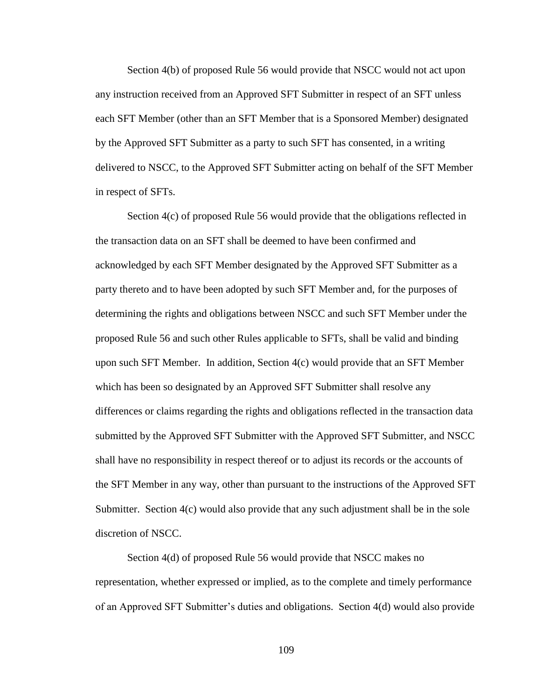Section 4(b) of proposed Rule 56 would provide that NSCC would not act upon any instruction received from an Approved SFT Submitter in respect of an SFT unless each SFT Member (other than an SFT Member that is a Sponsored Member) designated by the Approved SFT Submitter as a party to such SFT has consented, in a writing delivered to NSCC, to the Approved SFT Submitter acting on behalf of the SFT Member in respect of SFTs.

Section 4(c) of proposed Rule 56 would provide that the obligations reflected in the transaction data on an SFT shall be deemed to have been confirmed and acknowledged by each SFT Member designated by the Approved SFT Submitter as a party thereto and to have been adopted by such SFT Member and, for the purposes of determining the rights and obligations between NSCC and such SFT Member under the proposed Rule 56 and such other Rules applicable to SFTs, shall be valid and binding upon such SFT Member. In addition, Section 4(c) would provide that an SFT Member which has been so designated by an Approved SFT Submitter shall resolve any differences or claims regarding the rights and obligations reflected in the transaction data submitted by the Approved SFT Submitter with the Approved SFT Submitter, and NSCC shall have no responsibility in respect thereof or to adjust its records or the accounts of the SFT Member in any way, other than pursuant to the instructions of the Approved SFT Submitter. Section 4(c) would also provide that any such adjustment shall be in the sole discretion of NSCC.

Section 4(d) of proposed Rule 56 would provide that NSCC makes no representation, whether expressed or implied, as to the complete and timely performance of an Approved SFT Submitter's duties and obligations. Section 4(d) would also provide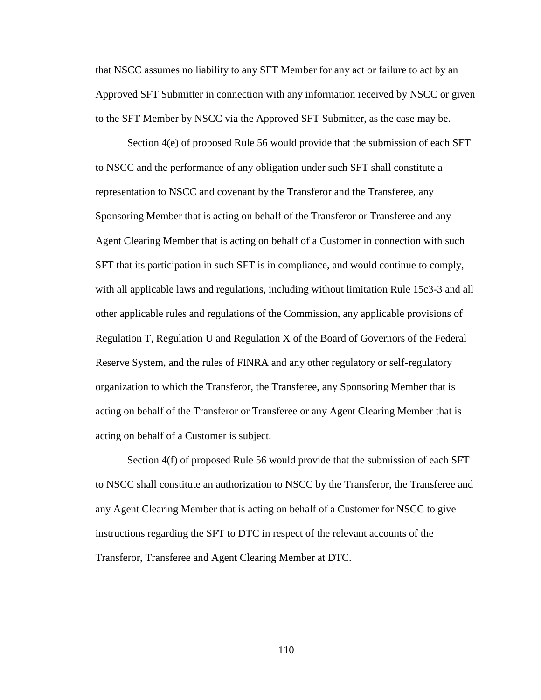that NSCC assumes no liability to any SFT Member for any act or failure to act by an Approved SFT Submitter in connection with any information received by NSCC or given to the SFT Member by NSCC via the Approved SFT Submitter, as the case may be.

Section 4(e) of proposed Rule 56 would provide that the submission of each SFT to NSCC and the performance of any obligation under such SFT shall constitute a representation to NSCC and covenant by the Transferor and the Transferee, any Sponsoring Member that is acting on behalf of the Transferor or Transferee and any Agent Clearing Member that is acting on behalf of a Customer in connection with such SFT that its participation in such SFT is in compliance, and would continue to comply, with all applicable laws and regulations, including without limitation Rule 15c3-3 and all other applicable rules and regulations of the Commission, any applicable provisions of Regulation T, Regulation U and Regulation X of the Board of Governors of the Federal Reserve System, and the rules of FINRA and any other regulatory or self-regulatory organization to which the Transferor, the Transferee, any Sponsoring Member that is acting on behalf of the Transferor or Transferee or any Agent Clearing Member that is acting on behalf of a Customer is subject.

Section 4(f) of proposed Rule 56 would provide that the submission of each SFT to NSCC shall constitute an authorization to NSCC by the Transferor, the Transferee and any Agent Clearing Member that is acting on behalf of a Customer for NSCC to give instructions regarding the SFT to DTC in respect of the relevant accounts of the Transferor, Transferee and Agent Clearing Member at DTC.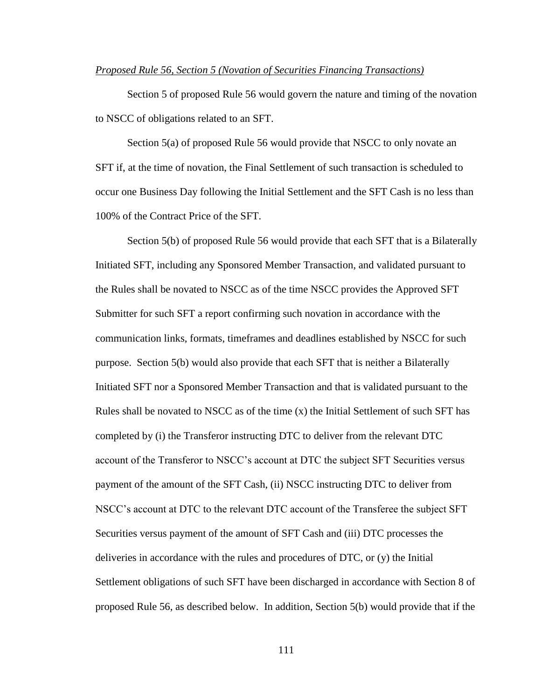## *Proposed Rule 56, Section 5 (Novation of Securities Financing Transactions)*

Section 5 of proposed Rule 56 would govern the nature and timing of the novation to NSCC of obligations related to an SFT.

Section 5(a) of proposed Rule 56 would provide that NSCC to only novate an SFT if, at the time of novation, the Final Settlement of such transaction is scheduled to occur one Business Day following the Initial Settlement and the SFT Cash is no less than 100% of the Contract Price of the SFT.

Section 5(b) of proposed Rule 56 would provide that each SFT that is a Bilaterally Initiated SFT, including any Sponsored Member Transaction, and validated pursuant to the Rules shall be novated to NSCC as of the time NSCC provides the Approved SFT Submitter for such SFT a report confirming such novation in accordance with the communication links, formats, timeframes and deadlines established by NSCC for such purpose. Section 5(b) would also provide that each SFT that is neither a Bilaterally Initiated SFT nor a Sponsored Member Transaction and that is validated pursuant to the Rules shall be novated to NSCC as of the time  $(x)$  the Initial Settlement of such SFT has completed by (i) the Transferor instructing DTC to deliver from the relevant DTC account of the Transferor to NSCC's account at DTC the subject SFT Securities versus payment of the amount of the SFT Cash, (ii) NSCC instructing DTC to deliver from NSCC's account at DTC to the relevant DTC account of the Transferee the subject SFT Securities versus payment of the amount of SFT Cash and (iii) DTC processes the deliveries in accordance with the rules and procedures of DTC, or (y) the Initial Settlement obligations of such SFT have been discharged in accordance with Section 8 of proposed Rule 56, as described below. In addition, Section 5(b) would provide that if the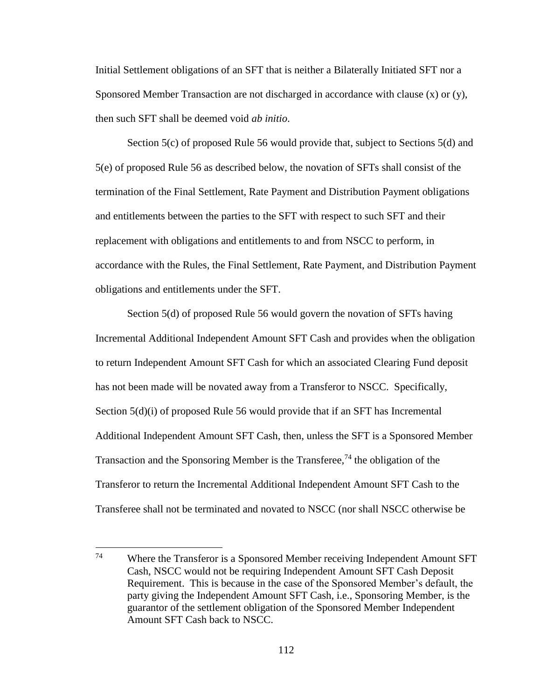Initial Settlement obligations of an SFT that is neither a Bilaterally Initiated SFT nor a Sponsored Member Transaction are not discharged in accordance with clause (x) or (y), then such SFT shall be deemed void *ab initio*.

Section 5(c) of proposed Rule 56 would provide that, subject to Sections 5(d) and 5(e) of proposed Rule 56 as described below, the novation of SFTs shall consist of the termination of the Final Settlement, Rate Payment and Distribution Payment obligations and entitlements between the parties to the SFT with respect to such SFT and their replacement with obligations and entitlements to and from NSCC to perform, in accordance with the Rules, the Final Settlement, Rate Payment, and Distribution Payment obligations and entitlements under the SFT.

Section 5(d) of proposed Rule 56 would govern the novation of SFTs having Incremental Additional Independent Amount SFT Cash and provides when the obligation to return Independent Amount SFT Cash for which an associated Clearing Fund deposit has not been made will be novated away from a Transferor to NSCC. Specifically, Section 5(d)(i) of proposed Rule 56 would provide that if an SFT has Incremental Additional Independent Amount SFT Cash, then, unless the SFT is a Sponsored Member Transaction and the Sponsoring Member is the Transferee,<sup>74</sup> the obligation of the Transferor to return the Incremental Additional Independent Amount SFT Cash to the Transferee shall not be terminated and novated to NSCC (nor shall NSCC otherwise be

<sup>74</sup> Where the Transferor is a Sponsored Member receiving Independent Amount SFT Cash, NSCC would not be requiring Independent Amount SFT Cash Deposit Requirement. This is because in the case of the Sponsored Member's default, the party giving the Independent Amount SFT Cash, i.e., Sponsoring Member, is the guarantor of the settlement obligation of the Sponsored Member Independent Amount SFT Cash back to NSCC.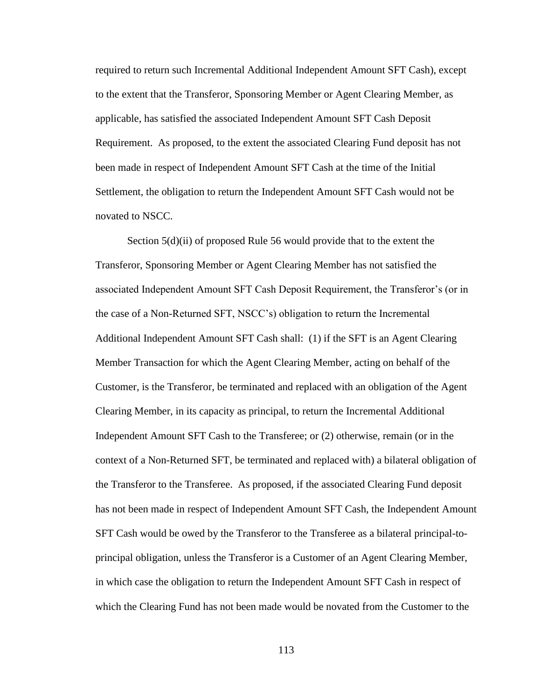required to return such Incremental Additional Independent Amount SFT Cash), except to the extent that the Transferor, Sponsoring Member or Agent Clearing Member, as applicable, has satisfied the associated Independent Amount SFT Cash Deposit Requirement. As proposed, to the extent the associated Clearing Fund deposit has not been made in respect of Independent Amount SFT Cash at the time of the Initial Settlement, the obligation to return the Independent Amount SFT Cash would not be novated to NSCC.

Section 5(d)(ii) of proposed Rule 56 would provide that to the extent the Transferor, Sponsoring Member or Agent Clearing Member has not satisfied the associated Independent Amount SFT Cash Deposit Requirement, the Transferor's (or in the case of a Non-Returned SFT, NSCC's) obligation to return the Incremental Additional Independent Amount SFT Cash shall: (1) if the SFT is an Agent Clearing Member Transaction for which the Agent Clearing Member, acting on behalf of the Customer, is the Transferor, be terminated and replaced with an obligation of the Agent Clearing Member, in its capacity as principal, to return the Incremental Additional Independent Amount SFT Cash to the Transferee; or (2) otherwise, remain (or in the context of a Non-Returned SFT, be terminated and replaced with) a bilateral obligation of the Transferor to the Transferee. As proposed, if the associated Clearing Fund deposit has not been made in respect of Independent Amount SFT Cash, the Independent Amount SFT Cash would be owed by the Transferor to the Transferee as a bilateral principal-toprincipal obligation, unless the Transferor is a Customer of an Agent Clearing Member, in which case the obligation to return the Independent Amount SFT Cash in respect of which the Clearing Fund has not been made would be novated from the Customer to the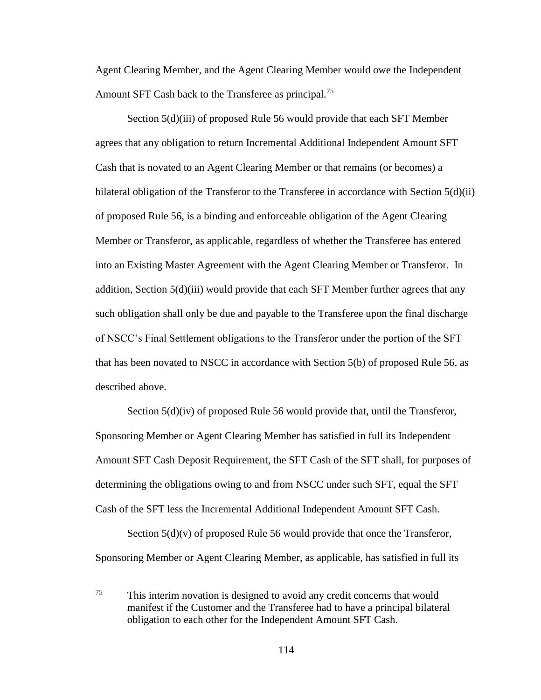Agent Clearing Member, and the Agent Clearing Member would owe the Independent Amount SFT Cash back to the Transferee as principal.<sup>75</sup>

Section 5(d)(iii) of proposed Rule 56 would provide that each SFT Member agrees that any obligation to return Incremental Additional Independent Amount SFT Cash that is novated to an Agent Clearing Member or that remains (or becomes) a bilateral obligation of the Transferor to the Transferee in accordance with Section 5(d)(ii) of proposed Rule 56, is a binding and enforceable obligation of the Agent Clearing Member or Transferor, as applicable, regardless of whether the Transferee has entered into an Existing Master Agreement with the Agent Clearing Member or Transferor. In addition, Section 5(d)(iii) would provide that each SFT Member further agrees that any such obligation shall only be due and payable to the Transferee upon the final discharge of NSCC's Final Settlement obligations to the Transferor under the portion of the SFT that has been novated to NSCC in accordance with Section 5(b) of proposed Rule 56, as described above.

Section  $5(d)(iv)$  of proposed Rule 56 would provide that, until the Transferor, Sponsoring Member or Agent Clearing Member has satisfied in full its Independent Amount SFT Cash Deposit Requirement, the SFT Cash of the SFT shall, for purposes of determining the obligations owing to and from NSCC under such SFT, equal the SFT Cash of the SFT less the Incremental Additional Independent Amount SFT Cash.

Section  $5(d)(v)$  of proposed Rule 56 would provide that once the Transferor, Sponsoring Member or Agent Clearing Member, as applicable, has satisfied in full its

<sup>75</sup> This interim novation is designed to avoid any credit concerns that would manifest if the Customer and the Transferee had to have a principal bilateral obligation to each other for the Independent Amount SFT Cash.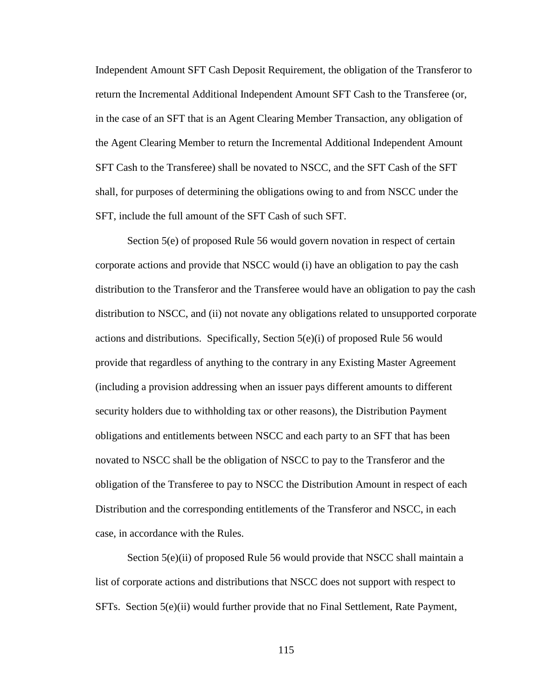Independent Amount SFT Cash Deposit Requirement, the obligation of the Transferor to return the Incremental Additional Independent Amount SFT Cash to the Transferee (or, in the case of an SFT that is an Agent Clearing Member Transaction, any obligation of the Agent Clearing Member to return the Incremental Additional Independent Amount SFT Cash to the Transferee) shall be novated to NSCC, and the SFT Cash of the SFT shall, for purposes of determining the obligations owing to and from NSCC under the SFT, include the full amount of the SFT Cash of such SFT.

Section 5(e) of proposed Rule 56 would govern novation in respect of certain corporate actions and provide that NSCC would (i) have an obligation to pay the cash distribution to the Transferor and the Transferee would have an obligation to pay the cash distribution to NSCC, and (ii) not novate any obligations related to unsupported corporate actions and distributions. Specifically, Section  $5(e)(i)$  of proposed Rule 56 would provide that regardless of anything to the contrary in any Existing Master Agreement (including a provision addressing when an issuer pays different amounts to different security holders due to withholding tax or other reasons), the Distribution Payment obligations and entitlements between NSCC and each party to an SFT that has been novated to NSCC shall be the obligation of NSCC to pay to the Transferor and the obligation of the Transferee to pay to NSCC the Distribution Amount in respect of each Distribution and the corresponding entitlements of the Transferor and NSCC, in each case, in accordance with the Rules.

Section 5(e)(ii) of proposed Rule 56 would provide that NSCC shall maintain a list of corporate actions and distributions that NSCC does not support with respect to SFTs. Section 5(e)(ii) would further provide that no Final Settlement, Rate Payment,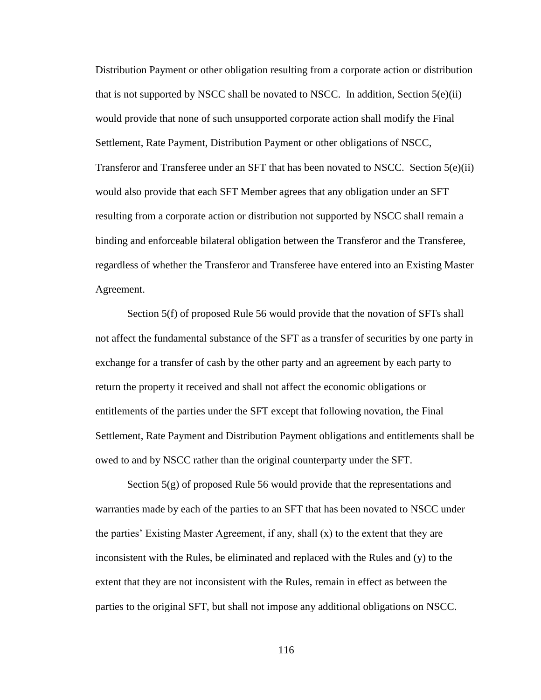Distribution Payment or other obligation resulting from a corporate action or distribution that is not supported by NSCC shall be novated to NSCC. In addition, Section  $5(e)(ii)$ would provide that none of such unsupported corporate action shall modify the Final Settlement, Rate Payment, Distribution Payment or other obligations of NSCC, Transferor and Transferee under an SFT that has been novated to NSCC. Section 5(e)(ii) would also provide that each SFT Member agrees that any obligation under an SFT resulting from a corporate action or distribution not supported by NSCC shall remain a binding and enforceable bilateral obligation between the Transferor and the Transferee, regardless of whether the Transferor and Transferee have entered into an Existing Master Agreement.

Section 5(f) of proposed Rule 56 would provide that the novation of SFTs shall not affect the fundamental substance of the SFT as a transfer of securities by one party in exchange for a transfer of cash by the other party and an agreement by each party to return the property it received and shall not affect the economic obligations or entitlements of the parties under the SFT except that following novation, the Final Settlement, Rate Payment and Distribution Payment obligations and entitlements shall be owed to and by NSCC rather than the original counterparty under the SFT.

Section 5(g) of proposed Rule 56 would provide that the representations and warranties made by each of the parties to an SFT that has been novated to NSCC under the parties' Existing Master Agreement, if any, shall  $(x)$  to the extent that they are inconsistent with the Rules, be eliminated and replaced with the Rules and (y) to the extent that they are not inconsistent with the Rules, remain in effect as between the parties to the original SFT, but shall not impose any additional obligations on NSCC.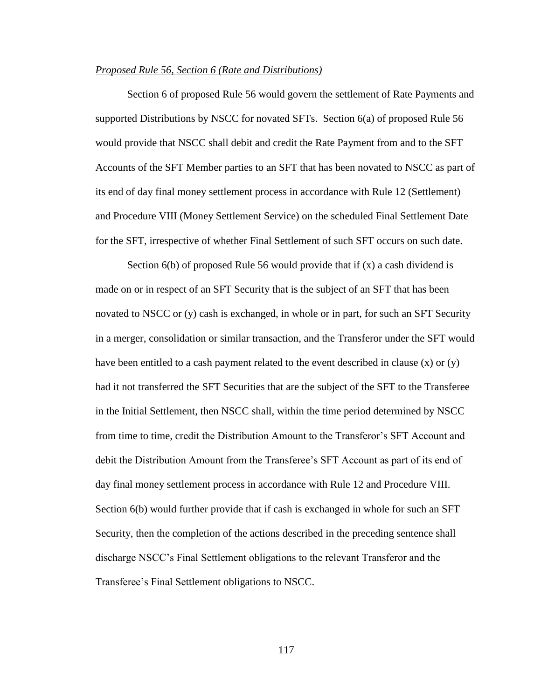## *Proposed Rule 56, Section 6 (Rate and Distributions)*

Section 6 of proposed Rule 56 would govern the settlement of Rate Payments and supported Distributions by NSCC for novated SFTs. Section 6(a) of proposed Rule 56 would provide that NSCC shall debit and credit the Rate Payment from and to the SFT Accounts of the SFT Member parties to an SFT that has been novated to NSCC as part of its end of day final money settlement process in accordance with Rule 12 (Settlement) and Procedure VIII (Money Settlement Service) on the scheduled Final Settlement Date for the SFT, irrespective of whether Final Settlement of such SFT occurs on such date.

Section 6(b) of proposed Rule 56 would provide that if (x) a cash dividend is made on or in respect of an SFT Security that is the subject of an SFT that has been novated to NSCC or (y) cash is exchanged, in whole or in part, for such an SFT Security in a merger, consolidation or similar transaction, and the Transferor under the SFT would have been entitled to a cash payment related to the event described in clause  $(x)$  or  $(y)$ had it not transferred the SFT Securities that are the subject of the SFT to the Transferee in the Initial Settlement, then NSCC shall, within the time period determined by NSCC from time to time, credit the Distribution Amount to the Transferor's SFT Account and debit the Distribution Amount from the Transferee's SFT Account as part of its end of day final money settlement process in accordance with Rule 12 and Procedure VIII. Section 6(b) would further provide that if cash is exchanged in whole for such an SFT Security, then the completion of the actions described in the preceding sentence shall discharge NSCC's Final Settlement obligations to the relevant Transferor and the Transferee's Final Settlement obligations to NSCC.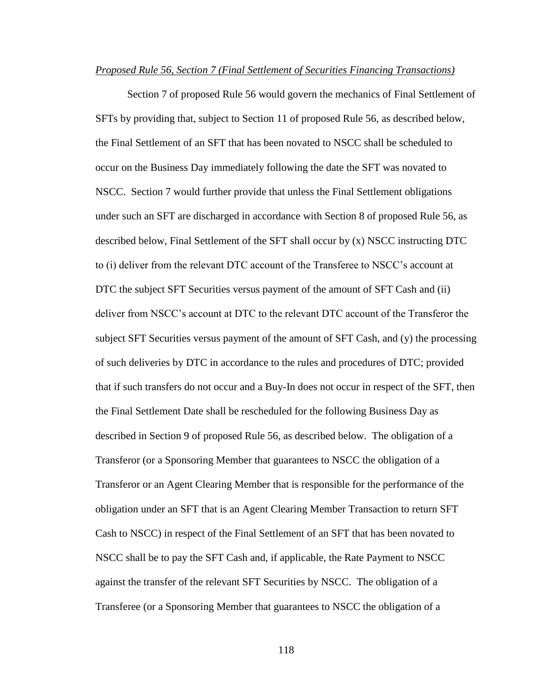## *Proposed Rule 56, Section 7 (Final Settlement of Securities Financing Transactions)*

Section 7 of proposed Rule 56 would govern the mechanics of Final Settlement of SFTs by providing that, subject to Section 11 of proposed Rule 56, as described below, the Final Settlement of an SFT that has been novated to NSCC shall be scheduled to occur on the Business Day immediately following the date the SFT was novated to NSCC. Section 7 would further provide that unless the Final Settlement obligations under such an SFT are discharged in accordance with Section 8 of proposed Rule 56, as described below, Final Settlement of the SFT shall occur by (x) NSCC instructing DTC to (i) deliver from the relevant DTC account of the Transferee to NSCC's account at DTC the subject SFT Securities versus payment of the amount of SFT Cash and (ii) deliver from NSCC's account at DTC to the relevant DTC account of the Transferor the subject SFT Securities versus payment of the amount of SFT Cash, and (y) the processing of such deliveries by DTC in accordance to the rules and procedures of DTC; provided that if such transfers do not occur and a Buy-In does not occur in respect of the SFT, then the Final Settlement Date shall be rescheduled for the following Business Day as described in Section 9 of proposed Rule 56, as described below. The obligation of a Transferor (or a Sponsoring Member that guarantees to NSCC the obligation of a Transferor or an Agent Clearing Member that is responsible for the performance of the obligation under an SFT that is an Agent Clearing Member Transaction to return SFT Cash to NSCC) in respect of the Final Settlement of an SFT that has been novated to NSCC shall be to pay the SFT Cash and, if applicable, the Rate Payment to NSCC against the transfer of the relevant SFT Securities by NSCC. The obligation of a Transferee (or a Sponsoring Member that guarantees to NSCC the obligation of a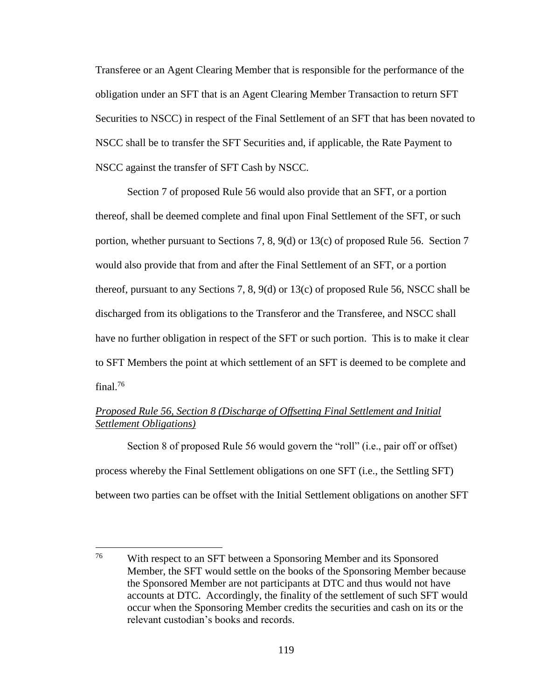Transferee or an Agent Clearing Member that is responsible for the performance of the obligation under an SFT that is an Agent Clearing Member Transaction to return SFT Securities to NSCC) in respect of the Final Settlement of an SFT that has been novated to NSCC shall be to transfer the SFT Securities and, if applicable, the Rate Payment to NSCC against the transfer of SFT Cash by NSCC.

Section 7 of proposed Rule 56 would also provide that an SFT, or a portion thereof, shall be deemed complete and final upon Final Settlement of the SFT, or such portion, whether pursuant to Sections 7, 8, 9(d) or 13(c) of proposed Rule 56. Section 7 would also provide that from and after the Final Settlement of an SFT, or a portion thereof, pursuant to any Sections 7, 8, 9(d) or 13(c) of proposed Rule 56, NSCC shall be discharged from its obligations to the Transferor and the Transferee, and NSCC shall have no further obligation in respect of the SFT or such portion. This is to make it clear to SFT Members the point at which settlement of an SFT is deemed to be complete and final.<sup>76</sup>

# *Proposed Rule 56, Section 8 (Discharge of Offsetting Final Settlement and Initial Settlement Obligations)*

Section 8 of proposed Rule 56 would govern the "roll" (i.e., pair off or offset) process whereby the Final Settlement obligations on one SFT (i.e., the Settling SFT) between two parties can be offset with the Initial Settlement obligations on another SFT

<sup>76</sup> With respect to an SFT between a Sponsoring Member and its Sponsored Member, the SFT would settle on the books of the Sponsoring Member because the Sponsored Member are not participants at DTC and thus would not have accounts at DTC. Accordingly, the finality of the settlement of such SFT would occur when the Sponsoring Member credits the securities and cash on its or the relevant custodian's books and records.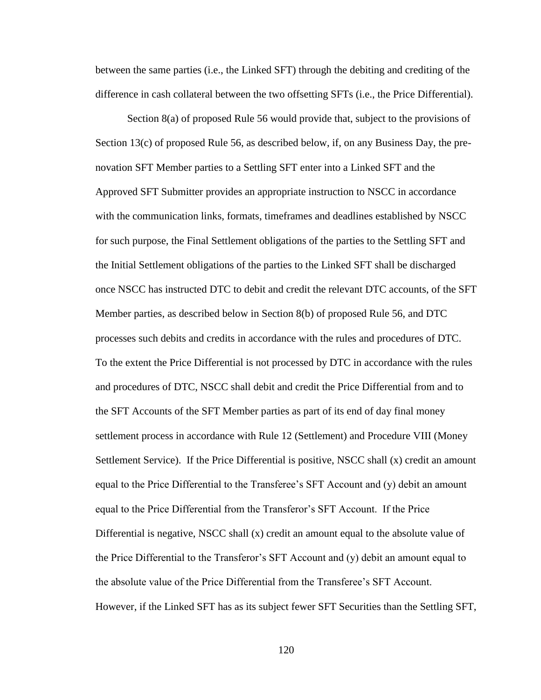between the same parties (i.e., the Linked SFT) through the debiting and crediting of the difference in cash collateral between the two offsetting SFTs (i.e., the Price Differential).

Section 8(a) of proposed Rule 56 would provide that, subject to the provisions of Section 13(c) of proposed Rule 56, as described below, if, on any Business Day, the prenovation SFT Member parties to a Settling SFT enter into a Linked SFT and the Approved SFT Submitter provides an appropriate instruction to NSCC in accordance with the communication links, formats, timeframes and deadlines established by NSCC for such purpose, the Final Settlement obligations of the parties to the Settling SFT and the Initial Settlement obligations of the parties to the Linked SFT shall be discharged once NSCC has instructed DTC to debit and credit the relevant DTC accounts, of the SFT Member parties, as described below in Section 8(b) of proposed Rule 56, and DTC processes such debits and credits in accordance with the rules and procedures of DTC. To the extent the Price Differential is not processed by DTC in accordance with the rules and procedures of DTC, NSCC shall debit and credit the Price Differential from and to the SFT Accounts of the SFT Member parties as part of its end of day final money settlement process in accordance with Rule 12 (Settlement) and Procedure VIII (Money Settlement Service). If the Price Differential is positive, NSCC shall (x) credit an amount equal to the Price Differential to the Transferee's SFT Account and (y) debit an amount equal to the Price Differential from the Transferor's SFT Account. If the Price Differential is negative, NSCC shall  $(x)$  credit an amount equal to the absolute value of the Price Differential to the Transferor's SFT Account and (y) debit an amount equal to the absolute value of the Price Differential from the Transferee's SFT Account. However, if the Linked SFT has as its subject fewer SFT Securities than the Settling SFT,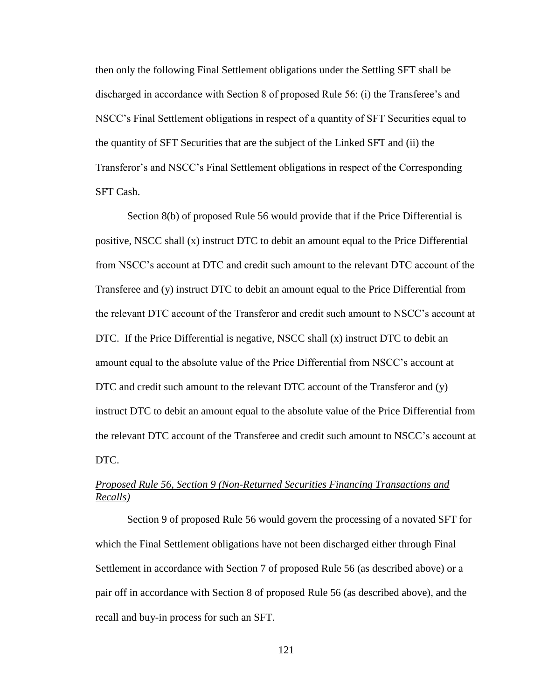then only the following Final Settlement obligations under the Settling SFT shall be discharged in accordance with Section 8 of proposed Rule 56: (i) the Transferee's and NSCC's Final Settlement obligations in respect of a quantity of SFT Securities equal to the quantity of SFT Securities that are the subject of the Linked SFT and (ii) the Transferor's and NSCC's Final Settlement obligations in respect of the Corresponding SFT Cash.

Section 8(b) of proposed Rule 56 would provide that if the Price Differential is positive, NSCC shall (x) instruct DTC to debit an amount equal to the Price Differential from NSCC's account at DTC and credit such amount to the relevant DTC account of the Transferee and (y) instruct DTC to debit an amount equal to the Price Differential from the relevant DTC account of the Transferor and credit such amount to NSCC's account at DTC. If the Price Differential is negative, NSCC shall (x) instruct DTC to debit an amount equal to the absolute value of the Price Differential from NSCC's account at DTC and credit such amount to the relevant DTC account of the Transferor and (y) instruct DTC to debit an amount equal to the absolute value of the Price Differential from the relevant DTC account of the Transferee and credit such amount to NSCC's account at DTC.

# *Proposed Rule 56, Section 9 (Non-Returned Securities Financing Transactions and Recalls)*

Section 9 of proposed Rule 56 would govern the processing of a novated SFT for which the Final Settlement obligations have not been discharged either through Final Settlement in accordance with Section 7 of proposed Rule 56 (as described above) or a pair off in accordance with Section 8 of proposed Rule 56 (as described above), and the recall and buy-in process for such an SFT.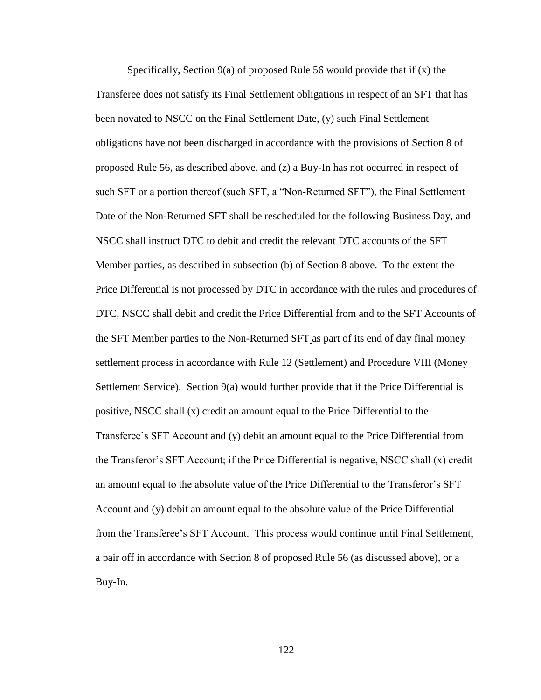Specifically, Section 9(a) of proposed Rule 56 would provide that if (x) the Transferee does not satisfy its Final Settlement obligations in respect of an SFT that has been novated to NSCC on the Final Settlement Date, (y) such Final Settlement obligations have not been discharged in accordance with the provisions of Section 8 of proposed Rule 56, as described above, and (z) a Buy-In has not occurred in respect of such SFT or a portion thereof (such SFT, a "Non-Returned SFT"), the Final Settlement Date of the Non-Returned SFT shall be rescheduled for the following Business Day, and NSCC shall instruct DTC to debit and credit the relevant DTC accounts of the SFT Member parties, as described in subsection (b) of Section 8 above. To the extent the Price Differential is not processed by DTC in accordance with the rules and procedures of DTC, NSCC shall debit and credit the Price Differential from and to the SFT Accounts of the SFT Member parties to the Non-Returned SFT as part of its end of day final money settlement process in accordance with Rule 12 (Settlement) and Procedure VIII (Money Settlement Service). Section 9(a) would further provide that if the Price Differential is positive, NSCC shall (x) credit an amount equal to the Price Differential to the Transferee's SFT Account and (y) debit an amount equal to the Price Differential from the Transferor's SFT Account; if the Price Differential is negative, NSCC shall (x) credit an amount equal to the absolute value of the Price Differential to the Transferor's SFT Account and (y) debit an amount equal to the absolute value of the Price Differential from the Transferee's SFT Account. This process would continue until Final Settlement, a pair off in accordance with Section 8 of proposed Rule 56 (as discussed above), or a Buy-In.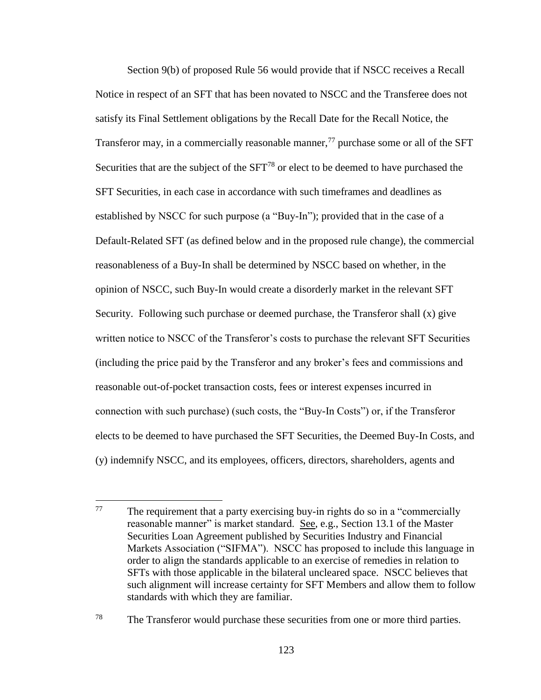Section 9(b) of proposed Rule 56 would provide that if NSCC receives a Recall Notice in respect of an SFT that has been novated to NSCC and the Transferee does not satisfy its Final Settlement obligations by the Recall Date for the Recall Notice, the Transferor may, in a commercially reasonable manner,  $^{77}$  purchase some or all of the SFT Securities that are the subject of the  $SFT^{78}$  or elect to be deemed to have purchased the SFT Securities, in each case in accordance with such timeframes and deadlines as established by NSCC for such purpose (a "Buy-In"); provided that in the case of a Default-Related SFT (as defined below and in the proposed rule change), the commercial reasonableness of a Buy-In shall be determined by NSCC based on whether, in the opinion of NSCC, such Buy-In would create a disorderly market in the relevant SFT Security. Following such purchase or deemed purchase, the Transferor shall (x) give written notice to NSCC of the Transferor's costs to purchase the relevant SFT Securities (including the price paid by the Transferor and any broker's fees and commissions and reasonable out-of-pocket transaction costs, fees or interest expenses incurred in connection with such purchase) (such costs, the "Buy-In Costs") or, if the Transferor elects to be deemed to have purchased the SFT Securities, the Deemed Buy-In Costs, and (y) indemnify NSCC, and its employees, officers, directors, shareholders, agents and

<sup>77</sup> The requirement that a party exercising buy-in rights do so in a "commercially" reasonable manner" is market standard. See, e.g., Section 13.1 of the Master Securities Loan Agreement published by Securities Industry and Financial Markets Association ("SIFMA"). NSCC has proposed to include this language in order to align the standards applicable to an exercise of remedies in relation to SFTs with those applicable in the bilateral uncleared space. NSCC believes that such alignment will increase certainty for SFT Members and allow them to follow standards with which they are familiar.

<sup>&</sup>lt;sup>78</sup> The Transferor would purchase these securities from one or more third parties.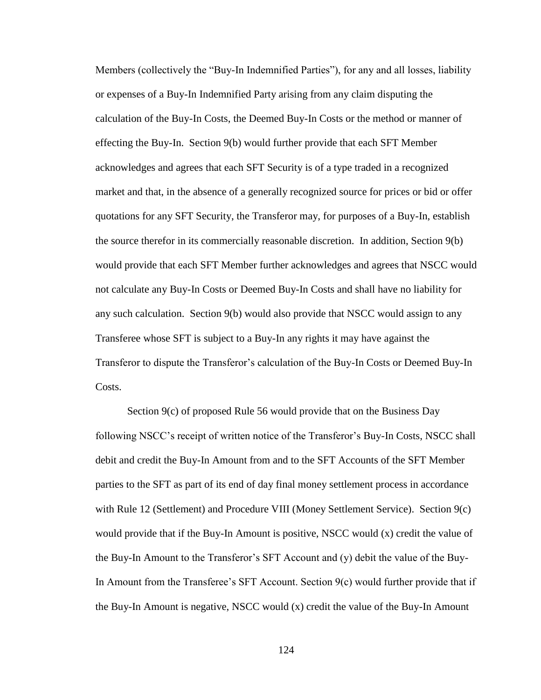Members (collectively the "Buy-In Indemnified Parties"), for any and all losses, liability or expenses of a Buy-In Indemnified Party arising from any claim disputing the calculation of the Buy-In Costs, the Deemed Buy-In Costs or the method or manner of effecting the Buy-In. Section 9(b) would further provide that each SFT Member acknowledges and agrees that each SFT Security is of a type traded in a recognized market and that, in the absence of a generally recognized source for prices or bid or offer quotations for any SFT Security, the Transferor may, for purposes of a Buy-In, establish the source therefor in its commercially reasonable discretion. In addition, Section 9(b) would provide that each SFT Member further acknowledges and agrees that NSCC would not calculate any Buy-In Costs or Deemed Buy-In Costs and shall have no liability for any such calculation. Section 9(b) would also provide that NSCC would assign to any Transferee whose SFT is subject to a Buy-In any rights it may have against the Transferor to dispute the Transferor's calculation of the Buy-In Costs or Deemed Buy-In Costs.

Section 9(c) of proposed Rule 56 would provide that on the Business Day following NSCC's receipt of written notice of the Transferor's Buy-In Costs, NSCC shall debit and credit the Buy-In Amount from and to the SFT Accounts of the SFT Member parties to the SFT as part of its end of day final money settlement process in accordance with Rule 12 (Settlement) and Procedure VIII (Money Settlement Service). Section 9(c) would provide that if the Buy-In Amount is positive, NSCC would (x) credit the value of the Buy-In Amount to the Transferor's SFT Account and (y) debit the value of the Buy-In Amount from the Transferee's SFT Account. Section 9(c) would further provide that if the Buy-In Amount is negative, NSCC would (x) credit the value of the Buy-In Amount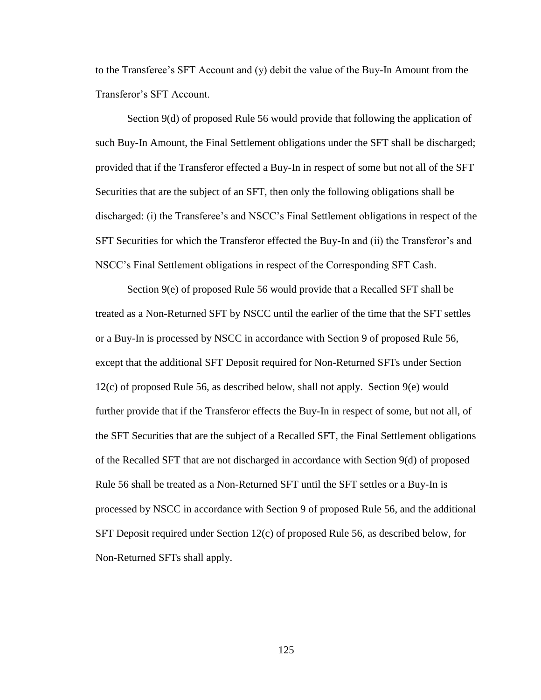to the Transferee's SFT Account and (y) debit the value of the Buy-In Amount from the Transferor's SFT Account.

Section 9(d) of proposed Rule 56 would provide that following the application of such Buy-In Amount, the Final Settlement obligations under the SFT shall be discharged; provided that if the Transferor effected a Buy-In in respect of some but not all of the SFT Securities that are the subject of an SFT, then only the following obligations shall be discharged: (i) the Transferee's and NSCC's Final Settlement obligations in respect of the SFT Securities for which the Transferor effected the Buy-In and (ii) the Transferor's and NSCC's Final Settlement obligations in respect of the Corresponding SFT Cash.

Section 9(e) of proposed Rule 56 would provide that a Recalled SFT shall be treated as a Non-Returned SFT by NSCC until the earlier of the time that the SFT settles or a Buy-In is processed by NSCC in accordance with Section 9 of proposed Rule 56, except that the additional SFT Deposit required for Non-Returned SFTs under Section  $12(c)$  of proposed Rule 56, as described below, shall not apply. Section 9(e) would further provide that if the Transferor effects the Buy-In in respect of some, but not all, of the SFT Securities that are the subject of a Recalled SFT, the Final Settlement obligations of the Recalled SFT that are not discharged in accordance with Section 9(d) of proposed Rule 56 shall be treated as a Non-Returned SFT until the SFT settles or a Buy-In is processed by NSCC in accordance with Section 9 of proposed Rule 56, and the additional SFT Deposit required under Section 12(c) of proposed Rule 56, as described below, for Non-Returned SFTs shall apply.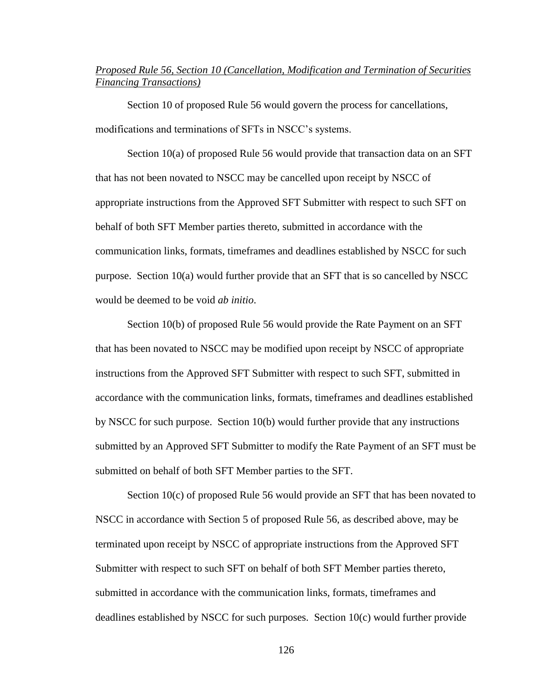## *Proposed Rule 56, Section 10 (Cancellation, Modification and Termination of Securities Financing Transactions)*

Section 10 of proposed Rule 56 would govern the process for cancellations, modifications and terminations of SFTs in NSCC's systems.

Section 10(a) of proposed Rule 56 would provide that transaction data on an SFT that has not been novated to NSCC may be cancelled upon receipt by NSCC of appropriate instructions from the Approved SFT Submitter with respect to such SFT on behalf of both SFT Member parties thereto, submitted in accordance with the communication links, formats, timeframes and deadlines established by NSCC for such purpose. Section 10(a) would further provide that an SFT that is so cancelled by NSCC would be deemed to be void *ab initio*.

Section 10(b) of proposed Rule 56 would provide the Rate Payment on an SFT that has been novated to NSCC may be modified upon receipt by NSCC of appropriate instructions from the Approved SFT Submitter with respect to such SFT, submitted in accordance with the communication links, formats, timeframes and deadlines established by NSCC for such purpose. Section 10(b) would further provide that any instructions submitted by an Approved SFT Submitter to modify the Rate Payment of an SFT must be submitted on behalf of both SFT Member parties to the SFT.

Section 10(c) of proposed Rule 56 would provide an SFT that has been novated to NSCC in accordance with Section 5 of proposed Rule 56, as described above, may be terminated upon receipt by NSCC of appropriate instructions from the Approved SFT Submitter with respect to such SFT on behalf of both SFT Member parties thereto, submitted in accordance with the communication links, formats, timeframes and deadlines established by NSCC for such purposes. Section 10(c) would further provide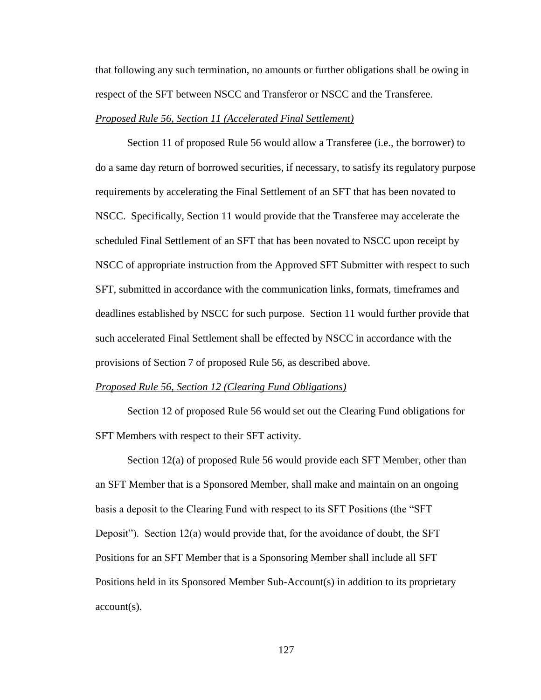that following any such termination, no amounts or further obligations shall be owing in respect of the SFT between NSCC and Transferor or NSCC and the Transferee.

### *Proposed Rule 56, Section 11 (Accelerated Final Settlement)*

Section 11 of proposed Rule 56 would allow a Transferee (i.e., the borrower) to do a same day return of borrowed securities, if necessary, to satisfy its regulatory purpose requirements by accelerating the Final Settlement of an SFT that has been novated to NSCC. Specifically, Section 11 would provide that the Transferee may accelerate the scheduled Final Settlement of an SFT that has been novated to NSCC upon receipt by NSCC of appropriate instruction from the Approved SFT Submitter with respect to such SFT, submitted in accordance with the communication links, formats, timeframes and deadlines established by NSCC for such purpose. Section 11 would further provide that such accelerated Final Settlement shall be effected by NSCC in accordance with the provisions of Section 7 of proposed Rule 56, as described above.

### *Proposed Rule 56, Section 12 (Clearing Fund Obligations)*

Section 12 of proposed Rule 56 would set out the Clearing Fund obligations for SFT Members with respect to their SFT activity.

Section 12(a) of proposed Rule 56 would provide each SFT Member, other than an SFT Member that is a Sponsored Member, shall make and maintain on an ongoing basis a deposit to the Clearing Fund with respect to its SFT Positions (the "SFT Deposit"). Section 12(a) would provide that, for the avoidance of doubt, the SFT Positions for an SFT Member that is a Sponsoring Member shall include all SFT Positions held in its Sponsored Member Sub-Account(s) in addition to its proprietary account(s).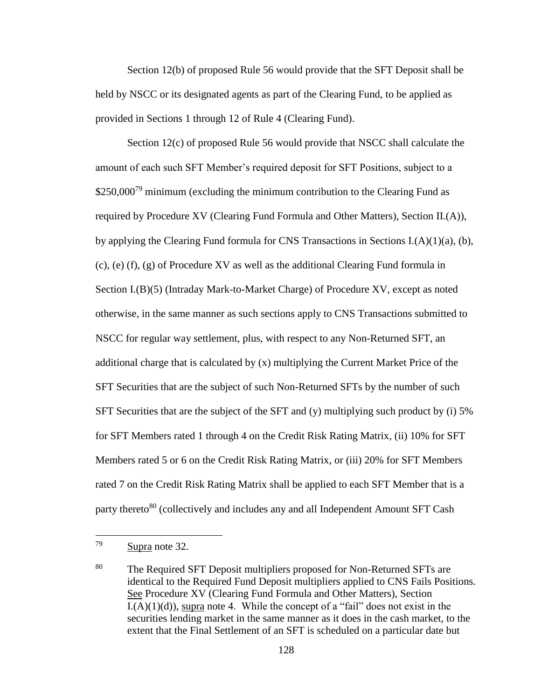Section 12(b) of proposed Rule 56 would provide that the SFT Deposit shall be held by NSCC or its designated agents as part of the Clearing Fund, to be applied as provided in Sections 1 through 12 of Rule 4 (Clearing Fund).

Section 12(c) of proposed Rule 56 would provide that NSCC shall calculate the amount of each such SFT Member's required deposit for SFT Positions, subject to a  $$250,000^{79}$  minimum (excluding the minimum contribution to the Clearing Fund as required by Procedure XV (Clearing Fund Formula and Other Matters), Section II.(A)), by applying the Clearing Fund formula for CNS Transactions in Sections I.(A)(1)(a), (b), (c), (e) (f), (g) of Procedure XV as well as the additional Clearing Fund formula in Section I.(B)(5) (Intraday Mark-to-Market Charge) of Procedure XV, except as noted otherwise, in the same manner as such sections apply to CNS Transactions submitted to NSCC for regular way settlement, plus, with respect to any Non-Returned SFT, an additional charge that is calculated by (x) multiplying the Current Market Price of the SFT Securities that are the subject of such Non-Returned SFTs by the number of such SFT Securities that are the subject of the SFT and (y) multiplying such product by (i) 5% for SFT Members rated 1 through 4 on the Credit Risk Rating Matrix, (ii) 10% for SFT Members rated 5 or 6 on the Credit Risk Rating Matrix, or (iii) 20% for SFT Members rated 7 on the Credit Risk Rating Matrix shall be applied to each SFT Member that is a party thereto<sup>80</sup> (collectively and includes any and all Independent Amount SFT Cash

<sup>79</sup> Supra note 32.

<sup>&</sup>lt;sup>80</sup> The Required SFT Deposit multipliers proposed for Non-Returned SFTs are identical to the Required Fund Deposit multipliers applied to CNS Fails Positions. See Procedure XV (Clearing Fund Formula and Other Matters), Section  $L(A)(1)(d)$ , supra note 4. While the concept of a "fail" does not exist in the securities lending market in the same manner as it does in the cash market, to the extent that the Final Settlement of an SFT is scheduled on a particular date but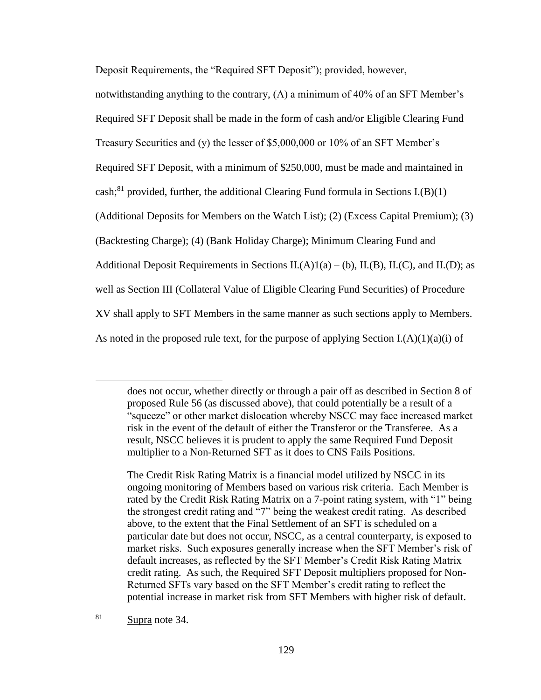Deposit Requirements, the "Required SFT Deposit"); provided, however,

notwithstanding anything to the contrary, (A) a minimum of 40% of an SFT Member's Required SFT Deposit shall be made in the form of cash and/or Eligible Clearing Fund Treasury Securities and (y) the lesser of \$5,000,000 or 10% of an SFT Member's Required SFT Deposit, with a minimum of \$250,000, must be made and maintained in cash;<sup>81</sup> provided, further, the additional Clearing Fund formula in Sections I.(B)(1) (Additional Deposits for Members on the Watch List); (2) (Excess Capital Premium); (3) (Backtesting Charge); (4) (Bank Holiday Charge); Minimum Clearing Fund and Additional Deposit Requirements in Sections  $II.(A)1(a) - (b)$ ,  $II.(B)$ ,  $II.(C)$ , and  $II.(D)$ ; as well as Section III (Collateral Value of Eligible Clearing Fund Securities) of Procedure XV shall apply to SFT Members in the same manner as such sections apply to Members. As noted in the proposed rule text, for the purpose of applying Section  $I(A)(1)(a)(i)$  of

 $\overline{a}$ 

does not occur, whether directly or through a pair off as described in Section 8 of proposed Rule 56 (as discussed above), that could potentially be a result of a "squeeze" or other market dislocation whereby NSCC may face increased market risk in the event of the default of either the Transferor or the Transferee. As a result, NSCC believes it is prudent to apply the same Required Fund Deposit multiplier to a Non-Returned SFT as it does to CNS Fails Positions.

The Credit Risk Rating Matrix is a financial model utilized by NSCC in its ongoing monitoring of Members based on various risk criteria. Each Member is rated by the Credit Risk Rating Matrix on a 7-point rating system, with "1" being the strongest credit rating and "7" being the weakest credit rating. As described above, to the extent that the Final Settlement of an SFT is scheduled on a particular date but does not occur, NSCC, as a central counterparty, is exposed to market risks. Such exposures generally increase when the SFT Member's risk of default increases, as reflected by the SFT Member's Credit Risk Rating Matrix credit rating. As such, the Required SFT Deposit multipliers proposed for Non-Returned SFTs vary based on the SFT Member's credit rating to reflect the potential increase in market risk from SFT Members with higher risk of default.

<sup>81</sup> Supra note 34.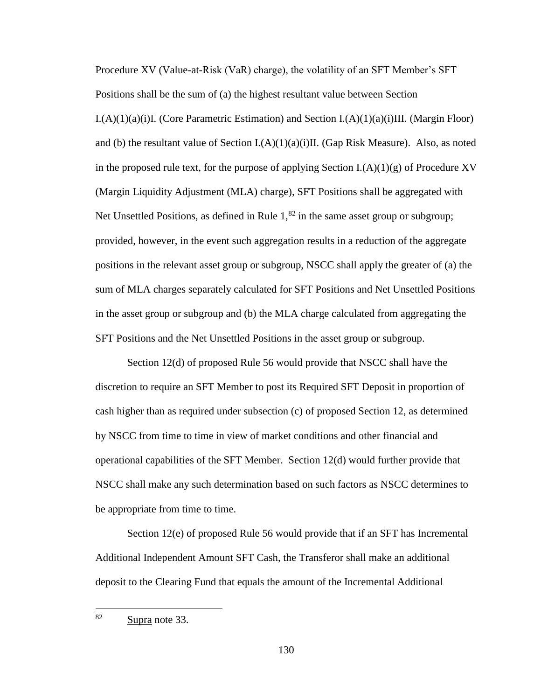Procedure XV (Value-at-Risk (VaR) charge), the volatility of an SFT Member's SFT Positions shall be the sum of (a) the highest resultant value between Section  $I(A)(1)(a)(i)I$ . (Core Parametric Estimation) and Section  $I(A)(1)(a)(i)III$ . (Margin Floor) and (b) the resultant value of Section I.(A)(1)(a)(i)II. (Gap Risk Measure). Also, as noted in the proposed rule text, for the purpose of applying Section  $I(A)(1)(g)$  of Procedure XV (Margin Liquidity Adjustment (MLA) charge), SFT Positions shall be aggregated with Net Unsettled Positions, as defined in Rule  $1<sup>82</sup>$  in the same asset group or subgroup; provided, however, in the event such aggregation results in a reduction of the aggregate positions in the relevant asset group or subgroup, NSCC shall apply the greater of (a) the sum of MLA charges separately calculated for SFT Positions and Net Unsettled Positions in the asset group or subgroup and (b) the MLA charge calculated from aggregating the SFT Positions and the Net Unsettled Positions in the asset group or subgroup.

Section 12(d) of proposed Rule 56 would provide that NSCC shall have the discretion to require an SFT Member to post its Required SFT Deposit in proportion of cash higher than as required under subsection (c) of proposed Section 12, as determined by NSCC from time to time in view of market conditions and other financial and operational capabilities of the SFT Member. Section 12(d) would further provide that NSCC shall make any such determination based on such factors as NSCC determines to be appropriate from time to time.

Section 12(e) of proposed Rule 56 would provide that if an SFT has Incremental Additional Independent Amount SFT Cash, the Transferor shall make an additional deposit to the Clearing Fund that equals the amount of the Incremental Additional

<sup>82</sup> Supra note 33.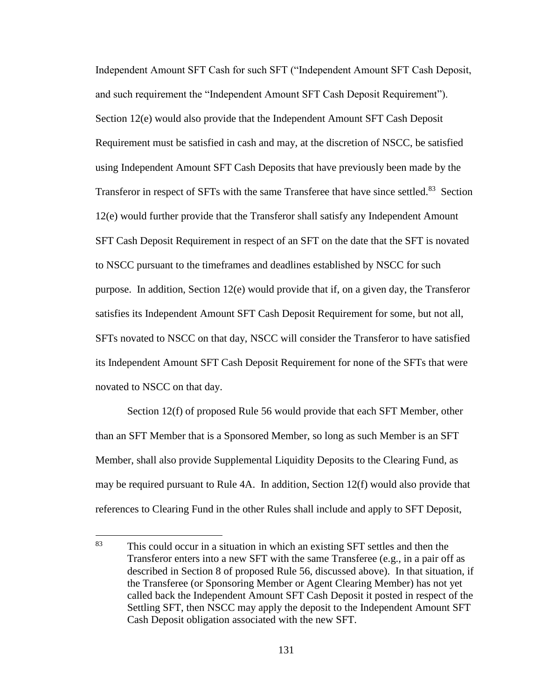Independent Amount SFT Cash for such SFT ("Independent Amount SFT Cash Deposit, and such requirement the "Independent Amount SFT Cash Deposit Requirement"). Section 12(e) would also provide that the Independent Amount SFT Cash Deposit Requirement must be satisfied in cash and may, at the discretion of NSCC, be satisfied using Independent Amount SFT Cash Deposits that have previously been made by the Transferor in respect of SFTs with the same Transferee that have since settled.<sup>83</sup> Section 12(e) would further provide that the Transferor shall satisfy any Independent Amount SFT Cash Deposit Requirement in respect of an SFT on the date that the SFT is novated to NSCC pursuant to the timeframes and deadlines established by NSCC for such purpose. In addition, Section 12(e) would provide that if, on a given day, the Transferor satisfies its Independent Amount SFT Cash Deposit Requirement for some, but not all, SFTs novated to NSCC on that day, NSCC will consider the Transferor to have satisfied its Independent Amount SFT Cash Deposit Requirement for none of the SFTs that were novated to NSCC on that day.

Section 12(f) of proposed Rule 56 would provide that each SFT Member, other than an SFT Member that is a Sponsored Member, so long as such Member is an SFT Member, shall also provide Supplemental Liquidity Deposits to the Clearing Fund, as may be required pursuant to Rule 4A. In addition, Section 12(f) would also provide that references to Clearing Fund in the other Rules shall include and apply to SFT Deposit,

<sup>83</sup> This could occur in a situation in which an existing SFT settles and then the Transferor enters into a new SFT with the same Transferee (e.g., in a pair off as described in Section 8 of proposed Rule 56, discussed above). In that situation, if the Transferee (or Sponsoring Member or Agent Clearing Member) has not yet called back the Independent Amount SFT Cash Deposit it posted in respect of the Settling SFT, then NSCC may apply the deposit to the Independent Amount SFT Cash Deposit obligation associated with the new SFT.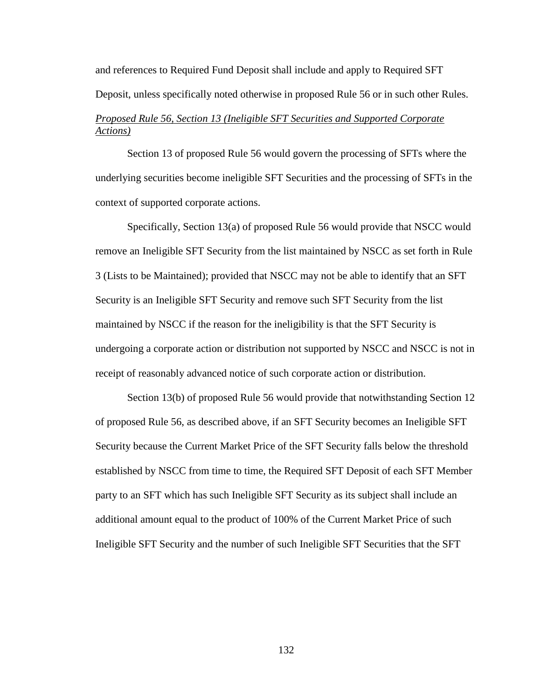and references to Required Fund Deposit shall include and apply to Required SFT Deposit, unless specifically noted otherwise in proposed Rule 56 or in such other Rules.

# *Proposed Rule 56, Section 13 (Ineligible SFT Securities and Supported Corporate Actions)*

Section 13 of proposed Rule 56 would govern the processing of SFTs where the underlying securities become ineligible SFT Securities and the processing of SFTs in the context of supported corporate actions.

Specifically, Section 13(a) of proposed Rule 56 would provide that NSCC would remove an Ineligible SFT Security from the list maintained by NSCC as set forth in Rule 3 (Lists to be Maintained); provided that NSCC may not be able to identify that an SFT Security is an Ineligible SFT Security and remove such SFT Security from the list maintained by NSCC if the reason for the ineligibility is that the SFT Security is undergoing a corporate action or distribution not supported by NSCC and NSCC is not in receipt of reasonably advanced notice of such corporate action or distribution.

Section 13(b) of proposed Rule 56 would provide that notwithstanding Section 12 of proposed Rule 56, as described above, if an SFT Security becomes an Ineligible SFT Security because the Current Market Price of the SFT Security falls below the threshold established by NSCC from time to time, the Required SFT Deposit of each SFT Member party to an SFT which has such Ineligible SFT Security as its subject shall include an additional amount equal to the product of 100% of the Current Market Price of such Ineligible SFT Security and the number of such Ineligible SFT Securities that the SFT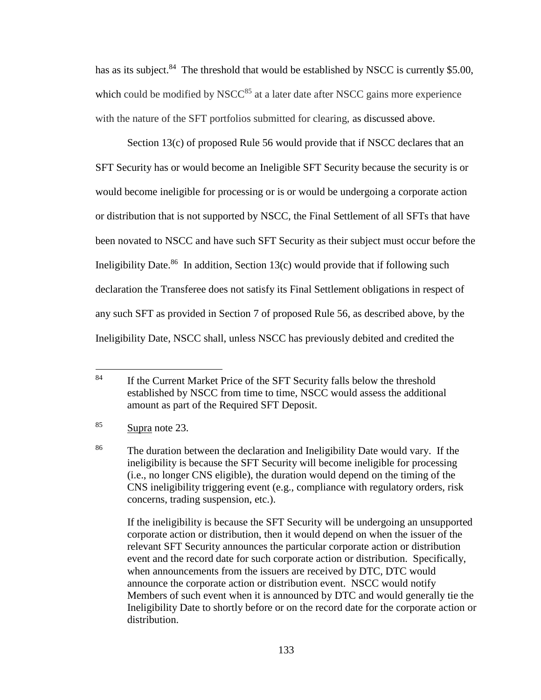has as its subject.<sup>84</sup> The threshold that would be established by NSCC is currently \$5.00, which could be modified by NSC $C^{85}$  at a later date after NSCC gains more experience with the nature of the SFT portfolios submitted for clearing, as discussed above.

Section 13(c) of proposed Rule 56 would provide that if NSCC declares that an SFT Security has or would become an Ineligible SFT Security because the security is or would become ineligible for processing or is or would be undergoing a corporate action or distribution that is not supported by NSCC, the Final Settlement of all SFTs that have been novated to NSCC and have such SFT Security as their subject must occur before the Ineligibility Date.<sup>86</sup> In addition, Section 13(c) would provide that if following such declaration the Transferee does not satisfy its Final Settlement obligations in respect of any such SFT as provided in Section 7 of proposed Rule 56, as described above, by the Ineligibility Date, NSCC shall, unless NSCC has previously debited and credited the

If the ineligibility is because the SFT Security will be undergoing an unsupported corporate action or distribution, then it would depend on when the issuer of the relevant SFT Security announces the particular corporate action or distribution event and the record date for such corporate action or distribution. Specifically, when announcements from the issuers are received by DTC, DTC would announce the corporate action or distribution event. NSCC would notify Members of such event when it is announced by DTC and would generally tie the Ineligibility Date to shortly before or on the record date for the corporate action or distribution.

<sup>84</sup> If the Current Market Price of the SFT Security falls below the threshold established by NSCC from time to time, NSCC would assess the additional amount as part of the Required SFT Deposit.

 $85$  Supra note 23.

<sup>&</sup>lt;sup>86</sup> The duration between the declaration and Ineligibility Date would vary. If the ineligibility is because the SFT Security will become ineligible for processing (i.e., no longer CNS eligible), the duration would depend on the timing of the CNS ineligibility triggering event (e.g., compliance with regulatory orders, risk concerns, trading suspension, etc.).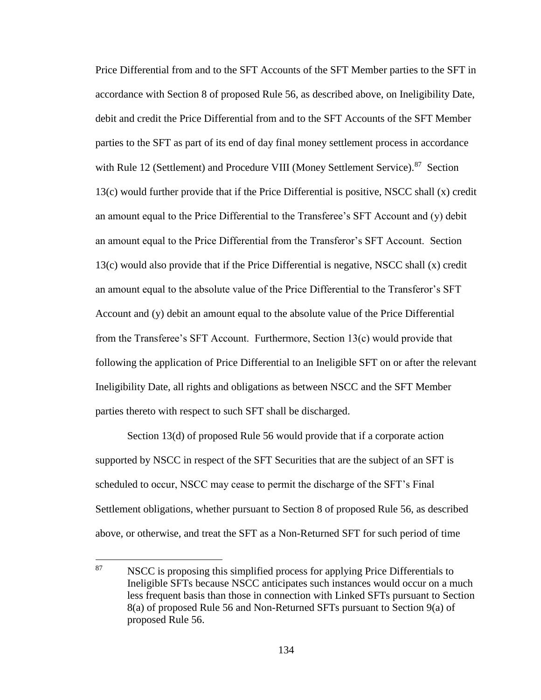Price Differential from and to the SFT Accounts of the SFT Member parties to the SFT in accordance with Section 8 of proposed Rule 56, as described above, on Ineligibility Date, debit and credit the Price Differential from and to the SFT Accounts of the SFT Member parties to the SFT as part of its end of day final money settlement process in accordance with Rule 12 (Settlement) and Procedure VIII (Money Settlement Service).<sup>87</sup> Section 13(c) would further provide that if the Price Differential is positive, NSCC shall (x) credit an amount equal to the Price Differential to the Transferee's SFT Account and (y) debit an amount equal to the Price Differential from the Transferor's SFT Account. Section 13(c) would also provide that if the Price Differential is negative, NSCC shall (x) credit an amount equal to the absolute value of the Price Differential to the Transferor's SFT Account and (y) debit an amount equal to the absolute value of the Price Differential from the Transferee's SFT Account. Furthermore, Section 13(c) would provide that following the application of Price Differential to an Ineligible SFT on or after the relevant Ineligibility Date, all rights and obligations as between NSCC and the SFT Member parties thereto with respect to such SFT shall be discharged.

Section 13(d) of proposed Rule 56 would provide that if a corporate action supported by NSCC in respect of the SFT Securities that are the subject of an SFT is scheduled to occur, NSCC may cease to permit the discharge of the SFT's Final Settlement obligations, whether pursuant to Section 8 of proposed Rule 56, as described above, or otherwise, and treat the SFT as a Non-Returned SFT for such period of time

 $\overline{a}$ 

 $87$  NSCC is proposing this simplified process for applying Price Differentials to Ineligible SFTs because NSCC anticipates such instances would occur on a much less frequent basis than those in connection with Linked SFTs pursuant to Section 8(a) of proposed Rule 56 and Non-Returned SFTs pursuant to Section 9(a) of proposed Rule 56.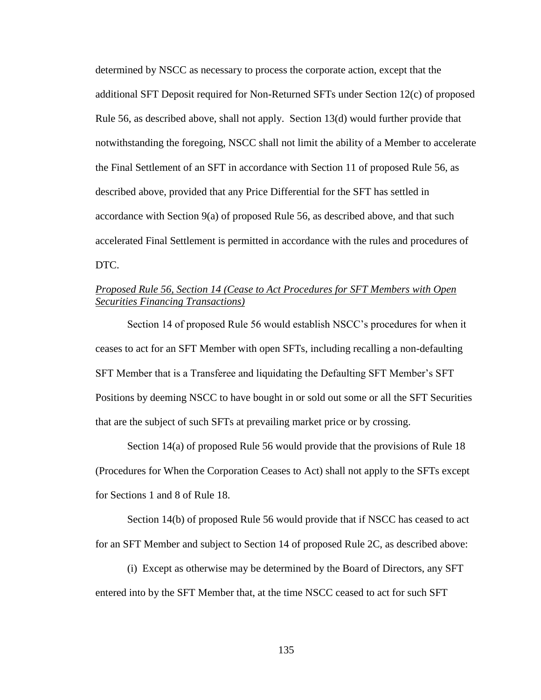determined by NSCC as necessary to process the corporate action, except that the additional SFT Deposit required for Non-Returned SFTs under Section 12(c) of proposed Rule 56, as described above, shall not apply. Section 13(d) would further provide that notwithstanding the foregoing, NSCC shall not limit the ability of a Member to accelerate the Final Settlement of an SFT in accordance with Section 11 of proposed Rule 56, as described above, provided that any Price Differential for the SFT has settled in accordance with Section 9(a) of proposed Rule 56, as described above, and that such accelerated Final Settlement is permitted in accordance with the rules and procedures of DTC.

# *Proposed Rule 56, Section 14 (Cease to Act Procedures for SFT Members with Open Securities Financing Transactions)*

Section 14 of proposed Rule 56 would establish NSCC's procedures for when it ceases to act for an SFT Member with open SFTs, including recalling a non-defaulting SFT Member that is a Transferee and liquidating the Defaulting SFT Member's SFT Positions by deeming NSCC to have bought in or sold out some or all the SFT Securities that are the subject of such SFTs at prevailing market price or by crossing.

Section 14(a) of proposed Rule 56 would provide that the provisions of Rule 18 (Procedures for When the Corporation Ceases to Act) shall not apply to the SFTs except for Sections 1 and 8 of Rule 18.

Section 14(b) of proposed Rule 56 would provide that if NSCC has ceased to act for an SFT Member and subject to Section 14 of proposed Rule 2C, as described above:

(i) Except as otherwise may be determined by the Board of Directors, any SFT entered into by the SFT Member that, at the time NSCC ceased to act for such SFT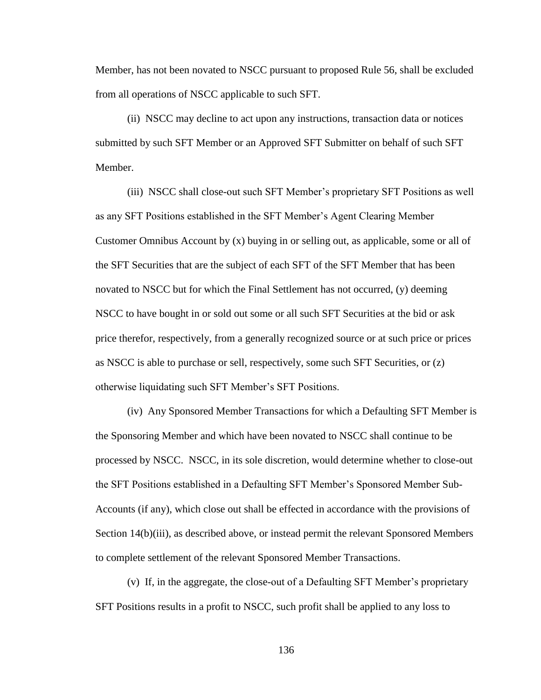Member, has not been novated to NSCC pursuant to proposed Rule 56, shall be excluded from all operations of NSCC applicable to such SFT.

(ii) NSCC may decline to act upon any instructions, transaction data or notices submitted by such SFT Member or an Approved SFT Submitter on behalf of such SFT Member.

(iii) NSCC shall close-out such SFT Member's proprietary SFT Positions as well as any SFT Positions established in the SFT Member's Agent Clearing Member Customer Omnibus Account by (x) buying in or selling out, as applicable, some or all of the SFT Securities that are the subject of each SFT of the SFT Member that has been novated to NSCC but for which the Final Settlement has not occurred, (y) deeming NSCC to have bought in or sold out some or all such SFT Securities at the bid or ask price therefor, respectively, from a generally recognized source or at such price or prices as NSCC is able to purchase or sell, respectively, some such SFT Securities, or (z) otherwise liquidating such SFT Member's SFT Positions.

(iv) Any Sponsored Member Transactions for which a Defaulting SFT Member is the Sponsoring Member and which have been novated to NSCC shall continue to be processed by NSCC. NSCC, in its sole discretion, would determine whether to close-out the SFT Positions established in a Defaulting SFT Member's Sponsored Member Sub-Accounts (if any), which close out shall be effected in accordance with the provisions of Section 14(b)(iii), as described above, or instead permit the relevant Sponsored Members to complete settlement of the relevant Sponsored Member Transactions.

(v) If, in the aggregate, the close-out of a Defaulting SFT Member's proprietary SFT Positions results in a profit to NSCC, such profit shall be applied to any loss to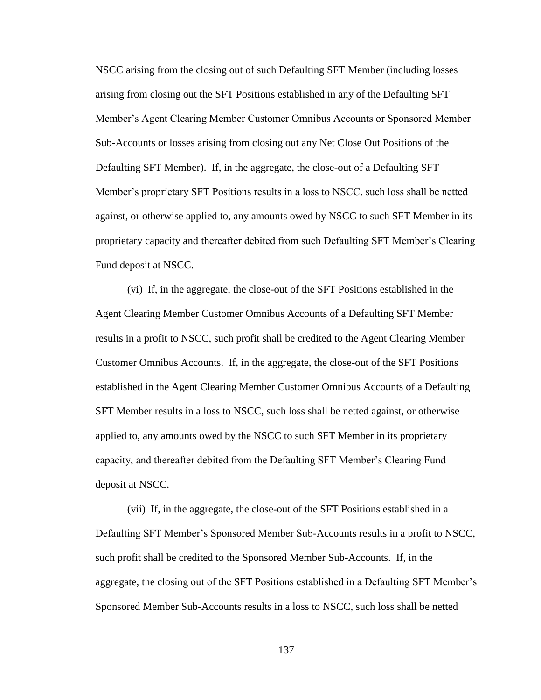NSCC arising from the closing out of such Defaulting SFT Member (including losses arising from closing out the SFT Positions established in any of the Defaulting SFT Member's Agent Clearing Member Customer Omnibus Accounts or Sponsored Member Sub-Accounts or losses arising from closing out any Net Close Out Positions of the Defaulting SFT Member). If, in the aggregate, the close-out of a Defaulting SFT Member's proprietary SFT Positions results in a loss to NSCC, such loss shall be netted against, or otherwise applied to, any amounts owed by NSCC to such SFT Member in its proprietary capacity and thereafter debited from such Defaulting SFT Member's Clearing Fund deposit at NSCC.

(vi) If, in the aggregate, the close-out of the SFT Positions established in the Agent Clearing Member Customer Omnibus Accounts of a Defaulting SFT Member results in a profit to NSCC, such profit shall be credited to the Agent Clearing Member Customer Omnibus Accounts. If, in the aggregate, the close-out of the SFT Positions established in the Agent Clearing Member Customer Omnibus Accounts of a Defaulting SFT Member results in a loss to NSCC, such loss shall be netted against, or otherwise applied to, any amounts owed by the NSCC to such SFT Member in its proprietary capacity, and thereafter debited from the Defaulting SFT Member's Clearing Fund deposit at NSCC.

(vii) If, in the aggregate, the close-out of the SFT Positions established in a Defaulting SFT Member's Sponsored Member Sub-Accounts results in a profit to NSCC, such profit shall be credited to the Sponsored Member Sub-Accounts. If, in the aggregate, the closing out of the SFT Positions established in a Defaulting SFT Member's Sponsored Member Sub-Accounts results in a loss to NSCC, such loss shall be netted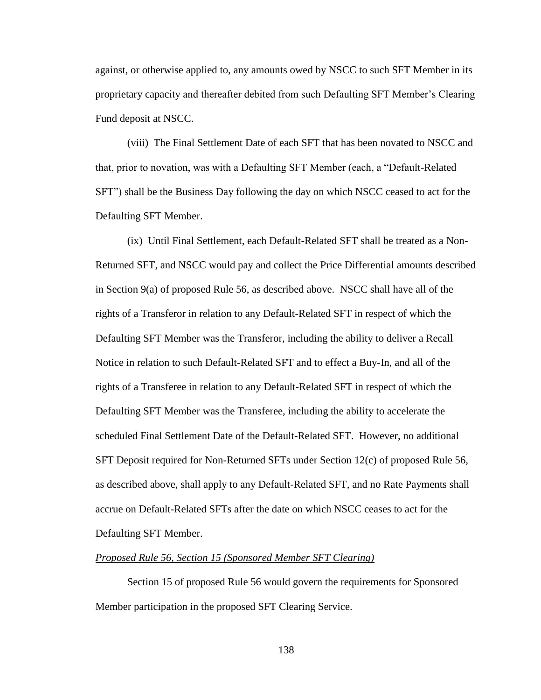against, or otherwise applied to, any amounts owed by NSCC to such SFT Member in its proprietary capacity and thereafter debited from such Defaulting SFT Member's Clearing Fund deposit at NSCC.

(viii) The Final Settlement Date of each SFT that has been novated to NSCC and that, prior to novation, was with a Defaulting SFT Member (each, a "Default-Related SFT") shall be the Business Day following the day on which NSCC ceased to act for the Defaulting SFT Member.

(ix) Until Final Settlement, each Default-Related SFT shall be treated as a Non-Returned SFT, and NSCC would pay and collect the Price Differential amounts described in Section 9(a) of proposed Rule 56, as described above. NSCC shall have all of the rights of a Transferor in relation to any Default-Related SFT in respect of which the Defaulting SFT Member was the Transferor, including the ability to deliver a Recall Notice in relation to such Default-Related SFT and to effect a Buy-In, and all of the rights of a Transferee in relation to any Default-Related SFT in respect of which the Defaulting SFT Member was the Transferee, including the ability to accelerate the scheduled Final Settlement Date of the Default-Related SFT. However, no additional SFT Deposit required for Non-Returned SFTs under Section 12(c) of proposed Rule 56, as described above, shall apply to any Default-Related SFT, and no Rate Payments shall accrue on Default-Related SFTs after the date on which NSCC ceases to act for the Defaulting SFT Member.

## *Proposed Rule 56, Section 15 (Sponsored Member SFT Clearing)*

Section 15 of proposed Rule 56 would govern the requirements for Sponsored Member participation in the proposed SFT Clearing Service.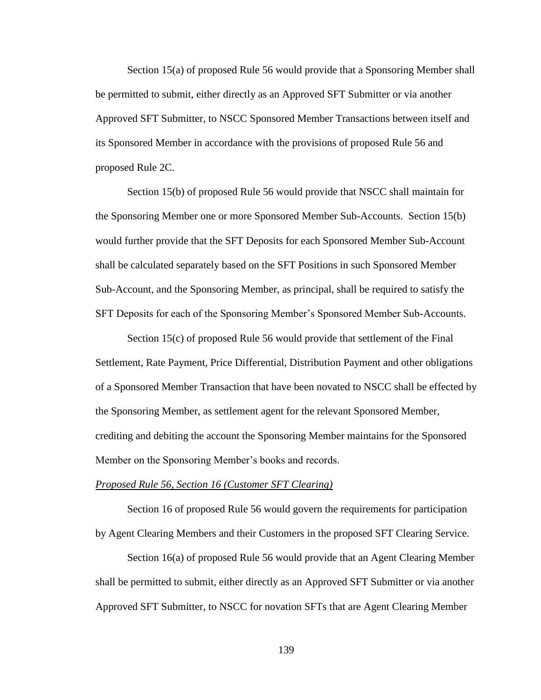Section 15(a) of proposed Rule 56 would provide that a Sponsoring Member shall be permitted to submit, either directly as an Approved SFT Submitter or via another Approved SFT Submitter, to NSCC Sponsored Member Transactions between itself and its Sponsored Member in accordance with the provisions of proposed Rule 56 and proposed Rule 2C.

Section 15(b) of proposed Rule 56 would provide that NSCC shall maintain for the Sponsoring Member one or more Sponsored Member Sub-Accounts. Section 15(b) would further provide that the SFT Deposits for each Sponsored Member Sub-Account shall be calculated separately based on the SFT Positions in such Sponsored Member Sub-Account, and the Sponsoring Member, as principal, shall be required to satisfy the SFT Deposits for each of the Sponsoring Member's Sponsored Member Sub-Accounts.

Section 15(c) of proposed Rule 56 would provide that settlement of the Final Settlement, Rate Payment, Price Differential, Distribution Payment and other obligations of a Sponsored Member Transaction that have been novated to NSCC shall be effected by the Sponsoring Member, as settlement agent for the relevant Sponsored Member, crediting and debiting the account the Sponsoring Member maintains for the Sponsored Member on the Sponsoring Member's books and records.

### *Proposed Rule 56, Section 16 (Customer SFT Clearing)*

Section 16 of proposed Rule 56 would govern the requirements for participation by Agent Clearing Members and their Customers in the proposed SFT Clearing Service.

Section 16(a) of proposed Rule 56 would provide that an Agent Clearing Member shall be permitted to submit, either directly as an Approved SFT Submitter or via another Approved SFT Submitter, to NSCC for novation SFTs that are Agent Clearing Member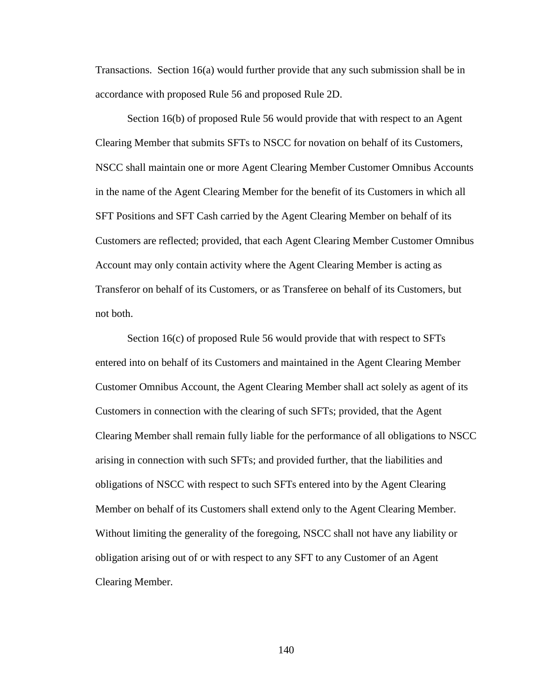Transactions. Section 16(a) would further provide that any such submission shall be in accordance with proposed Rule 56 and proposed Rule 2D.

Section 16(b) of proposed Rule 56 would provide that with respect to an Agent Clearing Member that submits SFTs to NSCC for novation on behalf of its Customers, NSCC shall maintain one or more Agent Clearing Member Customer Omnibus Accounts in the name of the Agent Clearing Member for the benefit of its Customers in which all SFT Positions and SFT Cash carried by the Agent Clearing Member on behalf of its Customers are reflected; provided, that each Agent Clearing Member Customer Omnibus Account may only contain activity where the Agent Clearing Member is acting as Transferor on behalf of its Customers, or as Transferee on behalf of its Customers, but not both.

Section 16(c) of proposed Rule 56 would provide that with respect to SFTs entered into on behalf of its Customers and maintained in the Agent Clearing Member Customer Omnibus Account, the Agent Clearing Member shall act solely as agent of its Customers in connection with the clearing of such SFTs; provided, that the Agent Clearing Member shall remain fully liable for the performance of all obligations to NSCC arising in connection with such SFTs; and provided further, that the liabilities and obligations of NSCC with respect to such SFTs entered into by the Agent Clearing Member on behalf of its Customers shall extend only to the Agent Clearing Member. Without limiting the generality of the foregoing, NSCC shall not have any liability or obligation arising out of or with respect to any SFT to any Customer of an Agent Clearing Member.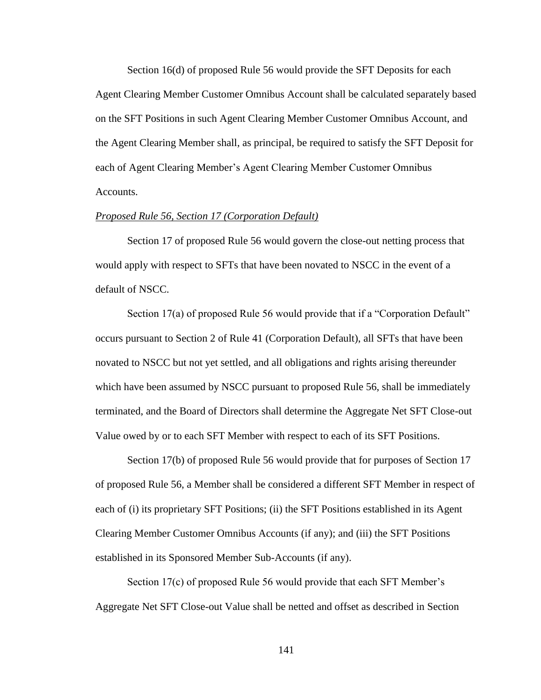Section 16(d) of proposed Rule 56 would provide the SFT Deposits for each Agent Clearing Member Customer Omnibus Account shall be calculated separately based on the SFT Positions in such Agent Clearing Member Customer Omnibus Account, and the Agent Clearing Member shall, as principal, be required to satisfy the SFT Deposit for each of Agent Clearing Member's Agent Clearing Member Customer Omnibus Accounts.

### *Proposed Rule 56, Section 17 (Corporation Default)*

Section 17 of proposed Rule 56 would govern the close-out netting process that would apply with respect to SFTs that have been novated to NSCC in the event of a default of NSCC.

Section 17(a) of proposed Rule 56 would provide that if a "Corporation Default" occurs pursuant to Section 2 of Rule 41 (Corporation Default), all SFTs that have been novated to NSCC but not yet settled, and all obligations and rights arising thereunder which have been assumed by NSCC pursuant to proposed Rule 56, shall be immediately terminated, and the Board of Directors shall determine the Aggregate Net SFT Close-out Value owed by or to each SFT Member with respect to each of its SFT Positions.

Section 17(b) of proposed Rule 56 would provide that for purposes of Section 17 of proposed Rule 56, a Member shall be considered a different SFT Member in respect of each of (i) its proprietary SFT Positions; (ii) the SFT Positions established in its Agent Clearing Member Customer Omnibus Accounts (if any); and (iii) the SFT Positions established in its Sponsored Member Sub-Accounts (if any).

Section 17(c) of proposed Rule 56 would provide that each SFT Member's Aggregate Net SFT Close-out Value shall be netted and offset as described in Section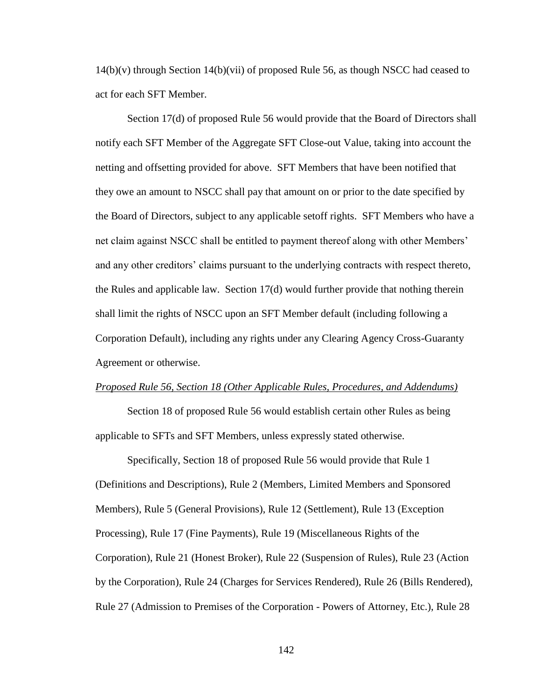14(b)(v) through Section 14(b)(vii) of proposed Rule 56, as though NSCC had ceased to act for each SFT Member.

Section 17(d) of proposed Rule 56 would provide that the Board of Directors shall notify each SFT Member of the Aggregate SFT Close-out Value, taking into account the netting and offsetting provided for above. SFT Members that have been notified that they owe an amount to NSCC shall pay that amount on or prior to the date specified by the Board of Directors, subject to any applicable setoff rights. SFT Members who have a net claim against NSCC shall be entitled to payment thereof along with other Members' and any other creditors' claims pursuant to the underlying contracts with respect thereto, the Rules and applicable law. Section 17(d) would further provide that nothing therein shall limit the rights of NSCC upon an SFT Member default (including following a Corporation Default), including any rights under any Clearing Agency Cross-Guaranty Agreement or otherwise.

#### *Proposed Rule 56, Section 18 (Other Applicable Rules, Procedures, and Addendums)*

Section 18 of proposed Rule 56 would establish certain other Rules as being applicable to SFTs and SFT Members, unless expressly stated otherwise.

Specifically, Section 18 of proposed Rule 56 would provide that Rule 1 (Definitions and Descriptions), Rule 2 (Members, Limited Members and Sponsored Members), Rule 5 (General Provisions), Rule 12 (Settlement), Rule 13 (Exception Processing), Rule 17 (Fine Payments), Rule 19 (Miscellaneous Rights of the Corporation), Rule 21 (Honest Broker), Rule 22 (Suspension of Rules), Rule 23 (Action by the Corporation), Rule 24 (Charges for Services Rendered), Rule 26 (Bills Rendered), Rule 27 (Admission to Premises of the Corporation - Powers of Attorney, Etc.), Rule 28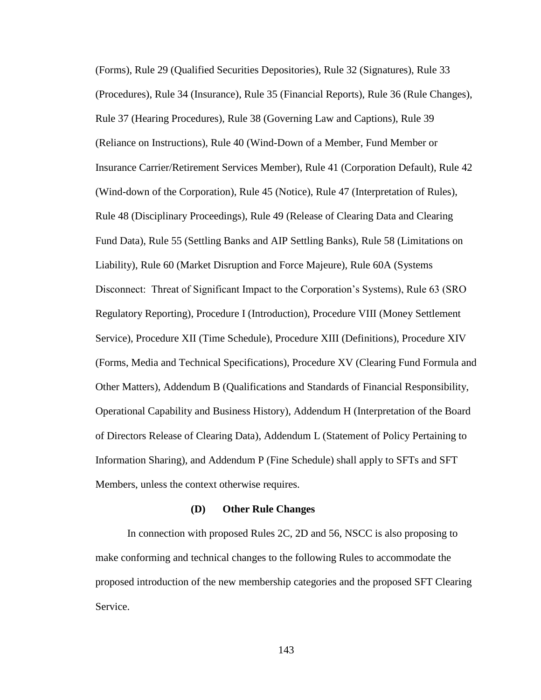(Forms), Rule 29 (Qualified Securities Depositories), Rule 32 (Signatures), Rule 33 (Procedures), Rule 34 (Insurance), Rule 35 (Financial Reports), Rule 36 (Rule Changes), Rule 37 (Hearing Procedures), Rule 38 (Governing Law and Captions), Rule 39 (Reliance on Instructions), Rule 40 (Wind-Down of a Member, Fund Member or Insurance Carrier/Retirement Services Member), Rule 41 (Corporation Default), Rule 42 (Wind-down of the Corporation), Rule 45 (Notice), Rule 47 (Interpretation of Rules), Rule 48 (Disciplinary Proceedings), Rule 49 (Release of Clearing Data and Clearing Fund Data), Rule 55 (Settling Banks and AIP Settling Banks), Rule 58 (Limitations on Liability), Rule 60 (Market Disruption and Force Majeure), Rule 60A (Systems Disconnect: Threat of Significant Impact to the Corporation's Systems), Rule 63 (SRO Regulatory Reporting), Procedure I (Introduction), Procedure VIII (Money Settlement Service), Procedure XII (Time Schedule), Procedure XIII (Definitions), Procedure XIV (Forms, Media and Technical Specifications), Procedure XV (Clearing Fund Formula and Other Matters), Addendum B (Qualifications and Standards of Financial Responsibility, Operational Capability and Business History), Addendum H (Interpretation of the Board of Directors Release of Clearing Data), Addendum L (Statement of Policy Pertaining to Information Sharing), and Addendum P (Fine Schedule) shall apply to SFTs and SFT Members, unless the context otherwise requires.

### **(D) Other Rule Changes**

In connection with proposed Rules 2C, 2D and 56, NSCC is also proposing to make conforming and technical changes to the following Rules to accommodate the proposed introduction of the new membership categories and the proposed SFT Clearing Service.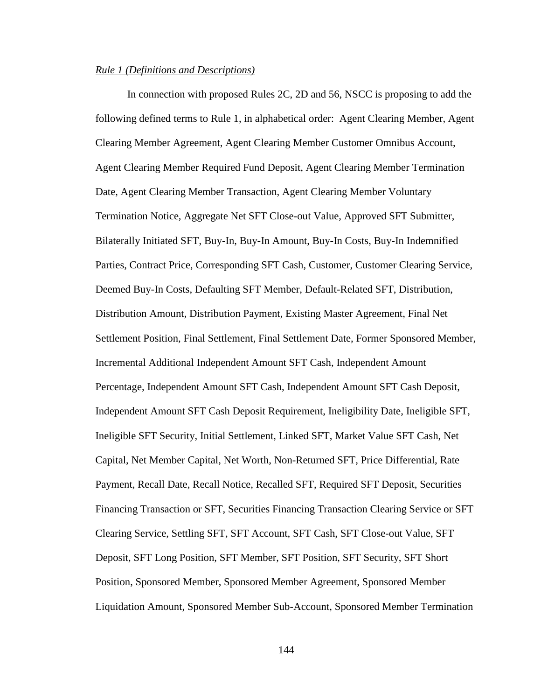### *Rule 1 (Definitions and Descriptions)*

In connection with proposed Rules 2C, 2D and 56, NSCC is proposing to add the following defined terms to Rule 1, in alphabetical order: Agent Clearing Member, Agent Clearing Member Agreement, Agent Clearing Member Customer Omnibus Account, Agent Clearing Member Required Fund Deposit, Agent Clearing Member Termination Date, Agent Clearing Member Transaction, Agent Clearing Member Voluntary Termination Notice, Aggregate Net SFT Close-out Value, Approved SFT Submitter, Bilaterally Initiated SFT, Buy-In, Buy-In Amount, Buy-In Costs, Buy-In Indemnified Parties, Contract Price, Corresponding SFT Cash, Customer, Customer Clearing Service, Deemed Buy-In Costs, Defaulting SFT Member, Default-Related SFT, Distribution, Distribution Amount, Distribution Payment, Existing Master Agreement, Final Net Settlement Position, Final Settlement, Final Settlement Date, Former Sponsored Member, Incremental Additional Independent Amount SFT Cash, Independent Amount Percentage, Independent Amount SFT Cash, Independent Amount SFT Cash Deposit, Independent Amount SFT Cash Deposit Requirement, Ineligibility Date, Ineligible SFT, Ineligible SFT Security, Initial Settlement, Linked SFT, Market Value SFT Cash, Net Capital, Net Member Capital, Net Worth, Non-Returned SFT, Price Differential, Rate Payment, Recall Date, Recall Notice, Recalled SFT, Required SFT Deposit, Securities Financing Transaction or SFT, Securities Financing Transaction Clearing Service or SFT Clearing Service, Settling SFT, SFT Account, SFT Cash, SFT Close-out Value, SFT Deposit, SFT Long Position, SFT Member, SFT Position, SFT Security, SFT Short Position, Sponsored Member, Sponsored Member Agreement, Sponsored Member Liquidation Amount, Sponsored Member Sub-Account, Sponsored Member Termination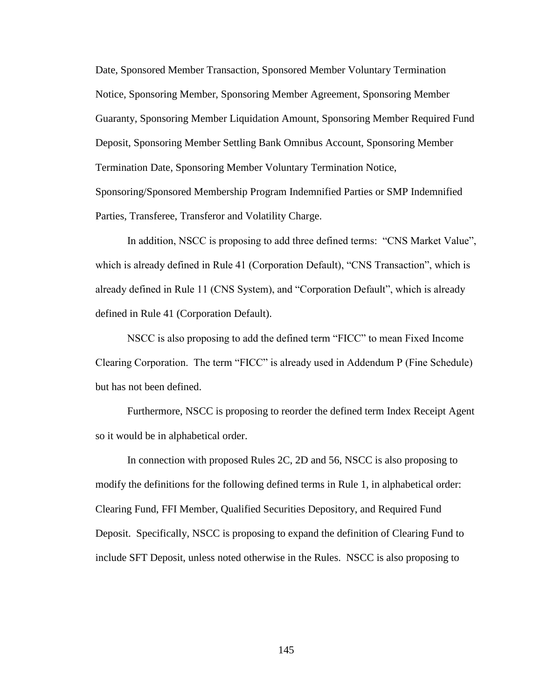Date, Sponsored Member Transaction, Sponsored Member Voluntary Termination Notice, Sponsoring Member, Sponsoring Member Agreement, Sponsoring Member Guaranty, Sponsoring Member Liquidation Amount, Sponsoring Member Required Fund Deposit, Sponsoring Member Settling Bank Omnibus Account, Sponsoring Member Termination Date, Sponsoring Member Voluntary Termination Notice, Sponsoring/Sponsored Membership Program Indemnified Parties or SMP Indemnified Parties, Transferee, Transferor and Volatility Charge.

In addition, NSCC is proposing to add three defined terms: "CNS Market Value", which is already defined in Rule 41 (Corporation Default), "CNS Transaction", which is already defined in Rule 11 (CNS System), and "Corporation Default", which is already defined in Rule 41 (Corporation Default).

NSCC is also proposing to add the defined term "FICC" to mean Fixed Income Clearing Corporation. The term "FICC" is already used in Addendum P (Fine Schedule) but has not been defined.

Furthermore, NSCC is proposing to reorder the defined term Index Receipt Agent so it would be in alphabetical order.

In connection with proposed Rules 2C, 2D and 56, NSCC is also proposing to modify the definitions for the following defined terms in Rule 1, in alphabetical order: Clearing Fund, FFI Member, Qualified Securities Depository, and Required Fund Deposit. Specifically, NSCC is proposing to expand the definition of Clearing Fund to include SFT Deposit, unless noted otherwise in the Rules. NSCC is also proposing to

145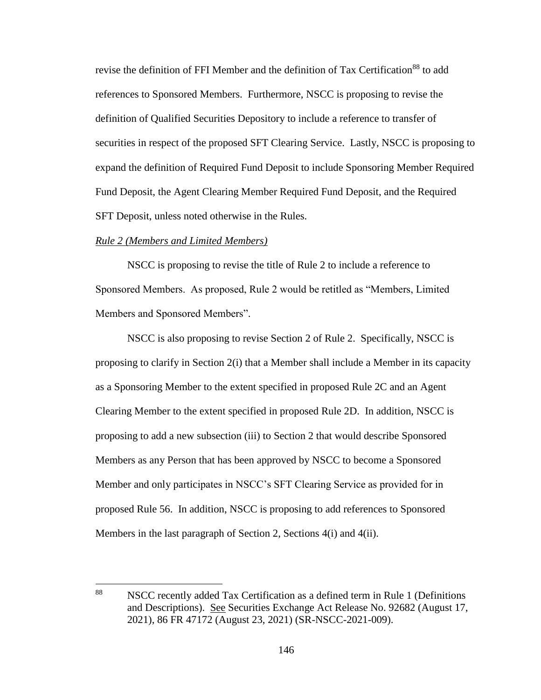revise the definition of FFI Member and the definition of Tax Certification<sup>88</sup> to add references to Sponsored Members. Furthermore, NSCC is proposing to revise the definition of Qualified Securities Depository to include a reference to transfer of securities in respect of the proposed SFT Clearing Service. Lastly, NSCC is proposing to expand the definition of Required Fund Deposit to include Sponsoring Member Required Fund Deposit, the Agent Clearing Member Required Fund Deposit, and the Required SFT Deposit, unless noted otherwise in the Rules.

### *Rule 2 (Members and Limited Members)*

NSCC is proposing to revise the title of Rule 2 to include a reference to Sponsored Members. As proposed, Rule 2 would be retitled as "Members, Limited Members and Sponsored Members".

NSCC is also proposing to revise Section 2 of Rule 2. Specifically, NSCC is proposing to clarify in Section 2(i) that a Member shall include a Member in its capacity as a Sponsoring Member to the extent specified in proposed Rule 2C and an Agent Clearing Member to the extent specified in proposed Rule 2D. In addition, NSCC is proposing to add a new subsection (iii) to Section 2 that would describe Sponsored Members as any Person that has been approved by NSCC to become a Sponsored Member and only participates in NSCC's SFT Clearing Service as provided for in proposed Rule 56. In addition, NSCC is proposing to add references to Sponsored Members in the last paragraph of Section 2, Sections 4(i) and 4(ii).

<sup>88</sup> <sup>88</sup> NSCC recently added Tax Certification as a defined term in Rule 1 (Definitions and Descriptions). See Securities Exchange Act Release No. 92682 (August 17, 2021), 86 FR 47172 (August 23, 2021) (SR-NSCC-2021-009).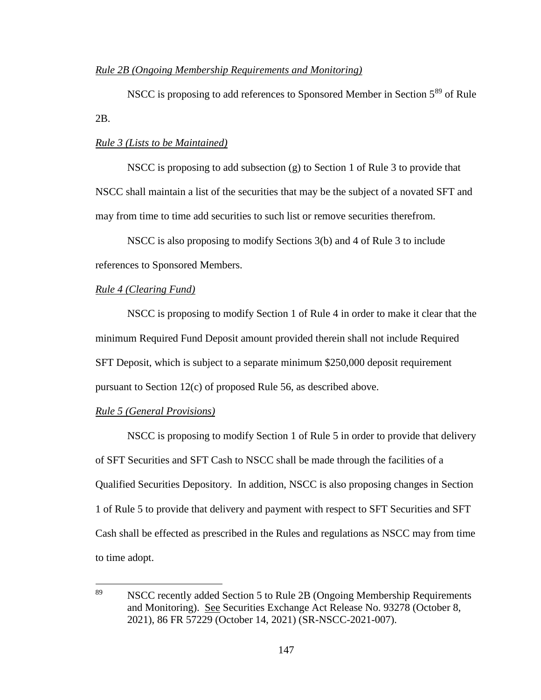# *Rule 2B (Ongoing Membership Requirements and Monitoring)*

NSCC is proposing to add references to Sponsored Member in Section 5<sup>89</sup> of Rule 2B.

# *Rule 3 (Lists to be Maintained)*

NSCC is proposing to add subsection  $(g)$  to Section 1 of Rule 3 to provide that NSCC shall maintain a list of the securities that may be the subject of a novated SFT and may from time to time add securities to such list or remove securities therefrom.

NSCC is also proposing to modify Sections 3(b) and 4 of Rule 3 to include references to Sponsored Members.

#### *Rule 4 (Clearing Fund)*

NSCC is proposing to modify Section 1 of Rule 4 in order to make it clear that the minimum Required Fund Deposit amount provided therein shall not include Required SFT Deposit, which is subject to a separate minimum \$250,000 deposit requirement pursuant to Section 12(c) of proposed Rule 56, as described above.

# *Rule 5 (General Provisions)*

NSCC is proposing to modify Section 1 of Rule 5 in order to provide that delivery of SFT Securities and SFT Cash to NSCC shall be made through the facilities of a Qualified Securities Depository. In addition, NSCC is also proposing changes in Section 1 of Rule 5 to provide that delivery and payment with respect to SFT Securities and SFT Cash shall be effected as prescribed in the Rules and regulations as NSCC may from time to time adopt.

<sup>89</sup> NSCC recently added Section 5 to Rule 2B (Ongoing Membership Requirements and Monitoring). See Securities Exchange Act Release No. 93278 (October 8, 2021), 86 FR 57229 (October 14, 2021) (SR-NSCC-2021-007).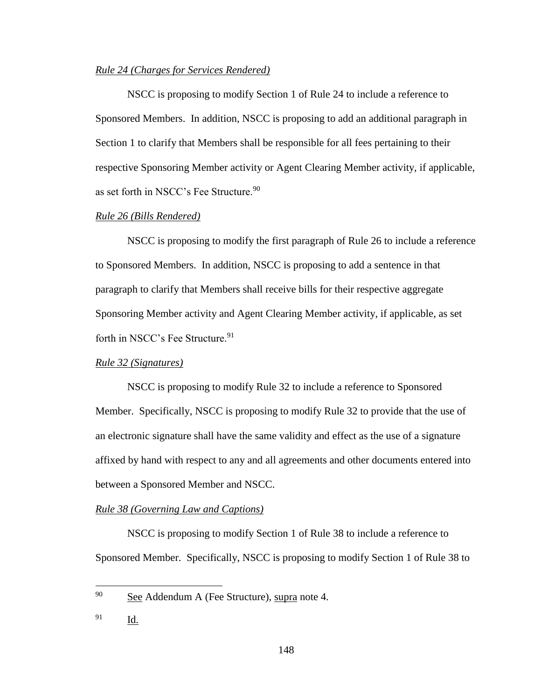## *Rule 24 (Charges for Services Rendered)*

NSCC is proposing to modify Section 1 of Rule 24 to include a reference to Sponsored Members. In addition, NSCC is proposing to add an additional paragraph in Section 1 to clarify that Members shall be responsible for all fees pertaining to their respective Sponsoring Member activity or Agent Clearing Member activity, if applicable, as set forth in NSCC's Fee Structure.<sup>90</sup>

### *Rule 26 (Bills Rendered)*

NSCC is proposing to modify the first paragraph of Rule 26 to include a reference to Sponsored Members. In addition, NSCC is proposing to add a sentence in that paragraph to clarify that Members shall receive bills for their respective aggregate Sponsoring Member activity and Agent Clearing Member activity, if applicable, as set forth in NSCC's Fee Structure.<sup>91</sup>

# *Rule 32 (Signatures)*

NSCC is proposing to modify Rule 32 to include a reference to Sponsored Member. Specifically, NSCC is proposing to modify Rule 32 to provide that the use of an electronic signature shall have the same validity and effect as the use of a signature affixed by hand with respect to any and all agreements and other documents entered into between a Sponsored Member and NSCC.

#### *Rule 38 (Governing Law and Captions)*

NSCC is proposing to modify Section 1 of Rule 38 to include a reference to Sponsored Member. Specifically, NSCC is proposing to modify Section 1 of Rule 38 to

 $90$  See Addendum A (Fee Structure), supra note 4.

<sup>91</sup> Id.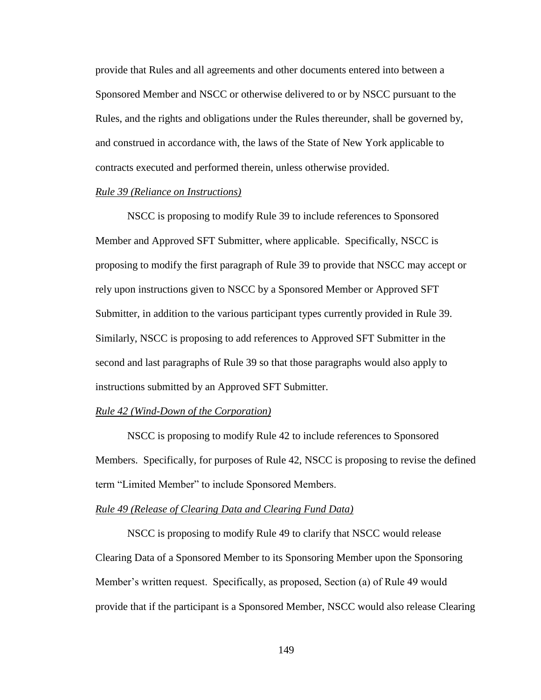provide that Rules and all agreements and other documents entered into between a Sponsored Member and NSCC or otherwise delivered to or by NSCC pursuant to the Rules, and the rights and obligations under the Rules thereunder, shall be governed by, and construed in accordance with, the laws of the State of New York applicable to contracts executed and performed therein, unless otherwise provided.

### *Rule 39 (Reliance on Instructions)*

NSCC is proposing to modify Rule 39 to include references to Sponsored Member and Approved SFT Submitter, where applicable. Specifically, NSCC is proposing to modify the first paragraph of Rule 39 to provide that NSCC may accept or rely upon instructions given to NSCC by a Sponsored Member or Approved SFT Submitter, in addition to the various participant types currently provided in Rule 39. Similarly, NSCC is proposing to add references to Approved SFT Submitter in the second and last paragraphs of Rule 39 so that those paragraphs would also apply to instructions submitted by an Approved SFT Submitter.

# *Rule 42 (Wind-Down of the Corporation)*

NSCC is proposing to modify Rule 42 to include references to Sponsored Members. Specifically, for purposes of Rule 42, NSCC is proposing to revise the defined term "Limited Member" to include Sponsored Members.

#### *Rule 49 (Release of Clearing Data and Clearing Fund Data)*

NSCC is proposing to modify Rule 49 to clarify that NSCC would release Clearing Data of a Sponsored Member to its Sponsoring Member upon the Sponsoring Member's written request. Specifically, as proposed, Section (a) of Rule 49 would provide that if the participant is a Sponsored Member, NSCC would also release Clearing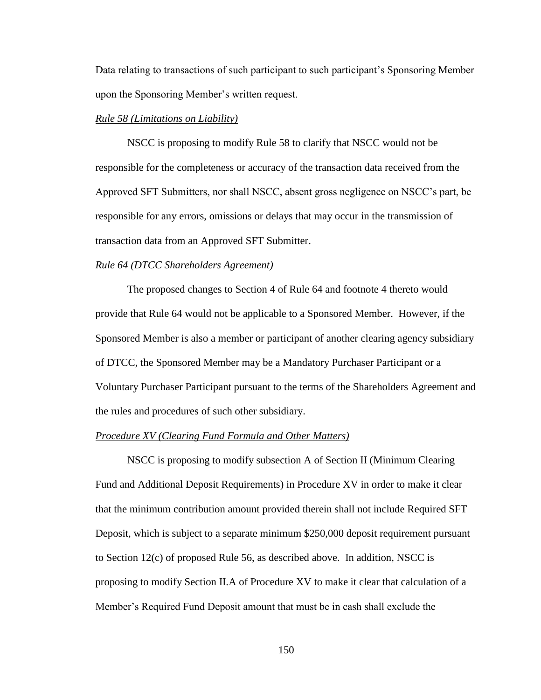Data relating to transactions of such participant to such participant's Sponsoring Member upon the Sponsoring Member's written request.

#### *Rule 58 (Limitations on Liability)*

NSCC is proposing to modify Rule 58 to clarify that NSCC would not be responsible for the completeness or accuracy of the transaction data received from the Approved SFT Submitters, nor shall NSCC, absent gross negligence on NSCC's part, be responsible for any errors, omissions or delays that may occur in the transmission of transaction data from an Approved SFT Submitter.

#### *Rule 64 (DTCC Shareholders Agreement)*

The proposed changes to Section 4 of Rule 64 and footnote 4 thereto would provide that Rule 64 would not be applicable to a Sponsored Member. However, if the Sponsored Member is also a member or participant of another clearing agency subsidiary of DTCC, the Sponsored Member may be a Mandatory Purchaser Participant or a Voluntary Purchaser Participant pursuant to the terms of the Shareholders Agreement and the rules and procedures of such other subsidiary.

#### *Procedure XV (Clearing Fund Formula and Other Matters)*

NSCC is proposing to modify subsection A of Section II (Minimum Clearing Fund and Additional Deposit Requirements) in Procedure XV in order to make it clear that the minimum contribution amount provided therein shall not include Required SFT Deposit, which is subject to a separate minimum \$250,000 deposit requirement pursuant to Section 12(c) of proposed Rule 56, as described above. In addition, NSCC is proposing to modify Section II.A of Procedure XV to make it clear that calculation of a Member's Required Fund Deposit amount that must be in cash shall exclude the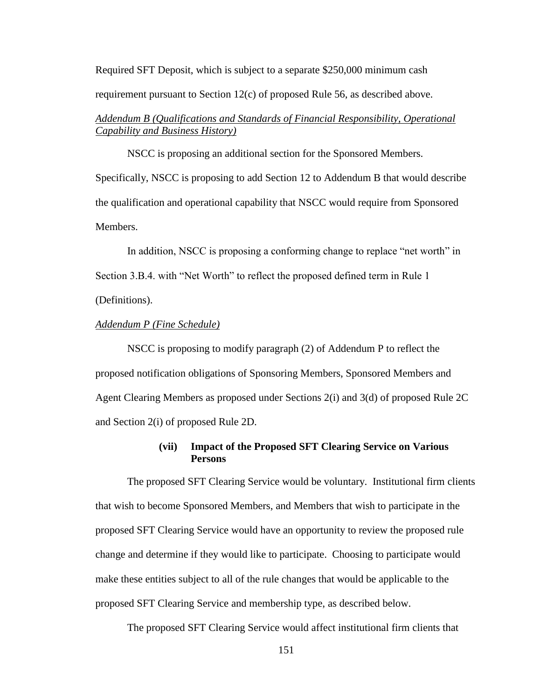Required SFT Deposit, which is subject to a separate \$250,000 minimum cash requirement pursuant to Section 12(c) of proposed Rule 56, as described above.

# *Addendum B (Qualifications and Standards of Financial Responsibility, Operational Capability and Business History)*

NSCC is proposing an additional section for the Sponsored Members. Specifically, NSCC is proposing to add Section 12 to Addendum B that would describe the qualification and operational capability that NSCC would require from Sponsored Members.

In addition, NSCC is proposing a conforming change to replace "net worth" in Section 3.B.4. with "Net Worth" to reflect the proposed defined term in Rule 1 (Definitions).

### *Addendum P (Fine Schedule)*

NSCC is proposing to modify paragraph (2) of Addendum P to reflect the proposed notification obligations of Sponsoring Members, Sponsored Members and Agent Clearing Members as proposed under Sections 2(i) and 3(d) of proposed Rule 2C and Section 2(i) of proposed Rule 2D.

# **(vii) Impact of the Proposed SFT Clearing Service on Various Persons**

The proposed SFT Clearing Service would be voluntary. Institutional firm clients that wish to become Sponsored Members, and Members that wish to participate in the proposed SFT Clearing Service would have an opportunity to review the proposed rule change and determine if they would like to participate. Choosing to participate would make these entities subject to all of the rule changes that would be applicable to the proposed SFT Clearing Service and membership type, as described below.

The proposed SFT Clearing Service would affect institutional firm clients that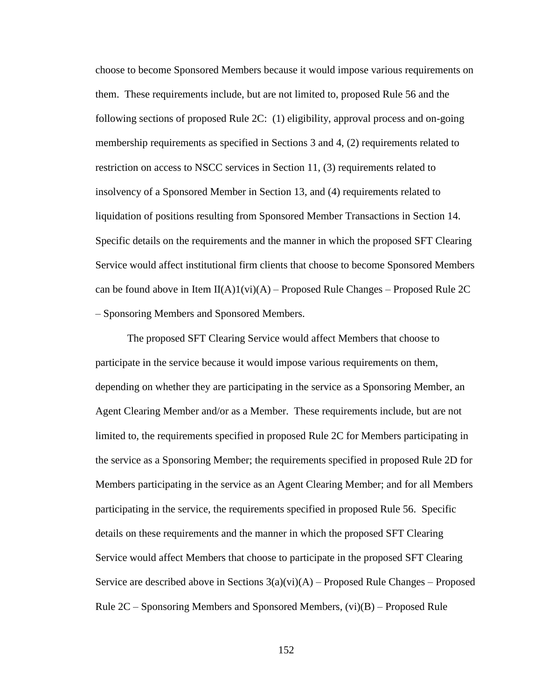choose to become Sponsored Members because it would impose various requirements on them. These requirements include, but are not limited to, proposed Rule 56 and the following sections of proposed Rule 2C: (1) eligibility, approval process and on-going membership requirements as specified in Sections 3 and 4, (2) requirements related to restriction on access to NSCC services in Section 11, (3) requirements related to insolvency of a Sponsored Member in Section 13, and (4) requirements related to liquidation of positions resulting from Sponsored Member Transactions in Section 14. Specific details on the requirements and the manner in which the proposed SFT Clearing Service would affect institutional firm clients that choose to become Sponsored Members can be found above in Item  $II(A)1(vi)(A)$  – Proposed Rule Changes – Proposed Rule 2C – Sponsoring Members and Sponsored Members.

The proposed SFT Clearing Service would affect Members that choose to participate in the service because it would impose various requirements on them, depending on whether they are participating in the service as a Sponsoring Member, an Agent Clearing Member and/or as a Member. These requirements include, but are not limited to, the requirements specified in proposed Rule 2C for Members participating in the service as a Sponsoring Member; the requirements specified in proposed Rule 2D for Members participating in the service as an Agent Clearing Member; and for all Members participating in the service, the requirements specified in proposed Rule 56. Specific details on these requirements and the manner in which the proposed SFT Clearing Service would affect Members that choose to participate in the proposed SFT Clearing Service are described above in Sections  $3(a)(vi)(A)$  – Proposed Rule Changes – Proposed Rule  $2C -$  Sponsoring Members and Sponsored Members,  $(vi)(B) -$  Proposed Rule

152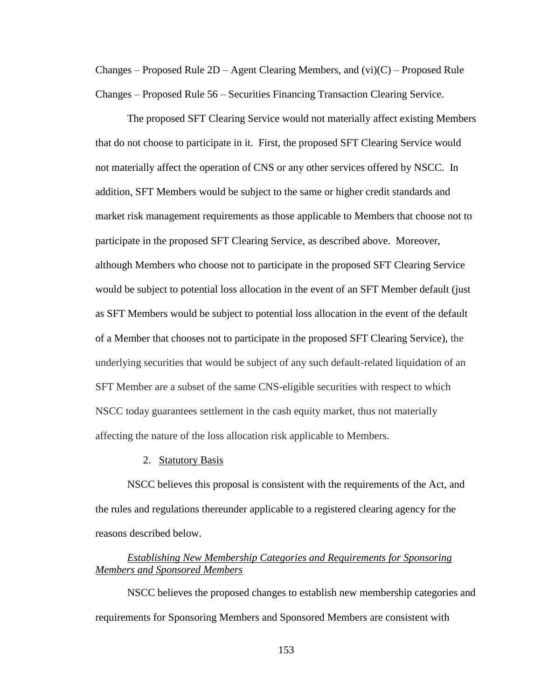Changes – Proposed Rule  $2D -$  Agent Clearing Members, and  $(vi)(C)$  – Proposed Rule Changes – Proposed Rule 56 – Securities Financing Transaction Clearing Service.

The proposed SFT Clearing Service would not materially affect existing Members that do not choose to participate in it. First, the proposed SFT Clearing Service would not materially affect the operation of CNS or any other services offered by NSCC. In addition, SFT Members would be subject to the same or higher credit standards and market risk management requirements as those applicable to Members that choose not to participate in the proposed SFT Clearing Service, as described above. Moreover, although Members who choose not to participate in the proposed SFT Clearing Service would be subject to potential loss allocation in the event of an SFT Member default (just as SFT Members would be subject to potential loss allocation in the event of the default of a Member that chooses not to participate in the proposed SFT Clearing Service), the underlying securities that would be subject of any such default-related liquidation of an SFT Member are a subset of the same CNS-eligible securities with respect to which NSCC today guarantees settlement in the cash equity market, thus not materially affecting the nature of the loss allocation risk applicable to Members.

#### 2. Statutory Basis

NSCC believes this proposal is consistent with the requirements of the Act, and the rules and regulations thereunder applicable to a registered clearing agency for the reasons described below.

# *Establishing New Membership Categories and Requirements for Sponsoring Members and Sponsored Members*

NSCC believes the proposed changes to establish new membership categories and requirements for Sponsoring Members and Sponsored Members are consistent with

153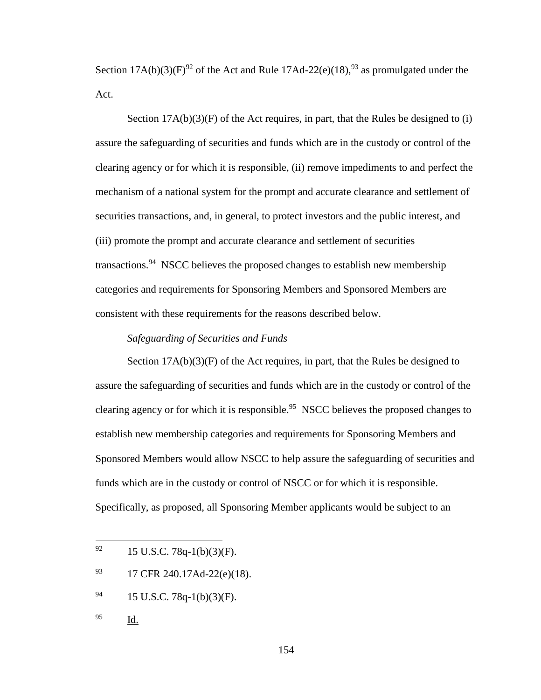Section  $17A(b)(3)(F)^{92}$  of the Act and Rule  $17Ad-22(e)(18),^{93}$  as promulgated under the Act.

Section  $17A(b)(3)(F)$  of the Act requires, in part, that the Rules be designed to (i) assure the safeguarding of securities and funds which are in the custody or control of the clearing agency or for which it is responsible, (ii) remove impediments to and perfect the mechanism of a national system for the prompt and accurate clearance and settlement of securities transactions, and, in general, to protect investors and the public interest, and (iii) promote the prompt and accurate clearance and settlement of securities transactions.<sup>94</sup> NSCC believes the proposed changes to establish new membership categories and requirements for Sponsoring Members and Sponsored Members are consistent with these requirements for the reasons described below.

## *Safeguarding of Securities and Funds*

Section  $17A(b)(3)(F)$  of the Act requires, in part, that the Rules be designed to assure the safeguarding of securities and funds which are in the custody or control of the clearing agency or for which it is responsible.<sup>95</sup> NSCC believes the proposed changes to establish new membership categories and requirements for Sponsoring Members and Sponsored Members would allow NSCC to help assure the safeguarding of securities and funds which are in the custody or control of NSCC or for which it is responsible. Specifically, as proposed, all Sponsoring Member applicants would be subject to an

- 93 17 CFR 240.17Ad-22(e)(18).
- $^{94}$  15 U.S.C. 78q-1(b)(3)(F).
- <sup>95</sup> Id.

<sup>92</sup> 15 U.S.C. 78q-1(b)(3)(F).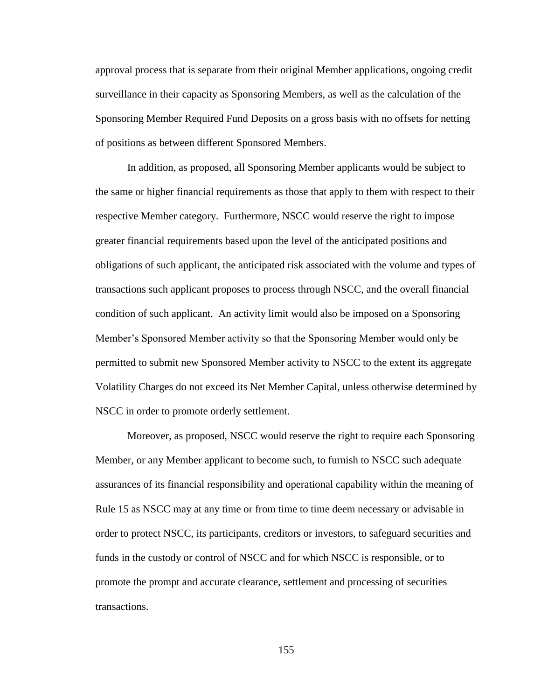approval process that is separate from their original Member applications, ongoing credit surveillance in their capacity as Sponsoring Members, as well as the calculation of the Sponsoring Member Required Fund Deposits on a gross basis with no offsets for netting of positions as between different Sponsored Members.

In addition, as proposed, all Sponsoring Member applicants would be subject to the same or higher financial requirements as those that apply to them with respect to their respective Member category. Furthermore, NSCC would reserve the right to impose greater financial requirements based upon the level of the anticipated positions and obligations of such applicant, the anticipated risk associated with the volume and types of transactions such applicant proposes to process through NSCC, and the overall financial condition of such applicant. An activity limit would also be imposed on a Sponsoring Member's Sponsored Member activity so that the Sponsoring Member would only be permitted to submit new Sponsored Member activity to NSCC to the extent its aggregate Volatility Charges do not exceed its Net Member Capital, unless otherwise determined by NSCC in order to promote orderly settlement.

Moreover, as proposed, NSCC would reserve the right to require each Sponsoring Member, or any Member applicant to become such, to furnish to NSCC such adequate assurances of its financial responsibility and operational capability within the meaning of Rule 15 as NSCC may at any time or from time to time deem necessary or advisable in order to protect NSCC, its participants, creditors or investors, to safeguard securities and funds in the custody or control of NSCC and for which NSCC is responsible, or to promote the prompt and accurate clearance, settlement and processing of securities transactions.

155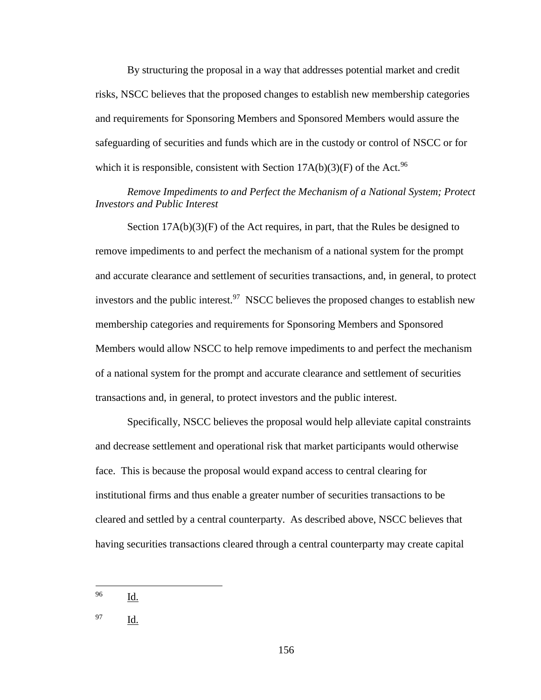By structuring the proposal in a way that addresses potential market and credit risks, NSCC believes that the proposed changes to establish new membership categories and requirements for Sponsoring Members and Sponsored Members would assure the safeguarding of securities and funds which are in the custody or control of NSCC or for which it is responsible, consistent with Section  $17A(b)(3)(F)$  of the Act.<sup>96</sup>

*Remove Impediments to and Perfect the Mechanism of a National System; Protect Investors and Public Interest*

Section  $17A(b)(3)(F)$  of the Act requires, in part, that the Rules be designed to remove impediments to and perfect the mechanism of a national system for the prompt and accurate clearance and settlement of securities transactions, and, in general, to protect investors and the public interest.<sup>97</sup> NSCC believes the proposed changes to establish new membership categories and requirements for Sponsoring Members and Sponsored Members would allow NSCC to help remove impediments to and perfect the mechanism of a national system for the prompt and accurate clearance and settlement of securities transactions and, in general, to protect investors and the public interest.

Specifically, NSCC believes the proposal would help alleviate capital constraints and decrease settlement and operational risk that market participants would otherwise face. This is because the proposal would expand access to central clearing for institutional firms and thus enable a greater number of securities transactions to be cleared and settled by a central counterparty. As described above, NSCC believes that having securities transactions cleared through a central counterparty may create capital

<sup>96</sup> Id.

<sup>97</sup> Id.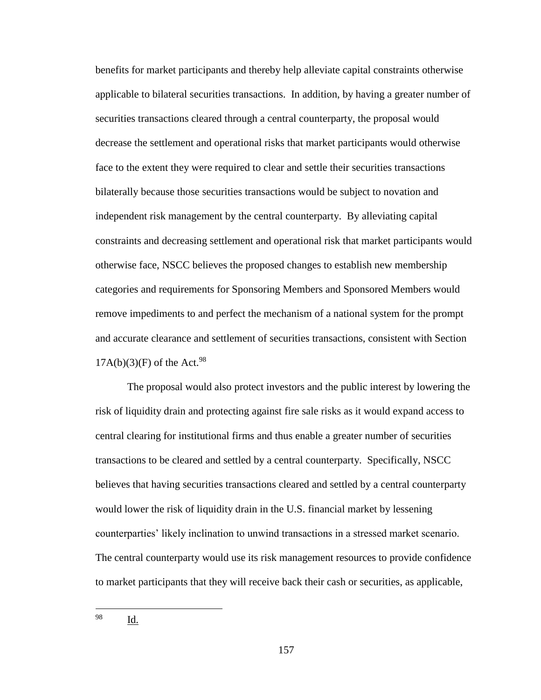benefits for market participants and thereby help alleviate capital constraints otherwise applicable to bilateral securities transactions. In addition, by having a greater number of securities transactions cleared through a central counterparty, the proposal would decrease the settlement and operational risks that market participants would otherwise face to the extent they were required to clear and settle their securities transactions bilaterally because those securities transactions would be subject to novation and independent risk management by the central counterparty. By alleviating capital constraints and decreasing settlement and operational risk that market participants would otherwise face, NSCC believes the proposed changes to establish new membership categories and requirements for Sponsoring Members and Sponsored Members would remove impediments to and perfect the mechanism of a national system for the prompt and accurate clearance and settlement of securities transactions, consistent with Section  $17A(b)(3)(F)$  of the Act.<sup>98</sup>

The proposal would also protect investors and the public interest by lowering the risk of liquidity drain and protecting against fire sale risks as it would expand access to central clearing for institutional firms and thus enable a greater number of securities transactions to be cleared and settled by a central counterparty. Specifically, NSCC believes that having securities transactions cleared and settled by a central counterparty would lower the risk of liquidity drain in the U.S. financial market by lessening counterparties' likely inclination to unwind transactions in a stressed market scenario. The central counterparty would use its risk management resources to provide confidence to market participants that they will receive back their cash or securities, as applicable,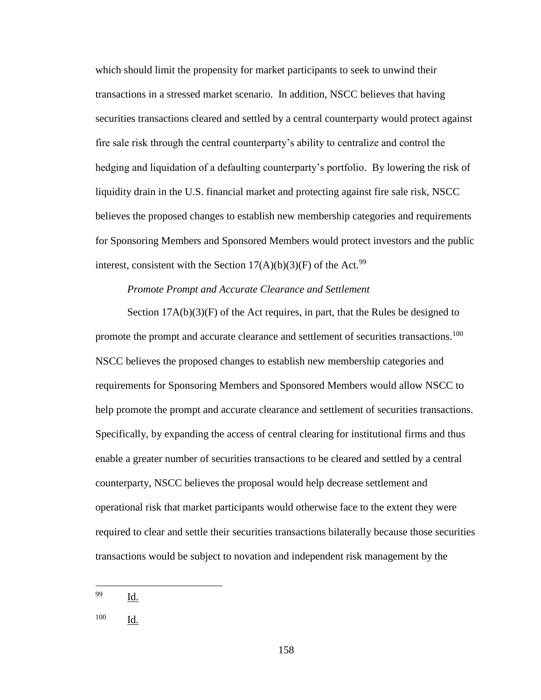which should limit the propensity for market participants to seek to unwind their transactions in a stressed market scenario. In addition, NSCC believes that having securities transactions cleared and settled by a central counterparty would protect against fire sale risk through the central counterparty's ability to centralize and control the hedging and liquidation of a defaulting counterparty's portfolio. By lowering the risk of liquidity drain in the U.S. financial market and protecting against fire sale risk, NSCC believes the proposed changes to establish new membership categories and requirements for Sponsoring Members and Sponsored Members would protect investors and the public interest, consistent with the Section  $17(A)(b)(3)(F)$  of the Act.<sup>99</sup>

# *Promote Prompt and Accurate Clearance and Settlement*

Section  $17A(b)(3)(F)$  of the Act requires, in part, that the Rules be designed to promote the prompt and accurate clearance and settlement of securities transactions.<sup>100</sup> NSCC believes the proposed changes to establish new membership categories and requirements for Sponsoring Members and Sponsored Members would allow NSCC to help promote the prompt and accurate clearance and settlement of securities transactions. Specifically, by expanding the access of central clearing for institutional firms and thus enable a greater number of securities transactions to be cleared and settled by a central counterparty, NSCC believes the proposal would help decrease settlement and operational risk that market participants would otherwise face to the extent they were required to clear and settle their securities transactions bilaterally because those securities transactions would be subject to novation and independent risk management by the

<sup>99</sup> Id.

<sup>100</sup> Id.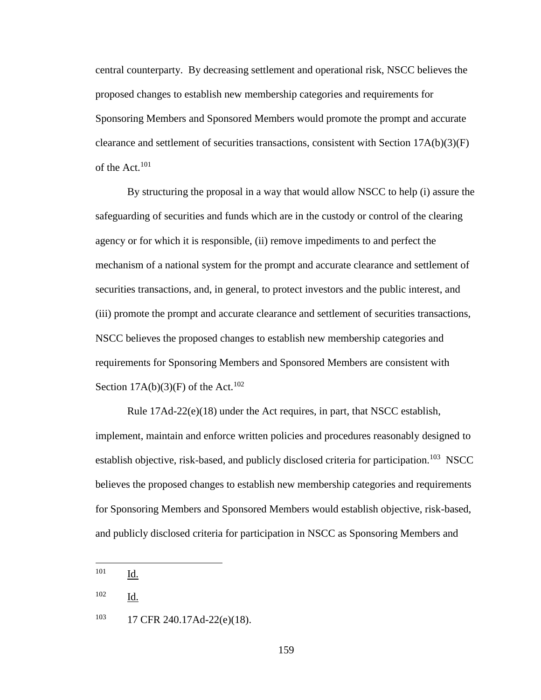central counterparty. By decreasing settlement and operational risk, NSCC believes the proposed changes to establish new membership categories and requirements for Sponsoring Members and Sponsored Members would promote the prompt and accurate clearance and settlement of securities transactions, consistent with Section  $17A(b)(3)(F)$ of the Act.<sup>101</sup>

By structuring the proposal in a way that would allow NSCC to help (i) assure the safeguarding of securities and funds which are in the custody or control of the clearing agency or for which it is responsible, (ii) remove impediments to and perfect the mechanism of a national system for the prompt and accurate clearance and settlement of securities transactions, and, in general, to protect investors and the public interest, and (iii) promote the prompt and accurate clearance and settlement of securities transactions, NSCC believes the proposed changes to establish new membership categories and requirements for Sponsoring Members and Sponsored Members are consistent with Section  $17A(b)(3)(F)$  of the Act.<sup>102</sup>

Rule 17Ad-22(e)(18) under the Act requires, in part, that NSCC establish, implement, maintain and enforce written policies and procedures reasonably designed to establish objective, risk-based, and publicly disclosed criteria for participation.<sup>103</sup> NSCC believes the proposed changes to establish new membership categories and requirements for Sponsoring Members and Sponsored Members would establish objective, risk-based, and publicly disclosed criteria for participation in NSCC as Sponsoring Members and

<sup>101</sup> Id.

<sup>102</sup> Id.

<sup>103</sup> 17 CFR 240.17Ad-22(e)(18).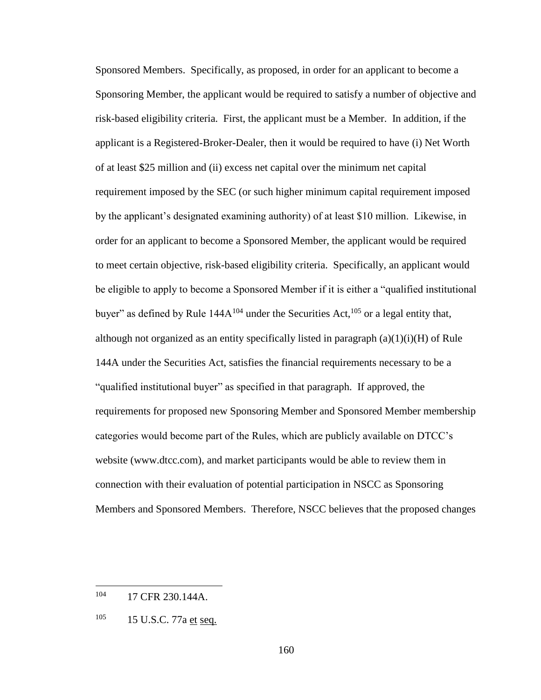Sponsored Members. Specifically, as proposed, in order for an applicant to become a Sponsoring Member, the applicant would be required to satisfy a number of objective and risk-based eligibility criteria. First, the applicant must be a Member. In addition, if the applicant is a Registered-Broker-Dealer, then it would be required to have (i) Net Worth of at least \$25 million and (ii) excess net capital over the minimum net capital requirement imposed by the SEC (or such higher minimum capital requirement imposed by the applicant's designated examining authority) of at least \$10 million. Likewise, in order for an applicant to become a Sponsored Member, the applicant would be required to meet certain objective, risk-based eligibility criteria. Specifically, an applicant would be eligible to apply to become a Sponsored Member if it is either a "qualified institutional buyer" as defined by Rule  $144A^{104}$  under the Securities Act,<sup>105</sup> or a legal entity that, although not organized as an entity specifically listed in paragraph  $(a)(1)(i)(H)$  of Rule 144A under the Securities Act, satisfies the financial requirements necessary to be a "qualified institutional buyer" as specified in that paragraph. If approved, the requirements for proposed new Sponsoring Member and Sponsored Member membership categories would become part of the Rules, which are publicly available on DTCC's website (www.dtcc.com), and market participants would be able to review them in connection with their evaluation of potential participation in NSCC as Sponsoring Members and Sponsored Members. Therefore, NSCC believes that the proposed changes

<sup>104 17</sup> CFR 230.144A.

 $105$  15 U.S.C. 77a et seq.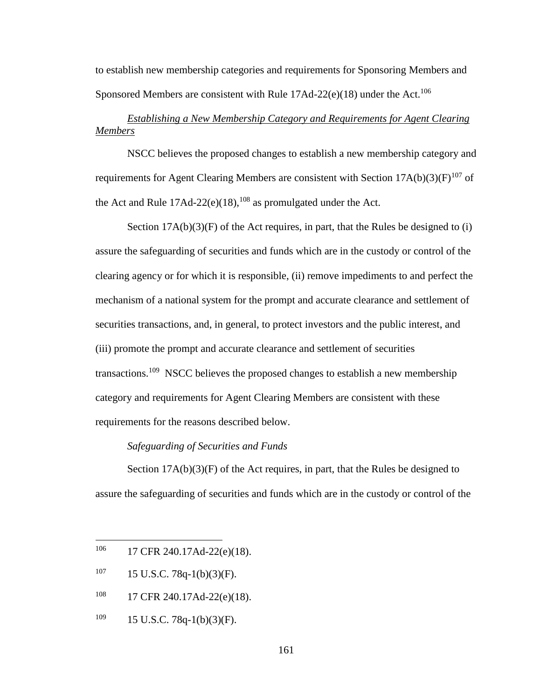to establish new membership categories and requirements for Sponsoring Members and Sponsored Members are consistent with Rule  $17\text{Ad}-22\text{(e)}(18)$  under the Act.<sup>106</sup>

# *Establishing a New Membership Category and Requirements for Agent Clearing Members*

NSCC believes the proposed changes to establish a new membership category and requirements for Agent Clearing Members are consistent with Section  $17A(b)(3)(F)^{107}$  of the Act and Rule  $17\text{Ad}-22(e)(18)$ ,  $^{108}$  as promulgated under the Act.

Section  $17A(b)(3)(F)$  of the Act requires, in part, that the Rules be designed to (i) assure the safeguarding of securities and funds which are in the custody or control of the clearing agency or for which it is responsible, (ii) remove impediments to and perfect the mechanism of a national system for the prompt and accurate clearance and settlement of securities transactions, and, in general, to protect investors and the public interest, and (iii) promote the prompt and accurate clearance and settlement of securities transactions.<sup>109</sup> NSCC believes the proposed changes to establish a new membership category and requirements for Agent Clearing Members are consistent with these requirements for the reasons described below.

# *Safeguarding of Securities and Funds*

Section  $17A(b)(3)(F)$  of the Act requires, in part, that the Rules be designed to assure the safeguarding of securities and funds which are in the custody or control of the

- 108 17 CFR 240.17Ad-22(e)(18).
- $109$  15 U.S.C. 78q-1(b)(3)(F).

<sup>106</sup> 17 CFR 240.17Ad-22(e)(18).

 $107$  15 U.S.C. 78q-1(b)(3)(F).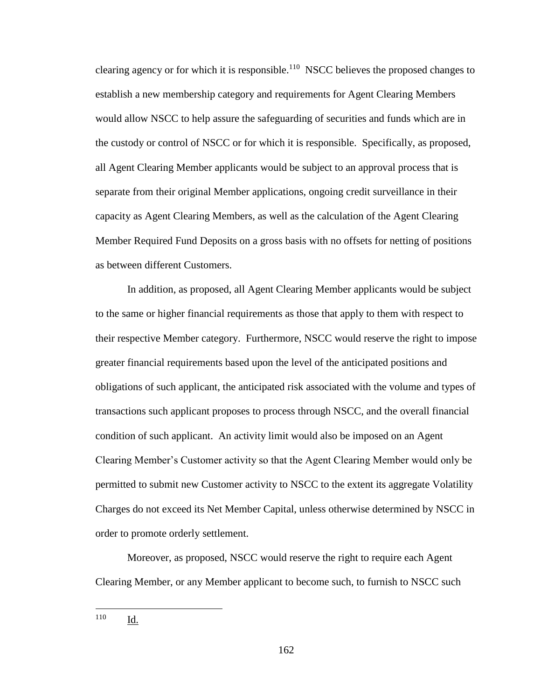clearing agency or for which it is responsible.<sup>110</sup> NSCC believes the proposed changes to establish a new membership category and requirements for Agent Clearing Members would allow NSCC to help assure the safeguarding of securities and funds which are in the custody or control of NSCC or for which it is responsible. Specifically, as proposed, all Agent Clearing Member applicants would be subject to an approval process that is separate from their original Member applications, ongoing credit surveillance in their capacity as Agent Clearing Members, as well as the calculation of the Agent Clearing Member Required Fund Deposits on a gross basis with no offsets for netting of positions as between different Customers.

In addition, as proposed, all Agent Clearing Member applicants would be subject to the same or higher financial requirements as those that apply to them with respect to their respective Member category. Furthermore, NSCC would reserve the right to impose greater financial requirements based upon the level of the anticipated positions and obligations of such applicant, the anticipated risk associated with the volume and types of transactions such applicant proposes to process through NSCC, and the overall financial condition of such applicant. An activity limit would also be imposed on an Agent Clearing Member's Customer activity so that the Agent Clearing Member would only be permitted to submit new Customer activity to NSCC to the extent its aggregate Volatility Charges do not exceed its Net Member Capital, unless otherwise determined by NSCC in order to promote orderly settlement.

Moreover, as proposed, NSCC would reserve the right to require each Agent Clearing Member, or any Member applicant to become such, to furnish to NSCC such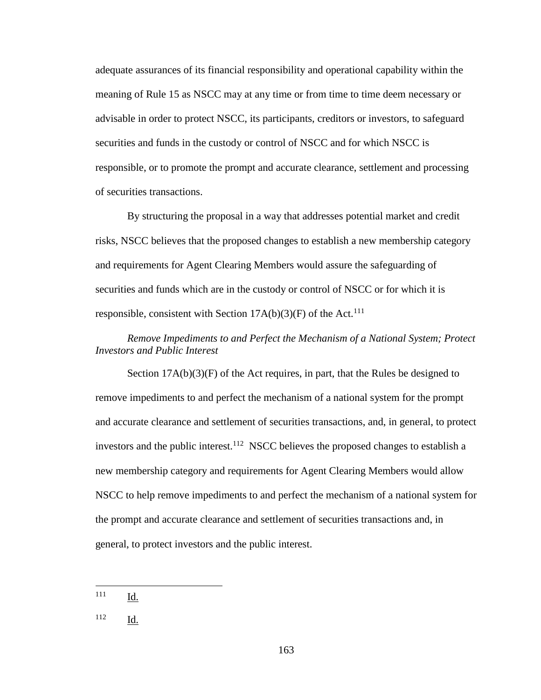adequate assurances of its financial responsibility and operational capability within the meaning of Rule 15 as NSCC may at any time or from time to time deem necessary or advisable in order to protect NSCC, its participants, creditors or investors, to safeguard securities and funds in the custody or control of NSCC and for which NSCC is responsible, or to promote the prompt and accurate clearance, settlement and processing of securities transactions.

By structuring the proposal in a way that addresses potential market and credit risks, NSCC believes that the proposed changes to establish a new membership category and requirements for Agent Clearing Members would assure the safeguarding of securities and funds which are in the custody or control of NSCC or for which it is responsible, consistent with Section  $17A(b)(3)(F)$  of the Act.<sup>111</sup>

# *Remove Impediments to and Perfect the Mechanism of a National System; Protect Investors and Public Interest*

Section  $17A(b)(3)(F)$  of the Act requires, in part, that the Rules be designed to remove impediments to and perfect the mechanism of a national system for the prompt and accurate clearance and settlement of securities transactions, and, in general, to protect investors and the public interest.<sup>112</sup> NSCC believes the proposed changes to establish a new membership category and requirements for Agent Clearing Members would allow NSCC to help remove impediments to and perfect the mechanism of a national system for the prompt and accurate clearance and settlement of securities transactions and, in general, to protect investors and the public interest.

<sup>111</sup> Id.

 $\overline{a}$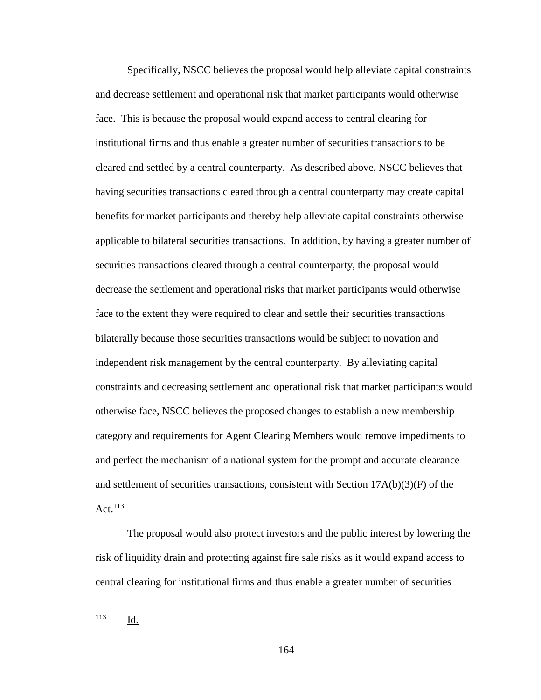Specifically, NSCC believes the proposal would help alleviate capital constraints and decrease settlement and operational risk that market participants would otherwise face. This is because the proposal would expand access to central clearing for institutional firms and thus enable a greater number of securities transactions to be cleared and settled by a central counterparty. As described above, NSCC believes that having securities transactions cleared through a central counterparty may create capital benefits for market participants and thereby help alleviate capital constraints otherwise applicable to bilateral securities transactions. In addition, by having a greater number of securities transactions cleared through a central counterparty, the proposal would decrease the settlement and operational risks that market participants would otherwise face to the extent they were required to clear and settle their securities transactions bilaterally because those securities transactions would be subject to novation and independent risk management by the central counterparty. By alleviating capital constraints and decreasing settlement and operational risk that market participants would otherwise face, NSCC believes the proposed changes to establish a new membership category and requirements for Agent Clearing Members would remove impediments to and perfect the mechanism of a national system for the prompt and accurate clearance and settlement of securities transactions, consistent with Section 17A(b)(3)(F) of the Act. $113$ 

The proposal would also protect investors and the public interest by lowering the risk of liquidity drain and protecting against fire sale risks as it would expand access to central clearing for institutional firms and thus enable a greater number of securities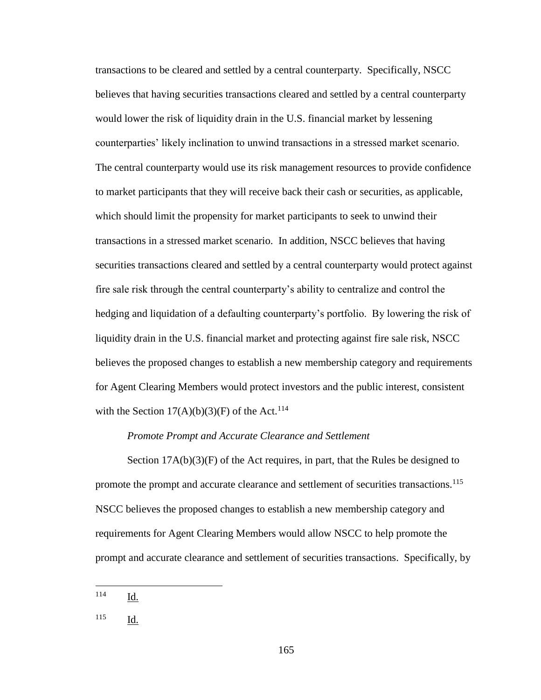transactions to be cleared and settled by a central counterparty. Specifically, NSCC believes that having securities transactions cleared and settled by a central counterparty would lower the risk of liquidity drain in the U.S. financial market by lessening counterparties' likely inclination to unwind transactions in a stressed market scenario. The central counterparty would use its risk management resources to provide confidence to market participants that they will receive back their cash or securities, as applicable, which should limit the propensity for market participants to seek to unwind their transactions in a stressed market scenario. In addition, NSCC believes that having securities transactions cleared and settled by a central counterparty would protect against fire sale risk through the central counterparty's ability to centralize and control the hedging and liquidation of a defaulting counterparty's portfolio. By lowering the risk of liquidity drain in the U.S. financial market and protecting against fire sale risk, NSCC believes the proposed changes to establish a new membership category and requirements for Agent Clearing Members would protect investors and the public interest, consistent with the Section  $17(A)(b)(3)(F)$  of the Act.<sup>114</sup>

## *Promote Prompt and Accurate Clearance and Settlement*

Section  $17A(b)(3)(F)$  of the Act requires, in part, that the Rules be designed to promote the prompt and accurate clearance and settlement of securities transactions.<sup>115</sup> NSCC believes the proposed changes to establish a new membership category and requirements for Agent Clearing Members would allow NSCC to help promote the prompt and accurate clearance and settlement of securities transactions. Specifically, by

<sup>114</sup> Id.

<sup>115</sup> Id.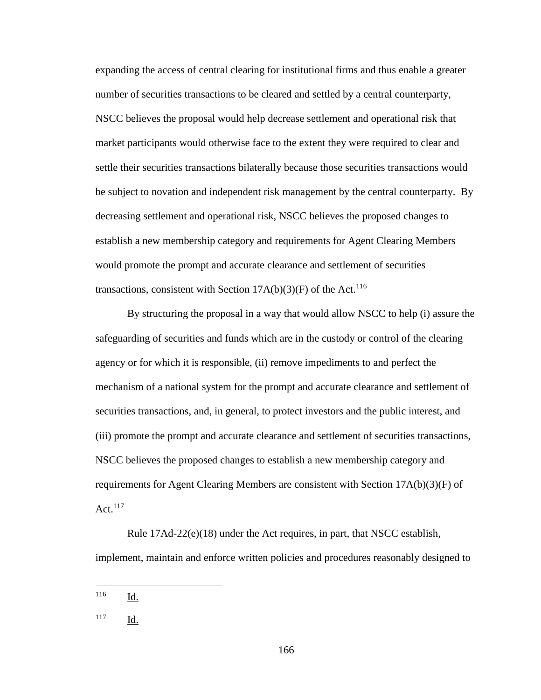expanding the access of central clearing for institutional firms and thus enable a greater number of securities transactions to be cleared and settled by a central counterparty, NSCC believes the proposal would help decrease settlement and operational risk that market participants would otherwise face to the extent they were required to clear and settle their securities transactions bilaterally because those securities transactions would be subject to novation and independent risk management by the central counterparty. By decreasing settlement and operational risk, NSCC believes the proposed changes to establish a new membership category and requirements for Agent Clearing Members would promote the prompt and accurate clearance and settlement of securities transactions, consistent with Section  $17A(b)(3)(F)$  of the Act.<sup>116</sup>

By structuring the proposal in a way that would allow NSCC to help (i) assure the safeguarding of securities and funds which are in the custody or control of the clearing agency or for which it is responsible, (ii) remove impediments to and perfect the mechanism of a national system for the prompt and accurate clearance and settlement of securities transactions, and, in general, to protect investors and the public interest, and (iii) promote the prompt and accurate clearance and settlement of securities transactions, NSCC believes the proposed changes to establish a new membership category and requirements for Agent Clearing Members are consistent with Section 17A(b)(3)(F) of Act. $117$ 

Rule 17Ad-22(e)(18) under the Act requires, in part, that NSCC establish, implement, maintain and enforce written policies and procedures reasonably designed to

<sup>116</sup> Id.

<sup>117</sup> Id.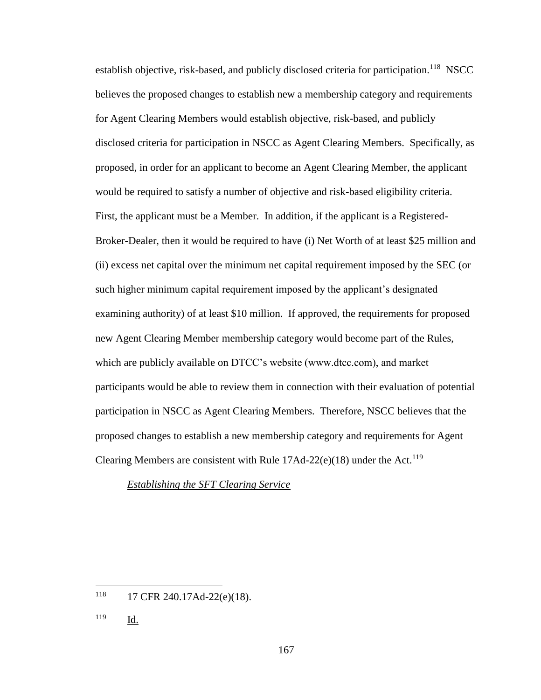establish objective, risk-based, and publicly disclosed criteria for participation.<sup>118</sup> NSCC believes the proposed changes to establish new a membership category and requirements for Agent Clearing Members would establish objective, risk-based, and publicly disclosed criteria for participation in NSCC as Agent Clearing Members. Specifically, as proposed, in order for an applicant to become an Agent Clearing Member, the applicant would be required to satisfy a number of objective and risk-based eligibility criteria. First, the applicant must be a Member. In addition, if the applicant is a Registered-Broker-Dealer, then it would be required to have (i) Net Worth of at least \$25 million and (ii) excess net capital over the minimum net capital requirement imposed by the SEC (or such higher minimum capital requirement imposed by the applicant's designated examining authority) of at least \$10 million. If approved, the requirements for proposed new Agent Clearing Member membership category would become part of the Rules, which are publicly available on DTCC's website (www.dtcc.com), and market participants would be able to review them in connection with their evaluation of potential participation in NSCC as Agent Clearing Members. Therefore, NSCC believes that the proposed changes to establish a new membership category and requirements for Agent Clearing Members are consistent with Rule  $17Ad-22(e)(18)$  under the Act.<sup>119</sup>

*Establishing the SFT Clearing Service*

<sup>118</sup> 17 CFR 240.17Ad-22(e)(18).

<sup>119</sup> Id.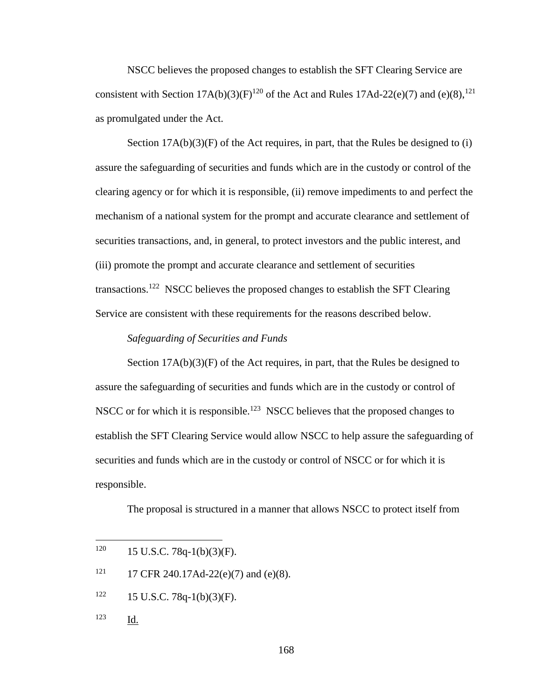NSCC believes the proposed changes to establish the SFT Clearing Service are consistent with Section  $17A(b)(3)(F)^{120}$  of the Act and Rules  $17Ad-22(e)(7)$  and  $(e)(8),^{121}$ as promulgated under the Act.

Section  $17A(b)(3)(F)$  of the Act requires, in part, that the Rules be designed to (i) assure the safeguarding of securities and funds which are in the custody or control of the clearing agency or for which it is responsible, (ii) remove impediments to and perfect the mechanism of a national system for the prompt and accurate clearance and settlement of securities transactions, and, in general, to protect investors and the public interest, and (iii) promote the prompt and accurate clearance and settlement of securities transactions.<sup>122</sup> NSCC believes the proposed changes to establish the SFT Clearing Service are consistent with these requirements for the reasons described below.

#### *Safeguarding of Securities and Funds*

Section  $17A(b)(3)(F)$  of the Act requires, in part, that the Rules be designed to assure the safeguarding of securities and funds which are in the custody or control of NSCC or for which it is responsible.<sup>123</sup> NSCC believes that the proposed changes to establish the SFT Clearing Service would allow NSCC to help assure the safeguarding of securities and funds which are in the custody or control of NSCC or for which it is responsible.

The proposal is structured in a manner that allows NSCC to protect itself from

- $122$  15 U.S.C. 78q-1(b)(3)(F).
- <sup>123</sup> Id.

<sup>120</sup> 15 U.S.C. 78q-1(b)(3)(F).

<sup>&</sup>lt;sup>121</sup> 17 CFR 240.17Ad-22(e)(7) and (e)(8).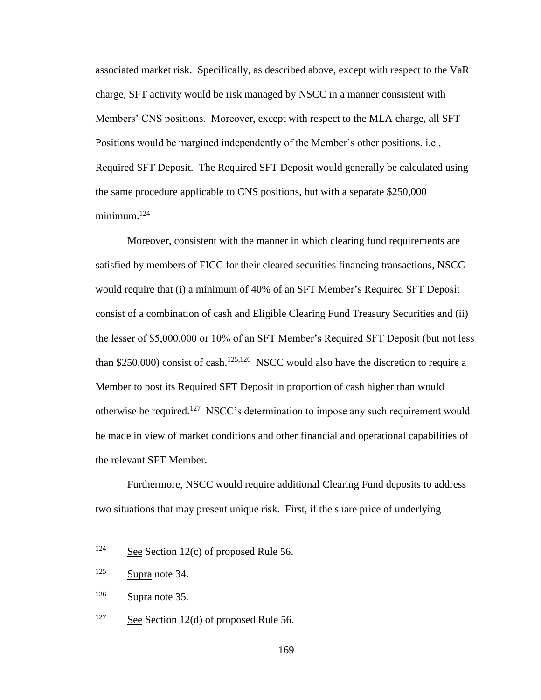associated market risk. Specifically, as described above, except with respect to the VaR charge, SFT activity would be risk managed by NSCC in a manner consistent with Members' CNS positions. Moreover, except with respect to the MLA charge, all SFT Positions would be margined independently of the Member's other positions, i.e., Required SFT Deposit. The Required SFT Deposit would generally be calculated using the same procedure applicable to CNS positions, but with a separate \$250,000 minimum.<sup>124</sup>

Moreover, consistent with the manner in which clearing fund requirements are satisfied by members of FICC for their cleared securities financing transactions, NSCC would require that (i) a minimum of 40% of an SFT Member's Required SFT Deposit consist of a combination of cash and Eligible Clearing Fund Treasury Securities and (ii) the lesser of \$5,000,000 or 10% of an SFT Member's Required SFT Deposit (but not less than \$250,000) consist of cash.<sup>125,126</sup> NSCC would also have the discretion to require a Member to post its Required SFT Deposit in proportion of cash higher than would otherwise be required.<sup>127</sup> NSCC's determination to impose any such requirement would be made in view of market conditions and other financial and operational capabilities of the relevant SFT Member.

Furthermore, NSCC would require additional Clearing Fund deposits to address two situations that may present unique risk. First, if the share price of underlying

<sup>124</sup> See Section  $12(c)$  of proposed Rule 56.

<sup>125</sup> Supra note 34.

 $126$  Supra note 35.

<sup>&</sup>lt;sup>127</sup> See Section 12(d) of proposed Rule 56.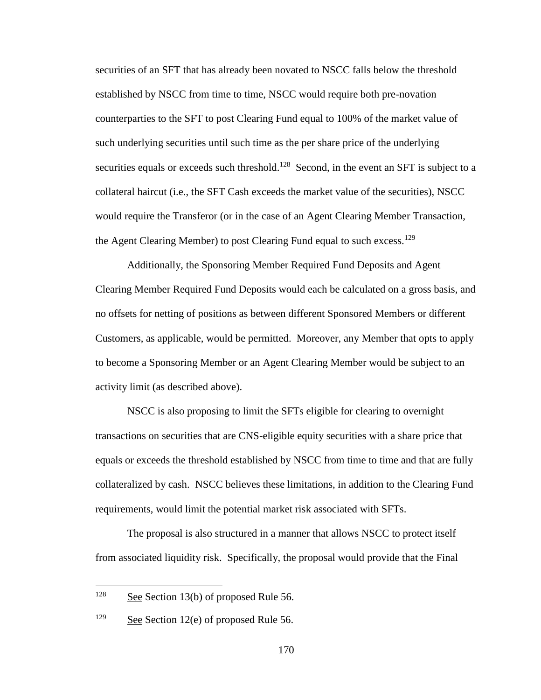securities of an SFT that has already been novated to NSCC falls below the threshold established by NSCC from time to time, NSCC would require both pre-novation counterparties to the SFT to post Clearing Fund equal to 100% of the market value of such underlying securities until such time as the per share price of the underlying securities equals or exceeds such threshold.<sup>128</sup> Second, in the event an SFT is subject to a collateral haircut (i.e., the SFT Cash exceeds the market value of the securities), NSCC would require the Transferor (or in the case of an Agent Clearing Member Transaction, the Agent Clearing Member) to post Clearing Fund equal to such excess.<sup>129</sup>

Additionally, the Sponsoring Member Required Fund Deposits and Agent Clearing Member Required Fund Deposits would each be calculated on a gross basis, and no offsets for netting of positions as between different Sponsored Members or different Customers, as applicable, would be permitted. Moreover, any Member that opts to apply to become a Sponsoring Member or an Agent Clearing Member would be subject to an activity limit (as described above).

NSCC is also proposing to limit the SFTs eligible for clearing to overnight transactions on securities that are CNS-eligible equity securities with a share price that equals or exceeds the threshold established by NSCC from time to time and that are fully collateralized by cash. NSCC believes these limitations, in addition to the Clearing Fund requirements, would limit the potential market risk associated with SFTs.

The proposal is also structured in a manner that allows NSCC to protect itself from associated liquidity risk. Specifically, the proposal would provide that the Final

 $128$  See Section 13(b) of proposed Rule 56.

<sup>&</sup>lt;sup>129</sup> See Section 12(e) of proposed Rule 56.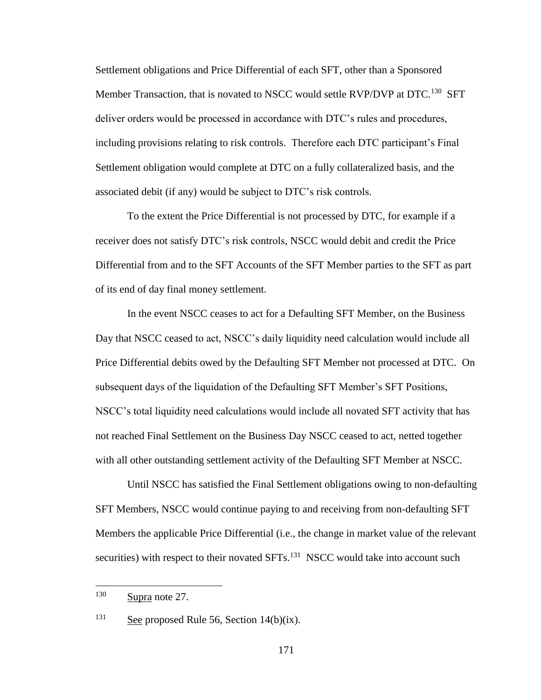Settlement obligations and Price Differential of each SFT, other than a Sponsored Member Transaction, that is novated to NSCC would settle RVP/DVP at DTC.<sup>130</sup> SFT deliver orders would be processed in accordance with DTC's rules and procedures, including provisions relating to risk controls. Therefore each DTC participant's Final Settlement obligation would complete at DTC on a fully collateralized basis, and the associated debit (if any) would be subject to DTC's risk controls.

To the extent the Price Differential is not processed by DTC, for example if a receiver does not satisfy DTC's risk controls, NSCC would debit and credit the Price Differential from and to the SFT Accounts of the SFT Member parties to the SFT as part of its end of day final money settlement.

In the event NSCC ceases to act for a Defaulting SFT Member, on the Business Day that NSCC ceased to act, NSCC's daily liquidity need calculation would include all Price Differential debits owed by the Defaulting SFT Member not processed at DTC. On subsequent days of the liquidation of the Defaulting SFT Member's SFT Positions, NSCC's total liquidity need calculations would include all novated SFT activity that has not reached Final Settlement on the Business Day NSCC ceased to act, netted together with all other outstanding settlement activity of the Defaulting SFT Member at NSCC.

Until NSCC has satisfied the Final Settlement obligations owing to non-defaulting SFT Members, NSCC would continue paying to and receiving from non-defaulting SFT Members the applicable Price Differential (i.e., the change in market value of the relevant securities) with respect to their novated SFTs.<sup>131</sup> NSCC would take into account such

 $130$  Supra note 27.

<sup>&</sup>lt;sup>131</sup> See proposed Rule 56, Section  $14(b)(ix)$ .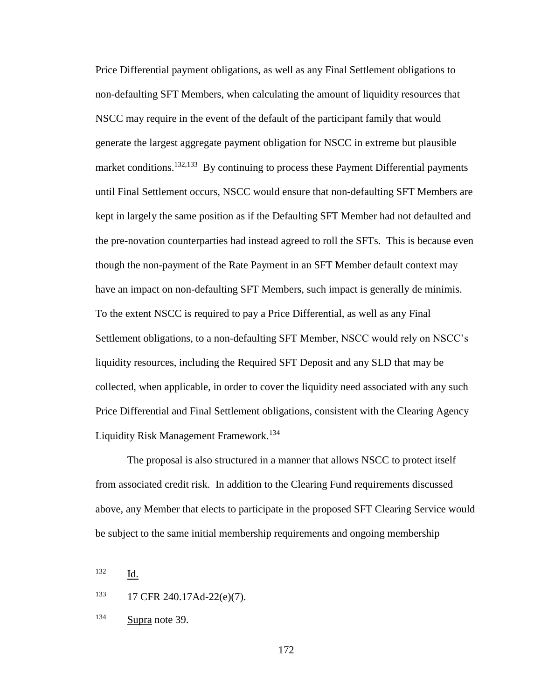Price Differential payment obligations, as well as any Final Settlement obligations to non-defaulting SFT Members, when calculating the amount of liquidity resources that NSCC may require in the event of the default of the participant family that would generate the largest aggregate payment obligation for NSCC in extreme but plausible market conditions.<sup>132,133</sup> By continuing to process these Payment Differential payments until Final Settlement occurs, NSCC would ensure that non-defaulting SFT Members are kept in largely the same position as if the Defaulting SFT Member had not defaulted and the pre-novation counterparties had instead agreed to roll the SFTs. This is because even though the non-payment of the Rate Payment in an SFT Member default context may have an impact on non-defaulting SFT Members, such impact is generally de minimis. To the extent NSCC is required to pay a Price Differential, as well as any Final Settlement obligations, to a non-defaulting SFT Member, NSCC would rely on NSCC's liquidity resources, including the Required SFT Deposit and any SLD that may be collected, when applicable, in order to cover the liquidity need associated with any such Price Differential and Final Settlement obligations, consistent with the Clearing Agency Liquidity Risk Management Framework. 134

The proposal is also structured in a manner that allows NSCC to protect itself from associated credit risk. In addition to the Clearing Fund requirements discussed above, any Member that elects to participate in the proposed SFT Clearing Service would be subject to the same initial membership requirements and ongoing membership

<sup>132</sup> Id.

<sup>133</sup> 17 CFR 240.17Ad-22(e)(7).

<sup>134</sup> Supra note 39.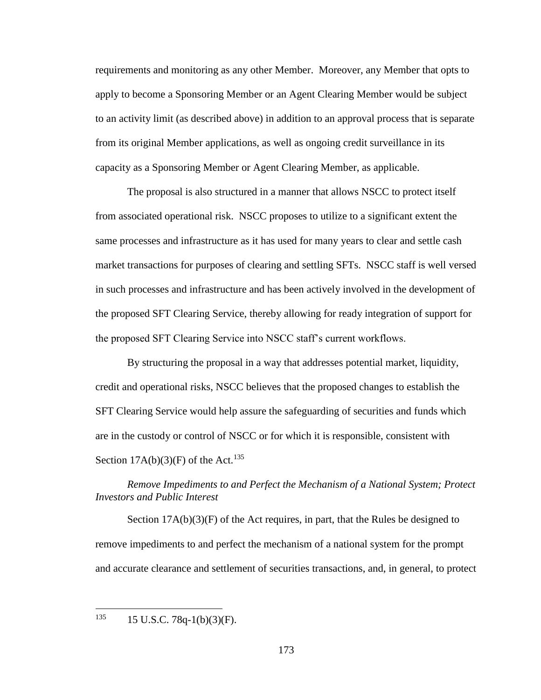requirements and monitoring as any other Member. Moreover, any Member that opts to apply to become a Sponsoring Member or an Agent Clearing Member would be subject to an activity limit (as described above) in addition to an approval process that is separate from its original Member applications, as well as ongoing credit surveillance in its capacity as a Sponsoring Member or Agent Clearing Member, as applicable.

The proposal is also structured in a manner that allows NSCC to protect itself from associated operational risk. NSCC proposes to utilize to a significant extent the same processes and infrastructure as it has used for many years to clear and settle cash market transactions for purposes of clearing and settling SFTs. NSCC staff is well versed in such processes and infrastructure and has been actively involved in the development of the proposed SFT Clearing Service, thereby allowing for ready integration of support for the proposed SFT Clearing Service into NSCC staff's current workflows.

By structuring the proposal in a way that addresses potential market, liquidity, credit and operational risks, NSCC believes that the proposed changes to establish the SFT Clearing Service would help assure the safeguarding of securities and funds which are in the custody or control of NSCC or for which it is responsible, consistent with Section  $17A(b)(3)(F)$  of the Act.<sup>135</sup>

*Remove Impediments to and Perfect the Mechanism of a National System; Protect Investors and Public Interest*

Section  $17A(b)(3)(F)$  of the Act requires, in part, that the Rules be designed to remove impediments to and perfect the mechanism of a national system for the prompt and accurate clearance and settlement of securities transactions, and, in general, to protect

135 <sup>135</sup> 15 U.S.C. 78q-1(b)(3)(F).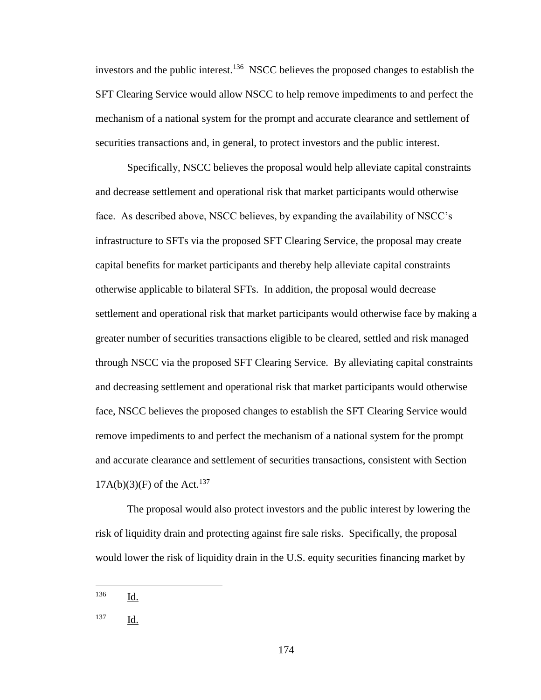investors and the public interest.<sup>136</sup> NSCC believes the proposed changes to establish the SFT Clearing Service would allow NSCC to help remove impediments to and perfect the mechanism of a national system for the prompt and accurate clearance and settlement of securities transactions and, in general, to protect investors and the public interest.

Specifically, NSCC believes the proposal would help alleviate capital constraints and decrease settlement and operational risk that market participants would otherwise face. As described above, NSCC believes, by expanding the availability of NSCC's infrastructure to SFTs via the proposed SFT Clearing Service, the proposal may create capital benefits for market participants and thereby help alleviate capital constraints otherwise applicable to bilateral SFTs. In addition, the proposal would decrease settlement and operational risk that market participants would otherwise face by making a greater number of securities transactions eligible to be cleared, settled and risk managed through NSCC via the proposed SFT Clearing Service. By alleviating capital constraints and decreasing settlement and operational risk that market participants would otherwise face, NSCC believes the proposed changes to establish the SFT Clearing Service would remove impediments to and perfect the mechanism of a national system for the prompt and accurate clearance and settlement of securities transactions, consistent with Section  $17A(b)(3)(F)$  of the Act.<sup>137</sup>

The proposal would also protect investors and the public interest by lowering the risk of liquidity drain and protecting against fire sale risks. Specifically, the proposal would lower the risk of liquidity drain in the U.S. equity securities financing market by

<sup>136</sup> Id.

<sup>137</sup> Id.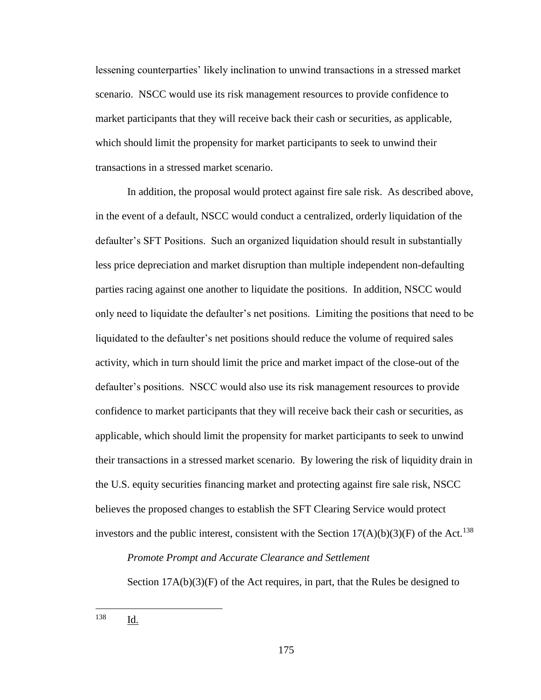lessening counterparties' likely inclination to unwind transactions in a stressed market scenario. NSCC would use its risk management resources to provide confidence to market participants that they will receive back their cash or securities, as applicable, which should limit the propensity for market participants to seek to unwind their transactions in a stressed market scenario.

In addition, the proposal would protect against fire sale risk. As described above, in the event of a default, NSCC would conduct a centralized, orderly liquidation of the defaulter's SFT Positions. Such an organized liquidation should result in substantially less price depreciation and market disruption than multiple independent non-defaulting parties racing against one another to liquidate the positions. In addition, NSCC would only need to liquidate the defaulter's net positions. Limiting the positions that need to be liquidated to the defaulter's net positions should reduce the volume of required sales activity, which in turn should limit the price and market impact of the close-out of the defaulter's positions. NSCC would also use its risk management resources to provide confidence to market participants that they will receive back their cash or securities, as applicable, which should limit the propensity for market participants to seek to unwind their transactions in a stressed market scenario. By lowering the risk of liquidity drain in the U.S. equity securities financing market and protecting against fire sale risk, NSCC believes the proposed changes to establish the SFT Clearing Service would protect investors and the public interest, consistent with the Section  $17(A)(b)(3)(F)$  of the Act.<sup>138</sup>

### *Promote Prompt and Accurate Clearance and Settlement*

Section  $17A(b)(3)(F)$  of the Act requires, in part, that the Rules be designed to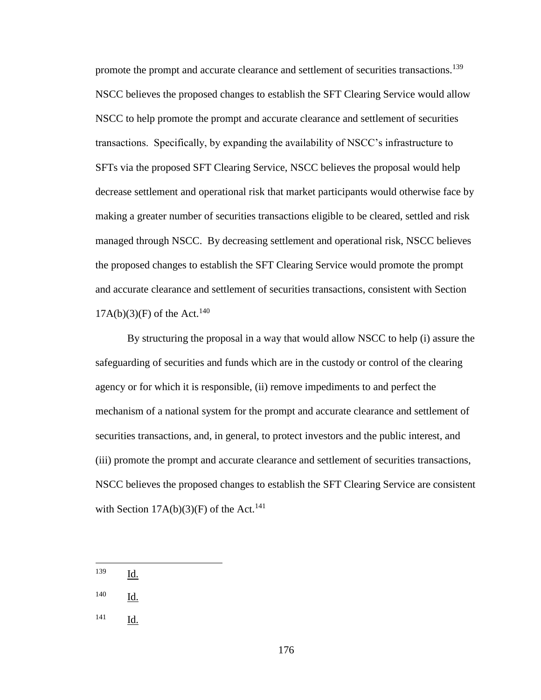promote the prompt and accurate clearance and settlement of securities transactions.<sup>139</sup> NSCC believes the proposed changes to establish the SFT Clearing Service would allow NSCC to help promote the prompt and accurate clearance and settlement of securities transactions. Specifically, by expanding the availability of NSCC's infrastructure to SFTs via the proposed SFT Clearing Service, NSCC believes the proposal would help decrease settlement and operational risk that market participants would otherwise face by making a greater number of securities transactions eligible to be cleared, settled and risk managed through NSCC. By decreasing settlement and operational risk, NSCC believes the proposed changes to establish the SFT Clearing Service would promote the prompt and accurate clearance and settlement of securities transactions, consistent with Section  $17A(b)(3)(F)$  of the Act.<sup>140</sup>

By structuring the proposal in a way that would allow NSCC to help (i) assure the safeguarding of securities and funds which are in the custody or control of the clearing agency or for which it is responsible, (ii) remove impediments to and perfect the mechanism of a national system for the prompt and accurate clearance and settlement of securities transactions, and, in general, to protect investors and the public interest, and (iii) promote the prompt and accurate clearance and settlement of securities transactions, NSCC believes the proposed changes to establish the SFT Clearing Service are consistent with Section  $17A(b)(3)(F)$  of the Act.<sup>141</sup>

<sup>139</sup> Id.

- <sup>140</sup> Id.
- <sup>141</sup> Id.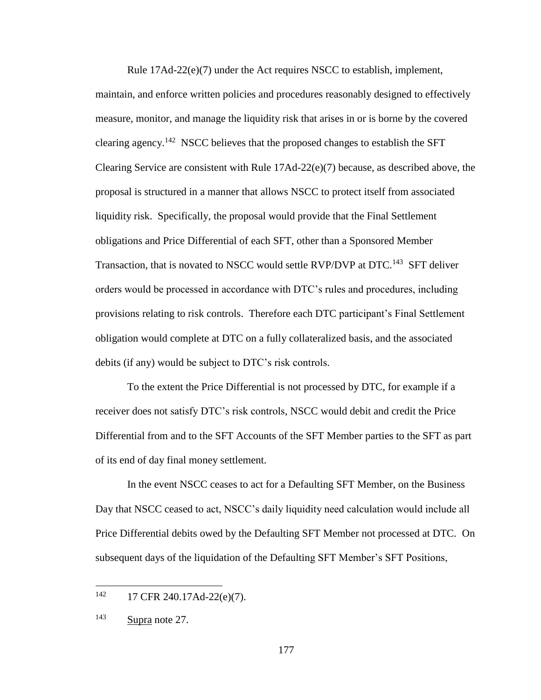Rule 17Ad-22(e)(7) under the Act requires NSCC to establish, implement, maintain, and enforce written policies and procedures reasonably designed to effectively measure, monitor, and manage the liquidity risk that arises in or is borne by the covered clearing agency.<sup>142</sup> NSCC believes that the proposed changes to establish the SFT Clearing Service are consistent with Rule 17Ad-22(e)(7) because, as described above, the proposal is structured in a manner that allows NSCC to protect itself from associated liquidity risk. Specifically, the proposal would provide that the Final Settlement obligations and Price Differential of each SFT, other than a Sponsored Member Transaction, that is novated to NSCC would settle RVP/DVP at DTC.<sup>143</sup> SFT deliver orders would be processed in accordance with DTC's rules and procedures, including provisions relating to risk controls. Therefore each DTC participant's Final Settlement obligation would complete at DTC on a fully collateralized basis, and the associated debits (if any) would be subject to DTC's risk controls.

To the extent the Price Differential is not processed by DTC, for example if a receiver does not satisfy DTC's risk controls, NSCC would debit and credit the Price Differential from and to the SFT Accounts of the SFT Member parties to the SFT as part of its end of day final money settlement.

In the event NSCC ceases to act for a Defaulting SFT Member, on the Business Day that NSCC ceased to act, NSCC's daily liquidity need calculation would include all Price Differential debits owed by the Defaulting SFT Member not processed at DTC. On subsequent days of the liquidation of the Defaulting SFT Member's SFT Positions,

 $142$  17 CFR 240.17Ad-22(e)(7).

<sup>143</sup> Supra note 27.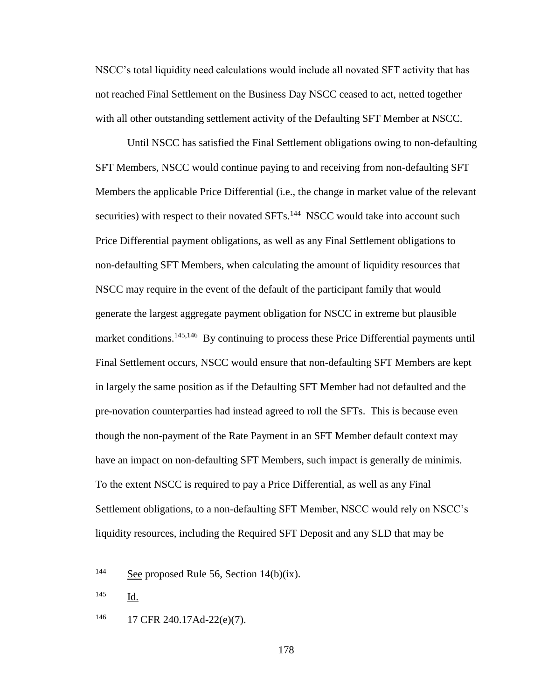NSCC's total liquidity need calculations would include all novated SFT activity that has not reached Final Settlement on the Business Day NSCC ceased to act, netted together with all other outstanding settlement activity of the Defaulting SFT Member at NSCC.

Until NSCC has satisfied the Final Settlement obligations owing to non-defaulting SFT Members, NSCC would continue paying to and receiving from non-defaulting SFT Members the applicable Price Differential (i.e., the change in market value of the relevant securities) with respect to their novated SFTs.<sup>144</sup> NSCC would take into account such Price Differential payment obligations, as well as any Final Settlement obligations to non-defaulting SFT Members, when calculating the amount of liquidity resources that NSCC may require in the event of the default of the participant family that would generate the largest aggregate payment obligation for NSCC in extreme but plausible market conditions.<sup>145,146</sup> By continuing to process these Price Differential payments until Final Settlement occurs, NSCC would ensure that non-defaulting SFT Members are kept in largely the same position as if the Defaulting SFT Member had not defaulted and the pre-novation counterparties had instead agreed to roll the SFTs. This is because even though the non-payment of the Rate Payment in an SFT Member default context may have an impact on non-defaulting SFT Members, such impact is generally de minimis. To the extent NSCC is required to pay a Price Differential, as well as any Final Settlement obligations, to a non-defaulting SFT Member, NSCC would rely on NSCC's liquidity resources, including the Required SFT Deposit and any SLD that may be

178

<sup>144</sup> See proposed Rule 56, Section  $14(b)(ix)$ .

<sup>145</sup> Id.

<sup>146</sup> 17 CFR 240.17Ad-22(e)(7).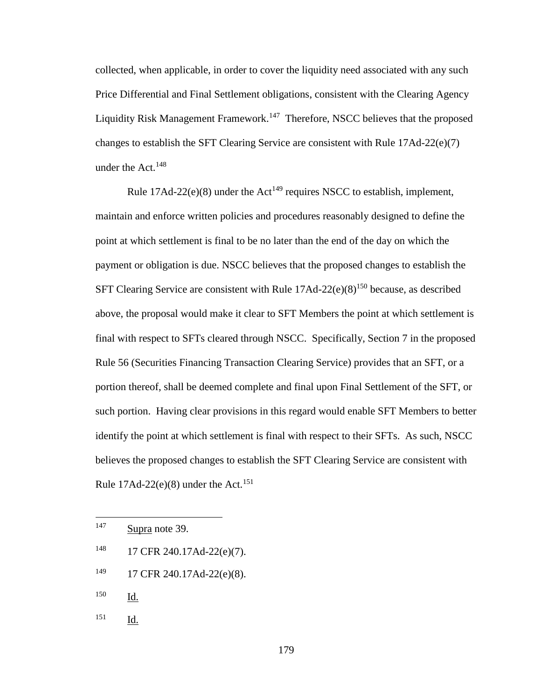collected, when applicable, in order to cover the liquidity need associated with any such Price Differential and Final Settlement obligations, consistent with the Clearing Agency Liquidity Risk Management Framework.<sup>147</sup> Therefore, NSCC believes that the proposed changes to establish the SFT Clearing Service are consistent with Rule  $17\text{Ad}-22(e)(7)$ under the Act. $148$ 

Rule  $17Ad-22(e)(8)$  under the Act<sup>149</sup> requires NSCC to establish, implement, maintain and enforce written policies and procedures reasonably designed to define the point at which settlement is final to be no later than the end of the day on which the payment or obligation is due. NSCC believes that the proposed changes to establish the SFT Clearing Service are consistent with Rule  $17\text{Ad}-22(e)(8)^{150}$  because, as described above, the proposal would make it clear to SFT Members the point at which settlement is final with respect to SFTs cleared through NSCC. Specifically, Section 7 in the proposed Rule 56 (Securities Financing Transaction Clearing Service) provides that an SFT, or a portion thereof, shall be deemed complete and final upon Final Settlement of the SFT, or such portion. Having clear provisions in this regard would enable SFT Members to better identify the point at which settlement is final with respect to their SFTs. As such, NSCC believes the proposed changes to establish the SFT Clearing Service are consistent with Rule  $17$ Ad- $22$ (e)(8) under the Act.<sup>151</sup>

- <sup>148</sup> 17 CFR 240.17Ad-22(e)(7).
- <sup>149</sup> 17 CFR 240.17Ad-22(e)(8).
- <sup>150</sup> Id.

 $\overline{a}$ 

<sup>147</sup> Supra note 39.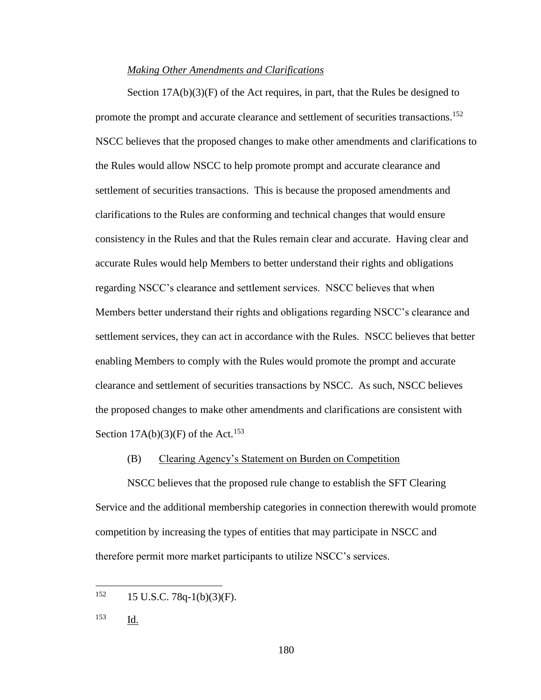### *Making Other Amendments and Clarifications*

Section  $17A(b)(3)(F)$  of the Act requires, in part, that the Rules be designed to promote the prompt and accurate clearance and settlement of securities transactions.<sup>152</sup> NSCC believes that the proposed changes to make other amendments and clarifications to the Rules would allow NSCC to help promote prompt and accurate clearance and settlement of securities transactions. This is because the proposed amendments and clarifications to the Rules are conforming and technical changes that would ensure consistency in the Rules and that the Rules remain clear and accurate. Having clear and accurate Rules would help Members to better understand their rights and obligations regarding NSCC's clearance and settlement services. NSCC believes that when Members better understand their rights and obligations regarding NSCC's clearance and settlement services, they can act in accordance with the Rules. NSCC believes that better enabling Members to comply with the Rules would promote the prompt and accurate clearance and settlement of securities transactions by NSCC. As such, NSCC believes the proposed changes to make other amendments and clarifications are consistent with Section  $17A(b)(3)$ (F) of the Act.<sup>153</sup>

## (B) Clearing Agency's Statement on Burden on Competition

NSCC believes that the proposed rule change to establish the SFT Clearing Service and the additional membership categories in connection therewith would promote competition by increasing the types of entities that may participate in NSCC and therefore permit more market participants to utilize NSCC's services.

 $152$  15 U.S.C. 78q-1(b)(3)(F).

<sup>153</sup> Id.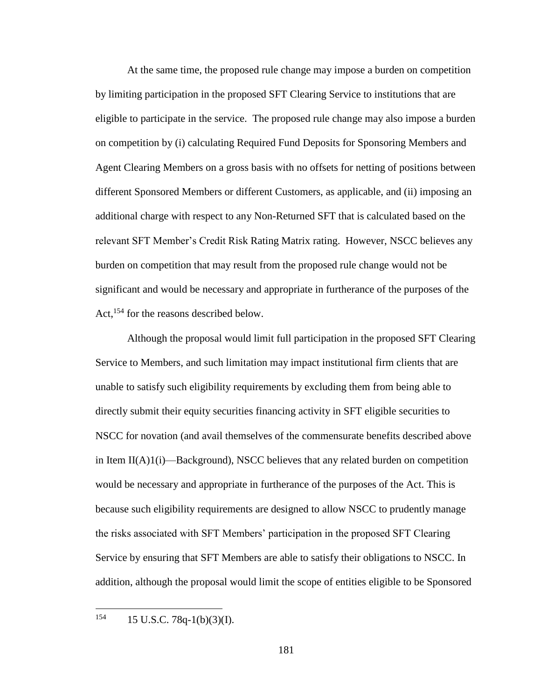At the same time, the proposed rule change may impose a burden on competition by limiting participation in the proposed SFT Clearing Service to institutions that are eligible to participate in the service. The proposed rule change may also impose a burden on competition by (i) calculating Required Fund Deposits for Sponsoring Members and Agent Clearing Members on a gross basis with no offsets for netting of positions between different Sponsored Members or different Customers, as applicable, and (ii) imposing an additional charge with respect to any Non-Returned SFT that is calculated based on the relevant SFT Member's Credit Risk Rating Matrix rating. However, NSCC believes any burden on competition that may result from the proposed rule change would not be significant and would be necessary and appropriate in furtherance of the purposes of the Act,<sup>154</sup> for the reasons described below.

Although the proposal would limit full participation in the proposed SFT Clearing Service to Members, and such limitation may impact institutional firm clients that are unable to satisfy such eligibility requirements by excluding them from being able to directly submit their equity securities financing activity in SFT eligible securities to NSCC for novation (and avail themselves of the commensurate benefits described above in Item II(A)1(i)—Background), NSCC believes that any related burden on competition would be necessary and appropriate in furtherance of the purposes of the Act. This is because such eligibility requirements are designed to allow NSCC to prudently manage the risks associated with SFT Members' participation in the proposed SFT Clearing Service by ensuring that SFT Members are able to satisfy their obligations to NSCC. In addition, although the proposal would limit the scope of entities eligible to be Sponsored

154 15 U.S.C. 78q-1(b)(3)(I).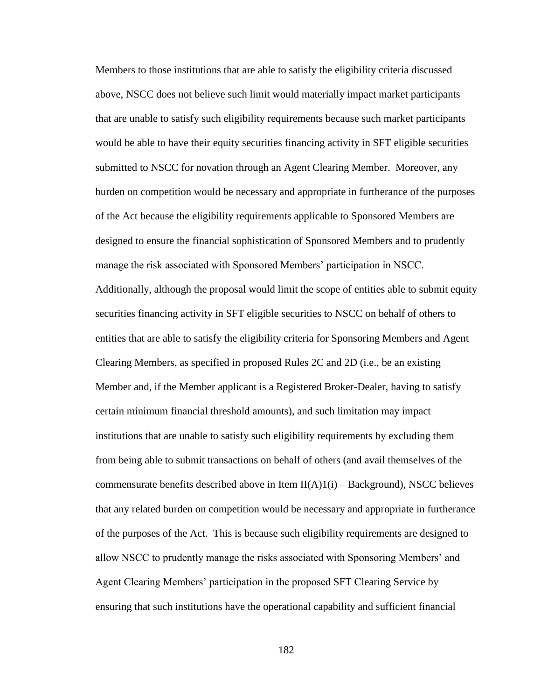Members to those institutions that are able to satisfy the eligibility criteria discussed above, NSCC does not believe such limit would materially impact market participants that are unable to satisfy such eligibility requirements because such market participants would be able to have their equity securities financing activity in SFT eligible securities submitted to NSCC for novation through an Agent Clearing Member. Moreover, any burden on competition would be necessary and appropriate in furtherance of the purposes of the Act because the eligibility requirements applicable to Sponsored Members are designed to ensure the financial sophistication of Sponsored Members and to prudently manage the risk associated with Sponsored Members' participation in NSCC. Additionally, although the proposal would limit the scope of entities able to submit equity securities financing activity in SFT eligible securities to NSCC on behalf of others to entities that are able to satisfy the eligibility criteria for Sponsoring Members and Agent Clearing Members, as specified in proposed Rules 2C and 2D (i.e., be an existing Member and, if the Member applicant is a Registered Broker-Dealer, having to satisfy certain minimum financial threshold amounts), and such limitation may impact institutions that are unable to satisfy such eligibility requirements by excluding them from being able to submit transactions on behalf of others (and avail themselves of the commensurate benefits described above in Item  $II(A)1(i)$  – Background), NSCC believes that any related burden on competition would be necessary and appropriate in furtherance of the purposes of the Act. This is because such eligibility requirements are designed to allow NSCC to prudently manage the risks associated with Sponsoring Members' and Agent Clearing Members' participation in the proposed SFT Clearing Service by ensuring that such institutions have the operational capability and sufficient financial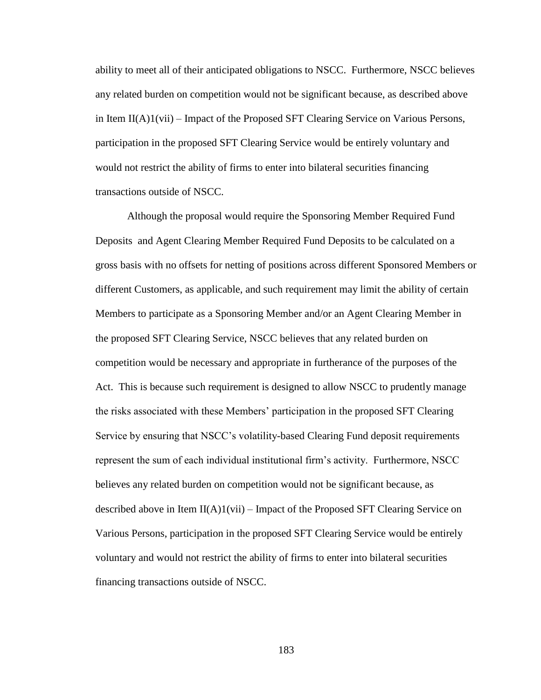ability to meet all of their anticipated obligations to NSCC. Furthermore, NSCC believes any related burden on competition would not be significant because, as described above in Item II(A)1(vii) – Impact of the Proposed SFT Clearing Service on Various Persons, participation in the proposed SFT Clearing Service would be entirely voluntary and would not restrict the ability of firms to enter into bilateral securities financing transactions outside of NSCC.

Although the proposal would require the Sponsoring Member Required Fund Deposits and Agent Clearing Member Required Fund Deposits to be calculated on a gross basis with no offsets for netting of positions across different Sponsored Members or different Customers, as applicable, and such requirement may limit the ability of certain Members to participate as a Sponsoring Member and/or an Agent Clearing Member in the proposed SFT Clearing Service, NSCC believes that any related burden on competition would be necessary and appropriate in furtherance of the purposes of the Act. This is because such requirement is designed to allow NSCC to prudently manage the risks associated with these Members' participation in the proposed SFT Clearing Service by ensuring that NSCC's volatility-based Clearing Fund deposit requirements represent the sum of each individual institutional firm's activity. Furthermore, NSCC believes any related burden on competition would not be significant because, as described above in Item  $II(A)1(vii)$  – Impact of the Proposed SFT Clearing Service on Various Persons, participation in the proposed SFT Clearing Service would be entirely voluntary and would not restrict the ability of firms to enter into bilateral securities financing transactions outside of NSCC.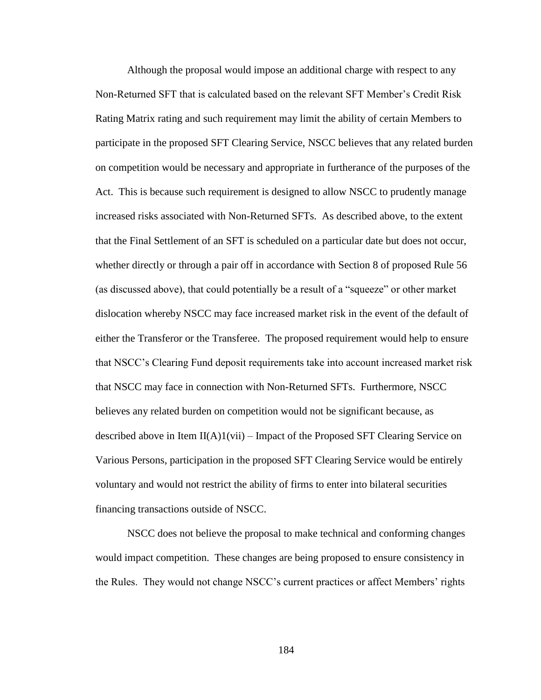Although the proposal would impose an additional charge with respect to any Non-Returned SFT that is calculated based on the relevant SFT Member's Credit Risk Rating Matrix rating and such requirement may limit the ability of certain Members to participate in the proposed SFT Clearing Service, NSCC believes that any related burden on competition would be necessary and appropriate in furtherance of the purposes of the Act. This is because such requirement is designed to allow NSCC to prudently manage increased risks associated with Non-Returned SFTs. As described above, to the extent that the Final Settlement of an SFT is scheduled on a particular date but does not occur, whether directly or through a pair off in accordance with Section 8 of proposed Rule 56 (as discussed above), that could potentially be a result of a "squeeze" or other market dislocation whereby NSCC may face increased market risk in the event of the default of either the Transferor or the Transferee. The proposed requirement would help to ensure that NSCC's Clearing Fund deposit requirements take into account increased market risk that NSCC may face in connection with Non-Returned SFTs. Furthermore, NSCC believes any related burden on competition would not be significant because, as described above in Item II(A)1(vii) – Impact of the Proposed SFT Clearing Service on Various Persons, participation in the proposed SFT Clearing Service would be entirely voluntary and would not restrict the ability of firms to enter into bilateral securities financing transactions outside of NSCC.

NSCC does not believe the proposal to make technical and conforming changes would impact competition. These changes are being proposed to ensure consistency in the Rules. They would not change NSCC's current practices or affect Members' rights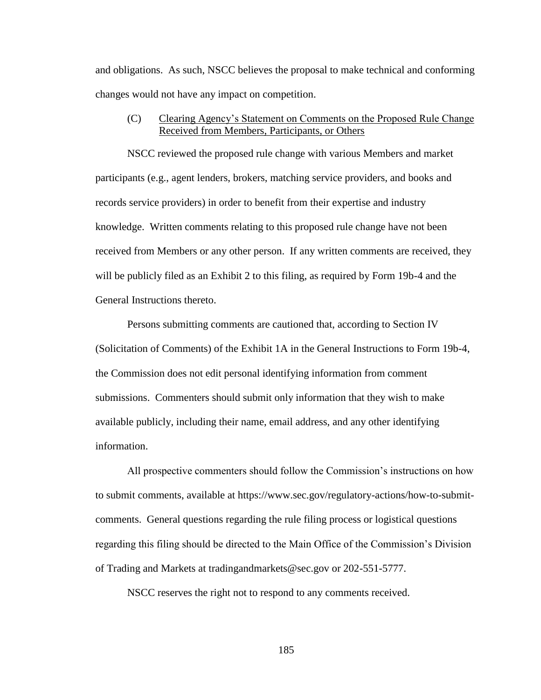and obligations. As such, NSCC believes the proposal to make technical and conforming changes would not have any impact on competition.

(C) Clearing Agency's Statement on Comments on the Proposed Rule Change Received from Members, Participants, or Others

NSCC reviewed the proposed rule change with various Members and market participants (e.g., agent lenders, brokers, matching service providers, and books and records service providers) in order to benefit from their expertise and industry knowledge. Written comments relating to this proposed rule change have not been received from Members or any other person. If any written comments are received, they will be publicly filed as an Exhibit 2 to this filing, as required by Form 19b-4 and the General Instructions thereto.

Persons submitting comments are cautioned that, according to Section IV (Solicitation of Comments) of the Exhibit 1A in the General Instructions to Form 19b-4, the Commission does not edit personal identifying information from comment submissions. Commenters should submit only information that they wish to make available publicly, including their name, email address, and any other identifying information.

All prospective commenters should follow the Commission's instructions on how to submit comments, available at https://www.sec.gov/regulatory-actions/how-to-submitcomments. General questions regarding the rule filing process or logistical questions regarding this filing should be directed to the Main Office of the Commission's Division of Trading and Markets at tradingandmarkets@sec.gov or 202-551-5777.

NSCC reserves the right not to respond to any comments received.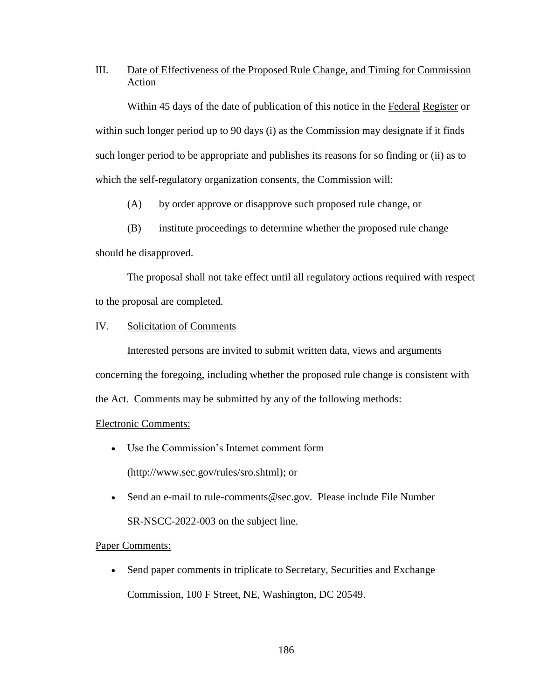## III. Date of Effectiveness of the Proposed Rule Change, and Timing for Commission Action

Within 45 days of the date of publication of this notice in the Federal Register or within such longer period up to 90 days (i) as the Commission may designate if it finds such longer period to be appropriate and publishes its reasons for so finding or (ii) as to which the self-regulatory organization consents, the Commission will:

(A) by order approve or disapprove such proposed rule change, or

(B) institute proceedings to determine whether the proposed rule change

should be disapproved.

The proposal shall not take effect until all regulatory actions required with respect to the proposal are completed.

## IV. Solicitation of Comments

Interested persons are invited to submit written data, views and arguments concerning the foregoing, including whether the proposed rule change is consistent with the Act. Comments may be submitted by any of the following methods:

## Electronic Comments:

- Use the Commission's Internet comment form (http://www.sec.gov/rules/sro.shtml); or
- Send an e-mail to rule-comments@sec.gov. Please include File Number SR-NSCC-2022-003 on the subject line.

## Paper Comments:

• Send paper comments in triplicate to Secretary, Securities and Exchange Commission, 100 F Street, NE, Washington, DC 20549.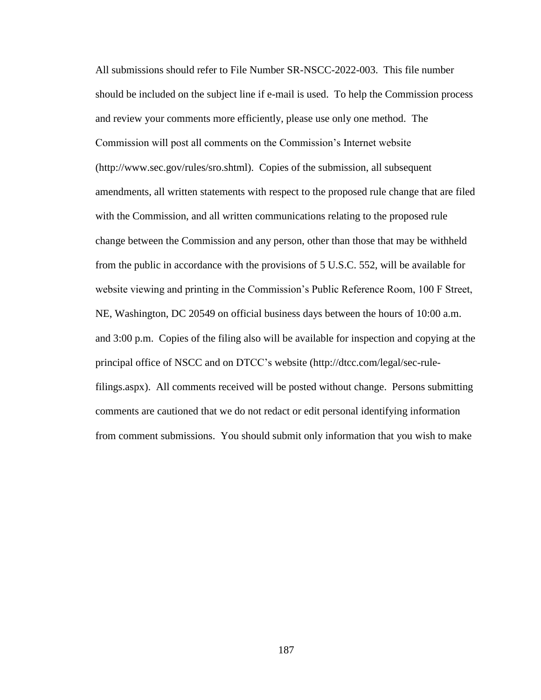All submissions should refer to File Number SR-NSCC-2022-003.This file number should be included on the subject line if e-mail is used. To help the Commission process and review your comments more efficiently, please use only one method. The Commission will post all comments on the Commission's Internet website (http://www.sec.gov/rules/sro.shtml). Copies of the submission, all subsequent amendments, all written statements with respect to the proposed rule change that are filed with the Commission, and all written communications relating to the proposed rule change between the Commission and any person, other than those that may be withheld from the public in accordance with the provisions of 5 U.S.C. 552, will be available for website viewing and printing in the Commission's Public Reference Room, 100 F Street, NE, Washington, DC 20549 on official business days between the hours of 10:00 a.m. and 3:00 p.m. Copies of the filing also will be available for inspection and copying at the principal office of NSCC and on DTCC's website (http://dtcc.com/legal/sec-rulefilings.aspx). All comments received will be posted without change. Persons submitting comments are cautioned that we do not redact or edit personal identifying information from comment submissions. You should submit only information that you wish to make